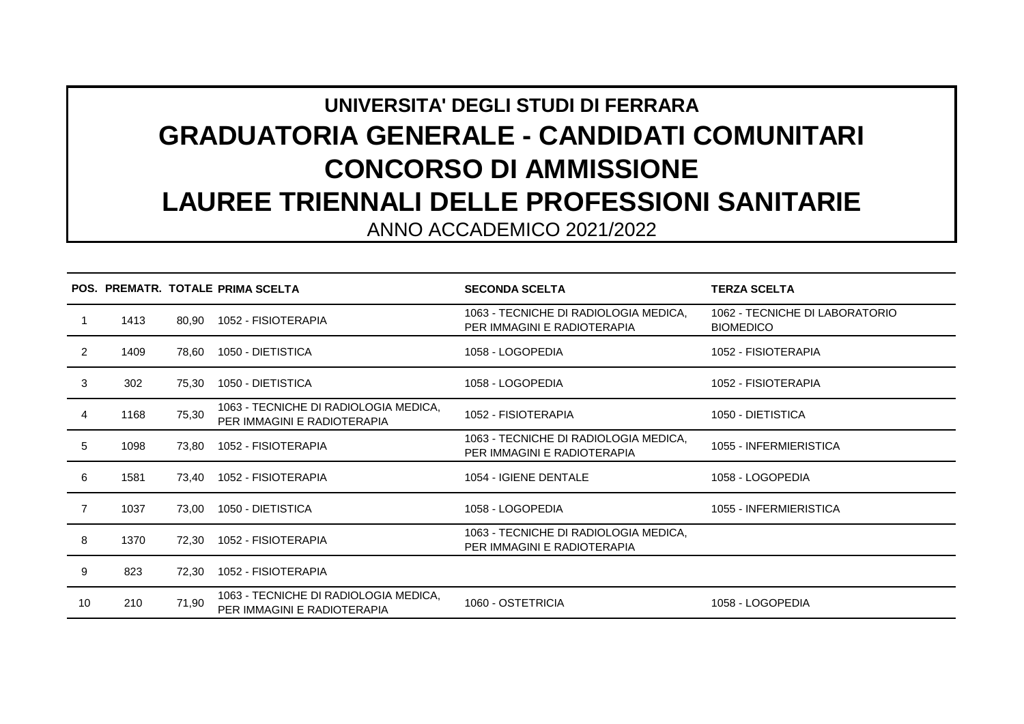## **UNIVERSITA' DEGLI STUDI DI FERRARA GRADUATORIA GENERALE - CANDIDATI COMUNITARI CONCORSO DI AMMISSIONE LAUREE TRIENNALI DELLE PROFESSIONI SANITARIE**

ANNO ACCADEMICO 2021/2022

|                |      |       | POS. PREMATR. TOTALE PRIMA SCELTA                                    | <b>SECONDA SCELTA</b>                                                | <b>TERZA SCELTA</b>                                |
|----------------|------|-------|----------------------------------------------------------------------|----------------------------------------------------------------------|----------------------------------------------------|
|                | 1413 | 80.90 | 1052 - FISIOTERAPIA                                                  | 1063 - TECNICHE DI RADIOLOGIA MEDICA,<br>PER IMMAGINI E RADIOTERAPIA | 1062 - TECNICHE DI LABORATORIO<br><b>BIOMEDICO</b> |
| 2              | 1409 | 78,60 | 1050 - DIETISTICA                                                    | 1058 - LOGOPEDIA                                                     | 1052 - FISIOTERAPIA                                |
| 3              | 302  | 75.30 | 1050 - DIETISTICA                                                    | 1058 - LOGOPEDIA                                                     | 1052 - FISIOTERAPIA                                |
| 4              | 1168 | 75,30 | 1063 - TECNICHE DI RADIOLOGIA MEDICA,<br>PER IMMAGINI E RADIOTERAPIA | 1052 - FISIOTERAPIA                                                  | 1050 - DIETISTICA                                  |
| 5              | 1098 | 73,80 | 1052 - FISIOTERAPIA                                                  | 1063 - TECNICHE DI RADIOLOGIA MEDICA,<br>PER IMMAGINI E RADIOTERAPIA | 1055 - INFERMIERISTICA                             |
| 6              | 1581 | 73.40 | 1052 - FISIOTERAPIA                                                  | 1054 - IGIENE DENTALE                                                | 1058 - LOGOPEDIA                                   |
| $\overline{7}$ | 1037 | 73,00 | 1050 - DIETISTICA                                                    | 1058 - LOGOPEDIA                                                     | 1055 - INFERMIERISTICA                             |
| 8              | 1370 | 72,30 | 1052 - FISIOTERAPIA                                                  | 1063 - TECNICHE DI RADIOLOGIA MEDICA,<br>PER IMMAGINI E RADIOTERAPIA |                                                    |
| 9              | 823  | 72,30 | 1052 - FISIOTERAPIA                                                  |                                                                      |                                                    |
| 10             | 210  | 71,90 | 1063 - TECNICHE DI RADIOLOGIA MEDICA,<br>PER IMMAGINI E RADIOTERAPIA | 1060 - OSTETRICIA                                                    | 1058 - LOGOPEDIA                                   |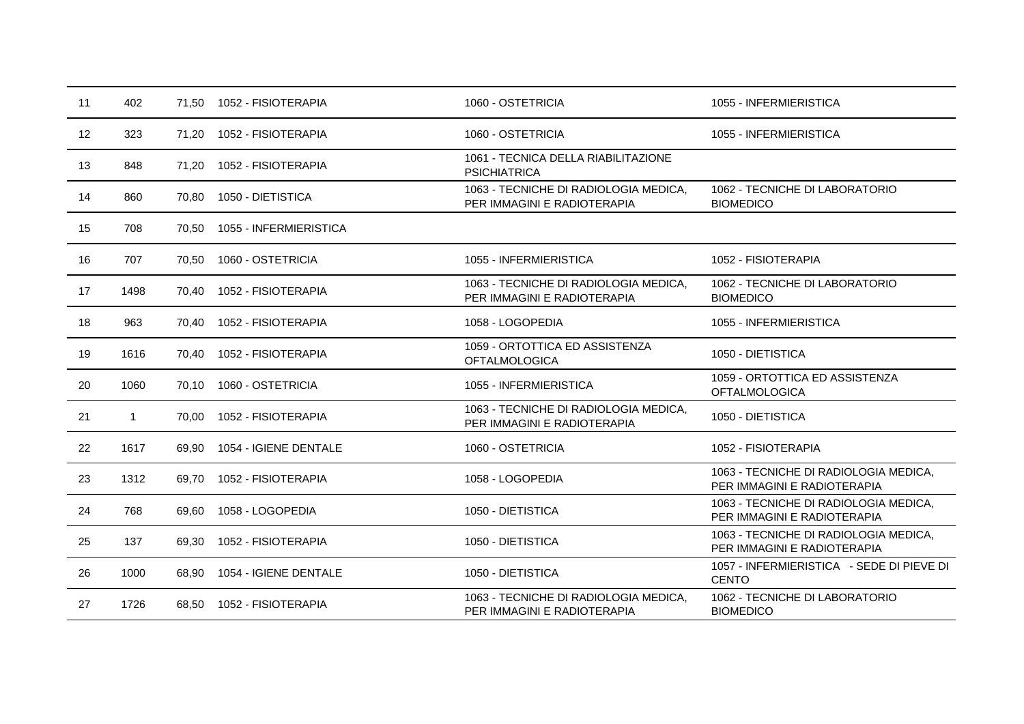| 11 | 402          | 71,50 | 1052 - FISIOTERAPIA    | 1060 - OSTETRICIA                                                    | 1055 - INFERMIERISTICA                                               |
|----|--------------|-------|------------------------|----------------------------------------------------------------------|----------------------------------------------------------------------|
| 12 | 323          | 71,20 | 1052 - FISIOTERAPIA    | 1060 - OSTETRICIA                                                    | 1055 - INFERMIERISTICA                                               |
| 13 | 848          | 71.20 | 1052 - FISIOTERAPIA    | 1061 - TECNICA DELLA RIABILITAZIONE<br><b>PSICHIATRICA</b>           |                                                                      |
| 14 | 860          | 70,80 | 1050 - DIETISTICA      | 1063 - TECNICHE DI RADIOLOGIA MEDICA,<br>PER IMMAGINI E RADIOTERAPIA | 1062 - TECNICHE DI LABORATORIO<br><b>BIOMEDICO</b>                   |
| 15 | 708          | 70.50 | 1055 - INFERMIERISTICA |                                                                      |                                                                      |
| 16 | 707          | 70,50 | 1060 - OSTETRICIA      | 1055 - INFERMIERISTICA                                               | 1052 - FISIOTERAPIA                                                  |
| 17 | 1498         | 70.40 | 1052 - FISIOTERAPIA    | 1063 - TECNICHE DI RADIOLOGIA MEDICA,<br>PER IMMAGINI E RADIOTERAPIA | 1062 - TECNICHE DI LABORATORIO<br><b>BIOMEDICO</b>                   |
| 18 | 963          | 70,40 | 1052 - FISIOTERAPIA    | 1058 - LOGOPEDIA                                                     | 1055 - INFERMIERISTICA                                               |
| 19 | 1616         | 70.40 | 1052 - FISIOTERAPIA    | 1059 - ORTOTTICA ED ASSISTENZA<br><b>OFTALMOLOGICA</b>               | 1050 - DIETISTICA                                                    |
| 20 | 1060         | 70,10 | 1060 - OSTETRICIA      | 1055 - INFERMIERISTICA                                               | 1059 - ORTOTTICA ED ASSISTENZA<br><b>OFTALMOLOGICA</b>               |
| 21 | $\mathbf{1}$ | 70.00 | 1052 - FISIOTERAPIA    | 1063 - TECNICHE DI RADIOLOGIA MEDICA,<br>PER IMMAGINI E RADIOTERAPIA | 1050 - DIETISTICA                                                    |
| 22 | 1617         | 69,90 | 1054 - IGIENE DENTALE  | 1060 - OSTETRICIA                                                    | 1052 - FISIOTERAPIA                                                  |
| 23 | 1312         | 69.70 | 1052 - FISIOTERAPIA    | 1058 - LOGOPEDIA                                                     | 1063 - TECNICHE DI RADIOLOGIA MEDICA,<br>PER IMMAGINI E RADIOTERAPIA |
| 24 | 768          | 69,60 | 1058 - LOGOPEDIA       | 1050 - DIETISTICA                                                    | 1063 - TECNICHE DI RADIOLOGIA MEDICA,<br>PER IMMAGINI E RADIOTERAPIA |
| 25 | 137          | 69,30 | 1052 - FISIOTERAPIA    | 1050 - DIETISTICA                                                    | 1063 - TECNICHE DI RADIOLOGIA MEDICA,<br>PER IMMAGINI E RADIOTERAPIA |
| 26 | 1000         | 68,90 | 1054 - IGIENE DENTALE  | 1050 - DIETISTICA                                                    | 1057 - INFERMIERISTICA - SEDE DI PIEVE DI<br><b>CENTO</b>            |
| 27 | 1726         | 68.50 | 1052 - FISIOTERAPIA    | 1063 - TECNICHE DI RADIOLOGIA MEDICA,<br>PER IMMAGINI E RADIOTERAPIA | 1062 - TECNICHE DI LABORATORIO<br><b>BIOMEDICO</b>                   |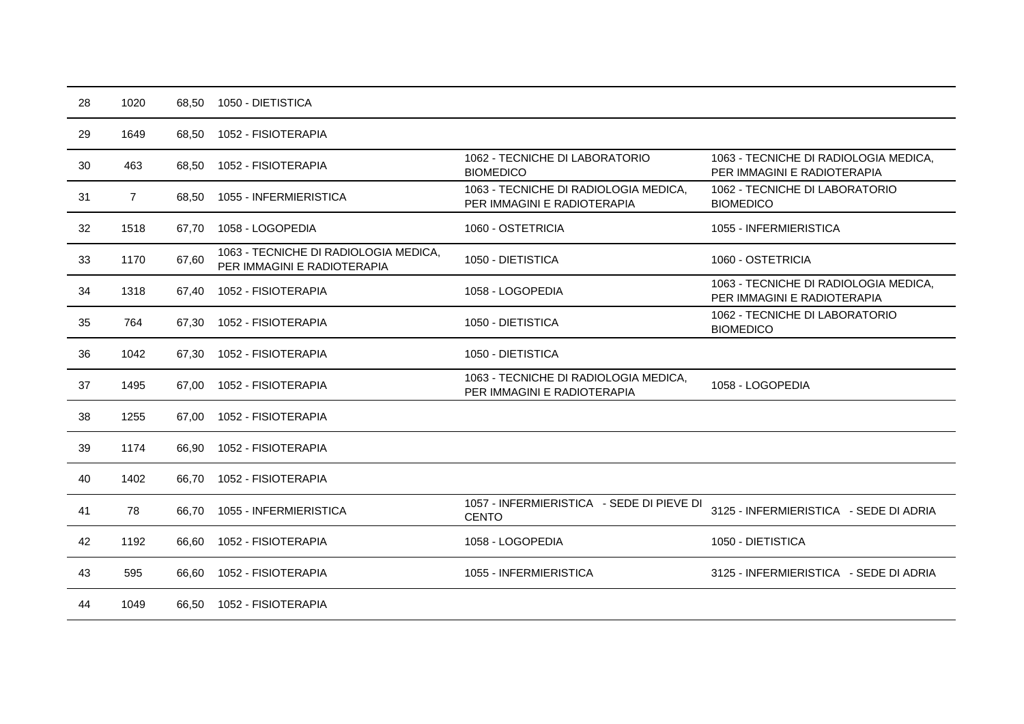| 28 | 1020           | 68,50 | 1050 - DIETISTICA                                                    |                                                                      |                                                                      |
|----|----------------|-------|----------------------------------------------------------------------|----------------------------------------------------------------------|----------------------------------------------------------------------|
| 29 | 1649           | 68.50 | 1052 - FISIOTERAPIA                                                  |                                                                      |                                                                      |
| 30 | 463            | 68,50 | 1052 - FISIOTERAPIA                                                  | 1062 - TECNICHE DI LABORATORIO<br><b>BIOMEDICO</b>                   | 1063 - TECNICHE DI RADIOLOGIA MEDICA,<br>PER IMMAGINI E RADIOTERAPIA |
| 31 | $\overline{7}$ | 68,50 | 1055 - INFERMIERISTICA                                               | 1063 - TECNICHE DI RADIOLOGIA MEDICA,<br>PER IMMAGINI E RADIOTERAPIA | 1062 - TECNICHE DI LABORATORIO<br><b>BIOMEDICO</b>                   |
| 32 | 1518           | 67,70 | 1058 - LOGOPEDIA                                                     | 1060 - OSTETRICIA                                                    | 1055 - INFERMIERISTICA                                               |
| 33 | 1170           | 67,60 | 1063 - TECNICHE DI RADIOLOGIA MEDICA,<br>PER IMMAGINI E RADIOTERAPIA | 1050 - DIETISTICA                                                    | 1060 - OSTETRICIA                                                    |
| 34 | 1318           | 67,40 | 1052 - FISIOTERAPIA                                                  | 1058 - LOGOPEDIA                                                     | 1063 - TECNICHE DI RADIOLOGIA MEDICA,<br>PER IMMAGINI E RADIOTERAPIA |
| 35 | 764            | 67,30 | 1052 - FISIOTERAPIA                                                  | 1050 - DIETISTICA                                                    | 1062 - TECNICHE DI LABORATORIO<br><b>BIOMEDICO</b>                   |
| 36 | 1042           | 67,30 | 1052 - FISIOTERAPIA                                                  | 1050 - DIETISTICA                                                    |                                                                      |
| 37 | 1495           | 67,00 | 1052 - FISIOTERAPIA                                                  | 1063 - TECNICHE DI RADIOLOGIA MEDICA,<br>PER IMMAGINI E RADIOTERAPIA | 1058 - LOGOPEDIA                                                     |
| 38 | 1255           | 67,00 | 1052 - FISIOTERAPIA                                                  |                                                                      |                                                                      |
| 39 | 1174           | 66,90 | 1052 - FISIOTERAPIA                                                  |                                                                      |                                                                      |
| 40 | 1402           | 66,70 | 1052 - FISIOTERAPIA                                                  |                                                                      |                                                                      |
| 41 | 78             | 66,70 | 1055 - INFERMIERISTICA                                               | 1057 - INFERMIERISTICA - SEDE DI PIEVE DI<br><b>CENTO</b>            | 3125 - INFERMIERISTICA - SEDE DI ADRIA                               |
| 42 | 1192           | 66,60 | 1052 - FISIOTERAPIA                                                  | 1058 - LOGOPEDIA                                                     | 1050 - DIETISTICA                                                    |
| 43 | 595            | 66.60 | 1052 - FISIOTERAPIA                                                  | 1055 - INFERMIERISTICA                                               | 3125 - INFERMIERISTICA - SEDE DI ADRIA                               |
| 44 | 1049           | 66,50 | 1052 - FISIOTERAPIA                                                  |                                                                      |                                                                      |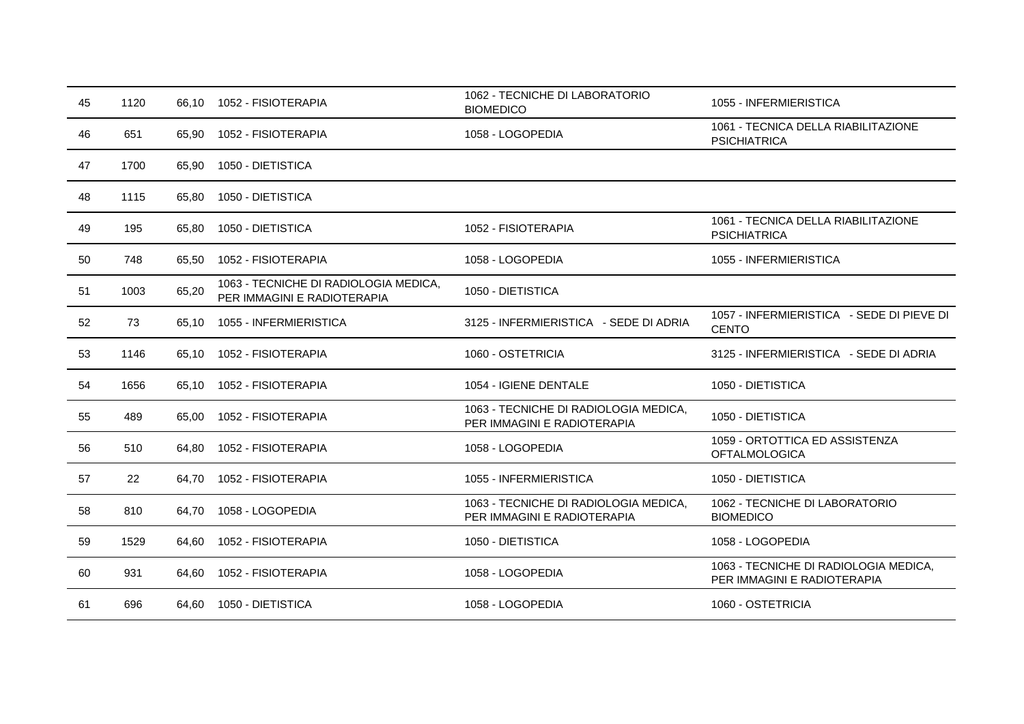| 45 | 1120 | 66,10 | 1052 - FISIOTERAPIA                                                  | 1062 - TECNICHE DI LABORATORIO<br><b>BIOMEDICO</b>                   | 1055 - INFERMIERISTICA                                               |
|----|------|-------|----------------------------------------------------------------------|----------------------------------------------------------------------|----------------------------------------------------------------------|
| 46 | 651  | 65,90 | 1052 - FISIOTERAPIA                                                  | 1058 - LOGOPEDIA                                                     | 1061 - TECNICA DELLA RIABILITAZIONE<br><b>PSICHIATRICA</b>           |
| 47 | 1700 | 65,90 | 1050 - DIETISTICA                                                    |                                                                      |                                                                      |
| 48 | 1115 | 65,80 | 1050 - DIETISTICA                                                    |                                                                      |                                                                      |
| 49 | 195  | 65,80 | 1050 - DIETISTICA                                                    | 1052 - FISIOTERAPIA                                                  | 1061 - TECNICA DELLA RIABILITAZIONE<br><b>PSICHIATRICA</b>           |
| 50 | 748  | 65,50 | 1052 - FISIOTERAPIA                                                  | 1058 - LOGOPEDIA                                                     | 1055 - INFERMIERISTICA                                               |
| 51 | 1003 | 65,20 | 1063 - TECNICHE DI RADIOLOGIA MEDICA,<br>PER IMMAGINI E RADIOTERAPIA | 1050 - DIETISTICA                                                    |                                                                      |
| 52 | 73   | 65,10 | 1055 - INFERMIERISTICA                                               | 3125 - INFERMIERISTICA - SEDE DI ADRIA                               | 1057 - INFERMIERISTICA - SEDE DI PIEVE DI<br><b>CENTO</b>            |
| 53 | 1146 | 65,10 | 1052 - FISIOTERAPIA                                                  | 1060 - OSTETRICIA                                                    | 3125 - INFERMIERISTICA - SEDE DI ADRIA                               |
| 54 | 1656 | 65,10 | 1052 - FISIOTERAPIA                                                  | 1054 - IGIENE DENTALE                                                | 1050 - DIETISTICA                                                    |
| 55 | 489  | 65,00 | 1052 - FISIOTERAPIA                                                  | 1063 - TECNICHE DI RADIOLOGIA MEDICA,<br>PER IMMAGINI E RADIOTERAPIA | 1050 - DIETISTICA                                                    |
| 56 | 510  | 64,80 | 1052 - FISIOTERAPIA                                                  | 1058 - LOGOPEDIA                                                     | 1059 - ORTOTTICA ED ASSISTENZA<br><b>OFTALMOLOGICA</b>               |
| 57 | 22   | 64.70 | 1052 - FISIOTERAPIA                                                  | 1055 - INFERMIERISTICA                                               | 1050 - DIETISTICA                                                    |
| 58 | 810  | 64,70 | 1058 - LOGOPEDIA                                                     | 1063 - TECNICHE DI RADIOLOGIA MEDICA,<br>PER IMMAGINI E RADIOTERAPIA | 1062 - TECNICHE DI LABORATORIO<br><b>BIOMEDICO</b>                   |
| 59 | 1529 | 64,60 | 1052 - FISIOTERAPIA                                                  | 1050 - DIETISTICA                                                    | 1058 - LOGOPEDIA                                                     |
| 60 | 931  | 64,60 | 1052 - FISIOTERAPIA                                                  | 1058 - LOGOPEDIA                                                     | 1063 - TECNICHE DI RADIOLOGIA MEDICA,<br>PER IMMAGINI E RADIOTERAPIA |
| 61 | 696  | 64,60 | 1050 - DIETISTICA                                                    | 1058 - LOGOPEDIA                                                     | 1060 - OSTETRICIA                                                    |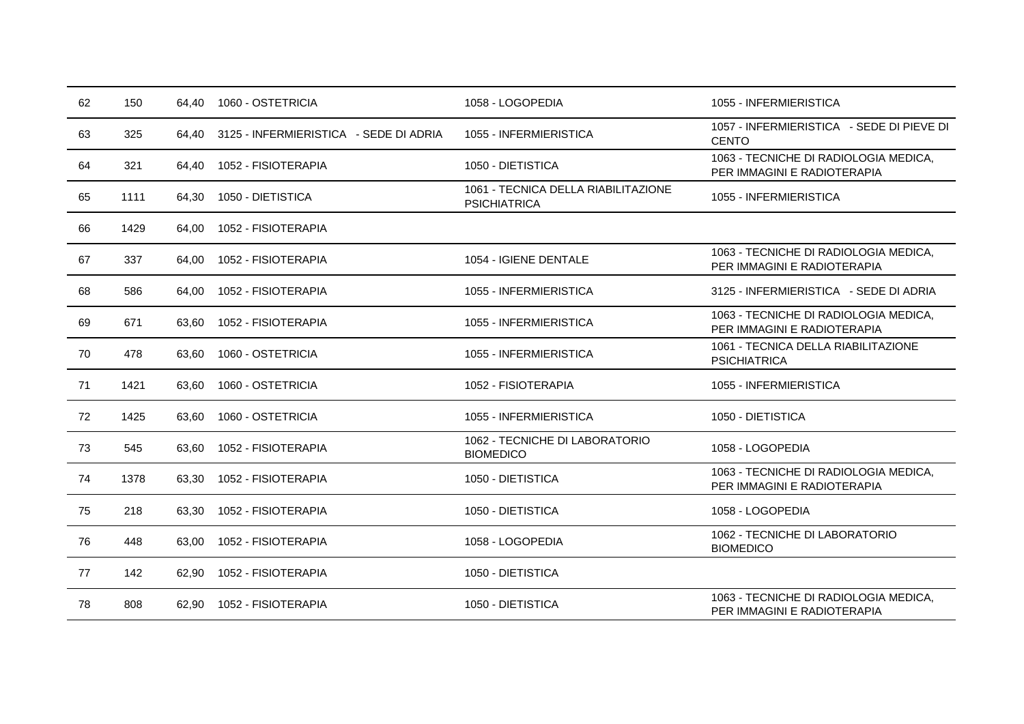| 62 | 150  | 64.40 | 1060 - OSTETRICIA                      | 1058 - LOGOPEDIA                                           | 1055 - INFERMIERISTICA                                               |
|----|------|-------|----------------------------------------|------------------------------------------------------------|----------------------------------------------------------------------|
| 63 | 325  | 64.40 | 3125 - INFERMIERISTICA - SEDE DI ADRIA | 1055 - INFERMIERISTICA                                     | 1057 - INFERMIERISTICA - SEDE DI PIEVE DI<br><b>CENTO</b>            |
| 64 | 321  | 64,40 | 1052 - FISIOTERAPIA                    | 1050 - DIETISTICA                                          | 1063 - TECNICHE DI RADIOLOGIA MEDICA,<br>PER IMMAGINI E RADIOTERAPIA |
| 65 | 1111 | 64,30 | 1050 - DIETISTICA                      | 1061 - TECNICA DELLA RIABILITAZIONE<br><b>PSICHIATRICA</b> | 1055 - INFERMIERISTICA                                               |
| 66 | 1429 | 64.00 | 1052 - FISIOTERAPIA                    |                                                            |                                                                      |
| 67 | 337  | 64,00 | 1052 - FISIOTERAPIA                    | 1054 - IGIENE DENTALE                                      | 1063 - TECNICHE DI RADIOLOGIA MEDICA,<br>PER IMMAGINI E RADIOTERAPIA |
| 68 | 586  | 64,00 | 1052 - FISIOTERAPIA                    | 1055 - INFERMIERISTICA                                     | 3125 - INFERMIERISTICA - SEDE DI ADRIA                               |
| 69 | 671  | 63.60 | 1052 - FISIOTERAPIA                    | 1055 - INFERMIERISTICA                                     | 1063 - TECNICHE DI RADIOLOGIA MEDICA,<br>PER IMMAGINI E RADIOTERAPIA |
| 70 | 478  | 63,60 | 1060 - OSTETRICIA                      | 1055 - INFERMIERISTICA                                     | 1061 - TECNICA DELLA RIABILITAZIONE<br><b>PSICHIATRICA</b>           |
| 71 | 1421 | 63,60 | 1060 - OSTETRICIA                      | 1052 - FISIOTERAPIA                                        | 1055 - INFERMIERISTICA                                               |
| 72 | 1425 | 63,60 | 1060 - OSTETRICIA                      | 1055 - INFERMIERISTICA                                     | 1050 - DIETISTICA                                                    |
| 73 | 545  | 63,60 | 1052 - FISIOTERAPIA                    | 1062 - TECNICHE DI LABORATORIO<br><b>BIOMEDICO</b>         | 1058 - LOGOPEDIA                                                     |
| 74 | 1378 | 63.30 | 1052 - FISIOTERAPIA                    | 1050 - DIETISTICA                                          | 1063 - TECNICHE DI RADIOLOGIA MEDICA,<br>PER IMMAGINI E RADIOTERAPIA |
| 75 | 218  | 63,30 | 1052 - FISIOTERAPIA                    | 1050 - DIETISTICA                                          | 1058 - LOGOPEDIA                                                     |
| 76 | 448  | 63,00 | 1052 - FISIOTERAPIA                    | 1058 - LOGOPEDIA                                           | 1062 - TECNICHE DI LABORATORIO<br><b>BIOMEDICO</b>                   |
| 77 | 142  | 62.90 | 1052 - FISIOTERAPIA                    | 1050 - DIETISTICA                                          |                                                                      |
| 78 | 808  | 62,90 | 1052 - FISIOTERAPIA                    | 1050 - DIETISTICA                                          | 1063 - TECNICHE DI RADIOLOGIA MEDICA.<br>PER IMMAGINI E RADIOTERAPIA |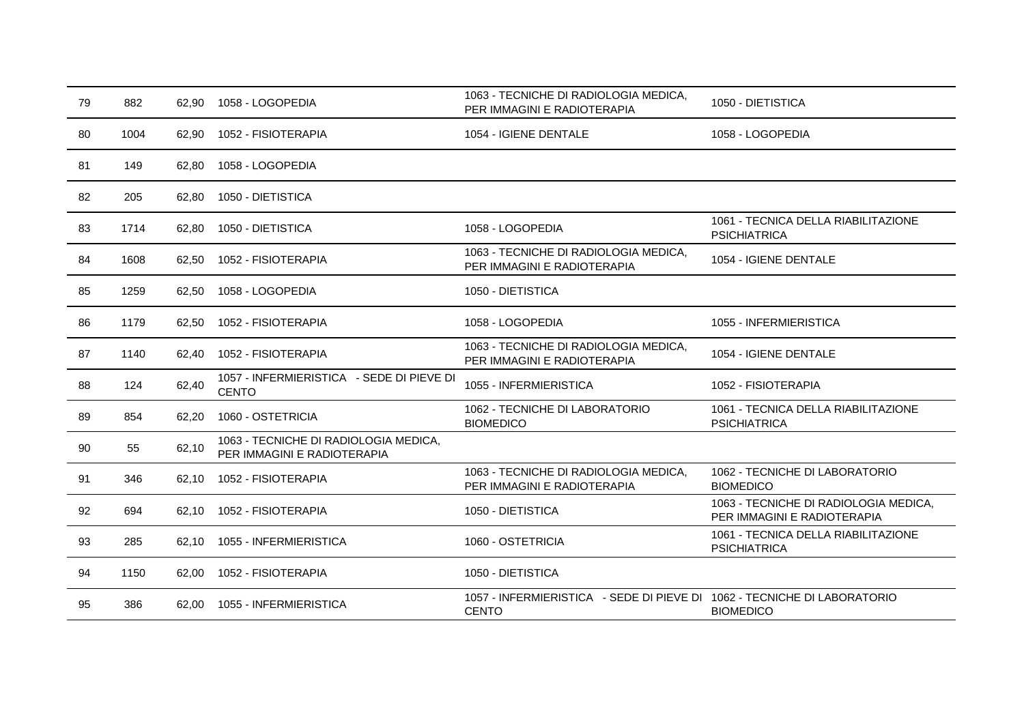| 79 | 882  | 62.90 | 1058 - LOGOPEDIA                                                     | 1063 - TECNICHE DI RADIOLOGIA MEDICA,<br>PER IMMAGINI E RADIOTERAPIA                     | 1050 - DIETISTICA                                                    |
|----|------|-------|----------------------------------------------------------------------|------------------------------------------------------------------------------------------|----------------------------------------------------------------------|
| 80 | 1004 | 62,90 | 1052 - FISIOTERAPIA                                                  | 1054 - IGIENE DENTALE                                                                    | 1058 - LOGOPEDIA                                                     |
| 81 | 149  | 62,80 | 1058 - LOGOPEDIA                                                     |                                                                                          |                                                                      |
| 82 | 205  | 62,80 | 1050 - DIETISTICA                                                    |                                                                                          |                                                                      |
| 83 | 1714 | 62.80 | 1050 - DIETISTICA                                                    | 1058 - LOGOPEDIA                                                                         | 1061 - TECNICA DELLA RIABILITAZIONE<br><b>PSICHIATRICA</b>           |
| 84 | 1608 | 62,50 | 1052 - FISIOTERAPIA                                                  | 1063 - TECNICHE DI RADIOLOGIA MEDICA,<br>PER IMMAGINI E RADIOTERAPIA                     | 1054 - IGIENE DENTALE                                                |
| 85 | 1259 | 62,50 | 1058 - LOGOPEDIA                                                     | 1050 - DIETISTICA                                                                        |                                                                      |
| 86 | 1179 | 62,50 | 1052 - FISIOTERAPIA                                                  | 1058 - LOGOPEDIA                                                                         | 1055 - INFERMIERISTICA                                               |
| 87 | 1140 | 62.40 | 1052 - FISIOTERAPIA                                                  | 1063 - TECNICHE DI RADIOLOGIA MEDICA,<br>PER IMMAGINI E RADIOTERAPIA                     | 1054 - IGIENE DENTALE                                                |
| 88 | 124  | 62,40 | 1057 - INFERMIERISTICA - SEDE DI PIEVE DI<br><b>CENTO</b>            | 1055 - INFERMIERISTICA                                                                   | 1052 - FISIOTERAPIA                                                  |
| 89 | 854  | 62,20 | 1060 - OSTETRICIA                                                    | 1062 - TECNICHE DI LABORATORIO<br><b>BIOMEDICO</b>                                       | 1061 - TECNICA DELLA RIABILITAZIONE<br><b>PSICHIATRICA</b>           |
| 90 | 55   | 62,10 | 1063 - TECNICHE DI RADIOLOGIA MEDICA,<br>PER IMMAGINI E RADIOTERAPIA |                                                                                          |                                                                      |
| 91 | 346  | 62,10 | 1052 - FISIOTERAPIA                                                  | 1063 - TECNICHE DI RADIOLOGIA MEDICA,<br>PER IMMAGINI E RADIOTERAPIA                     | 1062 - TECNICHE DI LABORATORIO<br><b>BIOMEDICO</b>                   |
| 92 | 694  | 62,10 | 1052 - FISIOTERAPIA                                                  | 1050 - DIETISTICA                                                                        | 1063 - TECNICHE DI RADIOLOGIA MEDICA,<br>PER IMMAGINI E RADIOTERAPIA |
| 93 | 285  | 62,10 | 1055 - INFERMIERISTICA                                               | 1060 - OSTETRICIA                                                                        | 1061 - TECNICA DELLA RIABILITAZIONE<br><b>PSICHIATRICA</b>           |
| 94 | 1150 | 62,00 | 1052 - FISIOTERAPIA                                                  | 1050 - DIETISTICA                                                                        |                                                                      |
| 95 | 386  | 62,00 | 1055 - INFERMIERISTICA                                               | 1057 - INFERMIERISTICA - SEDE DI PIEVE DI 1062 - TECNICHE DI LABORATORIO<br><b>CENTO</b> | <b>BIOMEDICO</b>                                                     |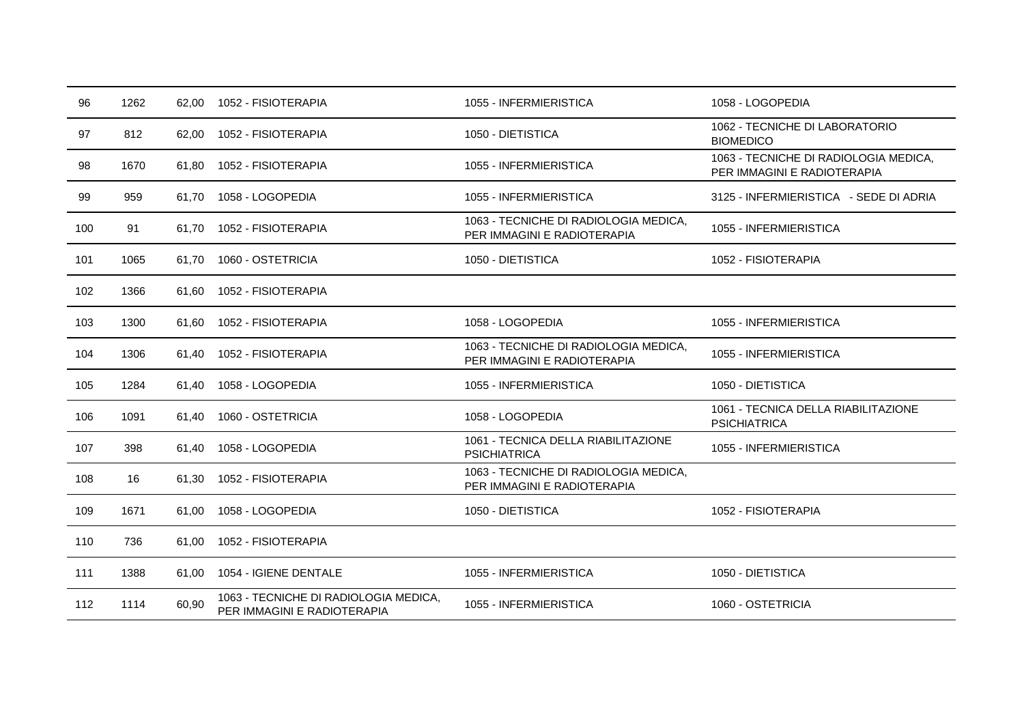| 96  | 1262 | 62,00 | 1052 - FISIOTERAPIA                                                  | 1055 - INFERMIERISTICA                                               | 1058 - LOGOPEDIA                                                     |
|-----|------|-------|----------------------------------------------------------------------|----------------------------------------------------------------------|----------------------------------------------------------------------|
| 97  | 812  | 62,00 | 1052 - FISIOTERAPIA                                                  | 1050 - DIETISTICA                                                    | 1062 - TECNICHE DI LABORATORIO<br><b>BIOMEDICO</b>                   |
| 98  | 1670 | 61.80 | 1052 - FISIOTERAPIA                                                  | 1055 - INFERMIERISTICA                                               | 1063 - TECNICHE DI RADIOLOGIA MEDICA,<br>PER IMMAGINI E RADIOTERAPIA |
| 99  | 959  | 61,70 | 1058 - LOGOPEDIA                                                     | 1055 - INFERMIERISTICA                                               | 3125 - INFERMIERISTICA - SEDE DI ADRIA                               |
| 100 | 91   | 61,70 | 1052 - FISIOTERAPIA                                                  | 1063 - TECNICHE DI RADIOLOGIA MEDICA,<br>PER IMMAGINI E RADIOTERAPIA | 1055 - INFERMIERISTICA                                               |
| 101 | 1065 | 61.70 | 1060 - OSTETRICIA                                                    | 1050 - DIETISTICA                                                    | 1052 - FISIOTERAPIA                                                  |
| 102 | 1366 | 61,60 | 1052 - FISIOTERAPIA                                                  |                                                                      |                                                                      |
| 103 | 1300 | 61,60 | 1052 - FISIOTERAPIA                                                  | 1058 - LOGOPEDIA                                                     | 1055 - INFERMIERISTICA                                               |
| 104 | 1306 | 61.40 | 1052 - FISIOTERAPIA                                                  | 1063 - TECNICHE DI RADIOLOGIA MEDICA,<br>PER IMMAGINI E RADIOTERAPIA | 1055 - INFERMIERISTICA                                               |
| 105 | 1284 | 61,40 | 1058 - LOGOPEDIA                                                     | 1055 - INFERMIERISTICA                                               | 1050 - DIETISTICA                                                    |
| 106 | 1091 | 61.40 | 1060 - OSTETRICIA                                                    | 1058 - LOGOPEDIA                                                     | 1061 - TECNICA DELLA RIABILITAZIONE<br><b>PSICHIATRICA</b>           |
| 107 | 398  | 61,40 | 1058 - LOGOPEDIA                                                     | 1061 - TECNICA DELLA RIABILITAZIONE<br><b>PSICHIATRICA</b>           | 1055 - INFERMIERISTICA                                               |
| 108 | 16   | 61,30 | 1052 - FISIOTERAPIA                                                  | 1063 - TECNICHE DI RADIOLOGIA MEDICA,<br>PER IMMAGINI E RADIOTERAPIA |                                                                      |
| 109 | 1671 | 61,00 | 1058 - LOGOPEDIA                                                     | 1050 - DIETISTICA                                                    | 1052 - FISIOTERAPIA                                                  |
| 110 | 736  | 61,00 | 1052 - FISIOTERAPIA                                                  |                                                                      |                                                                      |
| 111 | 1388 | 61.00 | 1054 - IGIENE DENTALE                                                | 1055 - INFERMIERISTICA                                               | 1050 - DIETISTICA                                                    |
| 112 | 1114 | 60,90 | 1063 - TECNICHE DI RADIOLOGIA MEDICA,<br>PER IMMAGINI E RADIOTERAPIA | 1055 - INFERMIERISTICA                                               | 1060 - OSTETRICIA                                                    |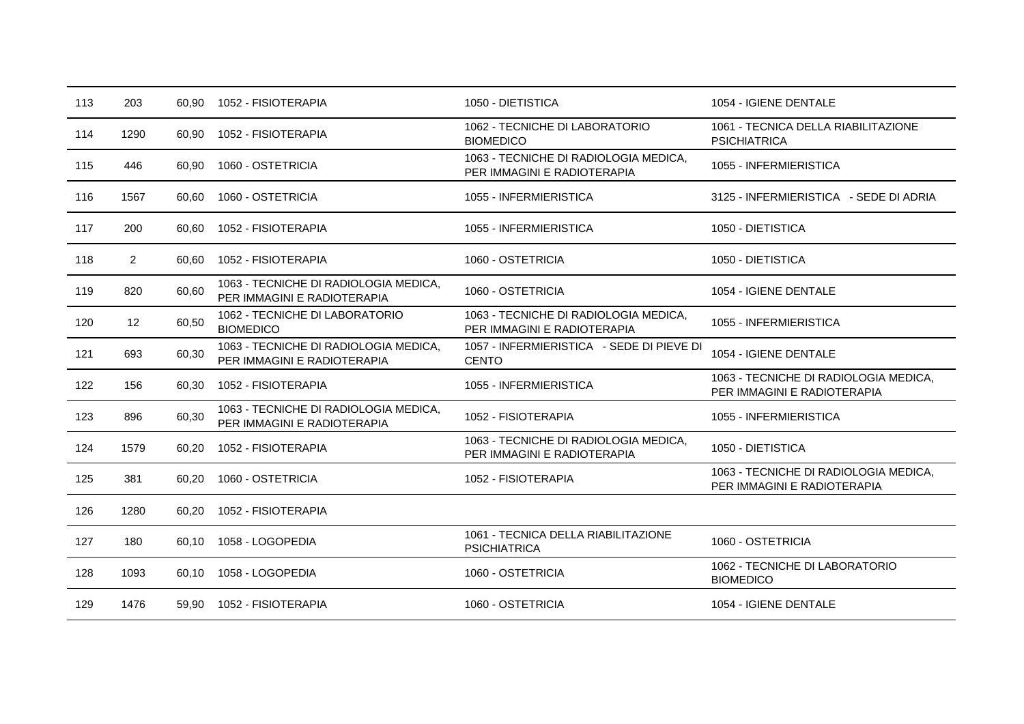| 113 | 203            | 60,90 | 1052 - FISIOTERAPIA                                                  | 1050 - DIETISTICA                                                    | 1054 - IGIENE DENTALE                                                |
|-----|----------------|-------|----------------------------------------------------------------------|----------------------------------------------------------------------|----------------------------------------------------------------------|
| 114 | 1290           | 60,90 | 1052 - FISIOTERAPIA                                                  | 1062 - TECNICHE DI LABORATORIO<br><b>BIOMEDICO</b>                   | 1061 - TECNICA DELLA RIABILITAZIONE<br><b>PSICHIATRICA</b>           |
| 115 | 446            | 60.90 | 1060 - OSTETRICIA                                                    | 1063 - TECNICHE DI RADIOLOGIA MEDICA,<br>PER IMMAGINI E RADIOTERAPIA | 1055 - INFERMIERISTICA                                               |
| 116 | 1567           | 60,60 | 1060 - OSTETRICIA                                                    | 1055 - INFERMIERISTICA                                               | 3125 - INFERMIERISTICA - SEDE DI ADRIA                               |
| 117 | 200            | 60,60 | 1052 - FISIOTERAPIA                                                  | 1055 - INFERMIERISTICA                                               | 1050 - DIETISTICA                                                    |
| 118 | $\overline{2}$ | 60,60 | 1052 - FISIOTERAPIA                                                  | 1060 - OSTETRICIA                                                    | 1050 - DIETISTICA                                                    |
| 119 | 820            | 60,60 | 1063 - TECNICHE DI RADIOLOGIA MEDICA,<br>PER IMMAGINI E RADIOTERAPIA | 1060 - OSTETRICIA                                                    | 1054 - IGIENE DENTALE                                                |
| 120 | 12             | 60,50 | 1062 - TECNICHE DI LABORATORIO<br><b>BIOMEDICO</b>                   | 1063 - TECNICHE DI RADIOLOGIA MEDICA,<br>PER IMMAGINI E RADIOTERAPIA | 1055 - INFERMIERISTICA                                               |
| 121 | 693            | 60,30 | 1063 - TECNICHE DI RADIOLOGIA MEDICA,<br>PER IMMAGINI E RADIOTERAPIA | 1057 - INFERMIERISTICA - SEDE DI PIEVE DI<br><b>CENTO</b>            | 1054 - IGIENE DENTALE                                                |
| 122 | 156            | 60,30 | 1052 - FISIOTERAPIA                                                  | 1055 - INFERMIERISTICA                                               | 1063 - TECNICHE DI RADIOLOGIA MEDICA,<br>PER IMMAGINI E RADIOTERAPIA |
| 123 | 896            | 60,30 | 1063 - TECNICHE DI RADIOLOGIA MEDICA,<br>PER IMMAGINI E RADIOTERAPIA | 1052 - FISIOTERAPIA                                                  | 1055 - INFERMIERISTICA                                               |
| 124 | 1579           | 60,20 | 1052 - FISIOTERAPIA                                                  | 1063 - TECNICHE DI RADIOLOGIA MEDICA,<br>PER IMMAGINI E RADIOTERAPIA | 1050 - DIETISTICA                                                    |
| 125 | 381            | 60,20 | 1060 - OSTETRICIA                                                    | 1052 - FISIOTERAPIA                                                  | 1063 - TECNICHE DI RADIOLOGIA MEDICA,<br>PER IMMAGINI E RADIOTERAPIA |
| 126 | 1280           | 60,20 | 1052 - FISIOTERAPIA                                                  |                                                                      |                                                                      |
| 127 | 180            | 60,10 | 1058 - LOGOPEDIA                                                     | 1061 - TECNICA DELLA RIABILITAZIONE<br><b>PSICHIATRICA</b>           | 1060 - OSTETRICIA                                                    |
| 128 | 1093           | 60.10 | 1058 - LOGOPEDIA                                                     | 1060 - OSTETRICIA                                                    | 1062 - TECNICHE DI LABORATORIO<br><b>BIOMEDICO</b>                   |
| 129 | 1476           | 59.90 | 1052 - FISIOTERAPIA                                                  | 1060 - OSTETRICIA                                                    | 1054 - IGIENE DENTALE                                                |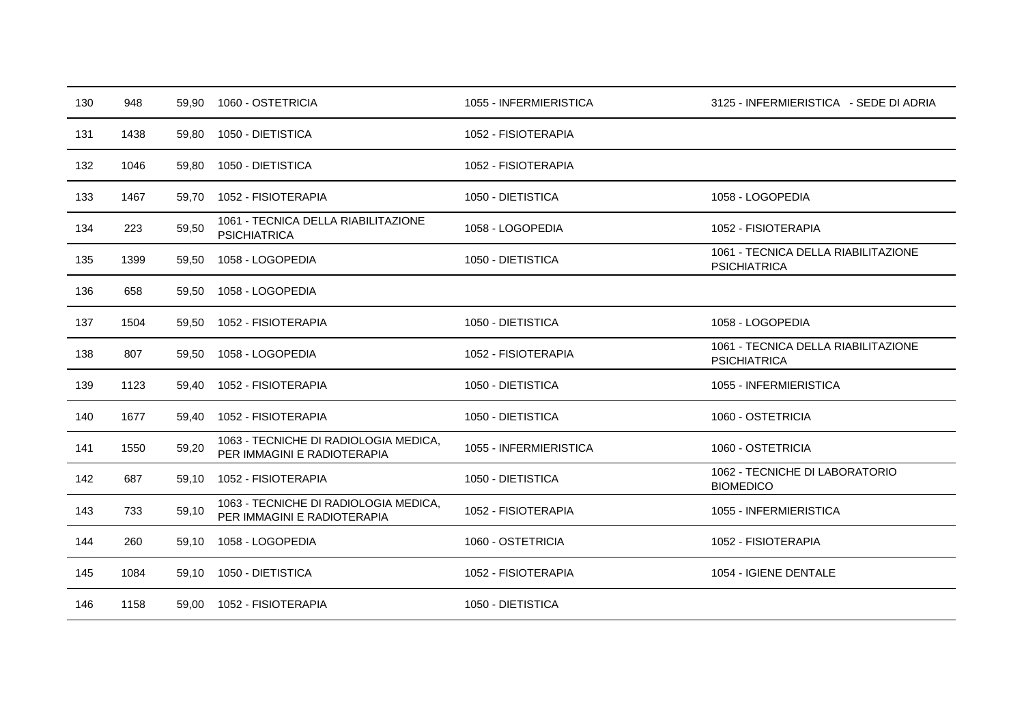| 130 | 948  | 59.90 | 1060 - OSTETRICIA                                                    | 1055 - INFERMIERISTICA | 3125 - INFERMIERISTICA - SEDE DI ADRIA                     |
|-----|------|-------|----------------------------------------------------------------------|------------------------|------------------------------------------------------------|
| 131 | 1438 | 59,80 | 1050 - DIETISTICA                                                    | 1052 - FISIOTERAPIA    |                                                            |
| 132 | 1046 | 59,80 | 1050 - DIETISTICA                                                    | 1052 - FISIOTERAPIA    |                                                            |
| 133 | 1467 | 59,70 | 1052 - FISIOTERAPIA                                                  | 1050 - DIETISTICA      | 1058 - LOGOPEDIA                                           |
| 134 | 223  | 59,50 | 1061 - TECNICA DELLA RIABILITAZIONE<br><b>PSICHIATRICA</b>           | 1058 - LOGOPEDIA       | 1052 - FISIOTERAPIA                                        |
| 135 | 1399 | 59,50 | 1058 - LOGOPEDIA                                                     | 1050 - DIETISTICA      | 1061 - TECNICA DELLA RIABILITAZIONE<br><b>PSICHIATRICA</b> |
| 136 | 658  | 59,50 | 1058 - LOGOPEDIA                                                     |                        |                                                            |
| 137 | 1504 | 59,50 | 1052 - FISIOTERAPIA                                                  | 1050 - DIETISTICA      | 1058 - LOGOPEDIA                                           |
| 138 | 807  | 59,50 | 1058 - LOGOPEDIA                                                     | 1052 - FISIOTERAPIA    | 1061 - TECNICA DELLA RIABILITAZIONE<br><b>PSICHIATRICA</b> |
| 139 | 1123 | 59,40 | 1052 - FISIOTERAPIA                                                  | 1050 - DIETISTICA      | 1055 - INFERMIERISTICA                                     |
| 140 | 1677 | 59.40 | 1052 - FISIOTERAPIA                                                  | 1050 - DIETISTICA      | 1060 - OSTETRICIA                                          |
| 141 | 1550 | 59,20 | 1063 - TECNICHE DI RADIOLOGIA MEDICA,<br>PER IMMAGINI E RADIOTERAPIA | 1055 - INFERMIERISTICA | 1060 - OSTETRICIA                                          |
| 142 | 687  | 59,10 | 1052 - FISIOTERAPIA                                                  | 1050 - DIETISTICA      | 1062 - TECNICHE DI LABORATORIO<br><b>BIOMEDICO</b>         |
| 143 | 733  | 59,10 | 1063 - TECNICHE DI RADIOLOGIA MEDICA,<br>PER IMMAGINI E RADIOTERAPIA | 1052 - FISIOTERAPIA    | 1055 - INFERMIERISTICA                                     |
| 144 | 260  | 59,10 | 1058 - LOGOPEDIA                                                     | 1060 - OSTETRICIA      | 1052 - FISIOTERAPIA                                        |
| 145 | 1084 | 59,10 | 1050 - DIETISTICA                                                    | 1052 - FISIOTERAPIA    | 1054 - IGIENE DENTALE                                      |
| 146 | 1158 | 59,00 | 1052 - FISIOTERAPIA                                                  | 1050 - DIETISTICA      |                                                            |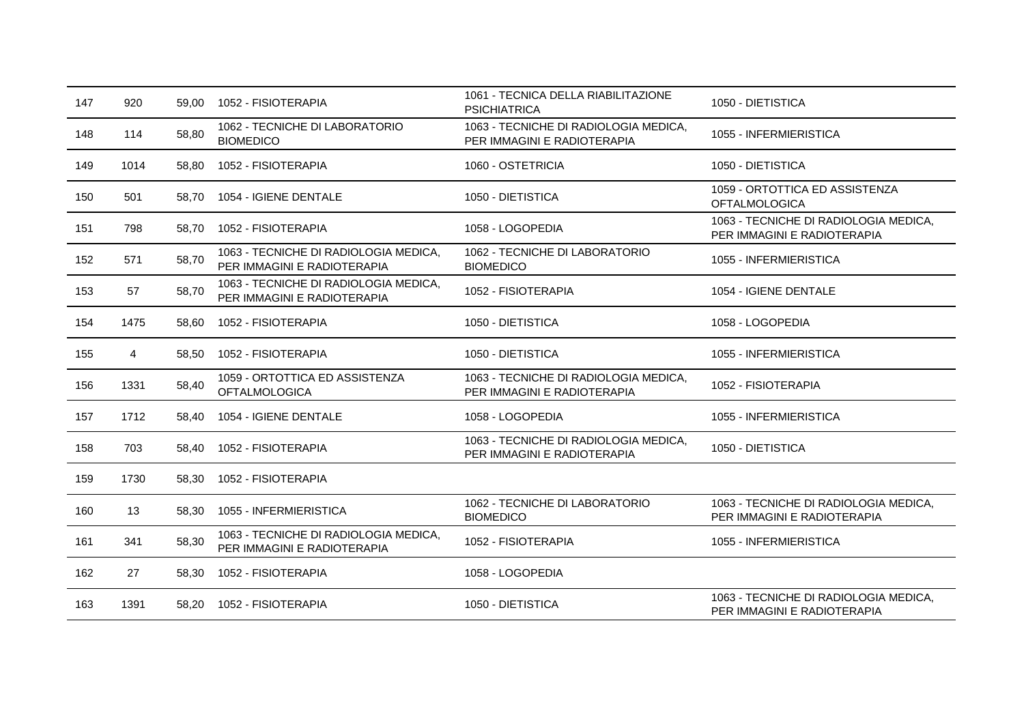| 147 | 920  | 59.00 | 1052 - FISIOTERAPIA                                                  | 1061 - TECNICA DELLA RIABILITAZIONE<br><b>PSICHIATRICA</b>           | 1050 - DIETISTICA                                                    |
|-----|------|-------|----------------------------------------------------------------------|----------------------------------------------------------------------|----------------------------------------------------------------------|
| 148 | 114  | 58,80 | 1062 - TECNICHE DI LABORATORIO<br><b>BIOMEDICO</b>                   | 1063 - TECNICHE DI RADIOLOGIA MEDICA,<br>PER IMMAGINI E RADIOTERAPIA | 1055 - INFERMIERISTICA                                               |
| 149 | 1014 | 58,80 | 1052 - FISIOTERAPIA                                                  | 1060 - OSTETRICIA                                                    | 1050 - DIETISTICA                                                    |
| 150 | 501  | 58.70 | 1054 - IGIENE DENTALE                                                | 1050 - DIETISTICA                                                    | 1059 - ORTOTTICA ED ASSISTENZA<br><b>OFTALMOLOGICA</b>               |
| 151 | 798  | 58,70 | 1052 - FISIOTERAPIA                                                  | 1058 - LOGOPEDIA                                                     | 1063 - TECNICHE DI RADIOLOGIA MEDICA,<br>PER IMMAGINI E RADIOTERAPIA |
| 152 | 571  | 58,70 | 1063 - TECNICHE DI RADIOLOGIA MEDICA,<br>PER IMMAGINI E RADIOTERAPIA | 1062 - TECNICHE DI LABORATORIO<br><b>BIOMEDICO</b>                   | 1055 - INFERMIERISTICA                                               |
| 153 | 57   | 58,70 | 1063 - TECNICHE DI RADIOLOGIA MEDICA,<br>PER IMMAGINI E RADIOTERAPIA | 1052 - FISIOTERAPIA                                                  | 1054 - IGIENE DENTALE                                                |
| 154 | 1475 | 58,60 | 1052 - FISIOTERAPIA                                                  | 1050 - DIETISTICA                                                    | 1058 - LOGOPEDIA                                                     |
| 155 | 4    | 58,50 | 1052 - FISIOTERAPIA                                                  | 1050 - DIETISTICA                                                    | 1055 - INFERMIERISTICA                                               |
| 156 | 1331 | 58,40 | 1059 - ORTOTTICA ED ASSISTENZA<br><b>OFTALMOLOGICA</b>               | 1063 - TECNICHE DI RADIOLOGIA MEDICA,<br>PER IMMAGINI E RADIOTERAPIA | 1052 - FISIOTERAPIA                                                  |
| 157 | 1712 | 58,40 | 1054 - IGIENE DENTALE                                                | 1058 - LOGOPEDIA                                                     | 1055 - INFERMIERISTICA                                               |
| 158 | 703  | 58,40 | 1052 - FISIOTERAPIA                                                  | 1063 - TECNICHE DI RADIOLOGIA MEDICA,<br>PER IMMAGINI E RADIOTERAPIA | 1050 - DIETISTICA                                                    |
| 159 | 1730 | 58,30 | 1052 - FISIOTERAPIA                                                  |                                                                      |                                                                      |
| 160 | 13   | 58,30 | 1055 - INFERMIERISTICA                                               | 1062 - TECNICHE DI LABORATORIO<br><b>BIOMEDICO</b>                   | 1063 - TECNICHE DI RADIOLOGIA MEDICA,<br>PER IMMAGINI E RADIOTERAPIA |
| 161 | 341  | 58,30 | 1063 - TECNICHE DI RADIOLOGIA MEDICA,<br>PER IMMAGINI E RADIOTERAPIA | 1052 - FISIOTERAPIA                                                  | 1055 - INFERMIERISTICA                                               |
| 162 | 27   | 58,30 | 1052 - FISIOTERAPIA                                                  | 1058 - LOGOPEDIA                                                     |                                                                      |
| 163 | 1391 | 58,20 | 1052 - FISIOTERAPIA                                                  | 1050 - DIETISTICA                                                    | 1063 - TECNICHE DI RADIOLOGIA MEDICA,<br>PER IMMAGINI E RADIOTERAPIA |
|     |      |       |                                                                      |                                                                      |                                                                      |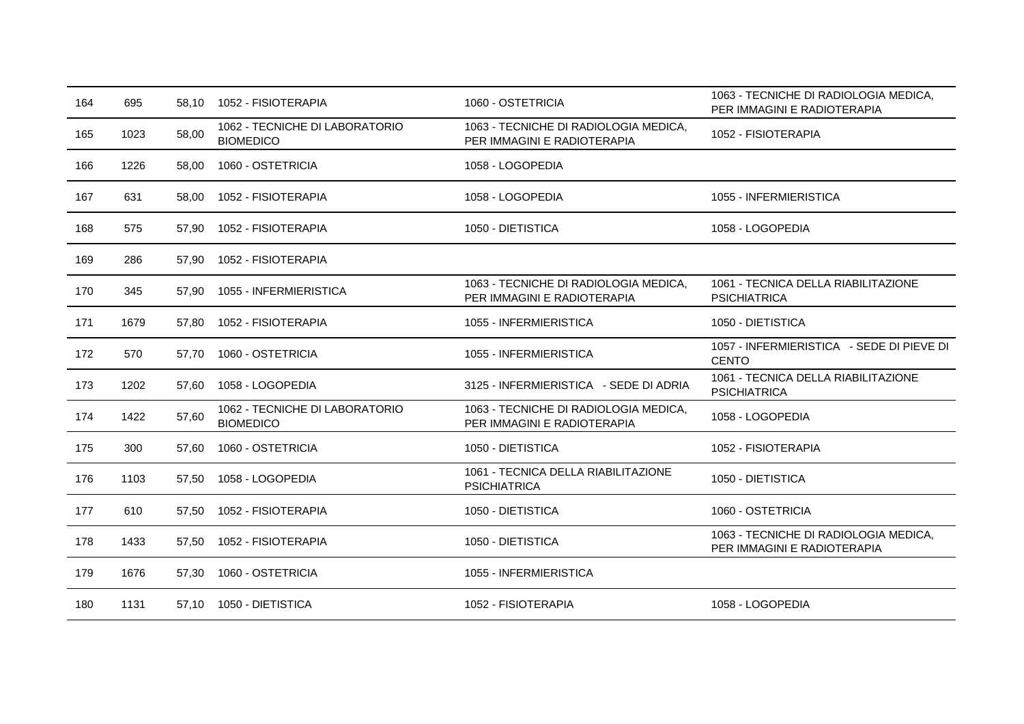| 164 | 695  | 58.10 | 1052 - FISIOTERAPIA                                | 1060 - OSTETRICIA                                                    | 1063 - TECNICHE DI RADIOLOGIA MEDICA,<br>PER IMMAGINI E RADIOTERAPIA |
|-----|------|-------|----------------------------------------------------|----------------------------------------------------------------------|----------------------------------------------------------------------|
| 165 | 1023 | 58,00 | 1062 - TECNICHE DI LABORATORIO<br><b>BIOMEDICO</b> | 1063 - TECNICHE DI RADIOLOGIA MEDICA,<br>PER IMMAGINI E RADIOTERAPIA | 1052 - FISIOTERAPIA                                                  |
| 166 | 1226 | 58,00 | 1060 - OSTETRICIA                                  | 1058 - LOGOPEDIA                                                     |                                                                      |
| 167 | 631  | 58,00 | 1052 - FISIOTERAPIA                                | 1058 - LOGOPEDIA                                                     | 1055 - INFERMIERISTICA                                               |
| 168 | 575  | 57,90 | 1052 - FISIOTERAPIA                                | 1050 - DIETISTICA                                                    | 1058 - LOGOPEDIA                                                     |
| 169 | 286  | 57,90 | 1052 - FISIOTERAPIA                                |                                                                      |                                                                      |
| 170 | 345  | 57,90 | 1055 - INFERMIERISTICA                             | 1063 - TECNICHE DI RADIOLOGIA MEDICA,<br>PER IMMAGINI E RADIOTERAPIA | 1061 - TECNICA DELLA RIABILITAZIONE<br><b>PSICHIATRICA</b>           |
| 171 | 1679 | 57,80 | 1052 - FISIOTERAPIA                                | 1055 - INFERMIERISTICA                                               | 1050 - DIETISTICA                                                    |
| 172 | 570  | 57,70 | 1060 - OSTETRICIA                                  | 1055 - INFERMIERISTICA                                               | 1057 - INFERMIERISTICA - SEDE DI PIEVE DI<br><b>CENTO</b>            |
| 173 | 1202 | 57,60 | 1058 - LOGOPEDIA                                   | 3125 - INFERMIERISTICA - SEDE DI ADRIA                               | 1061 - TECNICA DELLA RIABILITAZIONE<br><b>PSICHIATRICA</b>           |
| 174 | 1422 | 57,60 | 1062 - TECNICHE DI LABORATORIO<br><b>BIOMEDICO</b> | 1063 - TECNICHE DI RADIOLOGIA MEDICA,<br>PER IMMAGINI E RADIOTERAPIA | 1058 - LOGOPEDIA                                                     |
| 175 | 300  | 57,60 | 1060 - OSTETRICIA                                  | 1050 - DIETISTICA                                                    | 1052 - FISIOTERAPIA                                                  |
| 176 | 1103 | 57,50 | 1058 - LOGOPEDIA                                   | 1061 - TECNICA DELLA RIABILITAZIONE<br><b>PSICHIATRICA</b>           | 1050 - DIETISTICA                                                    |
| 177 | 610  | 57,50 | 1052 - FISIOTERAPIA                                | 1050 - DIETISTICA                                                    | 1060 - OSTETRICIA                                                    |
| 178 | 1433 | 57,50 | 1052 - FISIOTERAPIA                                | 1050 - DIETISTICA                                                    | 1063 - TECNICHE DI RADIOLOGIA MEDICA,<br>PER IMMAGINI E RADIOTERAPIA |
| 179 | 1676 | 57,30 | 1060 - OSTETRICIA                                  | 1055 - INFERMIERISTICA                                               |                                                                      |
| 180 | 1131 |       | 57,10  1050 - DIETISTICA                           | 1052 - FISIOTERAPIA                                                  | 1058 - LOGOPEDIA                                                     |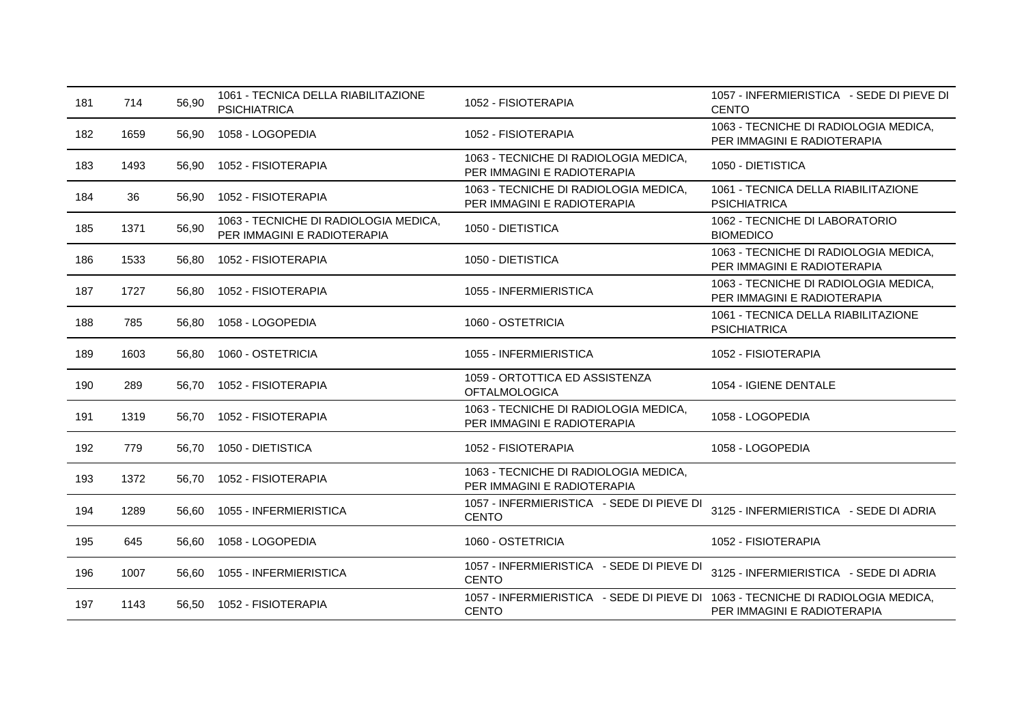| 181 | 714  | 56,90 | 1061 - TECNICA DELLA RIABILITAZIONE<br><b>PSICHIATRICA</b>           | 1052 - FISIOTERAPIA                                                                             | 1057 - INFERMIERISTICA - SEDE DI PIEVE DI<br><b>CENTO</b>            |
|-----|------|-------|----------------------------------------------------------------------|-------------------------------------------------------------------------------------------------|----------------------------------------------------------------------|
| 182 | 1659 | 56,90 | 1058 - LOGOPEDIA                                                     | 1052 - FISIOTERAPIA                                                                             | 1063 - TECNICHE DI RADIOLOGIA MEDICA,<br>PER IMMAGINI E RADIOTERAPIA |
| 183 | 1493 | 56,90 | 1052 - FISIOTERAPIA                                                  | 1063 - TECNICHE DI RADIOLOGIA MEDICA,<br>PER IMMAGINI E RADIOTERAPIA                            | 1050 - DIETISTICA                                                    |
| 184 | 36   | 56.90 | 1052 - FISIOTERAPIA                                                  | 1063 - TECNICHE DI RADIOLOGIA MEDICA,<br>PER IMMAGINI E RADIOTERAPIA                            | 1061 - TECNICA DELLA RIABILITAZIONE<br><b>PSICHIATRICA</b>           |
| 185 | 1371 | 56,90 | 1063 - TECNICHE DI RADIOLOGIA MEDICA,<br>PER IMMAGINI E RADIOTERAPIA | 1050 - DIETISTICA                                                                               | 1062 - TECNICHE DI LABORATORIO<br><b>BIOMEDICO</b>                   |
| 186 | 1533 | 56,80 | 1052 - FISIOTERAPIA                                                  | 1050 - DIETISTICA                                                                               | 1063 - TECNICHE DI RADIOLOGIA MEDICA,<br>PER IMMAGINI E RADIOTERAPIA |
| 187 | 1727 | 56,80 | 1052 - FISIOTERAPIA                                                  | 1055 - INFERMIERISTICA                                                                          | 1063 - TECNICHE DI RADIOLOGIA MEDICA,<br>PER IMMAGINI E RADIOTERAPIA |
| 188 | 785  | 56,80 | 1058 - LOGOPEDIA                                                     | 1060 - OSTETRICIA                                                                               | 1061 - TECNICA DELLA RIABILITAZIONE<br><b>PSICHIATRICA</b>           |
| 189 | 1603 | 56,80 | 1060 - OSTETRICIA                                                    | 1055 - INFERMIERISTICA                                                                          | 1052 - FISIOTERAPIA                                                  |
| 190 | 289  | 56,70 | 1052 - FISIOTERAPIA                                                  | 1059 - ORTOTTICA ED ASSISTENZA<br><b>OFTALMOLOGICA</b>                                          | 1054 - IGIENE DENTALE                                                |
| 191 | 1319 | 56,70 | 1052 - FISIOTERAPIA                                                  | 1063 - TECNICHE DI RADIOLOGIA MEDICA,<br>PER IMMAGINI E RADIOTERAPIA                            | 1058 - LOGOPEDIA                                                     |
| 192 | 779  | 56,70 | 1050 - DIETISTICA                                                    | 1052 - FISIOTERAPIA                                                                             | 1058 - LOGOPEDIA                                                     |
| 193 | 1372 | 56.70 | 1052 - FISIOTERAPIA                                                  | 1063 - TECNICHE DI RADIOLOGIA MEDICA,<br>PER IMMAGINI E RADIOTERAPIA                            |                                                                      |
| 194 | 1289 | 56.60 | 1055 - INFERMIERISTICA                                               | 1057 - INFERMIERISTICA - SEDE DI PIEVE DI<br><b>CENTO</b>                                       | 3125 - INFERMIERISTICA - SEDE DI ADRIA                               |
| 195 | 645  | 56,60 | 1058 - LOGOPEDIA                                                     | 1060 - OSTETRICIA                                                                               | 1052 - FISIOTERAPIA                                                  |
| 196 | 1007 | 56.60 | 1055 - INFERMIERISTICA                                               | 1057 - INFERMIERISTICA - SEDE DI PIEVE DI<br><b>CENTO</b>                                       | 3125 - INFERMIERISTICA - SEDE DI ADRIA                               |
| 197 | 1143 | 56,50 | 1052 - FISIOTERAPIA                                                  | 1057 - INFERMIERISTICA - SEDE DI PIEVE DI 1063 - TECNICHE DI RADIOLOGIA MEDICA,<br><b>CENTO</b> | PER IMMAGINI E RADIOTERAPIA                                          |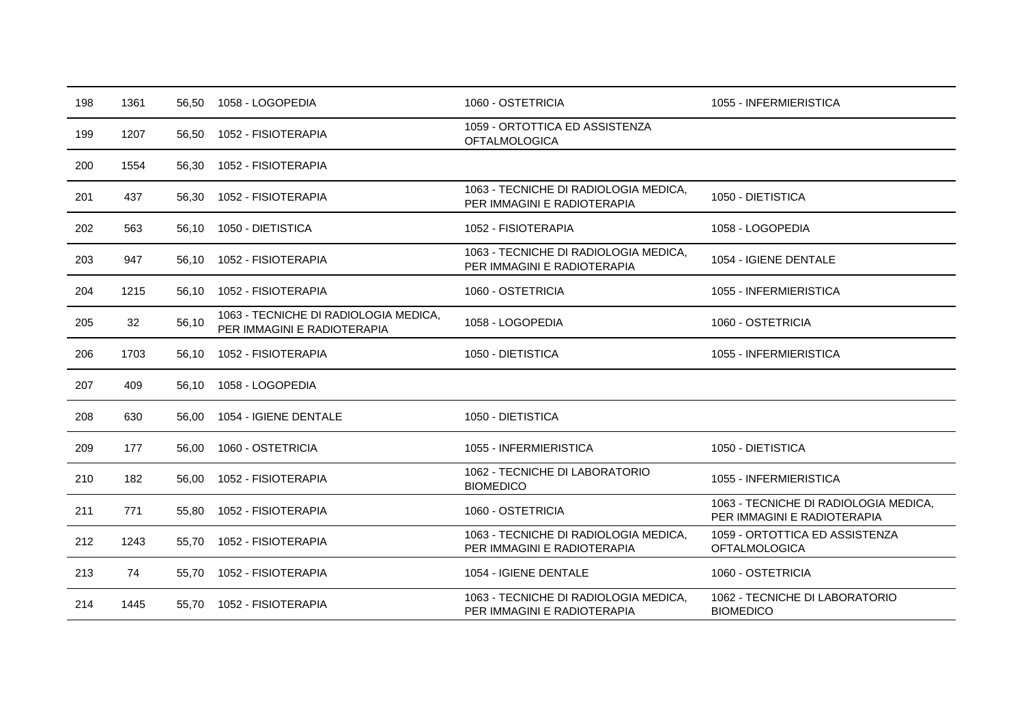| 198 | 1361 |       | 56.50 1058 - LOGOPEDIA                                               | 1060 - OSTETRICIA                                                    | 1055 - INFERMIERISTICA                                               |
|-----|------|-------|----------------------------------------------------------------------|----------------------------------------------------------------------|----------------------------------------------------------------------|
| 199 | 1207 | 56,50 | 1052 - FISIOTERAPIA                                                  | 1059 - ORTOTTICA ED ASSISTENZA<br><b>OFTALMOLOGICA</b>               |                                                                      |
| 200 | 1554 | 56,30 | 1052 - FISIOTERAPIA                                                  |                                                                      |                                                                      |
| 201 | 437  | 56,30 | 1052 - FISIOTERAPIA                                                  | 1063 - TECNICHE DI RADIOLOGIA MEDICA,<br>PER IMMAGINI E RADIOTERAPIA | 1050 - DIETISTICA                                                    |
| 202 | 563  | 56,10 | 1050 - DIETISTICA                                                    | 1052 - FISIOTERAPIA                                                  | 1058 - LOGOPEDIA                                                     |
| 203 | 947  | 56.10 | 1052 - FISIOTERAPIA                                                  | 1063 - TECNICHE DI RADIOLOGIA MEDICA,<br>PER IMMAGINI E RADIOTERAPIA | 1054 - IGIENE DENTALE                                                |
| 204 | 1215 | 56,10 | 1052 - FISIOTERAPIA                                                  | 1060 - OSTETRICIA                                                    | 1055 - INFERMIERISTICA                                               |
| 205 | 32   | 56,10 | 1063 - TECNICHE DI RADIOLOGIA MEDICA,<br>PER IMMAGINI E RADIOTERAPIA | 1058 - LOGOPEDIA                                                     | 1060 - OSTETRICIA                                                    |
| 206 | 1703 | 56.10 | 1052 - FISIOTERAPIA                                                  | 1050 - DIETISTICA                                                    | 1055 - INFERMIERISTICA                                               |
| 207 | 409  | 56,10 | 1058 - LOGOPEDIA                                                     |                                                                      |                                                                      |
| 208 | 630  | 56.00 | 1054 - IGIENE DENTALE                                                | 1050 - DIETISTICA                                                    |                                                                      |
| 209 | 177  | 56,00 | 1060 - OSTETRICIA                                                    | 1055 - INFERMIERISTICA                                               | 1050 - DIETISTICA                                                    |
| 210 | 182  | 56,00 | 1052 - FISIOTERAPIA                                                  | 1062 - TECNICHE DI LABORATORIO<br><b>BIOMEDICO</b>                   | 1055 - INFERMIERISTICA                                               |
| 211 | 771  | 55,80 | 1052 - FISIOTERAPIA                                                  | 1060 - OSTETRICIA                                                    | 1063 - TECNICHE DI RADIOLOGIA MEDICA,<br>PER IMMAGINI E RADIOTERAPIA |
| 212 | 1243 | 55.70 | 1052 - FISIOTERAPIA                                                  | 1063 - TECNICHE DI RADIOLOGIA MEDICA,<br>PER IMMAGINI E RADIOTERAPIA | 1059 - ORTOTTICA ED ASSISTENZA<br><b>OFTALMOLOGICA</b>               |
| 213 | 74   | 55,70 | 1052 - FISIOTERAPIA                                                  | 1054 - IGIENE DENTALE                                                | 1060 - OSTETRICIA                                                    |
| 214 | 1445 | 55.70 | 1052 - FISIOTERAPIA                                                  | 1063 - TECNICHE DI RADIOLOGIA MEDICA,<br>PER IMMAGINI E RADIOTERAPIA | 1062 - TECNICHE DI LABORATORIO<br><b>BIOMEDICO</b>                   |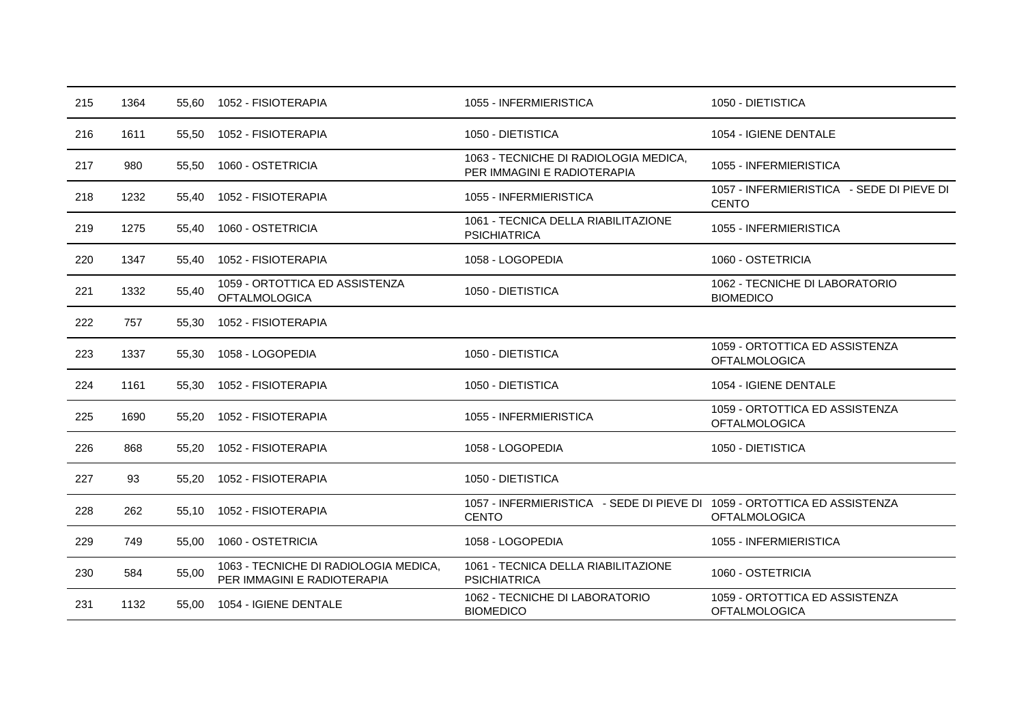| 215 | 1364 |       | 55.60 1052 - FISIOTERAPIA                                            | 1055 - INFERMIERISTICA                                                                   | 1050 - DIETISTICA                                         |
|-----|------|-------|----------------------------------------------------------------------|------------------------------------------------------------------------------------------|-----------------------------------------------------------|
| 216 | 1611 | 55,50 | 1052 - FISIOTERAPIA                                                  | 1050 - DIETISTICA                                                                        | 1054 - IGIENE DENTALE                                     |
| 217 | 980  | 55.50 | 1060 - OSTETRICIA                                                    | 1063 - TECNICHE DI RADIOLOGIA MEDICA,<br>PER IMMAGINI E RADIOTERAPIA                     | 1055 - INFERMIERISTICA                                    |
| 218 | 1232 | 55,40 | 1052 - FISIOTERAPIA                                                  | 1055 - INFERMIERISTICA                                                                   | 1057 - INFERMIERISTICA - SEDE DI PIEVE DI<br><b>CENTO</b> |
| 219 | 1275 | 55.40 | 1060 - OSTETRICIA                                                    | 1061 - TECNICA DELLA RIABILITAZIONE<br><b>PSICHIATRICA</b>                               | 1055 - INFERMIERISTICA                                    |
| 220 | 1347 | 55.40 | 1052 - FISIOTERAPIA                                                  | 1058 - LOGOPEDIA                                                                         | 1060 - OSTETRICIA                                         |
| 221 | 1332 | 55,40 | 1059 - ORTOTTICA ED ASSISTENZA<br><b>OFTALMOLOGICA</b>               | 1050 - DIETISTICA                                                                        | 1062 - TECNICHE DI LABORATORIO<br><b>BIOMEDICO</b>        |
| 222 | 757  | 55,30 | 1052 - FISIOTERAPIA                                                  |                                                                                          |                                                           |
| 223 | 1337 | 55.30 | 1058 - LOGOPEDIA                                                     | 1050 - DIETISTICA                                                                        | 1059 - ORTOTTICA ED ASSISTENZA<br><b>OFTALMOLOGICA</b>    |
| 224 | 1161 | 55,30 | 1052 - FISIOTERAPIA                                                  | 1050 - DIETISTICA                                                                        | 1054 - IGIENE DENTALE                                     |
| 225 | 1690 | 55.20 | 1052 - FISIOTERAPIA                                                  | 1055 - INFERMIERISTICA                                                                   | 1059 - ORTOTTICA ED ASSISTENZA<br><b>OFTALMOLOGICA</b>    |
| 226 | 868  | 55,20 | 1052 - FISIOTERAPIA                                                  | 1058 - LOGOPEDIA                                                                         | 1050 - DIETISTICA                                         |
| 227 | 93   | 55.20 | 1052 - FISIOTERAPIA                                                  | 1050 - DIETISTICA                                                                        |                                                           |
| 228 | 262  | 55,10 | 1052 - FISIOTERAPIA                                                  | 1057 - INFERMIERISTICA - SEDE DI PIEVE DI 1059 - ORTOTTICA ED ASSISTENZA<br><b>CENTO</b> | <b>OFTALMOLOGICA</b>                                      |
| 229 | 749  | 55,00 | 1060 - OSTETRICIA                                                    | 1058 - LOGOPEDIA                                                                         | 1055 - INFERMIERISTICA                                    |
| 230 | 584  | 55,00 | 1063 - TECNICHE DI RADIOLOGIA MEDICA,<br>PER IMMAGINI E RADIOTERAPIA | 1061 - TECNICA DELLA RIABILITAZIONE<br><b>PSICHIATRICA</b>                               | 1060 - OSTETRICIA                                         |
| 231 | 1132 | 55,00 | 1054 - IGIENE DENTALE                                                | 1062 - TECNICHE DI LABORATORIO<br><b>BIOMEDICO</b>                                       | 1059 - ORTOTTICA ED ASSISTENZA<br><b>OFTALMOLOGICA</b>    |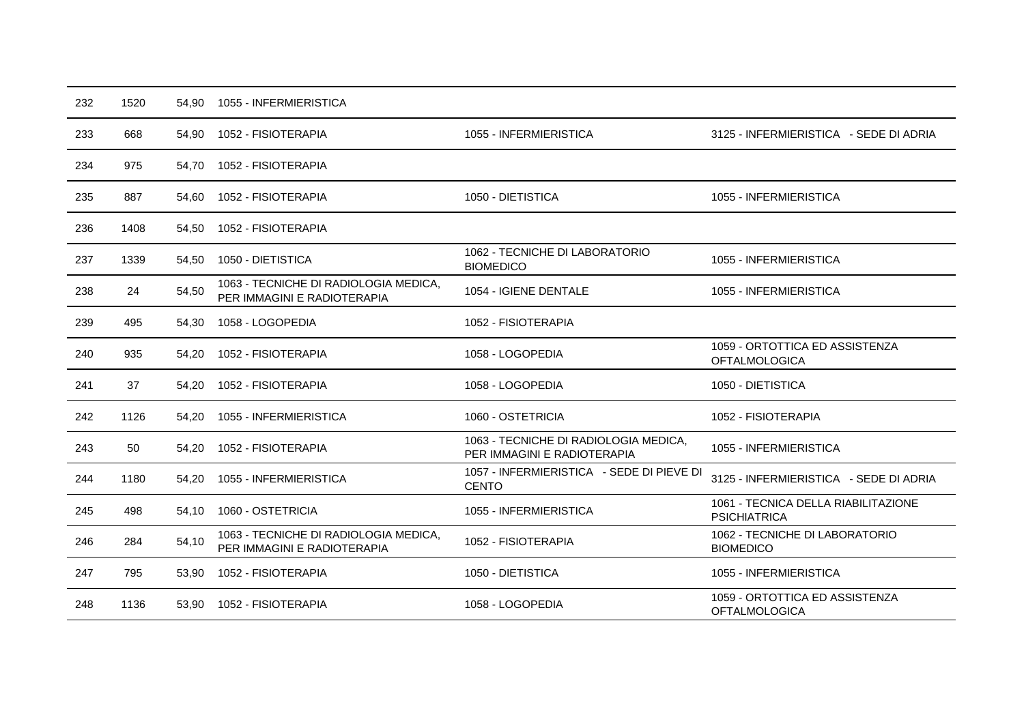| 232 | 1520 | 54,90 | 1055 - INFERMIERISTICA                                               |                                                                      |                                                            |
|-----|------|-------|----------------------------------------------------------------------|----------------------------------------------------------------------|------------------------------------------------------------|
| 233 | 668  | 54,90 | 1052 - FISIOTERAPIA                                                  | 1055 - INFERMIERISTICA                                               | 3125 - INFERMIERISTICA - SEDE DI ADRIA                     |
| 234 | 975  | 54,70 | 1052 - FISIOTERAPIA                                                  |                                                                      |                                                            |
| 235 | 887  | 54.60 | 1052 - FISIOTERAPIA                                                  | 1050 - DIETISTICA                                                    | 1055 - INFERMIERISTICA                                     |
| 236 | 1408 | 54,50 | 1052 - FISIOTERAPIA                                                  |                                                                      |                                                            |
| 237 | 1339 | 54,50 | 1050 - DIETISTICA                                                    | 1062 - TECNICHE DI LABORATORIO<br><b>BIOMEDICO</b>                   | 1055 - INFERMIERISTICA                                     |
| 238 | 24   | 54,50 | 1063 - TECNICHE DI RADIOLOGIA MEDICA,<br>PER IMMAGINI E RADIOTERAPIA | 1054 - IGIENE DENTALE                                                | 1055 - INFERMIERISTICA                                     |
| 239 | 495  | 54,30 | 1058 - LOGOPEDIA                                                     | 1052 - FISIOTERAPIA                                                  |                                                            |
| 240 | 935  | 54.20 | 1052 - FISIOTERAPIA                                                  | 1058 - LOGOPEDIA                                                     | 1059 - ORTOTTICA ED ASSISTENZA<br><b>OFTALMOLOGICA</b>     |
| 241 | 37   | 54,20 | 1052 - FISIOTERAPIA                                                  | 1058 - LOGOPEDIA                                                     | 1050 - DIETISTICA                                          |
| 242 | 1126 | 54,20 | 1055 - INFERMIERISTICA                                               | 1060 - OSTETRICIA                                                    | 1052 - FISIOTERAPIA                                        |
| 243 | 50   | 54,20 | 1052 - FISIOTERAPIA                                                  | 1063 - TECNICHE DI RADIOLOGIA MEDICA,<br>PER IMMAGINI E RADIOTERAPIA | 1055 - INFERMIERISTICA                                     |
| 244 | 1180 | 54,20 | 1055 - INFERMIERISTICA                                               | 1057 - INFERMIERISTICA - SEDE DI PIEVE DI<br><b>CENTO</b>            | 3125 - INFERMIERISTICA - SEDE DI ADRIA                     |
| 245 | 498  | 54.10 | 1060 - OSTETRICIA                                                    | 1055 - INFERMIERISTICA                                               | 1061 - TECNICA DELLA RIABILITAZIONE<br><b>PSICHIATRICA</b> |
| 246 | 284  | 54,10 | 1063 - TECNICHE DI RADIOLOGIA MEDICA,<br>PER IMMAGINI E RADIOTERAPIA | 1052 - FISIOTERAPIA                                                  | 1062 - TECNICHE DI LABORATORIO<br><b>BIOMEDICO</b>         |
| 247 | 795  | 53,90 | 1052 - FISIOTERAPIA                                                  | 1050 - DIETISTICA                                                    | 1055 - INFERMIERISTICA                                     |
| 248 | 1136 | 53,90 | 1052 - FISIOTERAPIA                                                  | 1058 - LOGOPEDIA                                                     | 1059 - ORTOTTICA ED ASSISTENZA<br><b>OFTALMOLOGICA</b>     |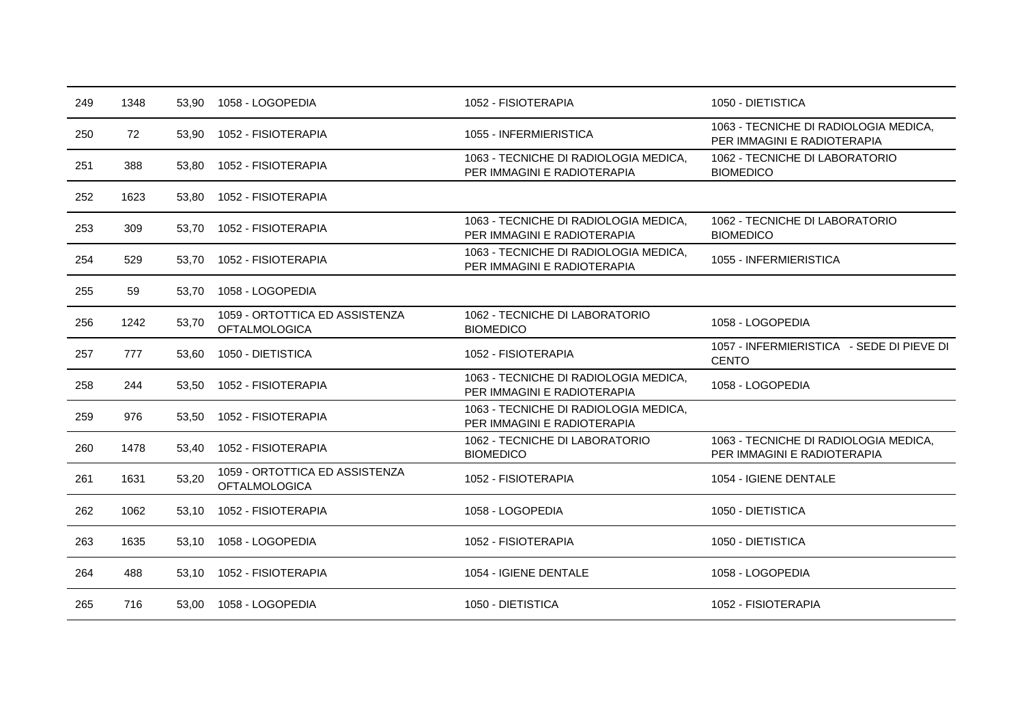| 249 | 1348 | 53,90 | 1058 - LOGOPEDIA                                       | 1052 - FISIOTERAPIA                                                  | 1050 - DIETISTICA                                                    |
|-----|------|-------|--------------------------------------------------------|----------------------------------------------------------------------|----------------------------------------------------------------------|
| 250 | 72   | 53,90 | 1052 - FISIOTERAPIA                                    | 1055 - INFERMIERISTICA                                               | 1063 - TECNICHE DI RADIOLOGIA MEDICA,<br>PER IMMAGINI E RADIOTERAPIA |
| 251 | 388  | 53.80 | 1052 - FISIOTERAPIA                                    | 1063 - TECNICHE DI RADIOLOGIA MEDICA,<br>PER IMMAGINI E RADIOTERAPIA | 1062 - TECNICHE DI LABORATORIO<br><b>BIOMEDICO</b>                   |
| 252 | 1623 | 53,80 | 1052 - FISIOTERAPIA                                    |                                                                      |                                                                      |
| 253 | 309  | 53.70 | 1052 - FISIOTERAPIA                                    | 1063 - TECNICHE DI RADIOLOGIA MEDICA,<br>PER IMMAGINI E RADIOTERAPIA | 1062 - TECNICHE DI LABORATORIO<br><b>BIOMEDICO</b>                   |
| 254 | 529  | 53.70 | 1052 - FISIOTERAPIA                                    | 1063 - TECNICHE DI RADIOLOGIA MEDICA.<br>PER IMMAGINI E RADIOTERAPIA | 1055 - INFERMIERISTICA                                               |
| 255 | 59   | 53.70 | 1058 - LOGOPEDIA                                       |                                                                      |                                                                      |
| 256 | 1242 | 53,70 | 1059 - ORTOTTICA ED ASSISTENZA<br><b>OFTALMOLOGICA</b> | 1062 - TECNICHE DI LABORATORIO<br><b>BIOMEDICO</b>                   | 1058 - LOGOPEDIA                                                     |
| 257 | 777  | 53.60 | 1050 - DIETISTICA                                      | 1052 - FISIOTERAPIA                                                  | 1057 - INFERMIERISTICA - SEDE DI PIEVE DI<br><b>CENTO</b>            |
| 258 | 244  | 53,50 | 1052 - FISIOTERAPIA                                    | 1063 - TECNICHE DI RADIOLOGIA MEDICA,<br>PER IMMAGINI E RADIOTERAPIA | 1058 - LOGOPEDIA                                                     |
| 259 | 976  | 53,50 | 1052 - FISIOTERAPIA                                    | 1063 - TECNICHE DI RADIOLOGIA MEDICA,<br>PER IMMAGINI E RADIOTERAPIA |                                                                      |
| 260 | 1478 | 53,40 | 1052 - FISIOTERAPIA                                    | 1062 - TECNICHE DI LABORATORIO<br><b>BIOMEDICO</b>                   | 1063 - TECNICHE DI RADIOLOGIA MEDICA,<br>PER IMMAGINI E RADIOTERAPIA |
| 261 | 1631 | 53,20 | 1059 - ORTOTTICA ED ASSISTENZA<br><b>OFTALMOLOGICA</b> | 1052 - FISIOTERAPIA                                                  | 1054 - IGIENE DENTALE                                                |
| 262 | 1062 | 53,10 | 1052 - FISIOTERAPIA                                    | 1058 - LOGOPEDIA                                                     | 1050 - DIETISTICA                                                    |
| 263 | 1635 | 53,10 | 1058 - LOGOPEDIA                                       | 1052 - FISIOTERAPIA                                                  | 1050 - DIETISTICA                                                    |
| 264 | 488  | 53,10 | 1052 - FISIOTERAPIA                                    | 1054 - IGIENE DENTALE                                                | 1058 - LOGOPEDIA                                                     |
| 265 | 716  | 53.00 | 1058 - LOGOPEDIA                                       | 1050 - DIETISTICA                                                    | 1052 - FISIOTERAPIA                                                  |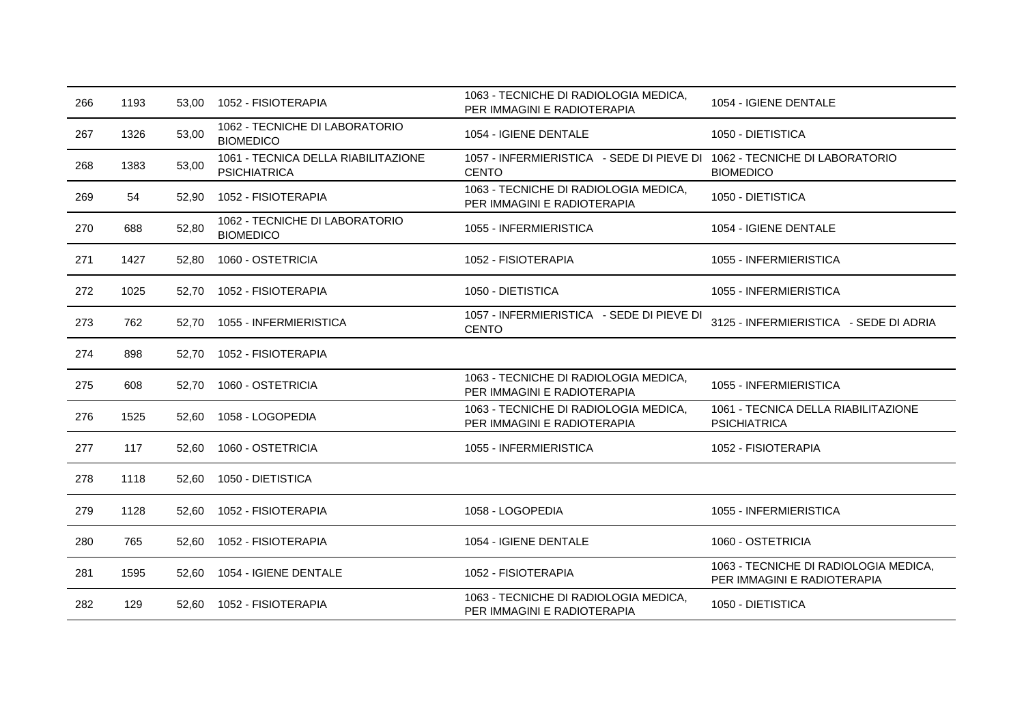| 266 | 1193 | 53.00 | 1052 - FISIOTERAPIA                                        | 1063 - TECNICHE DI RADIOLOGIA MEDICA,<br>PER IMMAGINI E RADIOTERAPIA                     | 1054 - IGIENE DENTALE                                                |
|-----|------|-------|------------------------------------------------------------|------------------------------------------------------------------------------------------|----------------------------------------------------------------------|
| 267 | 1326 | 53,00 | 1062 - TECNICHE DI LABORATORIO<br><b>BIOMEDICO</b>         | 1054 - IGIENE DENTALE                                                                    | 1050 - DIETISTICA                                                    |
| 268 | 1383 | 53,00 | 1061 - TECNICA DELLA RIABILITAZIONE<br><b>PSICHIATRICA</b> | 1057 - INFERMIERISTICA - SEDE DI PIEVE DI 1062 - TECNICHE DI LABORATORIO<br><b>CENTO</b> | <b>BIOMEDICO</b>                                                     |
| 269 | 54   | 52,90 | 1052 - FISIOTERAPIA                                        | 1063 - TECNICHE DI RADIOLOGIA MEDICA,<br>PER IMMAGINI E RADIOTERAPIA                     | 1050 - DIETISTICA                                                    |
| 270 | 688  | 52,80 | 1062 - TECNICHE DI LABORATORIO<br><b>BIOMEDICO</b>         | 1055 - INFERMIERISTICA                                                                   | 1054 - IGIENE DENTALE                                                |
| 271 | 1427 | 52,80 | 1060 - OSTETRICIA                                          | 1052 - FISIOTERAPIA                                                                      | 1055 - INFERMIERISTICA                                               |
| 272 | 1025 | 52,70 | 1052 - FISIOTERAPIA                                        | 1050 - DIETISTICA                                                                        | 1055 - INFERMIERISTICA                                               |
| 273 | 762  | 52.70 | 1055 - INFERMIERISTICA                                     | 1057 - INFERMIERISTICA - SEDE DI PIEVE DI<br><b>CENTO</b>                                | 3125 - INFERMIERISTICA - SEDE DI ADRIA                               |
| 274 | 898  | 52.70 | 1052 - FISIOTERAPIA                                        |                                                                                          |                                                                      |
| 275 | 608  | 52,70 | 1060 - OSTETRICIA                                          | 1063 - TECNICHE DI RADIOLOGIA MEDICA,<br>PER IMMAGINI E RADIOTERAPIA                     | 1055 - INFERMIERISTICA                                               |
| 276 | 1525 | 52,60 | 1058 - LOGOPEDIA                                           | 1063 - TECNICHE DI RADIOLOGIA MEDICA,<br>PER IMMAGINI E RADIOTERAPIA                     | 1061 - TECNICA DELLA RIABILITAZIONE<br><b>PSICHIATRICA</b>           |
| 277 | 117  | 52,60 | 1060 - OSTETRICIA                                          | 1055 - INFERMIERISTICA                                                                   | 1052 - FISIOTERAPIA                                                  |
| 278 | 1118 | 52,60 | 1050 - DIETISTICA                                          |                                                                                          |                                                                      |
| 279 | 1128 | 52,60 | 1052 - FISIOTERAPIA                                        | 1058 - LOGOPEDIA                                                                         | 1055 - INFERMIERISTICA                                               |
| 280 | 765  | 52,60 | 1052 - FISIOTERAPIA                                        | 1054 - IGIENE DENTALE                                                                    | 1060 - OSTETRICIA                                                    |
| 281 | 1595 | 52,60 | 1054 - IGIENE DENTALE                                      | 1052 - FISIOTERAPIA                                                                      | 1063 - TECNICHE DI RADIOLOGIA MEDICA,<br>PER IMMAGINI E RADIOTERAPIA |
| 282 | 129  | 52,60 | 1052 - FISIOTERAPIA                                        | 1063 - TECNICHE DI RADIOLOGIA MEDICA,<br>PER IMMAGINI E RADIOTERAPIA                     | 1050 - DIETISTICA                                                    |
|     |      |       |                                                            |                                                                                          |                                                                      |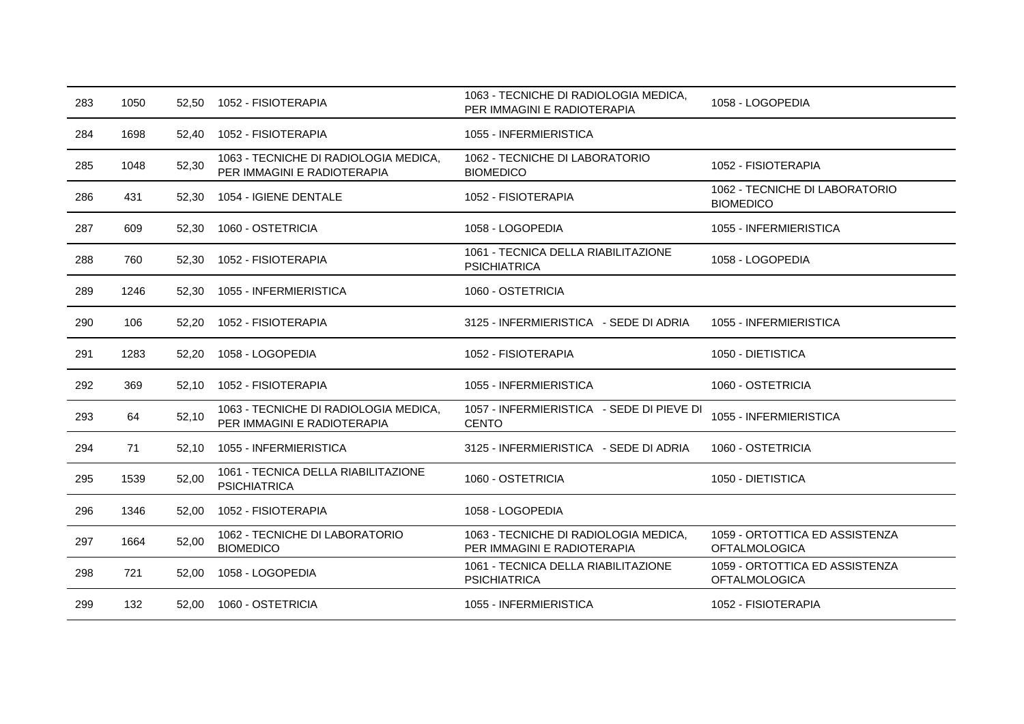| 283 | 1050 | 52,50 | 1052 - FISIOTERAPIA                                                  | 1063 - TECNICHE DI RADIOLOGIA MEDICA,<br>PER IMMAGINI E RADIOTERAPIA | 1058 - LOGOPEDIA                                       |
|-----|------|-------|----------------------------------------------------------------------|----------------------------------------------------------------------|--------------------------------------------------------|
| 284 | 1698 | 52,40 | 1052 - FISIOTERAPIA                                                  | 1055 - INFERMIERISTICA                                               |                                                        |
| 285 | 1048 | 52,30 | 1063 - TECNICHE DI RADIOLOGIA MEDICA,<br>PER IMMAGINI E RADIOTERAPIA | 1062 - TECNICHE DI LABORATORIO<br><b>BIOMEDICO</b>                   | 1052 - FISIOTERAPIA                                    |
| 286 | 431  | 52,30 | 1054 - IGIENE DENTALE                                                | 1052 - FISIOTERAPIA                                                  | 1062 - TECNICHE DI LABORATORIO<br><b>BIOMEDICO</b>     |
| 287 | 609  | 52,30 | 1060 - OSTETRICIA                                                    | 1058 - LOGOPEDIA                                                     | 1055 - INFERMIERISTICA                                 |
| 288 | 760  | 52,30 | 1052 - FISIOTERAPIA                                                  | 1061 - TECNICA DELLA RIABILITAZIONE<br><b>PSICHIATRICA</b>           | 1058 - LOGOPEDIA                                       |
| 289 | 1246 | 52,30 | 1055 - INFERMIERISTICA                                               | 1060 - OSTETRICIA                                                    |                                                        |
| 290 | 106  | 52,20 | 1052 - FISIOTERAPIA                                                  | 3125 - INFERMIERISTICA - SEDE DI ADRIA                               | 1055 - INFERMIERISTICA                                 |
| 291 | 1283 | 52,20 | 1058 - LOGOPEDIA                                                     | 1052 - FISIOTERAPIA                                                  | 1050 - DIETISTICA                                      |
| 292 | 369  | 52,10 | 1052 - FISIOTERAPIA                                                  | 1055 - INFERMIERISTICA                                               | 1060 - OSTETRICIA                                      |
| 293 | 64   | 52,10 | 1063 - TECNICHE DI RADIOLOGIA MEDICA,<br>PER IMMAGINI E RADIOTERAPIA | 1057 - INFERMIERISTICA - SEDE DI PIEVE DI<br><b>CENTO</b>            | 1055 - INFERMIERISTICA                                 |
| 294 | 71   | 52,10 | 1055 - INFERMIERISTICA                                               | 3125 - INFERMIERISTICA - SEDE DI ADRIA                               | 1060 - OSTETRICIA                                      |
| 295 | 1539 | 52,00 | 1061 - TECNICA DELLA RIABILITAZIONE<br><b>PSICHIATRICA</b>           | 1060 - OSTETRICIA                                                    | 1050 - DIETISTICA                                      |
| 296 | 1346 | 52,00 | 1052 - FISIOTERAPIA                                                  | 1058 - LOGOPEDIA                                                     |                                                        |
| 297 | 1664 | 52,00 | 1062 - TECNICHE DI LABORATORIO<br><b>BIOMEDICO</b>                   | 1063 - TECNICHE DI RADIOLOGIA MEDICA,<br>PER IMMAGINI E RADIOTERAPIA | 1059 - ORTOTTICA ED ASSISTENZA<br><b>OFTALMOLOGICA</b> |
| 298 | 721  | 52,00 | 1058 - LOGOPEDIA                                                     | 1061 - TECNICA DELLA RIABILITAZIONE<br><b>PSICHIATRICA</b>           | 1059 - ORTOTTICA ED ASSISTENZA<br><b>OFTALMOLOGICA</b> |
| 299 | 132  | 52,00 | 1060 - OSTETRICIA                                                    | 1055 - INFERMIERISTICA                                               | 1052 - FISIOTERAPIA                                    |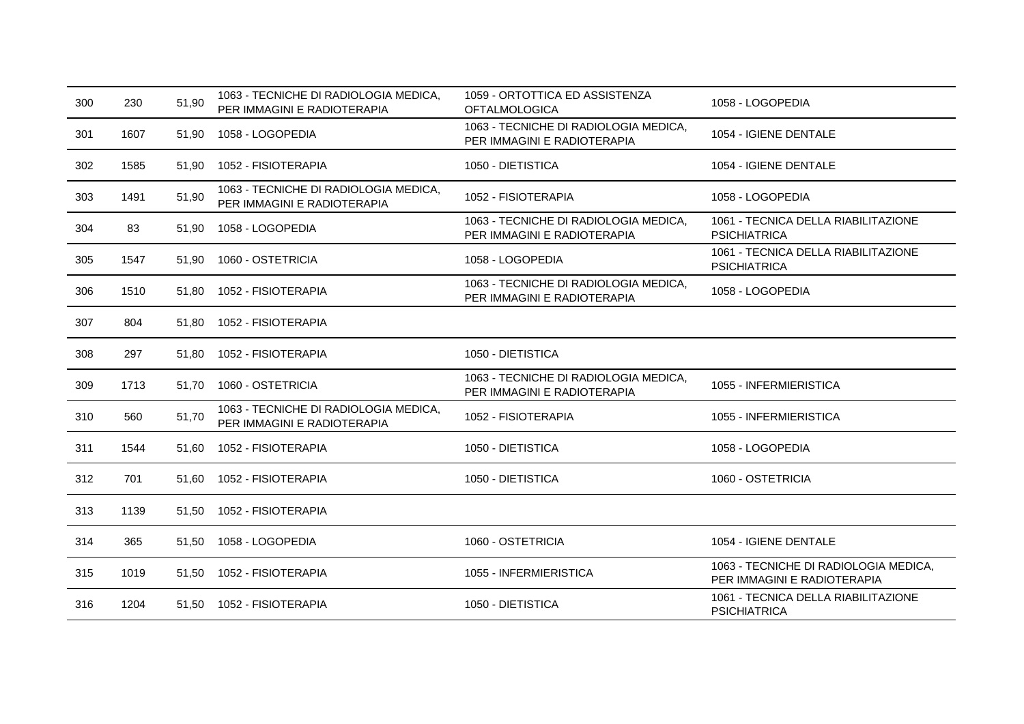| 300 | 230  | 51,90 | 1063 - TECNICHE DI RADIOLOGIA MEDICA,<br>PER IMMAGINI E RADIOTERAPIA | 1059 - ORTOTTICA ED ASSISTENZA<br><b>OFTALMOLOGICA</b>               | 1058 - LOGOPEDIA                                                     |
|-----|------|-------|----------------------------------------------------------------------|----------------------------------------------------------------------|----------------------------------------------------------------------|
| 301 | 1607 | 51,90 | 1058 - LOGOPEDIA                                                     | 1063 - TECNICHE DI RADIOLOGIA MEDICA,<br>PER IMMAGINI E RADIOTERAPIA | 1054 - IGIENE DENTALE                                                |
| 302 | 1585 | 51,90 | 1052 - FISIOTERAPIA                                                  | 1050 - DIETISTICA                                                    | 1054 - IGIENE DENTALE                                                |
| 303 | 1491 | 51,90 | 1063 - TECNICHE DI RADIOLOGIA MEDICA,<br>PER IMMAGINI E RADIOTERAPIA | 1052 - FISIOTERAPIA                                                  | 1058 - LOGOPEDIA                                                     |
| 304 | 83   | 51,90 | 1058 - LOGOPEDIA                                                     | 1063 - TECNICHE DI RADIOLOGIA MEDICA,<br>PER IMMAGINI E RADIOTERAPIA | 1061 - TECNICA DELLA RIABILITAZIONE<br><b>PSICHIATRICA</b>           |
| 305 | 1547 | 51,90 | 1060 - OSTETRICIA                                                    | 1058 - LOGOPEDIA                                                     | 1061 - TECNICA DELLA RIABILITAZIONE<br><b>PSICHIATRICA</b>           |
| 306 | 1510 | 51,80 | 1052 - FISIOTERAPIA                                                  | 1063 - TECNICHE DI RADIOLOGIA MEDICA,<br>PER IMMAGINI E RADIOTERAPIA | 1058 - LOGOPEDIA                                                     |
| 307 | 804  | 51,80 | 1052 - FISIOTERAPIA                                                  |                                                                      |                                                                      |
| 308 | 297  | 51,80 | 1052 - FISIOTERAPIA                                                  | 1050 - DIETISTICA                                                    |                                                                      |
| 309 | 1713 | 51.70 | 1060 - OSTETRICIA                                                    | 1063 - TECNICHE DI RADIOLOGIA MEDICA,<br>PER IMMAGINI E RADIOTERAPIA | 1055 - INFERMIERISTICA                                               |
| 310 | 560  | 51,70 | 1063 - TECNICHE DI RADIOLOGIA MEDICA,<br>PER IMMAGINI E RADIOTERAPIA | 1052 - FISIOTERAPIA                                                  | 1055 - INFERMIERISTICA                                               |
| 311 | 1544 | 51,60 | 1052 - FISIOTERAPIA                                                  | 1050 - DIETISTICA                                                    | 1058 - LOGOPEDIA                                                     |
| 312 | 701  | 51,60 | 1052 - FISIOTERAPIA                                                  | 1050 - DIETISTICA                                                    | 1060 - OSTETRICIA                                                    |
| 313 | 1139 | 51,50 | 1052 - FISIOTERAPIA                                                  |                                                                      |                                                                      |
| 314 | 365  | 51,50 | 1058 - LOGOPEDIA                                                     | 1060 - OSTETRICIA                                                    | 1054 - IGIENE DENTALE                                                |
| 315 | 1019 | 51,50 | 1052 - FISIOTERAPIA                                                  | 1055 - INFERMIERISTICA                                               | 1063 - TECNICHE DI RADIOLOGIA MEDICA,<br>PER IMMAGINI E RADIOTERAPIA |
| 316 | 1204 | 51,50 | 1052 - FISIOTERAPIA                                                  | 1050 - DIETISTICA                                                    | 1061 - TECNICA DELLA RIABILITAZIONE<br><b>PSICHIATRICA</b>           |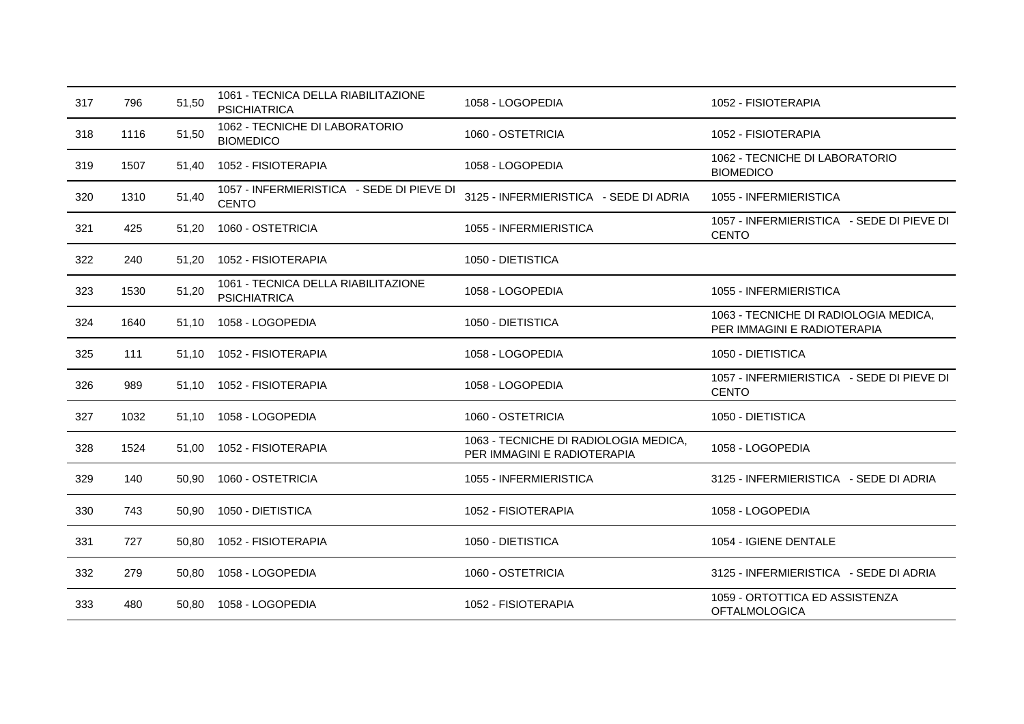| 317 | 796  | 51,50 | 1061 - TECNICA DELLA RIABILITAZIONE<br><b>PSICHIATRICA</b> | 1058 - LOGOPEDIA                                                     | 1052 - FISIOTERAPIA                                                  |
|-----|------|-------|------------------------------------------------------------|----------------------------------------------------------------------|----------------------------------------------------------------------|
| 318 | 1116 | 51,50 | 1062 - TECNICHE DI LABORATORIO<br><b>BIOMEDICO</b>         | 1060 - OSTETRICIA                                                    | 1052 - FISIOTERAPIA                                                  |
| 319 | 1507 | 51,40 | 1052 - FISIOTERAPIA                                        | 1058 - LOGOPEDIA                                                     | 1062 - TECNICHE DI LABORATORIO<br><b>BIOMEDICO</b>                   |
| 320 | 1310 | 51,40 | 1057 - INFERMIERISTICA - SEDE DI PIEVE DI<br><b>CENTO</b>  | 3125 - INFERMIERISTICA - SEDE DI ADRIA                               | 1055 - INFERMIERISTICA                                               |
| 321 | 425  | 51,20 | 1060 - OSTETRICIA                                          | 1055 - INFERMIERISTICA                                               | 1057 - INFERMIERISTICA - SEDE DI PIEVE DI<br><b>CENTO</b>            |
| 322 | 240  | 51,20 | 1052 - FISIOTERAPIA                                        | 1050 - DIETISTICA                                                    |                                                                      |
| 323 | 1530 | 51,20 | 1061 - TECNICA DELLA RIABILITAZIONE<br><b>PSICHIATRICA</b> | 1058 - LOGOPEDIA                                                     | 1055 - INFERMIERISTICA                                               |
| 324 | 1640 | 51.10 | 1058 - LOGOPEDIA                                           | 1050 - DIETISTICA                                                    | 1063 - TECNICHE DI RADIOLOGIA MEDICA,<br>PER IMMAGINI E RADIOTERAPIA |
| 325 | 111  | 51,10 | 1052 - FISIOTERAPIA                                        | 1058 - LOGOPEDIA                                                     | 1050 - DIETISTICA                                                    |
| 326 | 989  | 51,10 | 1052 - FISIOTERAPIA                                        | 1058 - LOGOPEDIA                                                     | 1057 - INFERMIERISTICA - SEDE DI PIEVE DI<br><b>CENTO</b>            |
| 327 | 1032 | 51.10 | 1058 - LOGOPEDIA                                           | 1060 - OSTETRICIA                                                    | 1050 - DIETISTICA                                                    |
| 328 | 1524 | 51,00 | 1052 - FISIOTERAPIA                                        | 1063 - TECNICHE DI RADIOLOGIA MEDICA,<br>PER IMMAGINI E RADIOTERAPIA | 1058 - LOGOPEDIA                                                     |
| 329 | 140  | 50,90 | 1060 - OSTETRICIA                                          | 1055 - INFERMIERISTICA                                               | 3125 - INFERMIERISTICA - SEDE DI ADRIA                               |
| 330 | 743  | 50,90 | 1050 - DIETISTICA                                          | 1052 - FISIOTERAPIA                                                  | 1058 - LOGOPEDIA                                                     |
| 331 | 727  | 50,80 | 1052 - FISIOTERAPIA                                        | 1050 - DIETISTICA                                                    | 1054 - IGIENE DENTALE                                                |
| 332 | 279  | 50,80 | 1058 - LOGOPEDIA                                           | 1060 - OSTETRICIA                                                    | 3125 - INFERMIERISTICA - SEDE DI ADRIA                               |
| 333 | 480  |       | 50,80  1058 - LOGOPEDIA                                    | 1052 - FISIOTERAPIA                                                  | 1059 - ORTOTTICA ED ASSISTENZA<br><b>OFTALMOLOGICA</b>               |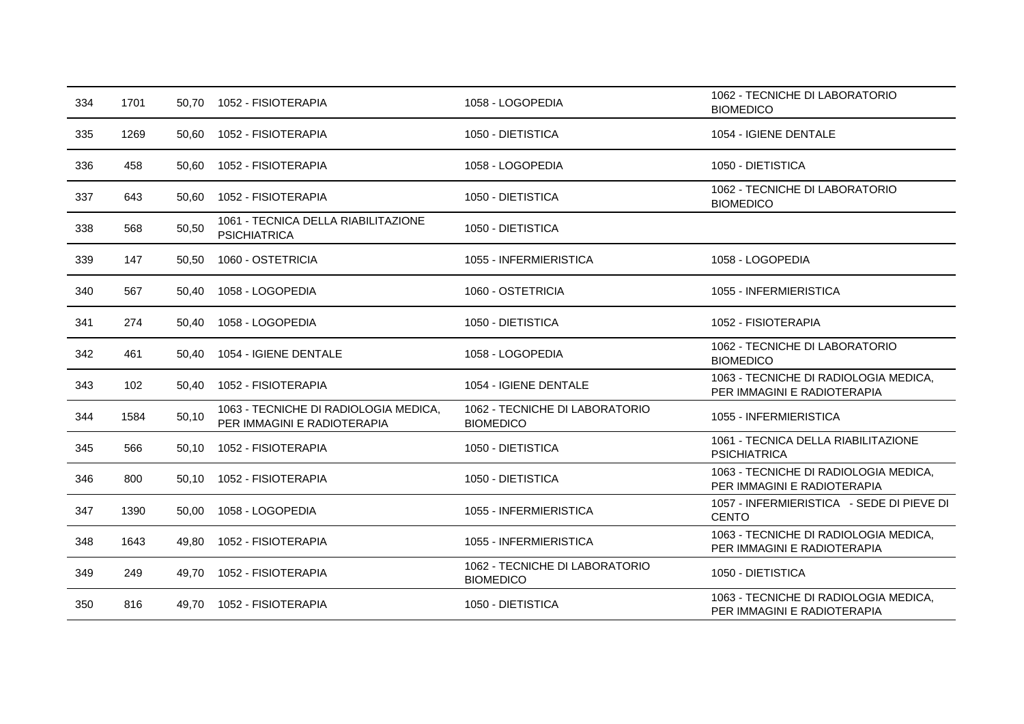| 334 | 1701 | 50.70 | 1052 - FISIOTERAPIA                                                  | 1058 - LOGOPEDIA                                   | 1062 - TECNICHE DI LABORATORIO<br><b>BIOMEDICO</b>                   |
|-----|------|-------|----------------------------------------------------------------------|----------------------------------------------------|----------------------------------------------------------------------|
| 335 | 1269 | 50,60 | 1052 - FISIOTERAPIA                                                  | 1050 - DIETISTICA                                  | 1054 - IGIENE DENTALE                                                |
| 336 | 458  | 50,60 | 1052 - FISIOTERAPIA                                                  | 1058 - LOGOPEDIA                                   | 1050 - DIETISTICA                                                    |
| 337 | 643  | 50,60 | 1052 - FISIOTERAPIA                                                  | 1050 - DIETISTICA                                  | 1062 - TECNICHE DI LABORATORIO<br><b>BIOMEDICO</b>                   |
| 338 | 568  | 50,50 | 1061 - TECNICA DELLA RIABILITAZIONE<br><b>PSICHIATRICA</b>           | 1050 - DIETISTICA                                  |                                                                      |
| 339 | 147  | 50,50 | 1060 - OSTETRICIA                                                    | 1055 - INFERMIERISTICA                             | 1058 - LOGOPEDIA                                                     |
| 340 | 567  | 50,40 | 1058 - LOGOPEDIA                                                     | 1060 - OSTETRICIA                                  | 1055 - INFERMIERISTICA                                               |
| 341 | 274  | 50.40 | 1058 - LOGOPEDIA                                                     | 1050 - DIETISTICA                                  | 1052 - FISIOTERAPIA                                                  |
| 342 | 461  | 50.40 | 1054 - IGIENE DENTALE                                                | 1058 - LOGOPEDIA                                   | 1062 - TECNICHE DI LABORATORIO<br><b>BIOMEDICO</b>                   |
| 343 | 102  | 50.40 | 1052 - FISIOTERAPIA                                                  | 1054 - IGIENE DENTALE                              | 1063 - TECNICHE DI RADIOLOGIA MEDICA,<br>PER IMMAGINI E RADIOTERAPIA |
| 344 | 1584 | 50,10 | 1063 - TECNICHE DI RADIOLOGIA MEDICA,<br>PER IMMAGINI E RADIOTERAPIA | 1062 - TECNICHE DI LABORATORIO<br><b>BIOMEDICO</b> | 1055 - INFERMIERISTICA                                               |
| 345 | 566  | 50,10 | 1052 - FISIOTERAPIA                                                  | 1050 - DIETISTICA                                  | 1061 - TECNICA DELLA RIABILITAZIONE<br><b>PSICHIATRICA</b>           |
| 346 | 800  | 50.10 | 1052 - FISIOTERAPIA                                                  | 1050 - DIETISTICA                                  | 1063 - TECNICHE DI RADIOLOGIA MEDICA,<br>PER IMMAGINI E RADIOTERAPIA |
| 347 | 1390 | 50,00 | 1058 - LOGOPEDIA                                                     | 1055 - INFERMIERISTICA                             | 1057 - INFERMIERISTICA - SEDE DI PIEVE DI<br><b>CENTO</b>            |
| 348 | 1643 | 49,80 | 1052 - FISIOTERAPIA                                                  | 1055 - INFERMIERISTICA                             | 1063 - TECNICHE DI RADIOLOGIA MEDICA,<br>PER IMMAGINI E RADIOTERAPIA |
| 349 | 249  | 49.70 | 1052 - FISIOTERAPIA                                                  | 1062 - TECNICHE DI LABORATORIO<br><b>BIOMEDICO</b> | 1050 - DIETISTICA                                                    |
| 350 | 816  |       | 49,70 1052 - FISIOTERAPIA                                            | 1050 - DIETISTICA                                  | 1063 - TECNICHE DI RADIOLOGIA MEDICA,<br>PER IMMAGINI E RADIOTERAPIA |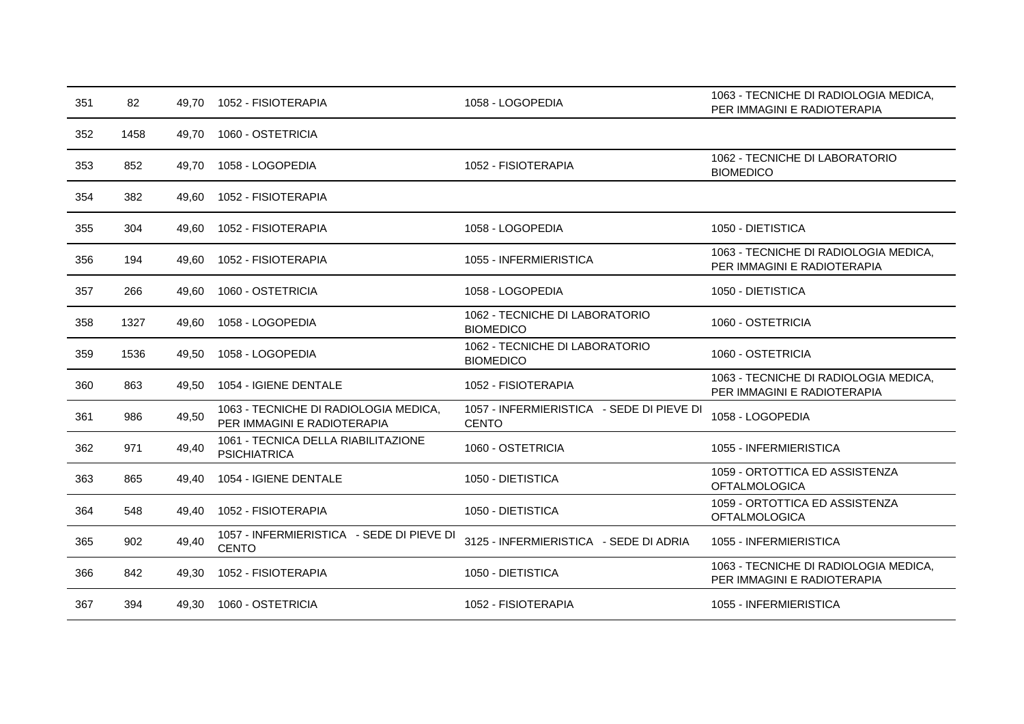| 351 | 82   | 49.70 | 1052 - FISIOTERAPIA                                                  | 1058 - LOGOPEDIA                                          | 1063 - TECNICHE DI RADIOLOGIA MEDICA,<br>PER IMMAGINI E RADIOTERAPIA |
|-----|------|-------|----------------------------------------------------------------------|-----------------------------------------------------------|----------------------------------------------------------------------|
| 352 | 1458 | 49,70 | 1060 - OSTETRICIA                                                    |                                                           |                                                                      |
| 353 | 852  | 49.70 | 1058 - LOGOPEDIA                                                     | 1052 - FISIOTERAPIA                                       | 1062 - TECNICHE DI LABORATORIO<br><b>BIOMEDICO</b>                   |
| 354 | 382  | 49.60 | 1052 - FISIOTERAPIA                                                  |                                                           |                                                                      |
| 355 | 304  | 49.60 | 1052 - FISIOTERAPIA                                                  | 1058 - LOGOPEDIA                                          | 1050 - DIETISTICA                                                    |
| 356 | 194  | 49.60 | 1052 - FISIOTERAPIA                                                  | 1055 - INFERMIERISTICA                                    | 1063 - TECNICHE DI RADIOLOGIA MEDICA,<br>PER IMMAGINI E RADIOTERAPIA |
| 357 | 266  | 49,60 | 1060 - OSTETRICIA                                                    | 1058 - LOGOPEDIA                                          | 1050 - DIETISTICA                                                    |
| 358 | 1327 | 49,60 | 1058 - LOGOPEDIA                                                     | 1062 - TECNICHE DI LABORATORIO<br><b>BIOMEDICO</b>        | 1060 - OSTETRICIA                                                    |
| 359 | 1536 | 49,50 | 1058 - LOGOPEDIA                                                     | 1062 - TECNICHE DI LABORATORIO<br><b>BIOMEDICO</b>        | 1060 - OSTETRICIA                                                    |
| 360 | 863  | 49,50 | 1054 - IGIENE DENTALE                                                | 1052 - FISIOTERAPIA                                       | 1063 - TECNICHE DI RADIOLOGIA MEDICA,<br>PER IMMAGINI E RADIOTERAPIA |
| 361 | 986  | 49,50 | 1063 - TECNICHE DI RADIOLOGIA MEDICA,<br>PER IMMAGINI E RADIOTERAPIA | 1057 - INFERMIERISTICA - SEDE DI PIEVE DI<br><b>CENTO</b> | 1058 - LOGOPEDIA                                                     |
| 362 | 971  | 49,40 | 1061 - TECNICA DELLA RIABILITAZIONE<br><b>PSICHIATRICA</b>           | 1060 - OSTETRICIA                                         | 1055 - INFERMIERISTICA                                               |
| 363 | 865  | 49.40 | 1054 - IGIENE DENTALE                                                | 1050 - DIETISTICA                                         | 1059 - ORTOTTICA ED ASSISTENZA<br><b>OFTALMOLOGICA</b>               |
| 364 | 548  | 49,40 | 1052 - FISIOTERAPIA                                                  | 1050 - DIETISTICA                                         | 1059 - ORTOTTICA ED ASSISTENZA<br><b>OFTALMOLOGICA</b>               |
| 365 | 902  | 49,40 | 1057 - INFERMIERISTICA - SEDE DI PIEVE DI<br><b>CENTO</b>            | 3125 - INFERMIERISTICA - SEDE DI ADRIA                    | 1055 - INFERMIERISTICA                                               |
| 366 | 842  | 49,30 | 1052 - FISIOTERAPIA                                                  | 1050 - DIETISTICA                                         | 1063 - TECNICHE DI RADIOLOGIA MEDICA,<br>PER IMMAGINI E RADIOTERAPIA |
| 367 | 394  | 49,30 | 1060 - OSTETRICIA                                                    | 1052 - FISIOTERAPIA                                       | 1055 - INFERMIERISTICA                                               |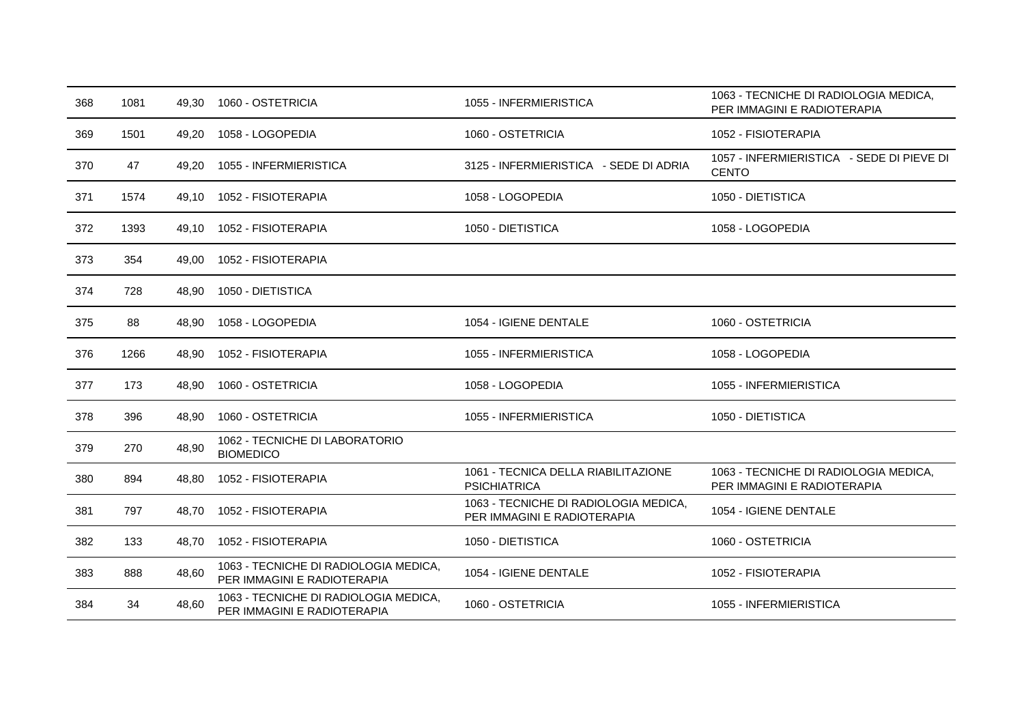| 368 | 1081 | 49,30 | 1060 - OSTETRICIA                                                    | 1055 - INFERMIERISTICA                                               | 1063 - TECNICHE DI RADIOLOGIA MEDICA,<br>PER IMMAGINI E RADIOTERAPIA |
|-----|------|-------|----------------------------------------------------------------------|----------------------------------------------------------------------|----------------------------------------------------------------------|
| 369 | 1501 | 49,20 | 1058 - LOGOPEDIA                                                     | 1060 - OSTETRICIA                                                    | 1052 - FISIOTERAPIA                                                  |
| 370 | 47   | 49,20 | 1055 - INFERMIERISTICA                                               | 3125 - INFERMIERISTICA - SEDE DI ADRIA                               | 1057 - INFERMIERISTICA - SEDE DI PIEVE DI<br><b>CENTO</b>            |
| 371 | 1574 | 49,10 | 1052 - FISIOTERAPIA                                                  | 1058 - LOGOPEDIA                                                     | 1050 - DIETISTICA                                                    |
| 372 | 1393 | 49,10 | 1052 - FISIOTERAPIA                                                  | 1050 - DIETISTICA                                                    | 1058 - LOGOPEDIA                                                     |
| 373 | 354  | 49,00 | 1052 - FISIOTERAPIA                                                  |                                                                      |                                                                      |
| 374 | 728  | 48,90 | 1050 - DIETISTICA                                                    |                                                                      |                                                                      |
| 375 | 88   | 48,90 | 1058 - LOGOPEDIA                                                     | 1054 - IGIENE DENTALE                                                | 1060 - OSTETRICIA                                                    |
| 376 | 1266 | 48,90 | 1052 - FISIOTERAPIA                                                  | 1055 - INFERMIERISTICA                                               | 1058 - LOGOPEDIA                                                     |
| 377 | 173  | 48,90 | 1060 - OSTETRICIA                                                    | 1058 - LOGOPEDIA                                                     | 1055 - INFERMIERISTICA                                               |
| 378 | 396  | 48,90 | 1060 - OSTETRICIA                                                    | 1055 - INFERMIERISTICA                                               | 1050 - DIETISTICA                                                    |
| 379 | 270  | 48,90 | 1062 - TECNICHE DI LABORATORIO<br><b>BIOMEDICO</b>                   |                                                                      |                                                                      |
| 380 | 894  | 48,80 | 1052 - FISIOTERAPIA                                                  | 1061 - TECNICA DELLA RIABILITAZIONE<br><b>PSICHIATRICA</b>           | 1063 - TECNICHE DI RADIOLOGIA MEDICA,<br>PER IMMAGINI E RADIOTERAPIA |
| 381 | 797  | 48,70 | 1052 - FISIOTERAPIA                                                  | 1063 - TECNICHE DI RADIOLOGIA MEDICA,<br>PER IMMAGINI E RADIOTERAPIA | 1054 - IGIENE DENTALE                                                |
| 382 | 133  | 48.70 | 1052 - FISIOTERAPIA                                                  | 1050 - DIETISTICA                                                    | 1060 - OSTETRICIA                                                    |
| 383 | 888  | 48,60 | 1063 - TECNICHE DI RADIOLOGIA MEDICA,<br>PER IMMAGINI E RADIOTERAPIA | 1054 - IGIENE DENTALE                                                | 1052 - FISIOTERAPIA                                                  |
| 384 | 34   | 48,60 | 1063 - TECNICHE DI RADIOLOGIA MEDICA,<br>PER IMMAGINI E RADIOTERAPIA | 1060 - OSTETRICIA                                                    | 1055 - INFERMIERISTICA                                               |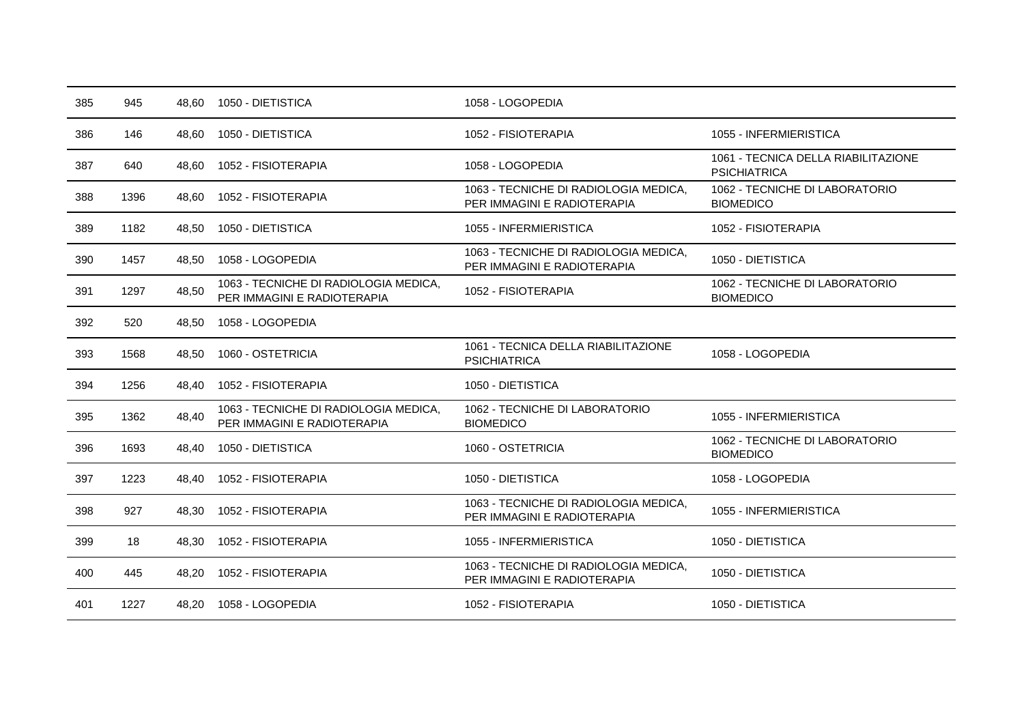| 385 | 945  | 48.60 | 1050 - DIETISTICA                                                    | 1058 - LOGOPEDIA                                                     |                                                            |
|-----|------|-------|----------------------------------------------------------------------|----------------------------------------------------------------------|------------------------------------------------------------|
| 386 | 146  | 48,60 | 1050 - DIETISTICA                                                    | 1052 - FISIOTERAPIA                                                  | 1055 - INFERMIERISTICA                                     |
| 387 | 640  | 48.60 | 1052 - FISIOTERAPIA                                                  | 1058 - LOGOPEDIA                                                     | 1061 - TECNICA DELLA RIABILITAZIONE<br><b>PSICHIATRICA</b> |
| 388 | 1396 | 48.60 | 1052 - FISIOTERAPIA                                                  | 1063 - TECNICHE DI RADIOLOGIA MEDICA,<br>PER IMMAGINI E RADIOTERAPIA | 1062 - TECNICHE DI LABORATORIO<br><b>BIOMEDICO</b>         |
| 389 | 1182 | 48,50 | 1050 - DIETISTICA                                                    | 1055 - INFERMIERISTICA                                               | 1052 - FISIOTERAPIA                                        |
| 390 | 1457 | 48,50 | 1058 - LOGOPEDIA                                                     | 1063 - TECNICHE DI RADIOLOGIA MEDICA,<br>PER IMMAGINI E RADIOTERAPIA | 1050 - DIETISTICA                                          |
| 391 | 1297 | 48,50 | 1063 - TECNICHE DI RADIOLOGIA MEDICA,<br>PER IMMAGINI E RADIOTERAPIA | 1052 - FISIOTERAPIA                                                  | 1062 - TECNICHE DI LABORATORIO<br><b>BIOMEDICO</b>         |
| 392 | 520  | 48,50 | 1058 - LOGOPEDIA                                                     |                                                                      |                                                            |
| 393 | 1568 | 48,50 | 1060 - OSTETRICIA                                                    | 1061 - TECNICA DELLA RIABILITAZIONE<br><b>PSICHIATRICA</b>           | 1058 - LOGOPEDIA                                           |
| 394 | 1256 | 48,40 | 1052 - FISIOTERAPIA                                                  | 1050 - DIETISTICA                                                    |                                                            |
| 395 | 1362 | 48,40 | 1063 - TECNICHE DI RADIOLOGIA MEDICA,<br>PER IMMAGINI E RADIOTERAPIA | 1062 - TECNICHE DI LABORATORIO<br><b>BIOMEDICO</b>                   | 1055 - INFERMIERISTICA                                     |
| 396 | 1693 | 48.40 | 1050 - DIETISTICA                                                    | 1060 - OSTETRICIA                                                    | 1062 - TECNICHE DI LABORATORIO<br><b>BIOMEDICO</b>         |
| 397 | 1223 | 48,40 | 1052 - FISIOTERAPIA                                                  | 1050 - DIETISTICA                                                    | 1058 - LOGOPEDIA                                           |
| 398 | 927  | 48,30 | 1052 - FISIOTERAPIA                                                  | 1063 - TECNICHE DI RADIOLOGIA MEDICA,<br>PER IMMAGINI E RADIOTERAPIA | 1055 - INFERMIERISTICA                                     |
| 399 | 18   | 48.30 | 1052 - FISIOTERAPIA                                                  | 1055 - INFERMIERISTICA                                               | 1050 - DIETISTICA                                          |
| 400 | 445  | 48,20 | 1052 - FISIOTERAPIA                                                  | 1063 - TECNICHE DI RADIOLOGIA MEDICA,<br>PER IMMAGINI E RADIOTERAPIA | 1050 - DIETISTICA                                          |
| 401 | 1227 | 48,20 | 1058 - LOGOPEDIA                                                     | 1052 - FISIOTERAPIA                                                  | 1050 - DIETISTICA                                          |
|     |      |       |                                                                      |                                                                      |                                                            |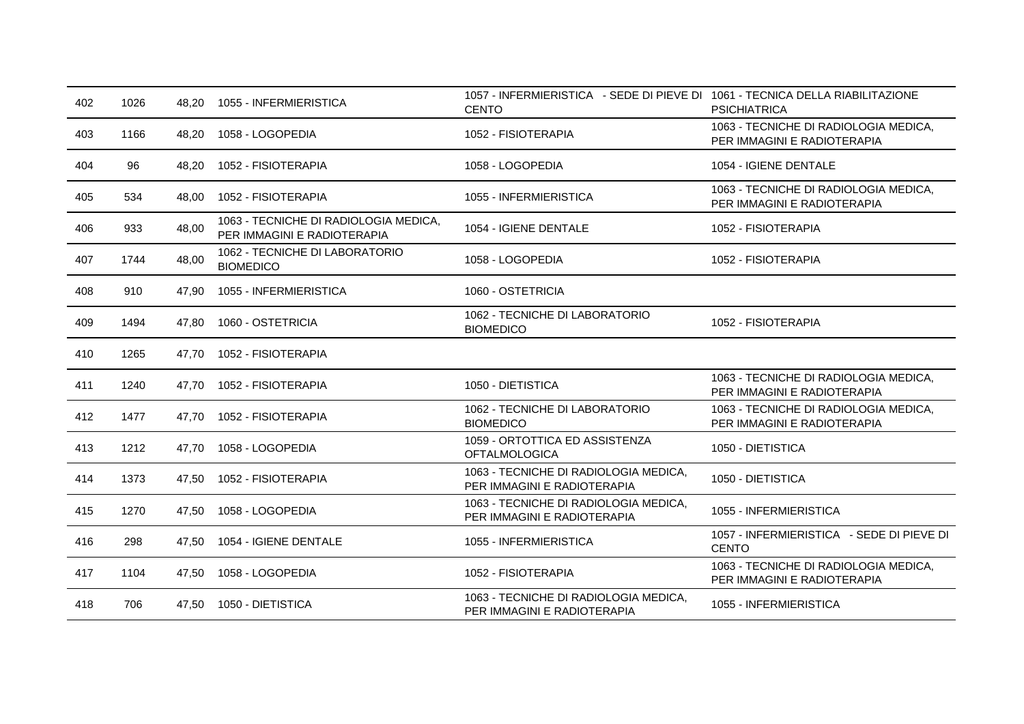| 402 | 1026 | 48.20 | 1055 - INFERMIERISTICA                                               | 1057 - INFERMIERISTICA - SEDE DI PIEVE DI 1061 - TECNICA DELLA RIABILITAZIONE<br><b>CENTO</b> | <b>PSICHIATRICA</b>                                                  |
|-----|------|-------|----------------------------------------------------------------------|-----------------------------------------------------------------------------------------------|----------------------------------------------------------------------|
| 403 | 1166 | 48,20 | 1058 - LOGOPEDIA                                                     | 1052 - FISIOTERAPIA                                                                           | 1063 - TECNICHE DI RADIOLOGIA MEDICA,<br>PER IMMAGINI E RADIOTERAPIA |
| 404 | 96   | 48,20 | 1052 - FISIOTERAPIA                                                  | 1058 - LOGOPEDIA                                                                              | 1054 - IGIENE DENTALE                                                |
| 405 | 534  | 48,00 | 1052 - FISIOTERAPIA                                                  | 1055 - INFERMIERISTICA                                                                        | 1063 - TECNICHE DI RADIOLOGIA MEDICA,<br>PER IMMAGINI E RADIOTERAPIA |
| 406 | 933  | 48.00 | 1063 - TECNICHE DI RADIOLOGIA MEDICA,<br>PER IMMAGINI E RADIOTERAPIA | 1054 - IGIENE DENTALE                                                                         | 1052 - FISIOTERAPIA                                                  |
| 407 | 1744 | 48,00 | 1062 - TECNICHE DI LABORATORIO<br><b>BIOMEDICO</b>                   | 1058 - LOGOPEDIA                                                                              | 1052 - FISIOTERAPIA                                                  |
| 408 | 910  | 47,90 | 1055 - INFERMIERISTICA                                               | 1060 - OSTETRICIA                                                                             |                                                                      |
| 409 | 1494 | 47,80 | 1060 - OSTETRICIA                                                    | 1062 - TECNICHE DI LABORATORIO<br><b>BIOMEDICO</b>                                            | 1052 - FISIOTERAPIA                                                  |
| 410 | 1265 | 47.70 | 1052 - FISIOTERAPIA                                                  |                                                                                               |                                                                      |
| 411 | 1240 | 47.70 | 1052 - FISIOTERAPIA                                                  | 1050 - DIETISTICA                                                                             | 1063 - TECNICHE DI RADIOLOGIA MEDICA,<br>PER IMMAGINI E RADIOTERAPIA |
| 412 | 1477 | 47.70 | 1052 - FISIOTERAPIA                                                  | 1062 - TECNICHE DI LABORATORIO<br><b>BIOMEDICO</b>                                            | 1063 - TECNICHE DI RADIOLOGIA MEDICA,<br>PER IMMAGINI E RADIOTERAPIA |
| 413 | 1212 | 47.70 | 1058 - LOGOPEDIA                                                     | 1059 - ORTOTTICA ED ASSISTENZA<br><b>OFTALMOLOGICA</b>                                        | 1050 - DIETISTICA                                                    |
| 414 | 1373 | 47.50 | 1052 - FISIOTERAPIA                                                  | 1063 - TECNICHE DI RADIOLOGIA MEDICA,<br>PER IMMAGINI E RADIOTERAPIA                          | 1050 - DIETISTICA                                                    |
| 415 | 1270 | 47,50 | 1058 - LOGOPEDIA                                                     | 1063 - TECNICHE DI RADIOLOGIA MEDICA,<br>PER IMMAGINI E RADIOTERAPIA                          | 1055 - INFERMIERISTICA                                               |
| 416 | 298  | 47,50 | 1054 - IGIENE DENTALE                                                | 1055 - INFERMIERISTICA                                                                        | 1057 - INFERMIERISTICA - SEDE DI PIEVE DI<br><b>CENTO</b>            |
| 417 | 1104 | 47.50 | 1058 - LOGOPEDIA                                                     | 1052 - FISIOTERAPIA                                                                           | 1063 - TECNICHE DI RADIOLOGIA MEDICA,<br>PER IMMAGINI E RADIOTERAPIA |
| 418 | 706  |       | 47,50  1050 - DIETISTICA                                             | 1063 - TECNICHE DI RADIOLOGIA MEDICA,<br>PER IMMAGINI E RADIOTERAPIA                          | 1055 - INFERMIERISTICA                                               |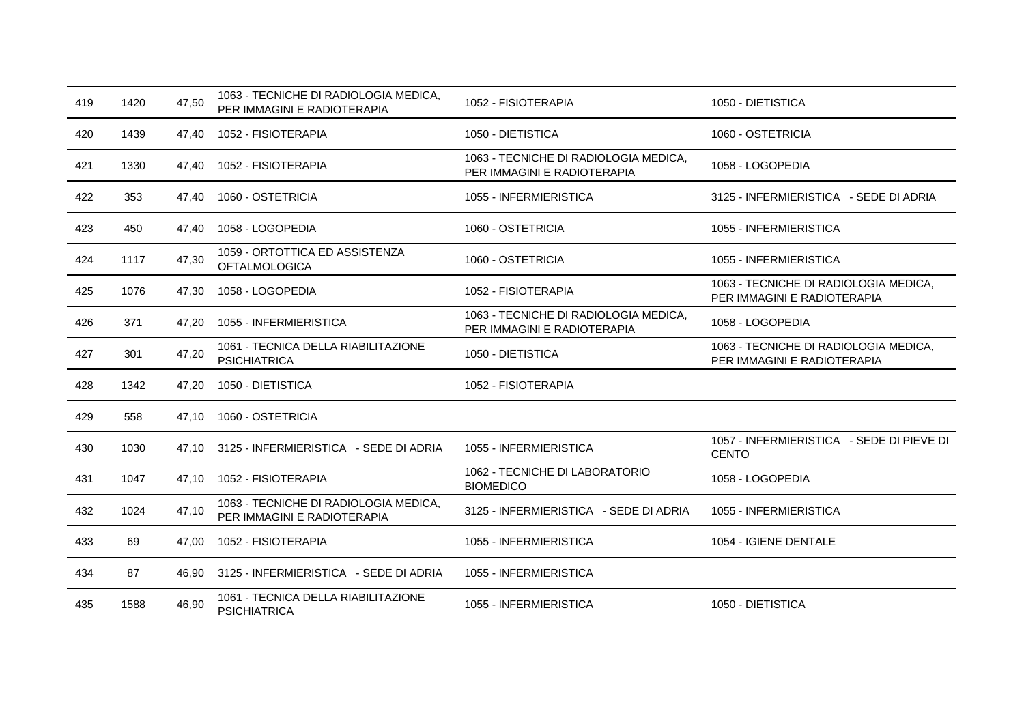| 419 | 1420 | 47,50 | 1063 - TECNICHE DI RADIOLOGIA MEDICA,<br>PER IMMAGINI E RADIOTERAPIA | 1052 - FISIOTERAPIA                                                  | 1050 - DIETISTICA                                                    |
|-----|------|-------|----------------------------------------------------------------------|----------------------------------------------------------------------|----------------------------------------------------------------------|
| 420 | 1439 | 47,40 | 1052 - FISIOTERAPIA                                                  | 1050 - DIETISTICA                                                    | 1060 - OSTETRICIA                                                    |
| 421 | 1330 | 47,40 | 1052 - FISIOTERAPIA                                                  | 1063 - TECNICHE DI RADIOLOGIA MEDICA,<br>PER IMMAGINI E RADIOTERAPIA | 1058 - LOGOPEDIA                                                     |
| 422 | 353  | 47.40 | 1060 - OSTETRICIA                                                    | 1055 - INFERMIERISTICA                                               | 3125 - INFERMIERISTICA - SEDE DI ADRIA                               |
| 423 | 450  | 47,40 | 1058 - LOGOPEDIA                                                     | 1060 - OSTETRICIA                                                    | 1055 - INFERMIERISTICA                                               |
| 424 | 1117 | 47,30 | 1059 - ORTOTTICA ED ASSISTENZA<br><b>OFTALMOLOGICA</b>               | 1060 - OSTETRICIA                                                    | 1055 - INFERMIERISTICA                                               |
| 425 | 1076 | 47,30 | 1058 - LOGOPEDIA                                                     | 1052 - FISIOTERAPIA                                                  | 1063 - TECNICHE DI RADIOLOGIA MEDICA,<br>PER IMMAGINI E RADIOTERAPIA |
| 426 | 371  | 47,20 | 1055 - INFERMIERISTICA                                               | 1063 - TECNICHE DI RADIOLOGIA MEDICA,<br>PER IMMAGINI E RADIOTERAPIA | 1058 - LOGOPEDIA                                                     |
| 427 | 301  | 47,20 | 1061 - TECNICA DELLA RIABILITAZIONE<br><b>PSICHIATRICA</b>           | 1050 - DIETISTICA                                                    | 1063 - TECNICHE DI RADIOLOGIA MEDICA,<br>PER IMMAGINI E RADIOTERAPIA |
| 428 | 1342 | 47,20 | 1050 - DIETISTICA                                                    | 1052 - FISIOTERAPIA                                                  |                                                                      |
| 429 | 558  | 47.10 | 1060 - OSTETRICIA                                                    |                                                                      |                                                                      |
| 430 | 1030 | 47.10 | 3125 - INFERMIERISTICA - SEDE DI ADRIA                               | 1055 - INFERMIERISTICA                                               | 1057 - INFERMIERISTICA - SEDE DI PIEVE DI<br><b>CENTO</b>            |
| 431 | 1047 | 47.10 | 1052 - FISIOTERAPIA                                                  | 1062 - TECNICHE DI LABORATORIO<br><b>BIOMEDICO</b>                   | 1058 - LOGOPEDIA                                                     |
| 432 | 1024 | 47,10 | 1063 - TECNICHE DI RADIOLOGIA MEDICA,<br>PER IMMAGINI E RADIOTERAPIA | 3125 - INFERMIERISTICA - SEDE DI ADRIA                               | 1055 - INFERMIERISTICA                                               |
| 433 | 69   | 47,00 | 1052 - FISIOTERAPIA                                                  | 1055 - INFERMIERISTICA                                               | 1054 - IGIENE DENTALE                                                |
| 434 | 87   | 46.90 | 3125 - INFERMIERISTICA - SEDE DI ADRIA                               | 1055 - INFERMIERISTICA                                               |                                                                      |
| 435 | 1588 | 46,90 | 1061 - TECNICA DELLA RIABILITAZIONE<br><b>PSICHIATRICA</b>           | 1055 - INFERMIERISTICA                                               | 1050 - DIETISTICA                                                    |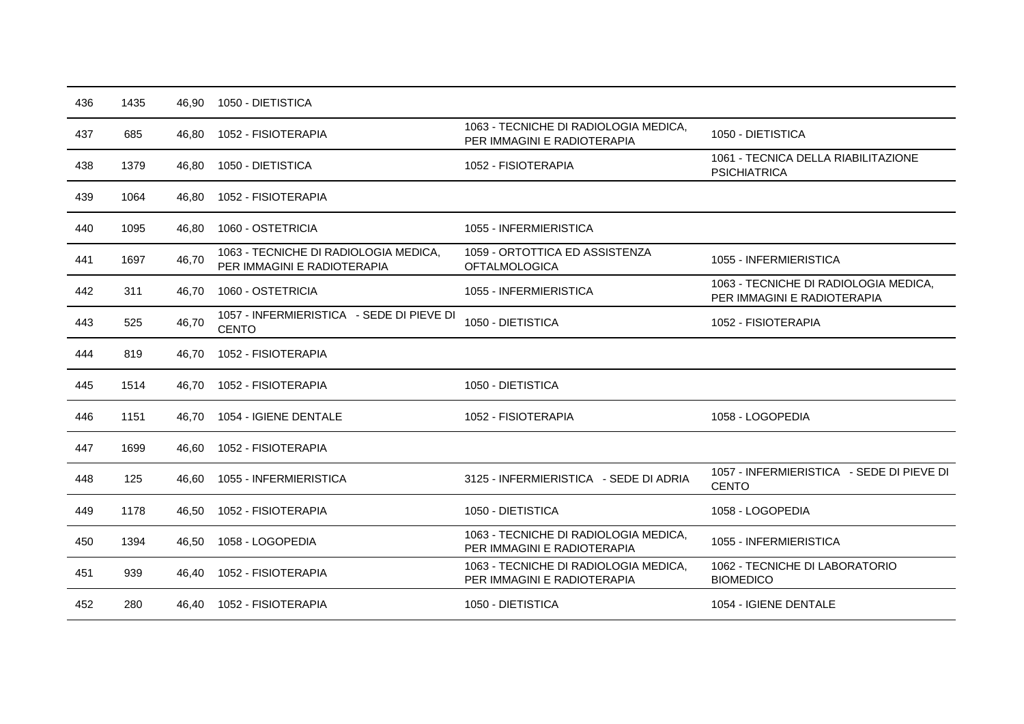| 436 | 1435 | 46,90 | 1050 - DIETISTICA                                                    |                                                                      |                                                                      |
|-----|------|-------|----------------------------------------------------------------------|----------------------------------------------------------------------|----------------------------------------------------------------------|
| 437 | 685  | 46,80 | 1052 - FISIOTERAPIA                                                  | 1063 - TECNICHE DI RADIOLOGIA MEDICA,<br>PER IMMAGINI E RADIOTERAPIA | 1050 - DIETISTICA                                                    |
| 438 | 1379 | 46,80 | 1050 - DIETISTICA                                                    | 1052 - FISIOTERAPIA                                                  | 1061 - TECNICA DELLA RIABILITAZIONE<br><b>PSICHIATRICA</b>           |
| 439 | 1064 | 46,80 | 1052 - FISIOTERAPIA                                                  |                                                                      |                                                                      |
| 440 | 1095 | 46,80 | 1060 - OSTETRICIA                                                    | 1055 - INFERMIERISTICA                                               |                                                                      |
| 441 | 1697 | 46,70 | 1063 - TECNICHE DI RADIOLOGIA MEDICA,<br>PER IMMAGINI E RADIOTERAPIA | 1059 - ORTOTTICA ED ASSISTENZA<br><b>OFTALMOLOGICA</b>               | 1055 - INFERMIERISTICA                                               |
| 442 | 311  | 46.70 | 1060 - OSTETRICIA                                                    | 1055 - INFERMIERISTICA                                               | 1063 - TECNICHE DI RADIOLOGIA MEDICA,<br>PER IMMAGINI E RADIOTERAPIA |
| 443 | 525  | 46,70 | 1057 - INFERMIERISTICA - SEDE DI PIEVE DI<br><b>CENTO</b>            | 1050 - DIETISTICA                                                    | 1052 - FISIOTERAPIA                                                  |
| 444 | 819  | 46,70 | 1052 - FISIOTERAPIA                                                  |                                                                      |                                                                      |
| 445 | 1514 | 46,70 | 1052 - FISIOTERAPIA                                                  | 1050 - DIETISTICA                                                    |                                                                      |
| 446 | 1151 | 46.70 | 1054 - IGIENE DENTALE                                                | 1052 - FISIOTERAPIA                                                  | 1058 - LOGOPEDIA                                                     |
| 447 | 1699 | 46,60 | 1052 - FISIOTERAPIA                                                  |                                                                      |                                                                      |
| 448 | 125  | 46,60 | 1055 - INFERMIERISTICA                                               | 3125 - INFERMIERISTICA - SEDE DI ADRIA                               | 1057 - INFERMIERISTICA - SEDE DI PIEVE DI<br><b>CENTO</b>            |
| 449 | 1178 | 46.50 | 1052 - FISIOTERAPIA                                                  | 1050 - DIETISTICA                                                    | 1058 - LOGOPEDIA                                                     |
| 450 | 1394 | 46,50 | 1058 - LOGOPEDIA                                                     | 1063 - TECNICHE DI RADIOLOGIA MEDICA,<br>PER IMMAGINI E RADIOTERAPIA | 1055 - INFERMIERISTICA                                               |
| 451 | 939  | 46,40 | 1052 - FISIOTERAPIA                                                  | 1063 - TECNICHE DI RADIOLOGIA MEDICA,<br>PER IMMAGINI E RADIOTERAPIA | 1062 - TECNICHE DI LABORATORIO<br><b>BIOMEDICO</b>                   |
| 452 | 280  | 46.40 | 1052 - FISIOTERAPIA                                                  | 1050 - DIETISTICA                                                    | 1054 - IGIENE DENTALE                                                |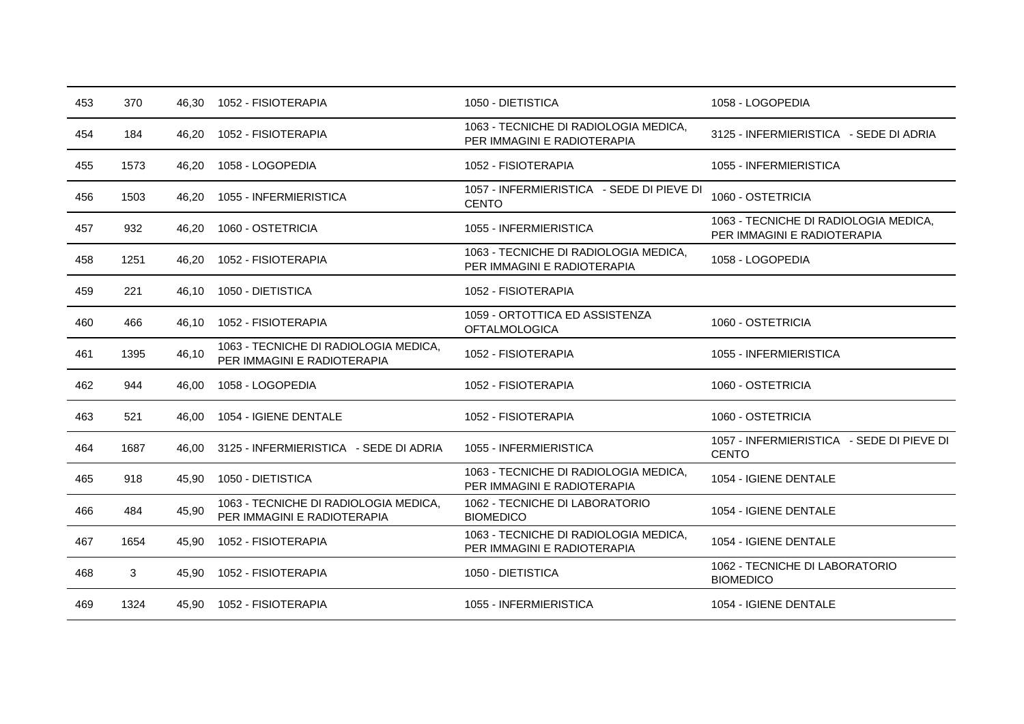| 453 | 370  | 46,30 | 1052 - FISIOTERAPIA                                                  | 1050 - DIETISTICA                                                    | 1058 - LOGOPEDIA                                                     |
|-----|------|-------|----------------------------------------------------------------------|----------------------------------------------------------------------|----------------------------------------------------------------------|
| 454 | 184  | 46,20 | 1052 - FISIOTERAPIA                                                  | 1063 - TECNICHE DI RADIOLOGIA MEDICA,<br>PER IMMAGINI E RADIOTERAPIA | 3125 - INFERMIERISTICA - SEDE DI ADRIA                               |
| 455 | 1573 | 46,20 | 1058 - LOGOPEDIA                                                     | 1052 - FISIOTERAPIA                                                  | 1055 - INFERMIERISTICA                                               |
| 456 | 1503 | 46,20 | 1055 - INFERMIERISTICA                                               | 1057 - INFERMIERISTICA - SEDE DI PIEVE DI<br><b>CENTO</b>            | 1060 - OSTETRICIA                                                    |
| 457 | 932  | 46,20 | 1060 - OSTETRICIA                                                    | 1055 - INFERMIERISTICA                                               | 1063 - TECNICHE DI RADIOLOGIA MEDICA,<br>PER IMMAGINI E RADIOTERAPIA |
| 458 | 1251 | 46.20 | 1052 - FISIOTERAPIA                                                  | 1063 - TECNICHE DI RADIOLOGIA MEDICA,<br>PER IMMAGINI E RADIOTERAPIA | 1058 - LOGOPEDIA                                                     |
| 459 | 221  | 46,10 | 1050 - DIETISTICA                                                    | 1052 - FISIOTERAPIA                                                  |                                                                      |
| 460 | 466  | 46.10 | 1052 - FISIOTERAPIA                                                  | 1059 - ORTOTTICA ED ASSISTENZA<br><b>OFTALMOLOGICA</b>               | 1060 - OSTETRICIA                                                    |
| 461 | 1395 | 46,10 | 1063 - TECNICHE DI RADIOLOGIA MEDICA,<br>PER IMMAGINI E RADIOTERAPIA | 1052 - FISIOTERAPIA                                                  | 1055 - INFERMIERISTICA                                               |
| 462 | 944  | 46.00 | 1058 - LOGOPEDIA                                                     | 1052 - FISIOTERAPIA                                                  | 1060 - OSTETRICIA                                                    |
| 463 | 521  | 46.00 | 1054 - IGIENE DENTALE                                                | 1052 - FISIOTERAPIA                                                  | 1060 - OSTETRICIA                                                    |
| 464 | 1687 | 46.00 | 3125 - INFERMIERISTICA - SEDE DI ADRIA                               | 1055 - INFERMIERISTICA                                               | 1057 - INFERMIERISTICA - SEDE DI PIEVE DI<br><b>CENTO</b>            |
| 465 | 918  | 45,90 | 1050 - DIETISTICA                                                    | 1063 - TECNICHE DI RADIOLOGIA MEDICA,<br>PER IMMAGINI E RADIOTERAPIA | 1054 - IGIENE DENTALE                                                |
| 466 | 484  | 45,90 | 1063 - TECNICHE DI RADIOLOGIA MEDICA,<br>PER IMMAGINI E RADIOTERAPIA | 1062 - TECNICHE DI LABORATORIO<br><b>BIOMEDICO</b>                   | 1054 - IGIENE DENTALE                                                |
| 467 | 1654 | 45,90 | 1052 - FISIOTERAPIA                                                  | 1063 - TECNICHE DI RADIOLOGIA MEDICA,<br>PER IMMAGINI E RADIOTERAPIA | 1054 - IGIENE DENTALE                                                |
| 468 | 3    | 45,90 | 1052 - FISIOTERAPIA                                                  | 1050 - DIETISTICA                                                    | 1062 - TECNICHE DI LABORATORIO<br><b>BIOMEDICO</b>                   |
| 469 | 1324 | 45.90 | 1052 - FISIOTERAPIA                                                  | 1055 - INFERMIERISTICA                                               | 1054 - IGIENE DENTALE                                                |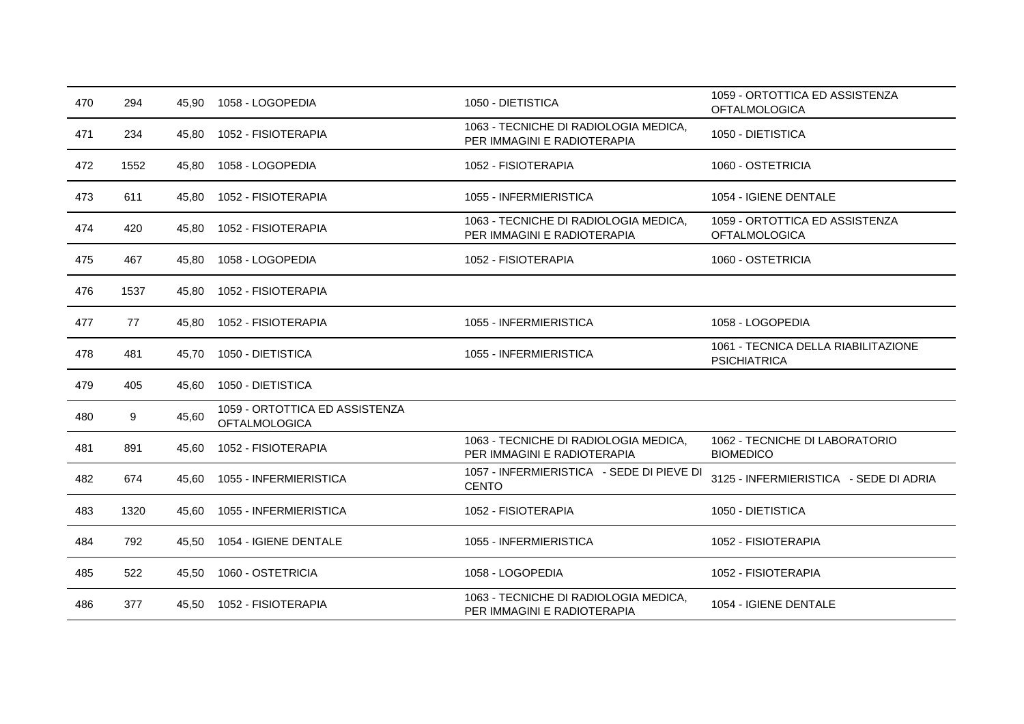| 470 | 294  | 45.90 | 1058 - LOGOPEDIA                                       | 1050 - DIETISTICA                                                    | 1059 - ORTOTTICA ED ASSISTENZA<br><b>OFTALMOLOGICA</b>     |
|-----|------|-------|--------------------------------------------------------|----------------------------------------------------------------------|------------------------------------------------------------|
| 471 | 234  | 45,80 | 1052 - FISIOTERAPIA                                    | 1063 - TECNICHE DI RADIOLOGIA MEDICA,<br>PER IMMAGINI E RADIOTERAPIA | 1050 - DIETISTICA                                          |
| 472 | 1552 | 45,80 | 1058 - LOGOPEDIA                                       | 1052 - FISIOTERAPIA                                                  | 1060 - OSTETRICIA                                          |
| 473 | 611  | 45,80 | 1052 - FISIOTERAPIA                                    | 1055 - INFERMIERISTICA                                               | 1054 - IGIENE DENTALE                                      |
| 474 | 420  | 45.80 | 1052 - FISIOTERAPIA                                    | 1063 - TECNICHE DI RADIOLOGIA MEDICA,<br>PER IMMAGINI E RADIOTERAPIA | 1059 - ORTOTTICA ED ASSISTENZA<br><b>OFTALMOLOGICA</b>     |
| 475 | 467  | 45,80 | 1058 - LOGOPEDIA                                       | 1052 - FISIOTERAPIA                                                  | 1060 - OSTETRICIA                                          |
| 476 | 1537 | 45,80 | 1052 - FISIOTERAPIA                                    |                                                                      |                                                            |
| 477 | 77   | 45.80 | 1052 - FISIOTERAPIA                                    | 1055 - INFERMIERISTICA                                               | 1058 - LOGOPEDIA                                           |
| 478 | 481  | 45,70 | 1050 - DIETISTICA                                      | 1055 - INFERMIERISTICA                                               | 1061 - TECNICA DELLA RIABILITAZIONE<br><b>PSICHIATRICA</b> |
| 479 | 405  | 45,60 | 1050 - DIETISTICA                                      |                                                                      |                                                            |
| 480 | 9    | 45,60 | 1059 - ORTOTTICA ED ASSISTENZA<br><b>OFTALMOLOGICA</b> |                                                                      |                                                            |
| 481 | 891  | 45,60 | 1052 - FISIOTERAPIA                                    | 1063 - TECNICHE DI RADIOLOGIA MEDICA,<br>PER IMMAGINI E RADIOTERAPIA | 1062 - TECNICHE DI LABORATORIO<br><b>BIOMEDICO</b>         |
| 482 | 674  | 45.60 | 1055 - INFERMIERISTICA                                 | 1057 - INFERMIERISTICA - SEDE DI PIEVE DI<br><b>CENTO</b>            | 3125 - INFERMIERISTICA - SEDE DI ADRIA                     |
| 483 | 1320 | 45.60 | 1055 - INFERMIERISTICA                                 | 1052 - FISIOTERAPIA                                                  | 1050 - DIETISTICA                                          |
| 484 | 792  | 45,50 | 1054 - IGIENE DENTALE                                  | 1055 - INFERMIERISTICA                                               | 1052 - FISIOTERAPIA                                        |
| 485 | 522  | 45.50 | 1060 - OSTETRICIA                                      | 1058 - LOGOPEDIA                                                     | 1052 - FISIOTERAPIA                                        |
| 486 | 377  | 45,50 | 1052 - FISIOTERAPIA                                    | 1063 - TECNICHE DI RADIOLOGIA MEDICA,<br>PER IMMAGINI E RADIOTERAPIA | 1054 - IGIENE DENTALE                                      |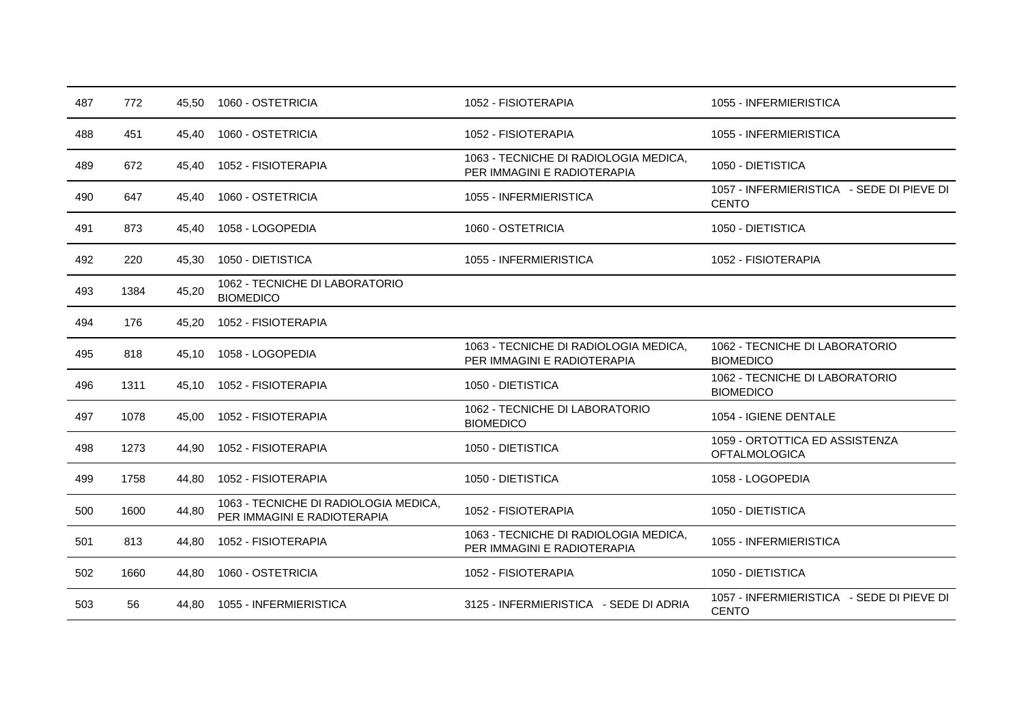| 487 | 772  | 45,50 | 1060 - OSTETRICIA                                                    | 1052 - FISIOTERAPIA                                                  | 1055 - INFERMIERISTICA                                    |
|-----|------|-------|----------------------------------------------------------------------|----------------------------------------------------------------------|-----------------------------------------------------------|
| 488 | 451  | 45,40 | 1060 - OSTETRICIA                                                    | 1052 - FISIOTERAPIA                                                  | 1055 - INFERMIERISTICA                                    |
| 489 | 672  | 45,40 | 1052 - FISIOTERAPIA                                                  | 1063 - TECNICHE DI RADIOLOGIA MEDICA,<br>PER IMMAGINI E RADIOTERAPIA | 1050 - DIETISTICA                                         |
| 490 | 647  | 45,40 | 1060 - OSTETRICIA                                                    | 1055 - INFERMIERISTICA                                               | 1057 - INFERMIERISTICA - SEDE DI PIEVE DI<br><b>CENTO</b> |
| 491 | 873  | 45,40 | 1058 - LOGOPEDIA                                                     | 1060 - OSTETRICIA                                                    | 1050 - DIETISTICA                                         |
| 492 | 220  | 45,30 | 1050 - DIETISTICA                                                    | 1055 - INFERMIERISTICA                                               | 1052 - FISIOTERAPIA                                       |
| 493 | 1384 | 45,20 | 1062 - TECNICHE DI LABORATORIO<br><b>BIOMEDICO</b>                   |                                                                      |                                                           |
| 494 | 176  | 45,20 | 1052 - FISIOTERAPIA                                                  |                                                                      |                                                           |
| 495 | 818  | 45,10 | 1058 - LOGOPEDIA                                                     | 1063 - TECNICHE DI RADIOLOGIA MEDICA,<br>PER IMMAGINI E RADIOTERAPIA | 1062 - TECNICHE DI LABORATORIO<br><b>BIOMEDICO</b>        |
| 496 | 1311 | 45.10 | 1052 - FISIOTERAPIA                                                  | 1050 - DIETISTICA                                                    | 1062 - TECNICHE DI LABORATORIO<br><b>BIOMEDICO</b>        |
| 497 | 1078 | 45.00 | 1052 - FISIOTERAPIA                                                  | 1062 - TECNICHE DI LABORATORIO<br><b>BIOMEDICO</b>                   | 1054 - IGIENE DENTALE                                     |
| 498 | 1273 | 44,90 | 1052 - FISIOTERAPIA                                                  | 1050 - DIETISTICA                                                    | 1059 - ORTOTTICA ED ASSISTENZA<br><b>OFTALMOLOGICA</b>    |
| 499 | 1758 | 44.80 | 1052 - FISIOTERAPIA                                                  | 1050 - DIETISTICA                                                    | 1058 - LOGOPEDIA                                          |
| 500 | 1600 | 44,80 | 1063 - TECNICHE DI RADIOLOGIA MEDICA,<br>PER IMMAGINI E RADIOTERAPIA | 1052 - FISIOTERAPIA                                                  | 1050 - DIETISTICA                                         |
| 501 | 813  | 44,80 | 1052 - FISIOTERAPIA                                                  | 1063 - TECNICHE DI RADIOLOGIA MEDICA,<br>PER IMMAGINI E RADIOTERAPIA | 1055 - INFERMIERISTICA                                    |
| 502 | 1660 | 44,80 | 1060 - OSTETRICIA                                                    | 1052 - FISIOTERAPIA                                                  | 1050 - DIETISTICA                                         |
| 503 | 56   | 44.80 | 1055 - INFERMIERISTICA                                               | 3125 - INFERMIERISTICA - SEDE DI ADRIA                               | 1057 - INFERMIERISTICA - SEDE DI PIEVE DI<br><b>CENTO</b> |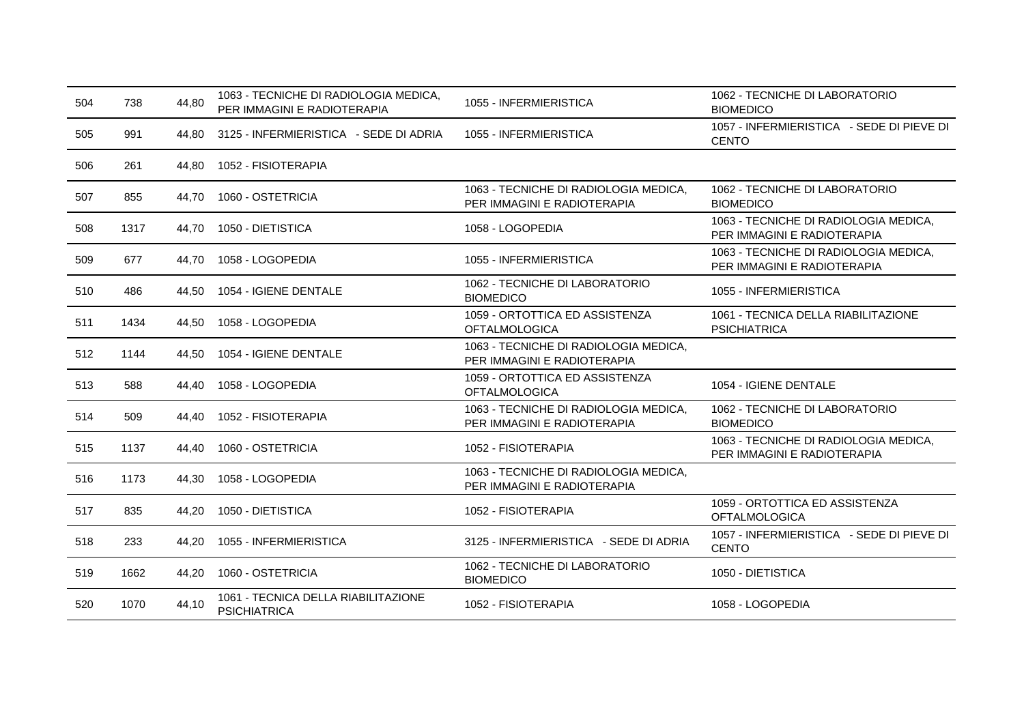| 504 | 738  | 44,80 | 1063 - TECNICHE DI RADIOLOGIA MEDICA,<br>PER IMMAGINI E RADIOTERAPIA | 1055 - INFERMIERISTICA                                               | 1062 - TECNICHE DI LABORATORIO<br><b>BIOMEDICO</b>                   |
|-----|------|-------|----------------------------------------------------------------------|----------------------------------------------------------------------|----------------------------------------------------------------------|
| 505 | 991  | 44.80 | 3125 - INFERMIERISTICA - SEDE DI ADRIA                               | 1055 - INFERMIERISTICA                                               | 1057 - INFERMIERISTICA - SEDE DI PIEVE DI<br><b>CENTO</b>            |
| 506 | 261  | 44.80 | 1052 - FISIOTERAPIA                                                  |                                                                      |                                                                      |
| 507 | 855  | 44.70 | 1060 - OSTETRICIA                                                    | 1063 - TECNICHE DI RADIOLOGIA MEDICA,<br>PER IMMAGINI E RADIOTERAPIA | 1062 - TECNICHE DI LABORATORIO<br><b>BIOMEDICO</b>                   |
| 508 | 1317 | 44.70 | 1050 - DIETISTICA                                                    | 1058 - LOGOPEDIA                                                     | 1063 - TECNICHE DI RADIOLOGIA MEDICA,<br>PER IMMAGINI E RADIOTERAPIA |
| 509 | 677  | 44.70 | 1058 - LOGOPEDIA                                                     | 1055 - INFERMIERISTICA                                               | 1063 - TECNICHE DI RADIOLOGIA MEDICA.<br>PER IMMAGINI E RADIOTERAPIA |
| 510 | 486  | 44.50 | 1054 - IGIENE DENTALE                                                | 1062 - TECNICHE DI LABORATORIO<br><b>BIOMEDICO</b>                   | 1055 - INFERMIERISTICA                                               |
| 511 | 1434 | 44,50 | 1058 - LOGOPEDIA                                                     | 1059 - ORTOTTICA ED ASSISTENZA<br><b>OFTALMOLOGICA</b>               | 1061 - TECNICA DELLA RIABILITAZIONE<br><b>PSICHIATRICA</b>           |
| 512 | 1144 | 44,50 | 1054 - IGIENE DENTALE                                                | 1063 - TECNICHE DI RADIOLOGIA MEDICA,<br>PER IMMAGINI E RADIOTERAPIA |                                                                      |
| 513 | 588  | 44.40 | 1058 - LOGOPEDIA                                                     | 1059 - ORTOTTICA ED ASSISTENZA<br><b>OFTALMOLOGICA</b>               | 1054 - IGIENE DENTALE                                                |
| 514 | 509  | 44.40 | 1052 - FISIOTERAPIA                                                  | 1063 - TECNICHE DI RADIOLOGIA MEDICA,<br>PER IMMAGINI E RADIOTERAPIA | 1062 - TECNICHE DI LABORATORIO<br><b>BIOMEDICO</b>                   |
| 515 | 1137 | 44,40 | 1060 - OSTETRICIA                                                    | 1052 - FISIOTERAPIA                                                  | 1063 - TECNICHE DI RADIOLOGIA MEDICA,<br>PER IMMAGINI E RADIOTERAPIA |
| 516 | 1173 | 44,30 | 1058 - LOGOPEDIA                                                     | 1063 - TECNICHE DI RADIOLOGIA MEDICA,<br>PER IMMAGINI E RADIOTERAPIA |                                                                      |
| 517 | 835  | 44,20 | 1050 - DIETISTICA                                                    | 1052 - FISIOTERAPIA                                                  | 1059 - ORTOTTICA ED ASSISTENZA<br><b>OFTALMOLOGICA</b>               |
| 518 | 233  | 44,20 | 1055 - INFERMIERISTICA                                               | 3125 - INFERMIERISTICA - SEDE DI ADRIA                               | 1057 - INFERMIERISTICA - SEDE DI PIEVE DI<br><b>CENTO</b>            |
| 519 | 1662 | 44,20 | 1060 - OSTETRICIA                                                    | 1062 - TECNICHE DI LABORATORIO<br><b>BIOMEDICO</b>                   | 1050 - DIETISTICA                                                    |
| 520 | 1070 | 44,10 | 1061 - TECNICA DELLA RIABILITAZIONE<br><b>PSICHIATRICA</b>           | 1052 - FISIOTERAPIA                                                  | 1058 - LOGOPEDIA                                                     |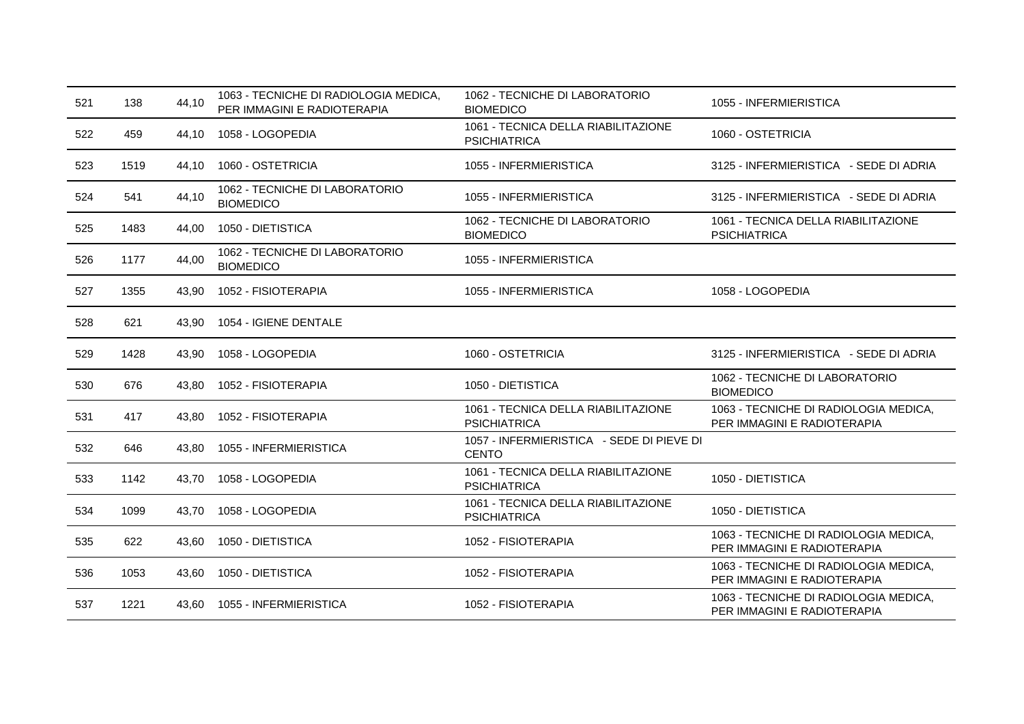| 521 | 138  | 44,10 | 1063 - TECNICHE DI RADIOLOGIA MEDICA,<br>PER IMMAGINI E RADIOTERAPIA | 1062 - TECNICHE DI LABORATORIO<br><b>BIOMEDICO</b>         | 1055 - INFERMIERISTICA                                               |
|-----|------|-------|----------------------------------------------------------------------|------------------------------------------------------------|----------------------------------------------------------------------|
| 522 | 459  | 44,10 | 1058 - LOGOPEDIA                                                     | 1061 - TECNICA DELLA RIABILITAZIONE<br><b>PSICHIATRICA</b> | 1060 - OSTETRICIA                                                    |
| 523 | 1519 | 44.10 | 1060 - OSTETRICIA                                                    | 1055 - INFERMIERISTICA                                     | 3125 - INFERMIERISTICA - SEDE DI ADRIA                               |
| 524 | 541  | 44,10 | 1062 - TECNICHE DI LABORATORIO<br><b>BIOMEDICO</b>                   | 1055 - INFERMIERISTICA                                     | 3125 - INFERMIERISTICA - SEDE DI ADRIA                               |
| 525 | 1483 | 44,00 | 1050 - DIETISTICA                                                    | 1062 - TECNICHE DI LABORATORIO<br><b>BIOMEDICO</b>         | 1061 - TECNICA DELLA RIABILITAZIONE<br><b>PSICHIATRICA</b>           |
| 526 | 1177 | 44,00 | 1062 - TECNICHE DI LABORATORIO<br><b>BIOMEDICO</b>                   | 1055 - INFERMIERISTICA                                     |                                                                      |
| 527 | 1355 | 43,90 | 1052 - FISIOTERAPIA                                                  | 1055 - INFERMIERISTICA                                     | 1058 - LOGOPEDIA                                                     |
| 528 | 621  | 43,90 | 1054 - IGIENE DENTALE                                                |                                                            |                                                                      |
| 529 | 1428 | 43.90 | 1058 - LOGOPEDIA                                                     | 1060 - OSTETRICIA                                          | 3125 - INFERMIERISTICA - SEDE DI ADRIA                               |
| 530 | 676  | 43.80 | 1052 - FISIOTERAPIA                                                  | 1050 - DIETISTICA                                          | 1062 - TECNICHE DI LABORATORIO<br><b>BIOMEDICO</b>                   |
| 531 | 417  | 43,80 | 1052 - FISIOTERAPIA                                                  | 1061 - TECNICA DELLA RIABILITAZIONE<br><b>PSICHIATRICA</b> | 1063 - TECNICHE DI RADIOLOGIA MEDICA,<br>PER IMMAGINI E RADIOTERAPIA |
| 532 | 646  | 43,80 | 1055 - INFERMIERISTICA                                               | 1057 - INFERMIERISTICA - SEDE DI PIEVE DI<br><b>CENTO</b>  |                                                                      |
| 533 | 1142 | 43,70 | 1058 - LOGOPEDIA                                                     | 1061 - TECNICA DELLA RIABILITAZIONE<br><b>PSICHIATRICA</b> | 1050 - DIETISTICA                                                    |
| 534 | 1099 | 43,70 | 1058 - LOGOPEDIA                                                     | 1061 - TECNICA DELLA RIABILITAZIONE<br><b>PSICHIATRICA</b> | 1050 - DIETISTICA                                                    |
| 535 | 622  | 43,60 | 1050 - DIETISTICA                                                    | 1052 - FISIOTERAPIA                                        | 1063 - TECNICHE DI RADIOLOGIA MEDICA,<br>PER IMMAGINI E RADIOTERAPIA |
| 536 | 1053 | 43,60 | 1050 - DIETISTICA                                                    | 1052 - FISIOTERAPIA                                        | 1063 - TECNICHE DI RADIOLOGIA MEDICA.<br>PER IMMAGINI E RADIOTERAPIA |
| 537 | 1221 |       | 43,60 1055 - INFERMIERISTICA                                         | 1052 - FISIOTERAPIA                                        | 1063 - TECNICHE DI RADIOLOGIA MEDICA,<br>PER IMMAGINI E RADIOTERAPIA |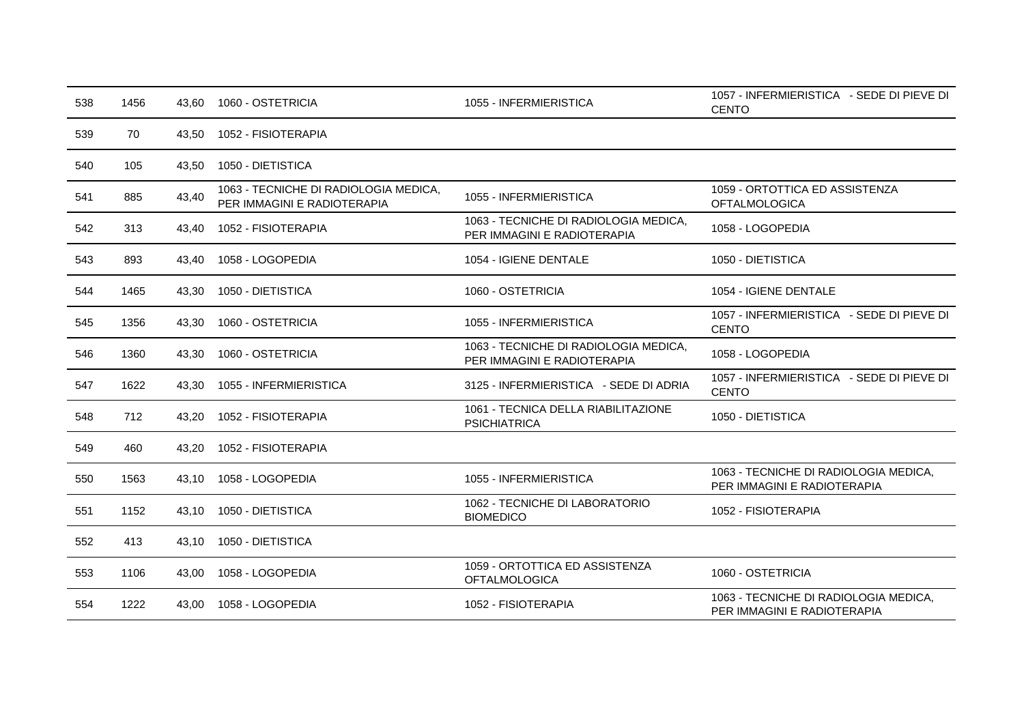| 538 | 1456 | 43,60 | 1060 - OSTETRICIA                                                    | 1055 - INFERMIERISTICA                                               | 1057 - INFERMIERISTICA - SEDE DI PIEVE DI<br><b>CENTO</b>            |
|-----|------|-------|----------------------------------------------------------------------|----------------------------------------------------------------------|----------------------------------------------------------------------|
| 539 | 70   | 43,50 | 1052 - FISIOTERAPIA                                                  |                                                                      |                                                                      |
| 540 | 105  | 43,50 | 1050 - DIETISTICA                                                    |                                                                      |                                                                      |
| 541 | 885  | 43,40 | 1063 - TECNICHE DI RADIOLOGIA MEDICA,<br>PER IMMAGINI E RADIOTERAPIA | 1055 - INFERMIERISTICA                                               | 1059 - ORTOTTICA ED ASSISTENZA<br><b>OFTALMOLOGICA</b>               |
| 542 | 313  | 43,40 | 1052 - FISIOTERAPIA                                                  | 1063 - TECNICHE DI RADIOLOGIA MEDICA,<br>PER IMMAGINI E RADIOTERAPIA | 1058 - LOGOPEDIA                                                     |
| 543 | 893  | 43,40 | 1058 - LOGOPEDIA                                                     | 1054 - IGIENE DENTALE                                                | 1050 - DIETISTICA                                                    |
| 544 | 1465 | 43,30 | 1050 - DIETISTICA                                                    | 1060 - OSTETRICIA                                                    | 1054 - IGIENE DENTALE                                                |
| 545 | 1356 | 43,30 | 1060 - OSTETRICIA                                                    | 1055 - INFERMIERISTICA                                               | 1057 - INFERMIERISTICA - SEDE DI PIEVE DI<br><b>CENTO</b>            |
| 546 | 1360 | 43,30 | 1060 - OSTETRICIA                                                    | 1063 - TECNICHE DI RADIOLOGIA MEDICA,<br>PER IMMAGINI E RADIOTERAPIA | 1058 - LOGOPEDIA                                                     |
| 547 | 1622 | 43.30 | 1055 - INFERMIERISTICA                                               | 3125 - INFERMIERISTICA - SEDE DI ADRIA                               | 1057 - INFERMIERISTICA - SEDE DI PIEVE DI<br><b>CENTO</b>            |
| 548 | 712  | 43,20 | 1052 - FISIOTERAPIA                                                  | 1061 - TECNICA DELLA RIABILITAZIONE<br><b>PSICHIATRICA</b>           | 1050 - DIETISTICA                                                    |
| 549 | 460  | 43,20 | 1052 - FISIOTERAPIA                                                  |                                                                      |                                                                      |
| 550 | 1563 | 43,10 | 1058 - LOGOPEDIA                                                     | 1055 - INFERMIERISTICA                                               | 1063 - TECNICHE DI RADIOLOGIA MEDICA,<br>PER IMMAGINI E RADIOTERAPIA |
| 551 | 1152 | 43,10 | 1050 - DIETISTICA                                                    | 1062 - TECNICHE DI LABORATORIO<br><b>BIOMEDICO</b>                   | 1052 - FISIOTERAPIA                                                  |
| 552 | 413  | 43,10 | 1050 - DIETISTICA                                                    |                                                                      |                                                                      |
| 553 | 1106 | 43,00 | 1058 - LOGOPEDIA                                                     | 1059 - ORTOTTICA ED ASSISTENZA<br><b>OFTALMOLOGICA</b>               | 1060 - OSTETRICIA                                                    |
| 554 | 1222 | 43,00 | 1058 - LOGOPEDIA                                                     | 1052 - FISIOTERAPIA                                                  | 1063 - TECNICHE DI RADIOLOGIA MEDICA,<br>PER IMMAGINI E RADIOTERAPIA |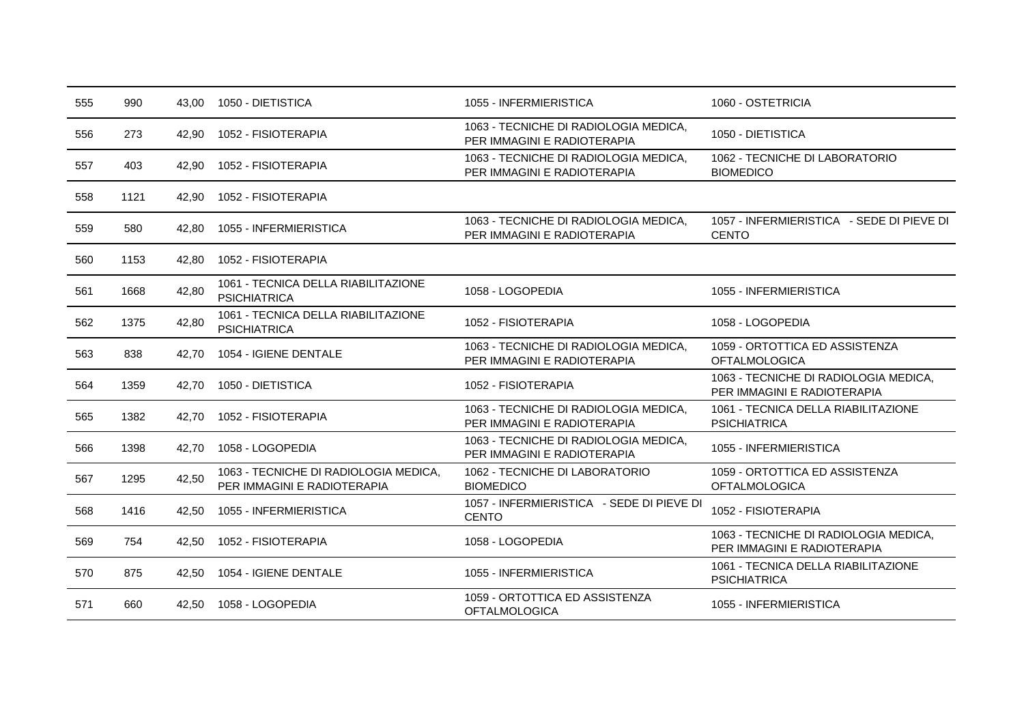| 555 | 990  | 43,00 | 1050 - DIETISTICA                                                    | 1055 - INFERMIERISTICA                                               | 1060 - OSTETRICIA                                                    |
|-----|------|-------|----------------------------------------------------------------------|----------------------------------------------------------------------|----------------------------------------------------------------------|
| 556 | 273  | 42.90 | 1052 - FISIOTERAPIA                                                  | 1063 - TECNICHE DI RADIOLOGIA MEDICA,<br>PER IMMAGINI E RADIOTERAPIA | 1050 - DIETISTICA                                                    |
| 557 | 403  | 42.90 | 1052 - FISIOTERAPIA                                                  | 1063 - TECNICHE DI RADIOLOGIA MEDICA,<br>PER IMMAGINI E RADIOTERAPIA | 1062 - TECNICHE DI LABORATORIO<br><b>BIOMEDICO</b>                   |
| 558 | 1121 | 42,90 | 1052 - FISIOTERAPIA                                                  |                                                                      |                                                                      |
| 559 | 580  | 42,80 | 1055 - INFERMIERISTICA                                               | 1063 - TECNICHE DI RADIOLOGIA MEDICA,<br>PER IMMAGINI E RADIOTERAPIA | 1057 - INFERMIERISTICA - SEDE DI PIEVE DI<br><b>CENTO</b>            |
| 560 | 1153 | 42,80 | 1052 - FISIOTERAPIA                                                  |                                                                      |                                                                      |
| 561 | 1668 | 42,80 | 1061 - TECNICA DELLA RIABILITAZIONE<br><b>PSICHIATRICA</b>           | 1058 - LOGOPEDIA                                                     | 1055 - INFERMIERISTICA                                               |
| 562 | 1375 | 42,80 | 1061 - TECNICA DELLA RIABILITAZIONE<br><b>PSICHIATRICA</b>           | 1052 - FISIOTERAPIA                                                  | 1058 - LOGOPEDIA                                                     |
| 563 | 838  | 42,70 | 1054 - IGIENE DENTALE                                                | 1063 - TECNICHE DI RADIOLOGIA MEDICA,<br>PER IMMAGINI E RADIOTERAPIA | 1059 - ORTOTTICA ED ASSISTENZA<br><b>OFTALMOLOGICA</b>               |
| 564 | 1359 | 42.70 | 1050 - DIETISTICA                                                    | 1052 - FISIOTERAPIA                                                  | 1063 - TECNICHE DI RADIOLOGIA MEDICA,<br>PER IMMAGINI E RADIOTERAPIA |
| 565 | 1382 | 42.70 | 1052 - FISIOTERAPIA                                                  | 1063 - TECNICHE DI RADIOLOGIA MEDICA,<br>PER IMMAGINI E RADIOTERAPIA | 1061 - TECNICA DELLA RIABILITAZIONE<br><b>PSICHIATRICA</b>           |
| 566 | 1398 | 42.70 | 1058 - LOGOPEDIA                                                     | 1063 - TECNICHE DI RADIOLOGIA MEDICA,<br>PER IMMAGINI E RADIOTERAPIA | 1055 - INFERMIERISTICA                                               |
| 567 | 1295 | 42,50 | 1063 - TECNICHE DI RADIOLOGIA MEDICA,<br>PER IMMAGINI E RADIOTERAPIA | 1062 - TECNICHE DI LABORATORIO<br><b>BIOMEDICO</b>                   | 1059 - ORTOTTICA ED ASSISTENZA<br><b>OFTALMOLOGICA</b>               |
| 568 | 1416 | 42,50 | 1055 - INFERMIERISTICA                                               | 1057 - INFERMIERISTICA - SEDE DI PIEVE DI<br><b>CENTO</b>            | 1052 - FISIOTERAPIA                                                  |
| 569 | 754  | 42,50 | 1052 - FISIOTERAPIA                                                  | 1058 - LOGOPEDIA                                                     | 1063 - TECNICHE DI RADIOLOGIA MEDICA,<br>PER IMMAGINI E RADIOTERAPIA |
| 570 | 875  |       | 42.50 1054 - IGIENE DENTALE                                          | 1055 - INFERMIERISTICA                                               | 1061 - TECNICA DELLA RIABILITAZIONE<br><b>PSICHIATRICA</b>           |
| 571 | 660  | 42.50 | 1058 - LOGOPEDIA                                                     | 1059 - ORTOTTICA ED ASSISTENZA<br><b>OFTALMOLOGICA</b>               | 1055 - INFERMIERISTICA                                               |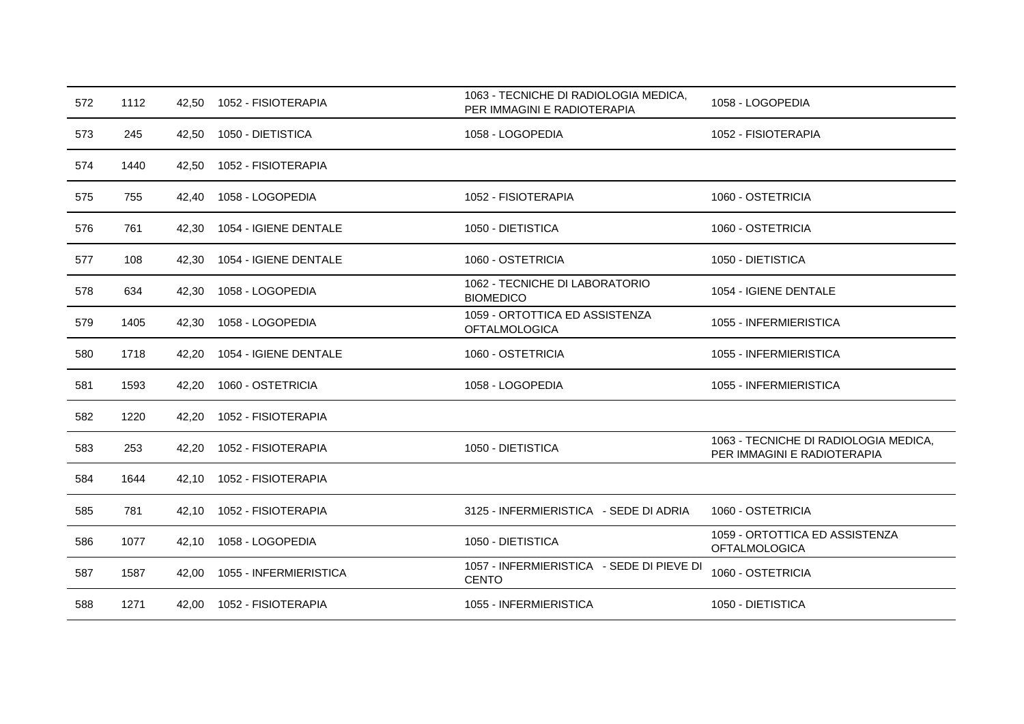| 572 | 1112 | 42,50 | 1052 - FISIOTERAPIA    | 1063 - TECNICHE DI RADIOLOGIA MEDICA,<br>PER IMMAGINI E RADIOTERAPIA | 1058 - LOGOPEDIA                                                     |
|-----|------|-------|------------------------|----------------------------------------------------------------------|----------------------------------------------------------------------|
| 573 | 245  | 42,50 | 1050 - DIETISTICA      | 1058 - LOGOPEDIA                                                     | 1052 - FISIOTERAPIA                                                  |
| 574 | 1440 | 42,50 | 1052 - FISIOTERAPIA    |                                                                      |                                                                      |
| 575 | 755  | 42,40 | 1058 - LOGOPEDIA       | 1052 - FISIOTERAPIA                                                  | 1060 - OSTETRICIA                                                    |
| 576 | 761  | 42,30 | 1054 - IGIENE DENTALE  | 1050 - DIETISTICA                                                    | 1060 - OSTETRICIA                                                    |
| 577 | 108  | 42.30 | 1054 - IGIENE DENTALE  | 1060 - OSTETRICIA                                                    | 1050 - DIETISTICA                                                    |
| 578 | 634  | 42,30 | 1058 - LOGOPEDIA       | 1062 - TECNICHE DI LABORATORIO<br><b>BIOMEDICO</b>                   | 1054 - IGIENE DENTALE                                                |
| 579 | 1405 | 42,30 | 1058 - LOGOPEDIA       | 1059 - ORTOTTICA ED ASSISTENZA<br><b>OFTALMOLOGICA</b>               | 1055 - INFERMIERISTICA                                               |
| 580 | 1718 | 42.20 | 1054 - IGIENE DENTALE  | 1060 - OSTETRICIA                                                    | 1055 - INFERMIERISTICA                                               |
| 581 | 1593 | 42,20 | 1060 - OSTETRICIA      | 1058 - LOGOPEDIA                                                     | 1055 - INFERMIERISTICA                                               |
| 582 | 1220 | 42,20 | 1052 - FISIOTERAPIA    |                                                                      |                                                                      |
| 583 | 253  | 42,20 | 1052 - FISIOTERAPIA    | 1050 - DIETISTICA                                                    | 1063 - TECNICHE DI RADIOLOGIA MEDICA,<br>PER IMMAGINI E RADIOTERAPIA |
| 584 | 1644 | 42,10 | 1052 - FISIOTERAPIA    |                                                                      |                                                                      |
| 585 | 781  | 42,10 | 1052 - FISIOTERAPIA    | 3125 - INFERMIERISTICA - SEDE DI ADRIA                               | 1060 - OSTETRICIA                                                    |
| 586 | 1077 | 42,10 | 1058 - LOGOPEDIA       | 1050 - DIETISTICA                                                    | 1059 - ORTOTTICA ED ASSISTENZA<br><b>OFTALMOLOGICA</b>               |
| 587 | 1587 | 42,00 | 1055 - INFERMIERISTICA | 1057 - INFERMIERISTICA - SEDE DI PIEVE DI<br><b>CENTO</b>            | 1060 - OSTETRICIA                                                    |
| 588 | 1271 | 42,00 | 1052 - FISIOTERAPIA    | 1055 - INFERMIERISTICA                                               | 1050 - DIETISTICA                                                    |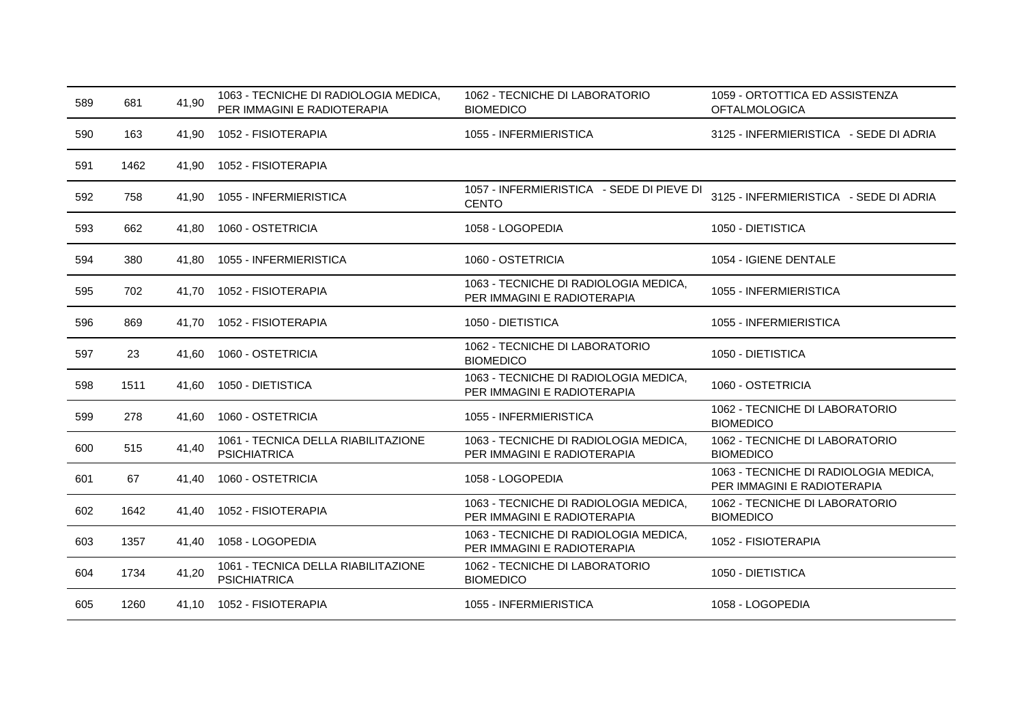| 589 | 681  | 41,90 | 1063 - TECNICHE DI RADIOLOGIA MEDICA,<br>PER IMMAGINI E RADIOTERAPIA | 1062 - TECNICHE DI LABORATORIO<br><b>BIOMEDICO</b>                   | 1059 - ORTOTTICA ED ASSISTENZA<br><b>OFTALMOLOGICA</b>               |
|-----|------|-------|----------------------------------------------------------------------|----------------------------------------------------------------------|----------------------------------------------------------------------|
| 590 | 163  | 41,90 | 1052 - FISIOTERAPIA                                                  | 1055 - INFERMIERISTICA                                               | 3125 - INFERMIERISTICA - SEDE DI ADRIA                               |
| 591 | 1462 | 41,90 | 1052 - FISIOTERAPIA                                                  |                                                                      |                                                                      |
| 592 | 758  | 41.90 | 1055 - INFERMIERISTICA                                               | 1057 - INFERMIERISTICA - SEDE DI PIEVE DI<br><b>CENTO</b>            | 3125 - INFERMIERISTICA - SEDE DI ADRIA                               |
| 593 | 662  | 41,80 | 1060 - OSTETRICIA                                                    | 1058 - LOGOPEDIA                                                     | 1050 - DIETISTICA                                                    |
| 594 | 380  | 41,80 | 1055 - INFERMIERISTICA                                               | 1060 - OSTETRICIA                                                    | 1054 - IGIENE DENTALE                                                |
| 595 | 702  | 41.70 | 1052 - FISIOTERAPIA                                                  | 1063 - TECNICHE DI RADIOLOGIA MEDICA,<br>PER IMMAGINI E RADIOTERAPIA | 1055 - INFERMIERISTICA                                               |
| 596 | 869  | 41.70 | 1052 - FISIOTERAPIA                                                  | 1050 - DIETISTICA                                                    | 1055 - INFERMIERISTICA                                               |
| 597 | 23   | 41,60 | 1060 - OSTETRICIA                                                    | 1062 - TECNICHE DI LABORATORIO<br><b>BIOMEDICO</b>                   | 1050 - DIETISTICA                                                    |
| 598 | 1511 | 41.60 | 1050 - DIETISTICA                                                    | 1063 - TECNICHE DI RADIOLOGIA MEDICA,<br>PER IMMAGINI E RADIOTERAPIA | 1060 - OSTETRICIA                                                    |
| 599 | 278  | 41.60 | 1060 - OSTETRICIA                                                    | 1055 - INFERMIERISTICA                                               | 1062 - TECNICHE DI LABORATORIO<br><b>BIOMEDICO</b>                   |
| 600 | 515  | 41,40 | 1061 - TECNICA DELLA RIABILITAZIONE<br><b>PSICHIATRICA</b>           | 1063 - TECNICHE DI RADIOLOGIA MEDICA,<br>PER IMMAGINI E RADIOTERAPIA | 1062 - TECNICHE DI LABORATORIO<br><b>BIOMEDICO</b>                   |
| 601 | 67   | 41,40 | 1060 - OSTETRICIA                                                    | 1058 - LOGOPEDIA                                                     | 1063 - TECNICHE DI RADIOLOGIA MEDICA,<br>PER IMMAGINI E RADIOTERAPIA |
| 602 | 1642 | 41,40 | 1052 - FISIOTERAPIA                                                  | 1063 - TECNICHE DI RADIOLOGIA MEDICA,<br>PER IMMAGINI E RADIOTERAPIA | 1062 - TECNICHE DI LABORATORIO<br><b>BIOMEDICO</b>                   |
| 603 | 1357 | 41,40 | 1058 - LOGOPEDIA                                                     | 1063 - TECNICHE DI RADIOLOGIA MEDICA,<br>PER IMMAGINI E RADIOTERAPIA | 1052 - FISIOTERAPIA                                                  |
| 604 | 1734 | 41,20 | 1061 - TECNICA DELLA RIABILITAZIONE<br><b>PSICHIATRICA</b>           | 1062 - TECNICHE DI LABORATORIO<br><b>BIOMEDICO</b>                   | 1050 - DIETISTICA                                                    |
| 605 | 1260 |       | 41,10 1052 - FISIOTERAPIA                                            | 1055 - INFERMIERISTICA                                               | 1058 - LOGOPEDIA                                                     |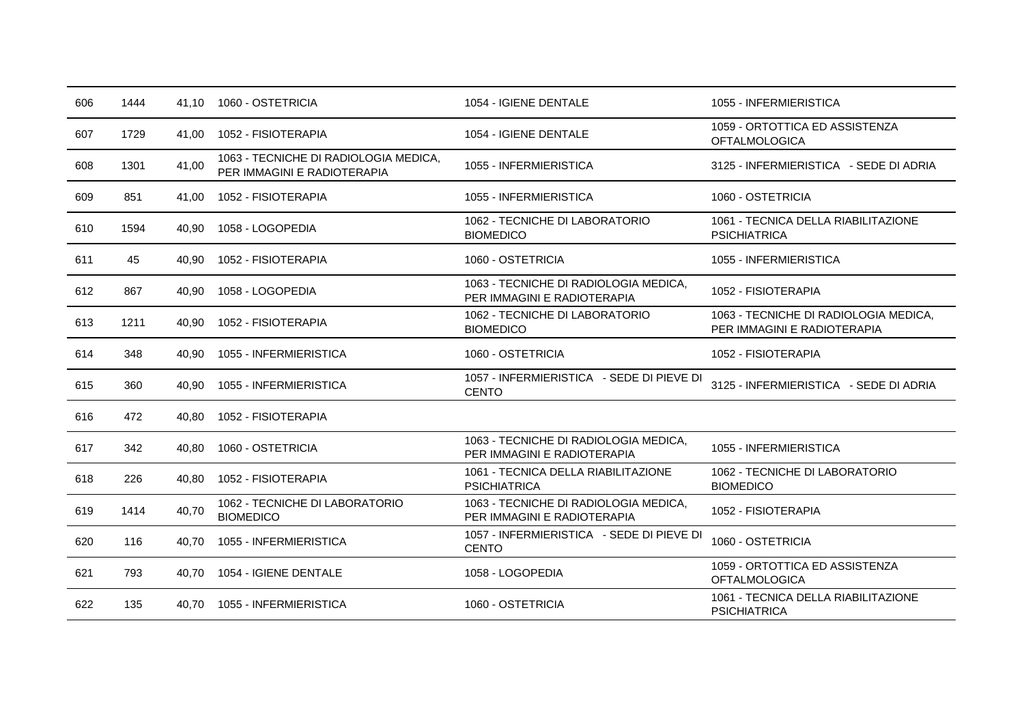| 606 | 1444 | 41.10 | 1060 - OSTETRICIA                                                    | 1054 - IGIENE DENTALE                                                | 1055 - INFERMIERISTICA                                               |
|-----|------|-------|----------------------------------------------------------------------|----------------------------------------------------------------------|----------------------------------------------------------------------|
| 607 | 1729 | 41,00 | 1052 - FISIOTERAPIA                                                  | 1054 - IGIENE DENTALE                                                | 1059 - ORTOTTICA ED ASSISTENZA<br><b>OFTALMOLOGICA</b>               |
| 608 | 1301 | 41,00 | 1063 - TECNICHE DI RADIOLOGIA MEDICA,<br>PER IMMAGINI E RADIOTERAPIA | 1055 - INFERMIERISTICA                                               | 3125 - INFERMIERISTICA - SEDE DI ADRIA                               |
| 609 | 851  | 41.00 | 1052 - FISIOTERAPIA                                                  | 1055 - INFERMIERISTICA                                               | 1060 - OSTETRICIA                                                    |
| 610 | 1594 | 40,90 | 1058 - LOGOPEDIA                                                     | 1062 - TECNICHE DI LABORATORIO<br><b>BIOMEDICO</b>                   | 1061 - TECNICA DELLA RIABILITAZIONE<br><b>PSICHIATRICA</b>           |
| 611 | 45   | 40,90 | 1052 - FISIOTERAPIA                                                  | 1060 - OSTETRICIA                                                    | 1055 - INFERMIERISTICA                                               |
| 612 | 867  | 40,90 | 1058 - LOGOPEDIA                                                     | 1063 - TECNICHE DI RADIOLOGIA MEDICA,<br>PER IMMAGINI E RADIOTERAPIA | 1052 - FISIOTERAPIA                                                  |
| 613 | 1211 | 40,90 | 1052 - FISIOTERAPIA                                                  | 1062 - TECNICHE DI LABORATORIO<br><b>BIOMEDICO</b>                   | 1063 - TECNICHE DI RADIOLOGIA MEDICA,<br>PER IMMAGINI E RADIOTERAPIA |
| 614 | 348  | 40.90 | 1055 - INFERMIERISTICA                                               | 1060 - OSTETRICIA                                                    | 1052 - FISIOTERAPIA                                                  |
| 615 | 360  | 40,90 | 1055 - INFERMIERISTICA                                               | 1057 - INFERMIERISTICA - SEDE DI PIEVE DI<br><b>CENTO</b>            | 3125 - INFERMIERISTICA - SEDE DI ADRIA                               |
| 616 | 472  | 40,80 | 1052 - FISIOTERAPIA                                                  |                                                                      |                                                                      |
| 617 | 342  | 40,80 | 1060 - OSTETRICIA                                                    | 1063 - TECNICHE DI RADIOLOGIA MEDICA,<br>PER IMMAGINI E RADIOTERAPIA | 1055 - INFERMIERISTICA                                               |
| 618 | 226  | 40,80 | 1052 - FISIOTERAPIA                                                  | 1061 - TECNICA DELLA RIABILITAZIONE<br><b>PSICHIATRICA</b>           | 1062 - TECNICHE DI LABORATORIO<br><b>BIOMEDICO</b>                   |
| 619 | 1414 | 40,70 | 1062 - TECNICHE DI LABORATORIO<br><b>BIOMEDICO</b>                   | 1063 - TECNICHE DI RADIOLOGIA MEDICA,<br>PER IMMAGINI E RADIOTERAPIA | 1052 - FISIOTERAPIA                                                  |
| 620 | 116  | 40,70 | 1055 - INFERMIERISTICA                                               | 1057 - INFERMIERISTICA - SEDE DI PIEVE DI<br><b>CENTO</b>            | 1060 - OSTETRICIA                                                    |
| 621 | 793  | 40,70 | 1054 - IGIENE DENTALE                                                | 1058 - LOGOPEDIA                                                     | 1059 - ORTOTTICA ED ASSISTENZA<br><b>OFTALMOLOGICA</b>               |
| 622 | 135  | 40.70 | 1055 - INFERMIERISTICA                                               | 1060 - OSTETRICIA                                                    | 1061 - TECNICA DELLA RIABILITAZIONE<br><b>PSICHIATRICA</b>           |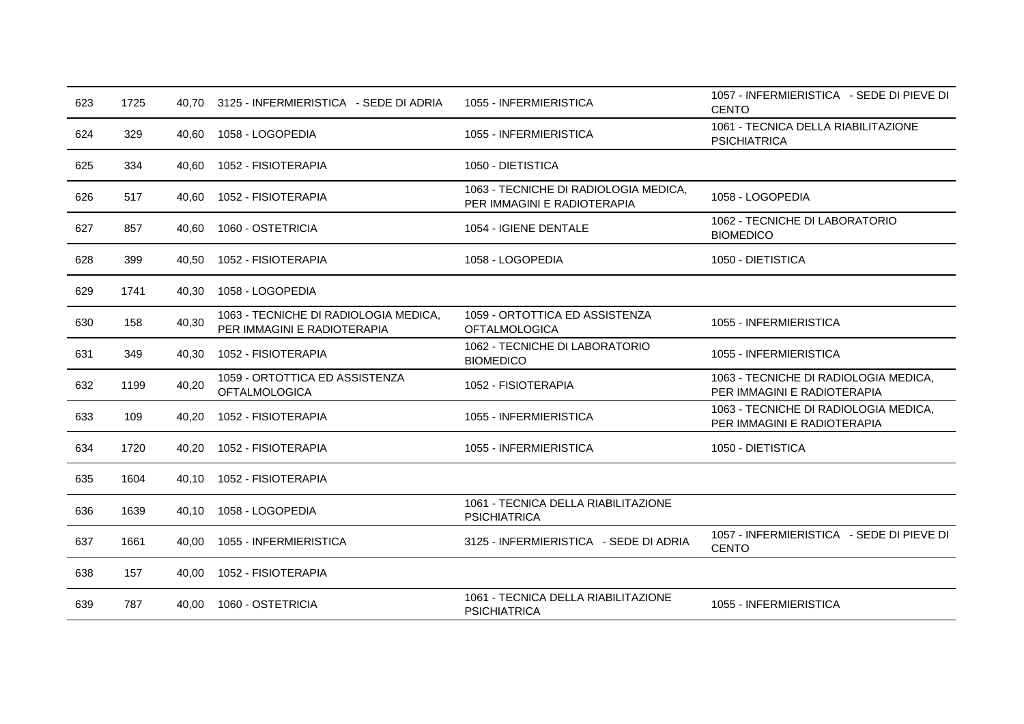| 623 | 1725 | 40.70 | 3125 - INFERMIERISTICA - SEDE DI ADRIA                               | 1055 - INFERMIERISTICA                                               | 1057 - INFERMIERISTICA - SEDE DI PIEVE DI<br><b>CENTO</b>            |
|-----|------|-------|----------------------------------------------------------------------|----------------------------------------------------------------------|----------------------------------------------------------------------|
| 624 | 329  | 40,60 | 1058 - LOGOPEDIA                                                     | 1055 - INFERMIERISTICA                                               | 1061 - TECNICA DELLA RIABILITAZIONE<br><b>PSICHIATRICA</b>           |
| 625 | 334  | 40,60 | 1052 - FISIOTERAPIA                                                  | 1050 - DIETISTICA                                                    |                                                                      |
| 626 | 517  | 40.60 | 1052 - FISIOTERAPIA                                                  | 1063 - TECNICHE DI RADIOLOGIA MEDICA,<br>PER IMMAGINI E RADIOTERAPIA | 1058 - LOGOPEDIA                                                     |
| 627 | 857  | 40.60 | 1060 - OSTETRICIA                                                    | 1054 - IGIENE DENTALE                                                | 1062 - TECNICHE DI LABORATORIO<br><b>BIOMEDICO</b>                   |
| 628 | 399  | 40,50 | 1052 - FISIOTERAPIA                                                  | 1058 - LOGOPEDIA                                                     | 1050 - DIETISTICA                                                    |
| 629 | 1741 | 40,30 | 1058 - LOGOPEDIA                                                     |                                                                      |                                                                      |
| 630 | 158  | 40,30 | 1063 - TECNICHE DI RADIOLOGIA MEDICA,<br>PER IMMAGINI E RADIOTERAPIA | 1059 - ORTOTTICA ED ASSISTENZA<br><b>OFTALMOLOGICA</b>               | 1055 - INFERMIERISTICA                                               |
| 631 | 349  | 40,30 | 1052 - FISIOTERAPIA                                                  | 1062 - TECNICHE DI LABORATORIO<br><b>BIOMEDICO</b>                   | 1055 - INFERMIERISTICA                                               |
| 632 | 1199 | 40,20 | 1059 - ORTOTTICA ED ASSISTENZA<br><b>OFTALMOLOGICA</b>               | 1052 - FISIOTERAPIA                                                  | 1063 - TECNICHE DI RADIOLOGIA MEDICA,<br>PER IMMAGINI E RADIOTERAPIA |
| 633 | 109  | 40,20 | 1052 - FISIOTERAPIA                                                  | 1055 - INFERMIERISTICA                                               | 1063 - TECNICHE DI RADIOLOGIA MEDICA,<br>PER IMMAGINI E RADIOTERAPIA |
| 634 | 1720 | 40,20 | 1052 - FISIOTERAPIA                                                  | 1055 - INFERMIERISTICA                                               | 1050 - DIETISTICA                                                    |
| 635 | 1604 | 40.10 | 1052 - FISIOTERAPIA                                                  |                                                                      |                                                                      |
| 636 | 1639 | 40.10 | 1058 - LOGOPEDIA                                                     | 1061 - TECNICA DELLA RIABILITAZIONE<br><b>PSICHIATRICA</b>           |                                                                      |
| 637 | 1661 | 40,00 | 1055 - INFERMIERISTICA                                               | 3125 - INFERMIERISTICA - SEDE DI ADRIA                               | 1057 - INFERMIERISTICA - SEDE DI PIEVE DI<br><b>CENTO</b>            |
| 638 | 157  | 40,00 | 1052 - FISIOTERAPIA                                                  |                                                                      |                                                                      |
| 639 | 787  | 40.00 | 1060 - OSTETRICIA                                                    | 1061 - TECNICA DELLA RIABILITAZIONE<br><b>PSICHIATRICA</b>           | 1055 - INFERMIERISTICA                                               |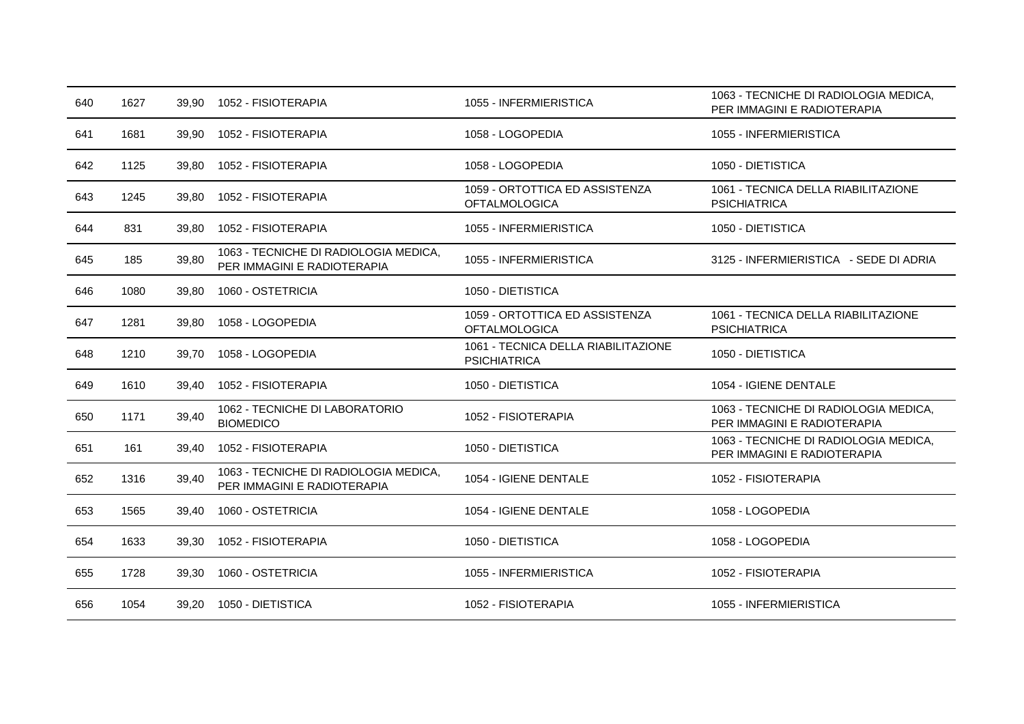| 640 | 1627 | 39,90 | 1052 - FISIOTERAPIA                                                  | 1055 - INFERMIERISTICA                                     | 1063 - TECNICHE DI RADIOLOGIA MEDICA,<br>PER IMMAGINI E RADIOTERAPIA |
|-----|------|-------|----------------------------------------------------------------------|------------------------------------------------------------|----------------------------------------------------------------------|
| 641 | 1681 | 39.90 | 1052 - FISIOTERAPIA                                                  | 1058 - LOGOPEDIA                                           | 1055 - INFERMIERISTICA                                               |
| 642 | 1125 | 39,80 | 1052 - FISIOTERAPIA                                                  | 1058 - LOGOPEDIA                                           | 1050 - DIETISTICA                                                    |
| 643 | 1245 | 39,80 | 1052 - FISIOTERAPIA                                                  | 1059 - ORTOTTICA ED ASSISTENZA<br><b>OFTALMOLOGICA</b>     | 1061 - TECNICA DELLA RIABILITAZIONE<br><b>PSICHIATRICA</b>           |
| 644 | 831  | 39.80 | 1052 - FISIOTERAPIA                                                  | 1055 - INFERMIERISTICA                                     | 1050 - DIETISTICA                                                    |
| 645 | 185  | 39,80 | 1063 - TECNICHE DI RADIOLOGIA MEDICA,<br>PER IMMAGINI E RADIOTERAPIA | 1055 - INFERMIERISTICA                                     | 3125 - INFERMIERISTICA - SEDE DI ADRIA                               |
| 646 | 1080 | 39,80 | 1060 - OSTETRICIA                                                    | 1050 - DIETISTICA                                          |                                                                      |
| 647 | 1281 | 39,80 | 1058 - LOGOPEDIA                                                     | 1059 - ORTOTTICA ED ASSISTENZA<br><b>OFTALMOLOGICA</b>     | 1061 - TECNICA DELLA RIABILITAZIONE<br><b>PSICHIATRICA</b>           |
| 648 | 1210 | 39,70 | 1058 - LOGOPEDIA                                                     | 1061 - TECNICA DELLA RIABILITAZIONE<br><b>PSICHIATRICA</b> | 1050 - DIETISTICA                                                    |
| 649 | 1610 | 39,40 | 1052 - FISIOTERAPIA                                                  | 1050 - DIETISTICA                                          | 1054 - IGIENE DENTALE                                                |
| 650 | 1171 | 39,40 | 1062 - TECNICHE DI LABORATORIO<br><b>BIOMEDICO</b>                   | 1052 - FISIOTERAPIA                                        | 1063 - TECNICHE DI RADIOLOGIA MEDICA,<br>PER IMMAGINI E RADIOTERAPIA |
| 651 | 161  | 39,40 | 1052 - FISIOTERAPIA                                                  | 1050 - DIETISTICA                                          | 1063 - TECNICHE DI RADIOLOGIA MEDICA,<br>PER IMMAGINI E RADIOTERAPIA |
| 652 | 1316 | 39,40 | 1063 - TECNICHE DI RADIOLOGIA MEDICA,<br>PER IMMAGINI E RADIOTERAPIA | 1054 - IGIENE DENTALE                                      | 1052 - FISIOTERAPIA                                                  |
| 653 | 1565 | 39,40 | 1060 - OSTETRICIA                                                    | 1054 - IGIENE DENTALE                                      | 1058 - LOGOPEDIA                                                     |
| 654 | 1633 | 39,30 | 1052 - FISIOTERAPIA                                                  | 1050 - DIETISTICA                                          | 1058 - LOGOPEDIA                                                     |
| 655 | 1728 | 39,30 | 1060 - OSTETRICIA                                                    | 1055 - INFERMIERISTICA                                     | 1052 - FISIOTERAPIA                                                  |
| 656 | 1054 | 39,20 | 1050 - DIETISTICA                                                    | 1052 - FISIOTERAPIA                                        | 1055 - INFERMIERISTICA                                               |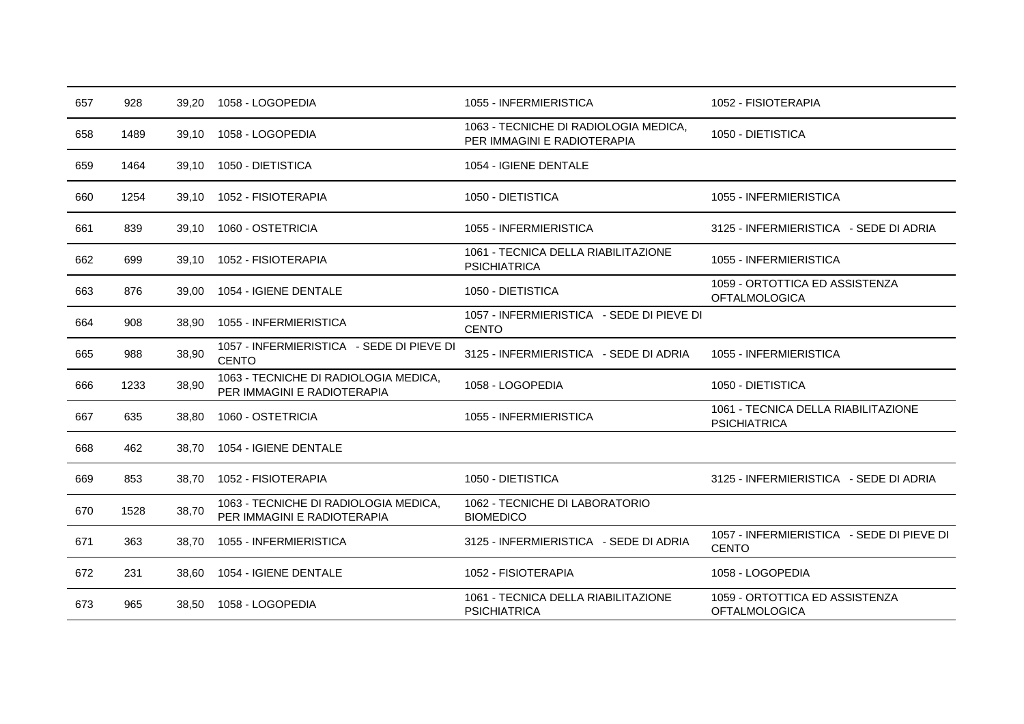| 657 | 928  | 39,20 | 1058 - LOGOPEDIA                                                     | 1055 - INFERMIERISTICA                                               | 1052 - FISIOTERAPIA                                        |
|-----|------|-------|----------------------------------------------------------------------|----------------------------------------------------------------------|------------------------------------------------------------|
| 658 | 1489 | 39,10 | 1058 - LOGOPEDIA                                                     | 1063 - TECNICHE DI RADIOLOGIA MEDICA,<br>PER IMMAGINI E RADIOTERAPIA | 1050 - DIETISTICA                                          |
| 659 | 1464 | 39.10 | 1050 - DIETISTICA                                                    | 1054 - IGIENE DENTALE                                                |                                                            |
| 660 | 1254 | 39,10 | 1052 - FISIOTERAPIA                                                  | 1050 - DIETISTICA                                                    | 1055 - INFERMIERISTICA                                     |
| 661 | 839  | 39,10 | 1060 - OSTETRICIA                                                    | 1055 - INFERMIERISTICA                                               | 3125 - INFERMIERISTICA - SEDE DI ADRIA                     |
| 662 | 699  | 39,10 | 1052 - FISIOTERAPIA                                                  | 1061 - TECNICA DELLA RIABILITAZIONE<br><b>PSICHIATRICA</b>           | 1055 - INFERMIERISTICA                                     |
| 663 | 876  | 39,00 | 1054 - IGIENE DENTALE                                                | 1050 - DIETISTICA                                                    | 1059 - ORTOTTICA ED ASSISTENZA<br><b>OFTALMOLOGICA</b>     |
| 664 | 908  | 38,90 | 1055 - INFERMIERISTICA                                               | 1057 - INFERMIERISTICA - SEDE DI PIEVE DI<br><b>CENTO</b>            |                                                            |
| 665 | 988  | 38,90 | 1057 - INFERMIERISTICA - SEDE DI PIEVE DI<br><b>CENTO</b>            | 3125 - INFERMIERISTICA - SEDE DI ADRIA                               | 1055 - INFERMIERISTICA                                     |
| 666 | 1233 | 38,90 | 1063 - TECNICHE DI RADIOLOGIA MEDICA,<br>PER IMMAGINI E RADIOTERAPIA | 1058 - LOGOPEDIA                                                     | 1050 - DIETISTICA                                          |
| 667 | 635  | 38.80 | 1060 - OSTETRICIA                                                    | 1055 - INFERMIERISTICA                                               | 1061 - TECNICA DELLA RIABILITAZIONE<br><b>PSICHIATRICA</b> |
| 668 | 462  | 38.70 | 1054 - IGIENE DENTALE                                                |                                                                      |                                                            |
| 669 | 853  | 38,70 | 1052 - FISIOTERAPIA                                                  | 1050 - DIETISTICA                                                    | 3125 - INFERMIERISTICA - SEDE DI ADRIA                     |
| 670 | 1528 | 38,70 | 1063 - TECNICHE DI RADIOLOGIA MEDICA,<br>PER IMMAGINI E RADIOTERAPIA | 1062 - TECNICHE DI LABORATORIO<br><b>BIOMEDICO</b>                   |                                                            |
| 671 | 363  | 38,70 | 1055 - INFERMIERISTICA                                               | 3125 - INFERMIERISTICA - SEDE DI ADRIA                               | 1057 - INFERMIERISTICA - SEDE DI PIEVE DI<br><b>CENTO</b>  |
| 672 | 231  | 38.60 | 1054 - IGIENE DENTALE                                                | 1052 - FISIOTERAPIA                                                  | 1058 - LOGOPEDIA                                           |
| 673 | 965  | 38,50 | 1058 - LOGOPEDIA                                                     | 1061 - TECNICA DELLA RIABILITAZIONE<br><b>PSICHIATRICA</b>           | 1059 - ORTOTTICA ED ASSISTENZA<br><b>OFTALMOLOGICA</b>     |
|     |      |       |                                                                      |                                                                      |                                                            |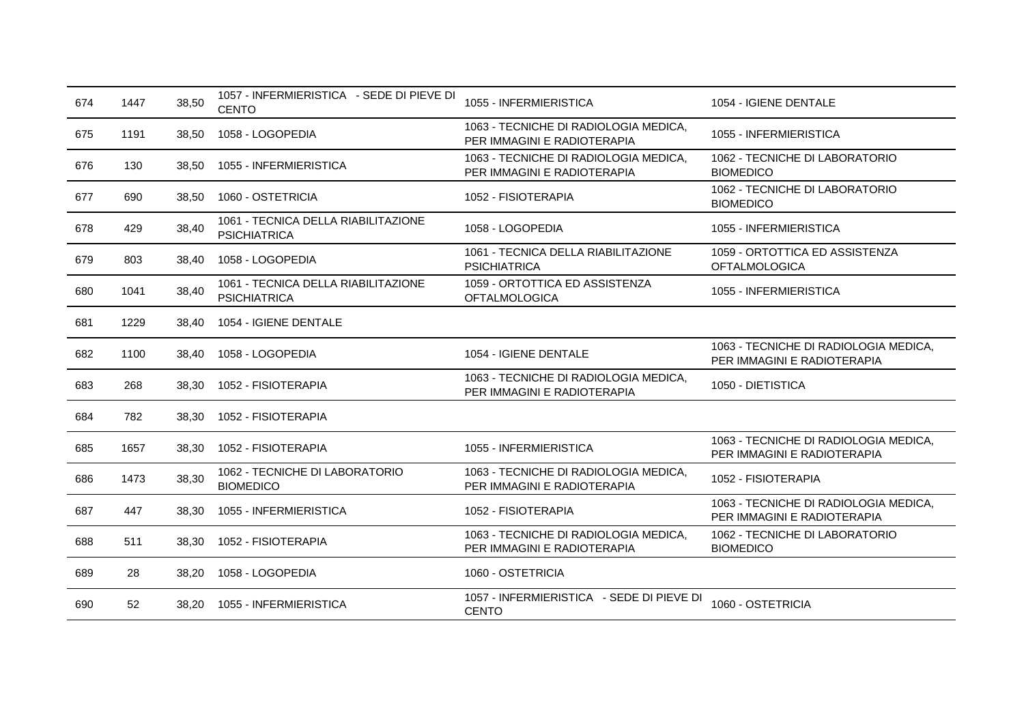| 674 | 1447 | 38,50 | 1057 - INFERMIERISTICA - SEDE DI PIEVE DI<br><b>CENTO</b>  | 1055 - INFERMIERISTICA                                               | 1054 - IGIENE DENTALE                                                |
|-----|------|-------|------------------------------------------------------------|----------------------------------------------------------------------|----------------------------------------------------------------------|
| 675 | 1191 | 38,50 | 1058 - LOGOPEDIA                                           | 1063 - TECNICHE DI RADIOLOGIA MEDICA,<br>PER IMMAGINI E RADIOTERAPIA | 1055 - INFERMIERISTICA                                               |
| 676 | 130  | 38,50 | 1055 - INFERMIERISTICA                                     | 1063 - TECNICHE DI RADIOLOGIA MEDICA,<br>PER IMMAGINI E RADIOTERAPIA | 1062 - TECNICHE DI LABORATORIO<br><b>BIOMEDICO</b>                   |
| 677 | 690  | 38,50 | 1060 - OSTETRICIA                                          | 1052 - FISIOTERAPIA                                                  | 1062 - TECNICHE DI LABORATORIO<br><b>BIOMEDICO</b>                   |
| 678 | 429  | 38,40 | 1061 - TECNICA DELLA RIABILITAZIONE<br><b>PSICHIATRICA</b> | 1058 - LOGOPEDIA                                                     | 1055 - INFERMIERISTICA                                               |
| 679 | 803  | 38,40 | 1058 - LOGOPEDIA                                           | 1061 - TECNICA DELLA RIABILITAZIONE<br><b>PSICHIATRICA</b>           | 1059 - ORTOTTICA ED ASSISTENZA<br><b>OFTALMOLOGICA</b>               |
| 680 | 1041 | 38,40 | 1061 - TECNICA DELLA RIABILITAZIONE<br><b>PSICHIATRICA</b> | 1059 - ORTOTTICA ED ASSISTENZA<br><b>OFTALMOLOGICA</b>               | 1055 - INFERMIERISTICA                                               |
| 681 | 1229 | 38,40 | 1054 - IGIENE DENTALE                                      |                                                                      |                                                                      |
| 682 | 1100 | 38,40 | 1058 - LOGOPEDIA                                           | 1054 - IGIENE DENTALE                                                | 1063 - TECNICHE DI RADIOLOGIA MEDICA,<br>PER IMMAGINI E RADIOTERAPIA |
| 683 | 268  | 38,30 | 1052 - FISIOTERAPIA                                        | 1063 - TECNICHE DI RADIOLOGIA MEDICA,<br>PER IMMAGINI E RADIOTERAPIA | 1050 - DIETISTICA                                                    |
| 684 | 782  | 38,30 | 1052 - FISIOTERAPIA                                        |                                                                      |                                                                      |
| 685 | 1657 | 38,30 | 1052 - FISIOTERAPIA                                        | 1055 - INFERMIERISTICA                                               | 1063 - TECNICHE DI RADIOLOGIA MEDICA,<br>PER IMMAGINI E RADIOTERAPIA |
| 686 | 1473 | 38,30 | 1062 - TECNICHE DI LABORATORIO<br><b>BIOMEDICO</b>         | 1063 - TECNICHE DI RADIOLOGIA MEDICA,<br>PER IMMAGINI E RADIOTERAPIA | 1052 - FISIOTERAPIA                                                  |
| 687 | 447  | 38,30 | 1055 - INFERMIERISTICA                                     | 1052 - FISIOTERAPIA                                                  | 1063 - TECNICHE DI RADIOLOGIA MEDICA,<br>PER IMMAGINI E RADIOTERAPIA |
| 688 | 511  | 38,30 | 1052 - FISIOTERAPIA                                        | 1063 - TECNICHE DI RADIOLOGIA MEDICA,<br>PER IMMAGINI E RADIOTERAPIA | 1062 - TECNICHE DI LABORATORIO<br><b>BIOMEDICO</b>                   |
| 689 | 28   | 38.20 | 1058 - LOGOPEDIA                                           | 1060 - OSTETRICIA                                                    |                                                                      |
| 690 | 52   | 38,20 | 1055 - INFERMIERISTICA                                     | 1057 - INFERMIERISTICA - SEDE DI PIEVE DI<br><b>CENTO</b>            | 1060 - OSTETRICIA                                                    |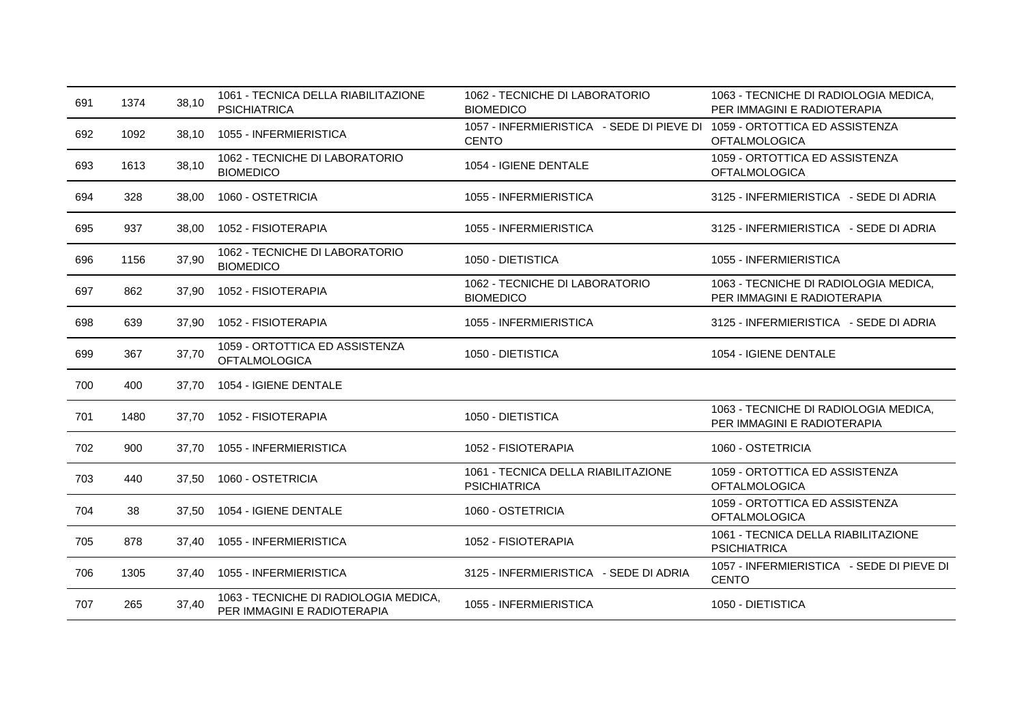| 691 | 1374 | 38,10 | 1061 - TECNICA DELLA RIABILITAZIONE<br><b>PSICHIATRICA</b>           | 1062 - TECNICHE DI LABORATORIO<br><b>BIOMEDICO</b>                                       | 1063 - TECNICHE DI RADIOLOGIA MEDICA,<br>PER IMMAGINI E RADIOTERAPIA |
|-----|------|-------|----------------------------------------------------------------------|------------------------------------------------------------------------------------------|----------------------------------------------------------------------|
| 692 | 1092 | 38,10 | 1055 - INFERMIERISTICA                                               | 1057 - INFERMIERISTICA - SEDE DI PIEVE DI 1059 - ORTOTTICA ED ASSISTENZA<br><b>CENTO</b> | <b>OFTALMOLOGICA</b>                                                 |
| 693 | 1613 | 38,10 | 1062 - TECNICHE DI LABORATORIO<br><b>BIOMEDICO</b>                   | 1054 - IGIENE DENTALE                                                                    | 1059 - ORTOTTICA ED ASSISTENZA<br><b>OFTALMOLOGICA</b>               |
| 694 | 328  | 38,00 | 1060 - OSTETRICIA                                                    | 1055 - INFERMIERISTICA                                                                   | 3125 - INFERMIERISTICA - SEDE DI ADRIA                               |
| 695 | 937  | 38,00 | 1052 - FISIOTERAPIA                                                  | 1055 - INFERMIERISTICA                                                                   | 3125 - INFERMIERISTICA - SEDE DI ADRIA                               |
| 696 | 1156 | 37,90 | 1062 - TECNICHE DI LABORATORIO<br><b>BIOMEDICO</b>                   | 1050 - DIETISTICA                                                                        | 1055 - INFERMIERISTICA                                               |
| 697 | 862  | 37,90 | 1052 - FISIOTERAPIA                                                  | 1062 - TECNICHE DI LABORATORIO<br><b>BIOMEDICO</b>                                       | 1063 - TECNICHE DI RADIOLOGIA MEDICA,<br>PER IMMAGINI E RADIOTERAPIA |
| 698 | 639  | 37,90 | 1052 - FISIOTERAPIA                                                  | 1055 - INFERMIERISTICA                                                                   | 3125 - INFERMIERISTICA - SEDE DI ADRIA                               |
| 699 | 367  | 37,70 | 1059 - ORTOTTICA ED ASSISTENZA<br><b>OFTALMOLOGICA</b>               | 1050 - DIETISTICA                                                                        | 1054 - IGIENE DENTALE                                                |
| 700 | 400  | 37.70 | 1054 - IGIENE DENTALE                                                |                                                                                          |                                                                      |
| 701 | 1480 | 37.70 | 1052 - FISIOTERAPIA                                                  | 1050 - DIETISTICA                                                                        | 1063 - TECNICHE DI RADIOLOGIA MEDICA,<br>PER IMMAGINI E RADIOTERAPIA |
| 702 | 900  | 37.70 | 1055 - INFERMIERISTICA                                               | 1052 - FISIOTERAPIA                                                                      | 1060 - OSTETRICIA                                                    |
| 703 | 440  | 37,50 | 1060 - OSTETRICIA                                                    | 1061 - TECNICA DELLA RIABILITAZIONE<br><b>PSICHIATRICA</b>                               | 1059 - ORTOTTICA ED ASSISTENZA<br><b>OFTALMOLOGICA</b>               |
| 704 | 38   | 37.50 | 1054 - IGIENE DENTALE                                                | 1060 - OSTETRICIA                                                                        | 1059 - ORTOTTICA ED ASSISTENZA<br><b>OFTALMOLOGICA</b>               |
| 705 | 878  | 37,40 | 1055 - INFERMIERISTICA                                               | 1052 - FISIOTERAPIA                                                                      | 1061 - TECNICA DELLA RIABILITAZIONE<br><b>PSICHIATRICA</b>           |
| 706 | 1305 | 37.40 | 1055 - INFERMIERISTICA                                               | 3125 - INFERMIERISTICA - SEDE DI ADRIA                                                   | 1057 - INFERMIERISTICA - SEDE DI PIEVE DI<br><b>CENTO</b>            |
| 707 | 265  | 37,40 | 1063 - TECNICHE DI RADIOLOGIA MEDICA,<br>PER IMMAGINI E RADIOTERAPIA | 1055 - INFERMIERISTICA                                                                   | 1050 - DIETISTICA                                                    |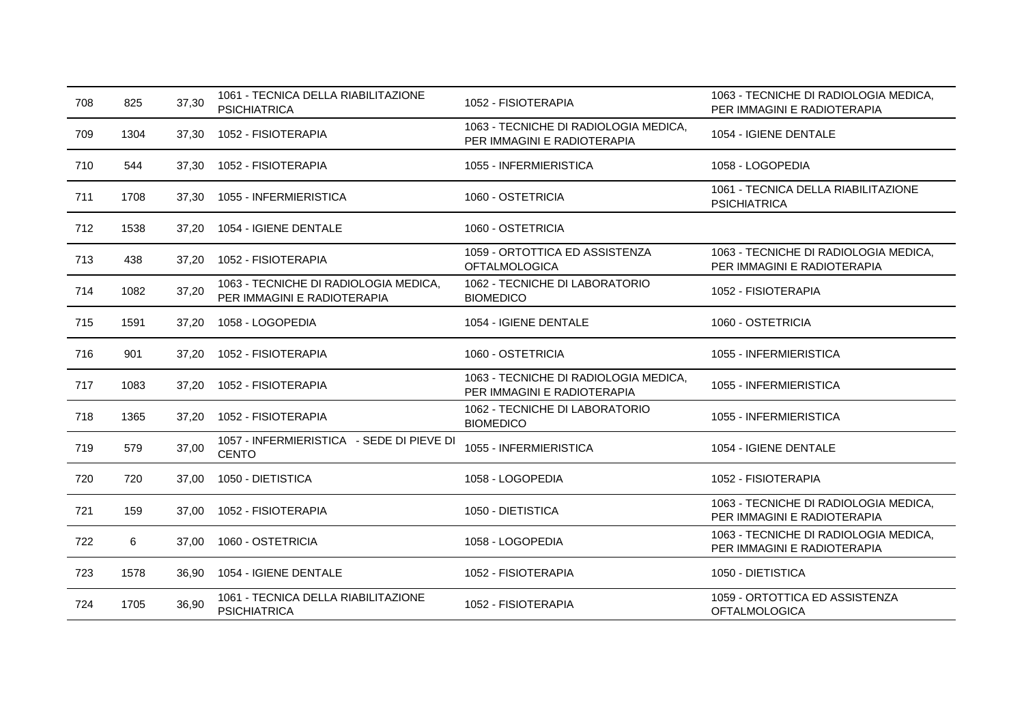| 708 | 825  | 37,30 | 1061 - TECNICA DELLA RIABILITAZIONE<br><b>PSICHIATRICA</b>           | 1052 - FISIOTERAPIA                                                  | 1063 - TECNICHE DI RADIOLOGIA MEDICA,<br>PER IMMAGINI E RADIOTERAPIA |
|-----|------|-------|----------------------------------------------------------------------|----------------------------------------------------------------------|----------------------------------------------------------------------|
| 709 | 1304 | 37,30 | 1052 - FISIOTERAPIA                                                  | 1063 - TECNICHE DI RADIOLOGIA MEDICA,<br>PER IMMAGINI E RADIOTERAPIA | 1054 - IGIENE DENTALE                                                |
| 710 | 544  | 37,30 | 1052 - FISIOTERAPIA                                                  | 1055 - INFERMIERISTICA                                               | 1058 - LOGOPEDIA                                                     |
| 711 | 1708 | 37,30 | 1055 - INFERMIERISTICA                                               | 1060 - OSTETRICIA                                                    | 1061 - TECNICA DELLA RIABILITAZIONE<br><b>PSICHIATRICA</b>           |
| 712 | 1538 | 37,20 | 1054 - IGIENE DENTALE                                                | 1060 - OSTETRICIA                                                    |                                                                      |
| 713 | 438  | 37,20 | 1052 - FISIOTERAPIA                                                  | 1059 - ORTOTTICA ED ASSISTENZA<br><b>OFTALMOLOGICA</b>               | 1063 - TECNICHE DI RADIOLOGIA MEDICA,<br>PER IMMAGINI E RADIOTERAPIA |
| 714 | 1082 | 37,20 | 1063 - TECNICHE DI RADIOLOGIA MEDICA,<br>PER IMMAGINI E RADIOTERAPIA | 1062 - TECNICHE DI LABORATORIO<br><b>BIOMEDICO</b>                   | 1052 - FISIOTERAPIA                                                  |
| 715 | 1591 | 37,20 | 1058 - LOGOPEDIA                                                     | 1054 - IGIENE DENTALE                                                | 1060 - OSTETRICIA                                                    |
| 716 | 901  | 37.20 | 1052 - FISIOTERAPIA                                                  | 1060 - OSTETRICIA                                                    | 1055 - INFERMIERISTICA                                               |
| 717 | 1083 | 37,20 | 1052 - FISIOTERAPIA                                                  | 1063 - TECNICHE DI RADIOLOGIA MEDICA,<br>PER IMMAGINI E RADIOTERAPIA | 1055 - INFERMIERISTICA                                               |
| 718 | 1365 | 37,20 | 1052 - FISIOTERAPIA                                                  | 1062 - TECNICHE DI LABORATORIO<br><b>BIOMEDICO</b>                   | 1055 - INFERMIERISTICA                                               |
| 719 | 579  | 37,00 | 1057 - INFERMIERISTICA - SEDE DI PIEVE DI<br><b>CENTO</b>            | 1055 - INFERMIERISTICA                                               | 1054 - IGIENE DENTALE                                                |
| 720 | 720  | 37,00 | 1050 - DIETISTICA                                                    | 1058 - LOGOPEDIA                                                     | 1052 - FISIOTERAPIA                                                  |
| 721 | 159  | 37,00 | 1052 - FISIOTERAPIA                                                  | 1050 - DIETISTICA                                                    | 1063 - TECNICHE DI RADIOLOGIA MEDICA,<br>PER IMMAGINI E RADIOTERAPIA |
| 722 | 6    | 37,00 | 1060 - OSTETRICIA                                                    | 1058 - LOGOPEDIA                                                     | 1063 - TECNICHE DI RADIOLOGIA MEDICA,<br>PER IMMAGINI E RADIOTERAPIA |
| 723 | 1578 | 36.90 | 1054 - IGIENE DENTALE                                                | 1052 - FISIOTERAPIA                                                  | 1050 - DIETISTICA                                                    |
| 724 | 1705 | 36,90 | 1061 - TECNICA DELLA RIABILITAZIONE<br><b>PSICHIATRICA</b>           | 1052 - FISIOTERAPIA                                                  | 1059 - ORTOTTICA ED ASSISTENZA<br><b>OFTALMOLOGICA</b>               |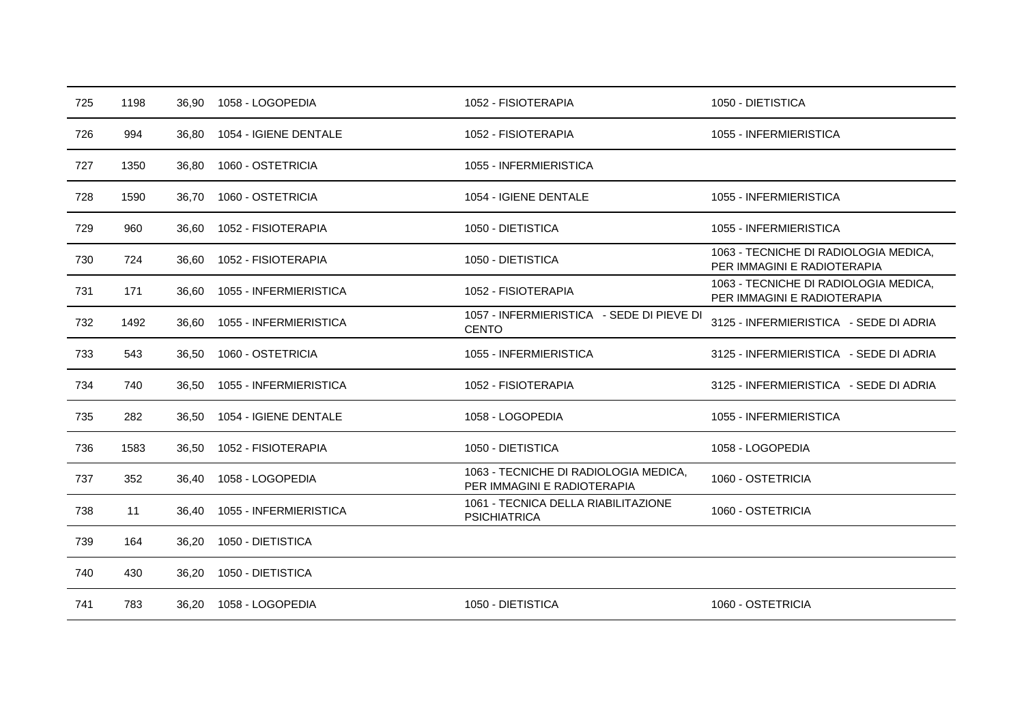| 725 | 1198 | 36,90 | 1058 - LOGOPEDIA       | 1052 - FISIOTERAPIA                                                  | 1050 - DIETISTICA                                                    |
|-----|------|-------|------------------------|----------------------------------------------------------------------|----------------------------------------------------------------------|
| 726 | 994  | 36,80 | 1054 - IGIENE DENTALE  | 1052 - FISIOTERAPIA                                                  | 1055 - INFERMIERISTICA                                               |
| 727 | 1350 | 36,80 | 1060 - OSTETRICIA      | 1055 - INFERMIERISTICA                                               |                                                                      |
| 728 | 1590 | 36,70 | 1060 - OSTETRICIA      | 1054 - IGIENE DENTALE                                                | 1055 - INFERMIERISTICA                                               |
| 729 | 960  | 36,60 | 1052 - FISIOTERAPIA    | 1050 - DIETISTICA                                                    | 1055 - INFERMIERISTICA                                               |
| 730 | 724  | 36,60 | 1052 - FISIOTERAPIA    | 1050 - DIETISTICA                                                    | 1063 - TECNICHE DI RADIOLOGIA MEDICA,<br>PER IMMAGINI E RADIOTERAPIA |
| 731 | 171  | 36,60 | 1055 - INFERMIERISTICA | 1052 - FISIOTERAPIA                                                  | 1063 - TECNICHE DI RADIOLOGIA MEDICA,<br>PER IMMAGINI E RADIOTERAPIA |
| 732 | 1492 | 36,60 | 1055 - INFERMIERISTICA | 1057 - INFERMIERISTICA - SEDE DI PIEVE DI<br><b>CENTO</b>            | 3125 - INFERMIERISTICA - SEDE DI ADRIA                               |
| 733 | 543  | 36,50 | 1060 - OSTETRICIA      | 1055 - INFERMIERISTICA                                               | 3125 - INFERMIERISTICA - SEDE DI ADRIA                               |
| 734 | 740  | 36,50 | 1055 - INFERMIERISTICA | 1052 - FISIOTERAPIA                                                  | 3125 - INFERMIERISTICA - SEDE DI ADRIA                               |
| 735 | 282  | 36,50 | 1054 - IGIENE DENTALE  | 1058 - LOGOPEDIA                                                     | 1055 - INFERMIERISTICA                                               |
| 736 | 1583 | 36,50 | 1052 - FISIOTERAPIA    | 1050 - DIETISTICA                                                    | 1058 - LOGOPEDIA                                                     |
| 737 | 352  | 36,40 | 1058 - LOGOPEDIA       | 1063 - TECNICHE DI RADIOLOGIA MEDICA,<br>PER IMMAGINI E RADIOTERAPIA | 1060 - OSTETRICIA                                                    |
| 738 | 11   | 36,40 | 1055 - INFERMIERISTICA | 1061 - TECNICA DELLA RIABILITAZIONE<br><b>PSICHIATRICA</b>           | 1060 - OSTETRICIA                                                    |
| 739 | 164  | 36,20 | 1050 - DIETISTICA      |                                                                      |                                                                      |
| 740 | 430  | 36,20 | 1050 - DIETISTICA      |                                                                      |                                                                      |
| 741 | 783  | 36,20 | 1058 - LOGOPEDIA       | 1050 - DIETISTICA                                                    | 1060 - OSTETRICIA                                                    |
|     |      |       |                        |                                                                      |                                                                      |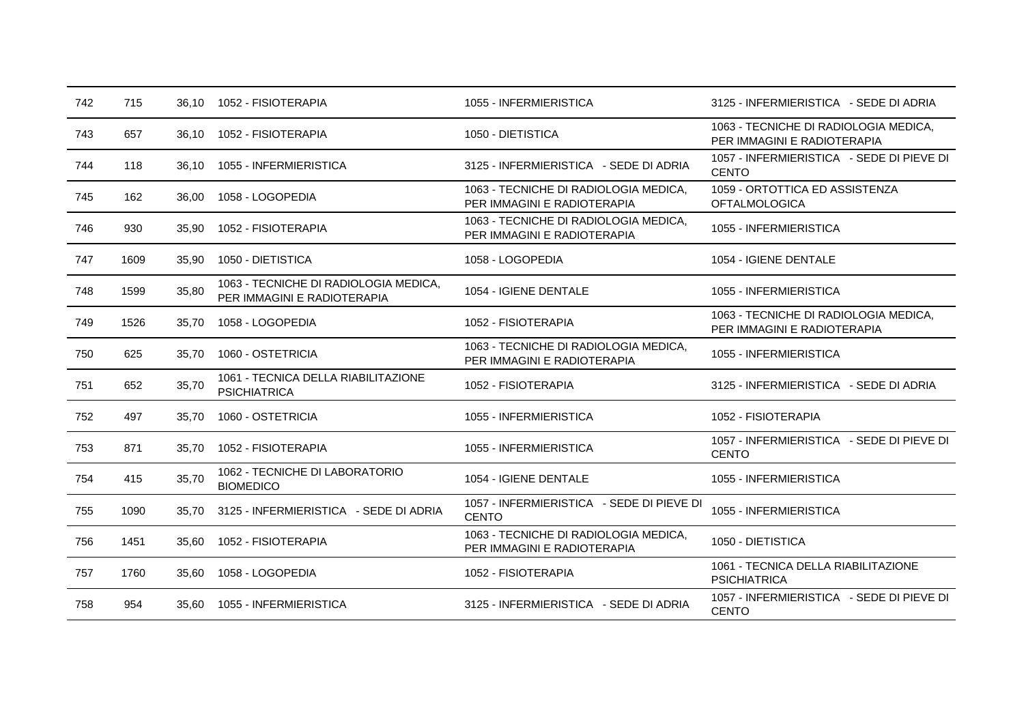| 742 | 715  |       | 36.10  1052 - FISIOTERAPIA                                           | 1055 - INFERMIERISTICA                                               | 3125 - INFERMIERISTICA - SEDE DI ADRIA                               |
|-----|------|-------|----------------------------------------------------------------------|----------------------------------------------------------------------|----------------------------------------------------------------------|
| 743 | 657  | 36,10 | 1052 - FISIOTERAPIA                                                  | 1050 - DIETISTICA                                                    | 1063 - TECNICHE DI RADIOLOGIA MEDICA,<br>PER IMMAGINI E RADIOTERAPIA |
| 744 | 118  | 36.10 | 1055 - INFERMIERISTICA                                               | 3125 - INFERMIERISTICA - SEDE DI ADRIA                               | 1057 - INFERMIERISTICA - SEDE DI PIEVE DI<br><b>CENTO</b>            |
| 745 | 162  | 36,00 | 1058 - LOGOPEDIA                                                     | 1063 - TECNICHE DI RADIOLOGIA MEDICA,<br>PER IMMAGINI E RADIOTERAPIA | 1059 - ORTOTTICA ED ASSISTENZA<br><b>OFTALMOLOGICA</b>               |
| 746 | 930  | 35,90 | 1052 - FISIOTERAPIA                                                  | 1063 - TECNICHE DI RADIOLOGIA MEDICA,<br>PER IMMAGINI E RADIOTERAPIA | 1055 - INFERMIERISTICA                                               |
| 747 | 1609 | 35.90 | 1050 - DIETISTICA                                                    | 1058 - LOGOPEDIA                                                     | 1054 - IGIENE DENTALE                                                |
| 748 | 1599 | 35,80 | 1063 - TECNICHE DI RADIOLOGIA MEDICA,<br>PER IMMAGINI E RADIOTERAPIA | 1054 - IGIENE DENTALE                                                | 1055 - INFERMIERISTICA                                               |
| 749 | 1526 | 35,70 | 1058 - LOGOPEDIA                                                     | 1052 - FISIOTERAPIA                                                  | 1063 - TECNICHE DI RADIOLOGIA MEDICA,<br>PER IMMAGINI E RADIOTERAPIA |
| 750 | 625  | 35.70 | 1060 - OSTETRICIA                                                    | 1063 - TECNICHE DI RADIOLOGIA MEDICA,<br>PER IMMAGINI E RADIOTERAPIA | 1055 - INFERMIERISTICA                                               |
| 751 | 652  | 35,70 | 1061 - TECNICA DELLA RIABILITAZIONE<br><b>PSICHIATRICA</b>           | 1052 - FISIOTERAPIA                                                  | 3125 - INFERMIERISTICA - SEDE DI ADRIA                               |
| 752 | 497  | 35.70 | 1060 - OSTETRICIA                                                    | 1055 - INFERMIERISTICA                                               | 1052 - FISIOTERAPIA                                                  |
| 753 | 871  | 35.70 | 1052 - FISIOTERAPIA                                                  | 1055 - INFERMIERISTICA                                               | 1057 - INFERMIERISTICA - SEDE DI PIEVE DI<br><b>CENTO</b>            |
| 754 | 415  | 35,70 | 1062 - TECNICHE DI LABORATORIO<br><b>BIOMEDICO</b>                   | 1054 - IGIENE DENTALE                                                | 1055 - INFERMIERISTICA                                               |
| 755 | 1090 | 35.70 | 3125 - INFERMIERISTICA - SEDE DI ADRIA                               | 1057 - INFERMIERISTICA - SEDE DI PIEVE DI<br><b>CENTO</b>            | 1055 - INFERMIERISTICA                                               |
| 756 | 1451 | 35,60 | 1052 - FISIOTERAPIA                                                  | 1063 - TECNICHE DI RADIOLOGIA MEDICA,<br>PER IMMAGINI E RADIOTERAPIA | 1050 - DIETISTICA                                                    |
| 757 | 1760 | 35,60 | 1058 - LOGOPEDIA                                                     | 1052 - FISIOTERAPIA                                                  | 1061 - TECNICA DELLA RIABILITAZIONE<br><b>PSICHIATRICA</b>           |
| 758 | 954  | 35.60 | 1055 - INFERMIERISTICA                                               | 3125 - INFERMIERISTICA - SEDE DI ADRIA                               | 1057 - INFERMIERISTICA - SEDE DI PIEVE DI<br><b>CENTO</b>            |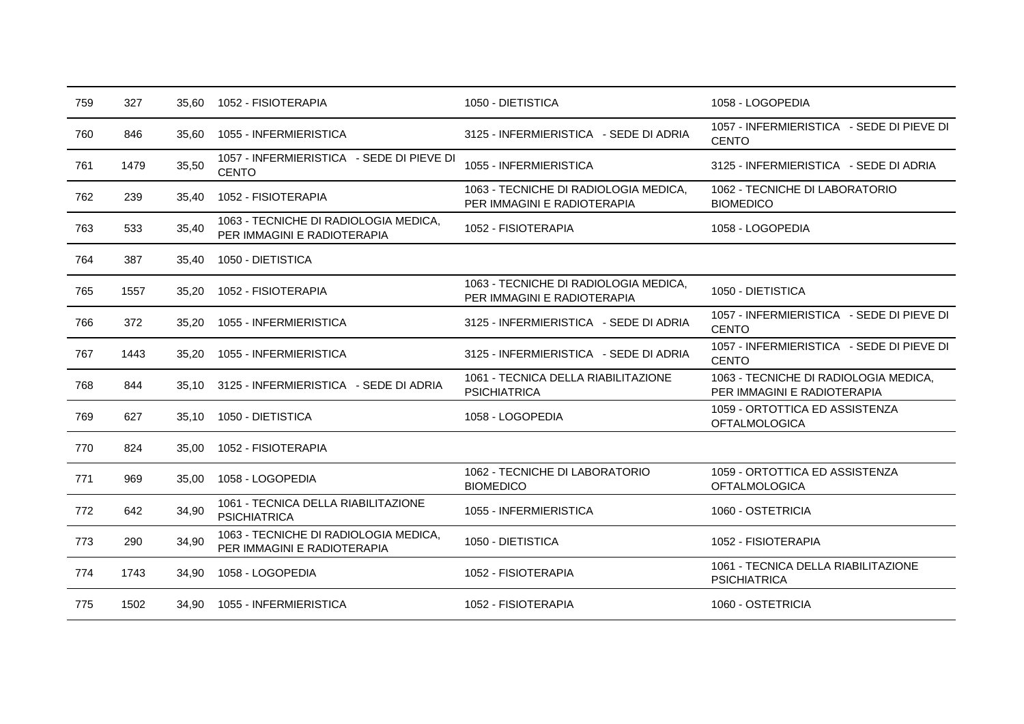| 759 | 327  | 35.60 | 1052 - FISIOTERAPIA                                                  | 1050 - DIETISTICA                                                    | 1058 - LOGOPEDIA                                                     |
|-----|------|-------|----------------------------------------------------------------------|----------------------------------------------------------------------|----------------------------------------------------------------------|
| 760 | 846  | 35,60 | 1055 - INFERMIERISTICA                                               | 3125 - INFERMIERISTICA - SEDE DI ADRIA                               | 1057 - INFERMIERISTICA - SEDE DI PIEVE DI<br><b>CENTO</b>            |
| 761 | 1479 | 35,50 | 1057 - INFERMIERISTICA - SEDE DI PIEVE DI<br><b>CENTO</b>            | 1055 - INFERMIERISTICA                                               | 3125 - INFERMIERISTICA - SEDE DI ADRIA                               |
| 762 | 239  | 35,40 | 1052 - FISIOTERAPIA                                                  | 1063 - TECNICHE DI RADIOLOGIA MEDICA,<br>PER IMMAGINI E RADIOTERAPIA | 1062 - TECNICHE DI LABORATORIO<br><b>BIOMEDICO</b>                   |
| 763 | 533  | 35,40 | 1063 - TECNICHE DI RADIOLOGIA MEDICA,<br>PER IMMAGINI E RADIOTERAPIA | 1052 - FISIOTERAPIA                                                  | 1058 - LOGOPEDIA                                                     |
| 764 | 387  | 35,40 | 1050 - DIETISTICA                                                    |                                                                      |                                                                      |
| 765 | 1557 | 35,20 | 1052 - FISIOTERAPIA                                                  | 1063 - TECNICHE DI RADIOLOGIA MEDICA.<br>PER IMMAGINI E RADIOTERAPIA | 1050 - DIETISTICA                                                    |
| 766 | 372  | 35.20 | 1055 - INFERMIERISTICA                                               | 3125 - INFERMIERISTICA - SEDE DI ADRIA                               | 1057 - INFERMIERISTICA - SEDE DI PIEVE DI<br><b>CENTO</b>            |
| 767 | 1443 | 35,20 | 1055 - INFERMIERISTICA                                               | 3125 - INFERMIERISTICA - SEDE DI ADRIA                               | 1057 - INFERMIERISTICA - SEDE DI PIEVE DI<br><b>CENTO</b>            |
| 768 | 844  | 35.10 | 3125 - INFERMIERISTICA - SEDE DI ADRIA                               | 1061 - TECNICA DELLA RIABILITAZIONE<br><b>PSICHIATRICA</b>           | 1063 - TECNICHE DI RADIOLOGIA MEDICA,<br>PER IMMAGINI E RADIOTERAPIA |
| 769 | 627  | 35,10 | 1050 - DIETISTICA                                                    | 1058 - LOGOPEDIA                                                     | 1059 - ORTOTTICA ED ASSISTENZA<br><b>OFTALMOLOGICA</b>               |
| 770 | 824  | 35,00 | 1052 - FISIOTERAPIA                                                  |                                                                      |                                                                      |
| 771 | 969  | 35.00 | 1058 - LOGOPEDIA                                                     | 1062 - TECNICHE DI LABORATORIO<br><b>BIOMEDICO</b>                   | 1059 - ORTOTTICA ED ASSISTENZA<br><b>OFTALMOLOGICA</b>               |
| 772 | 642  | 34,90 | 1061 - TECNICA DELLA RIABILITAZIONE<br><b>PSICHIATRICA</b>           | 1055 - INFERMIERISTICA                                               | 1060 - OSTETRICIA                                                    |
| 773 | 290  | 34,90 | 1063 - TECNICHE DI RADIOLOGIA MEDICA,<br>PER IMMAGINI E RADIOTERAPIA | 1050 - DIETISTICA                                                    | 1052 - FISIOTERAPIA                                                  |
| 774 | 1743 | 34,90 | 1058 - LOGOPEDIA                                                     | 1052 - FISIOTERAPIA                                                  | 1061 - TECNICA DELLA RIABILITAZIONE<br><b>PSICHIATRICA</b>           |
| 775 | 1502 | 34,90 | 1055 - INFERMIERISTICA                                               | 1052 - FISIOTERAPIA                                                  | 1060 - OSTETRICIA                                                    |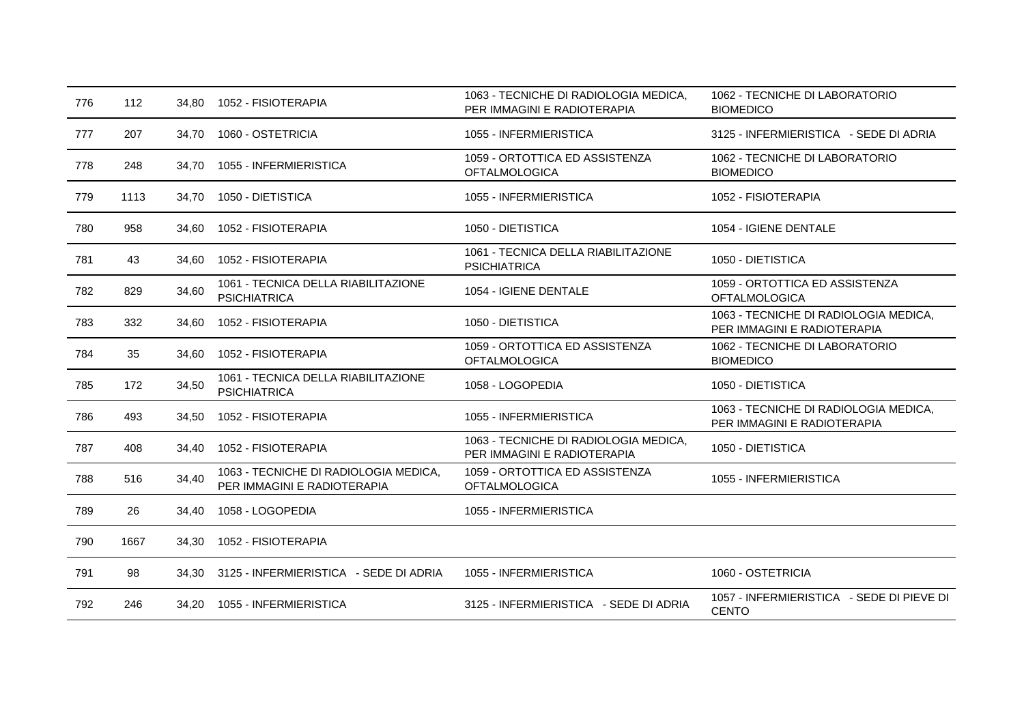| 776 | 112  | 34,80 | 1052 - FISIOTERAPIA                                                  | 1063 - TECNICHE DI RADIOLOGIA MEDICA,<br>PER IMMAGINI E RADIOTERAPIA | 1062 - TECNICHE DI LABORATORIO<br><b>BIOMEDICO</b>                   |
|-----|------|-------|----------------------------------------------------------------------|----------------------------------------------------------------------|----------------------------------------------------------------------|
| 777 | 207  | 34,70 | 1060 - OSTETRICIA                                                    | 1055 - INFERMIERISTICA                                               | 3125 - INFERMIERISTICA - SEDE DI ADRIA                               |
| 778 | 248  | 34,70 | 1055 - INFERMIERISTICA                                               | 1059 - ORTOTTICA ED ASSISTENZA<br><b>OFTALMOLOGICA</b>               | 1062 - TECNICHE DI LABORATORIO<br><b>BIOMEDICO</b>                   |
| 779 | 1113 | 34,70 | 1050 - DIETISTICA                                                    | 1055 - INFERMIERISTICA                                               | 1052 - FISIOTERAPIA                                                  |
| 780 | 958  | 34,60 | 1052 - FISIOTERAPIA                                                  | 1050 - DIETISTICA                                                    | 1054 - IGIENE DENTALE                                                |
| 781 | 43   | 34,60 | 1052 - FISIOTERAPIA                                                  | 1061 - TECNICA DELLA RIABILITAZIONE<br><b>PSICHIATRICA</b>           | 1050 - DIETISTICA                                                    |
| 782 | 829  | 34,60 | 1061 - TECNICA DELLA RIABILITAZIONE<br><b>PSICHIATRICA</b>           | 1054 - IGIENE DENTALE                                                | 1059 - ORTOTTICA ED ASSISTENZA<br><b>OFTALMOLOGICA</b>               |
| 783 | 332  | 34,60 | 1052 - FISIOTERAPIA                                                  | 1050 - DIETISTICA                                                    | 1063 - TECNICHE DI RADIOLOGIA MEDICA,<br>PER IMMAGINI E RADIOTERAPIA |
| 784 | 35   | 34,60 | 1052 - FISIOTERAPIA                                                  | 1059 - ORTOTTICA ED ASSISTENZA<br><b>OFTALMOLOGICA</b>               | 1062 - TECNICHE DI LABORATORIO<br><b>BIOMEDICO</b>                   |
| 785 | 172  | 34,50 | 1061 - TECNICA DELLA RIABILITAZIONE<br><b>PSICHIATRICA</b>           | 1058 - LOGOPEDIA                                                     | 1050 - DIETISTICA                                                    |
| 786 | 493  | 34,50 | 1052 - FISIOTERAPIA                                                  | 1055 - INFERMIERISTICA                                               | 1063 - TECNICHE DI RADIOLOGIA MEDICA,<br>PER IMMAGINI E RADIOTERAPIA |
| 787 | 408  | 34,40 | 1052 - FISIOTERAPIA                                                  | 1063 - TECNICHE DI RADIOLOGIA MEDICA,<br>PER IMMAGINI E RADIOTERAPIA | 1050 - DIETISTICA                                                    |
| 788 | 516  | 34,40 | 1063 - TECNICHE DI RADIOLOGIA MEDICA,<br>PER IMMAGINI E RADIOTERAPIA | 1059 - ORTOTTICA ED ASSISTENZA<br><b>OFTALMOLOGICA</b>               | 1055 - INFERMIERISTICA                                               |
| 789 | 26   | 34,40 | 1058 - LOGOPEDIA                                                     | 1055 - INFERMIERISTICA                                               |                                                                      |
| 790 | 1667 | 34,30 | 1052 - FISIOTERAPIA                                                  |                                                                      |                                                                      |
| 791 | 98   | 34,30 | 3125 - INFERMIERISTICA - SEDE DI ADRIA                               | 1055 - INFERMIERISTICA                                               | 1060 - OSTETRICIA                                                    |
| 792 | 246  | 34,20 | 1055 - INFERMIERISTICA                                               | 3125 - INFERMIERISTICA - SEDE DI ADRIA                               | 1057 - INFERMIERISTICA - SEDE DI PIEVE DI<br><b>CENTO</b>            |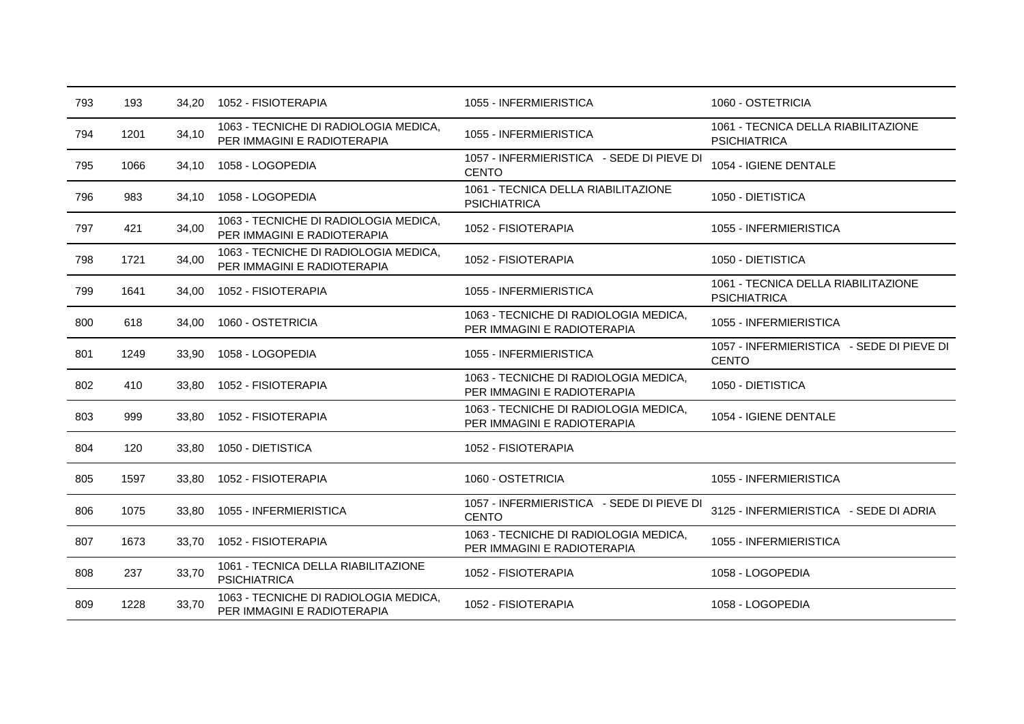| 793 | 193  | 34,20 | 1052 - FISIOTERAPIA                                                  | 1055 - INFERMIERISTICA                                               | 1060 - OSTETRICIA                                          |
|-----|------|-------|----------------------------------------------------------------------|----------------------------------------------------------------------|------------------------------------------------------------|
| 794 | 1201 | 34,10 | 1063 - TECNICHE DI RADIOLOGIA MEDICA,<br>PER IMMAGINI E RADIOTERAPIA | 1055 - INFERMIERISTICA                                               | 1061 - TECNICA DELLA RIABILITAZIONE<br><b>PSICHIATRICA</b> |
| 795 | 1066 | 34,10 | 1058 - LOGOPEDIA                                                     | 1057 - INFERMIERISTICA - SEDE DI PIEVE DI<br><b>CENTO</b>            | 1054 - IGIENE DENTALE                                      |
| 796 | 983  | 34.10 | 1058 - LOGOPEDIA                                                     | 1061 - TECNICA DELLA RIABILITAZIONE<br><b>PSICHIATRICA</b>           | 1050 - DIETISTICA                                          |
| 797 | 421  | 34,00 | 1063 - TECNICHE DI RADIOLOGIA MEDICA,<br>PER IMMAGINI E RADIOTERAPIA | 1052 - FISIOTERAPIA                                                  | 1055 - INFERMIERISTICA                                     |
| 798 | 1721 | 34,00 | 1063 - TECNICHE DI RADIOLOGIA MEDICA,<br>PER IMMAGINI E RADIOTERAPIA | 1052 - FISIOTERAPIA                                                  | 1050 - DIETISTICA                                          |
| 799 | 1641 | 34,00 | 1052 - FISIOTERAPIA                                                  | 1055 - INFERMIERISTICA                                               | 1061 - TECNICA DELLA RIABILITAZIONE<br><b>PSICHIATRICA</b> |
| 800 | 618  | 34,00 | 1060 - OSTETRICIA                                                    | 1063 - TECNICHE DI RADIOLOGIA MEDICA,<br>PER IMMAGINI E RADIOTERAPIA | 1055 - INFERMIERISTICA                                     |
| 801 | 1249 | 33,90 | 1058 - LOGOPEDIA                                                     | 1055 - INFERMIERISTICA                                               | 1057 - INFERMIERISTICA - SEDE DI PIEVE DI<br><b>CENTO</b>  |
| 802 | 410  | 33,80 | 1052 - FISIOTERAPIA                                                  | 1063 - TECNICHE DI RADIOLOGIA MEDICA.<br>PER IMMAGINI E RADIOTERAPIA | 1050 - DIETISTICA                                          |
| 803 | 999  | 33,80 | 1052 - FISIOTERAPIA                                                  | 1063 - TECNICHE DI RADIOLOGIA MEDICA,<br>PER IMMAGINI E RADIOTERAPIA | 1054 - IGIENE DENTALE                                      |
| 804 | 120  | 33,80 | 1050 - DIETISTICA                                                    | 1052 - FISIOTERAPIA                                                  |                                                            |
| 805 | 1597 | 33,80 | 1052 - FISIOTERAPIA                                                  | 1060 - OSTETRICIA                                                    | 1055 - INFERMIERISTICA                                     |
| 806 | 1075 | 33,80 | 1055 - INFERMIERISTICA                                               | 1057 - INFERMIERISTICA - SEDE DI PIEVE DI<br><b>CENTO</b>            | 3125 - INFERMIERISTICA - SEDE DI ADRIA                     |
| 807 | 1673 | 33.70 | 1052 - FISIOTERAPIA                                                  | 1063 - TECNICHE DI RADIOLOGIA MEDICA,<br>PER IMMAGINI E RADIOTERAPIA | 1055 - INFERMIERISTICA                                     |
| 808 | 237  | 33,70 | 1061 - TECNICA DELLA RIABILITAZIONE<br><b>PSICHIATRICA</b>           | 1052 - FISIOTERAPIA                                                  | 1058 - LOGOPEDIA                                           |
| 809 | 1228 | 33,70 | 1063 - TECNICHE DI RADIOLOGIA MEDICA,<br>PER IMMAGINI E RADIOTERAPIA | 1052 - FISIOTERAPIA                                                  | 1058 - LOGOPEDIA                                           |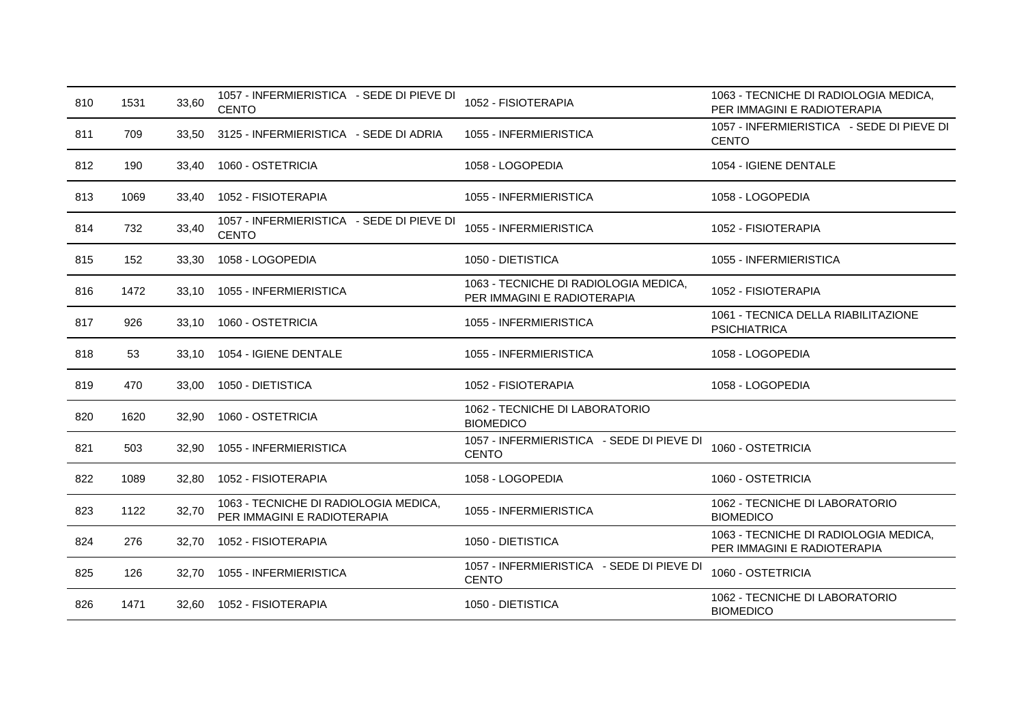| 810 | 1531 | 33,60 | 1057 - INFERMIERISTICA - SEDE DI PIEVE DI<br><b>CENTO</b>            | 1052 - FISIOTERAPIA                                                  | 1063 - TECNICHE DI RADIOLOGIA MEDICA,<br>PER IMMAGINI E RADIOTERAPIA |
|-----|------|-------|----------------------------------------------------------------------|----------------------------------------------------------------------|----------------------------------------------------------------------|
| 811 | 709  | 33.50 | 3125 - INFERMIERISTICA - SEDE DI ADRIA                               | 1055 - INFERMIERISTICA                                               | 1057 - INFERMIERISTICA - SEDE DI PIEVE DI<br><b>CENTO</b>            |
| 812 | 190  | 33,40 | 1060 - OSTETRICIA                                                    | 1058 - LOGOPEDIA                                                     | 1054 - IGIENE DENTALE                                                |
| 813 | 1069 | 33,40 | 1052 - FISIOTERAPIA                                                  | 1055 - INFERMIERISTICA                                               | 1058 - LOGOPEDIA                                                     |
| 814 | 732  | 33,40 | 1057 - INFERMIERISTICA - SEDE DI PIEVE DI<br><b>CENTO</b>            | 1055 - INFERMIERISTICA                                               | 1052 - FISIOTERAPIA                                                  |
| 815 | 152  | 33,30 | 1058 - LOGOPEDIA                                                     | 1050 - DIETISTICA                                                    | 1055 - INFERMIERISTICA                                               |
| 816 | 1472 | 33,10 | 1055 - INFERMIERISTICA                                               | 1063 - TECNICHE DI RADIOLOGIA MEDICA,<br>PER IMMAGINI E RADIOTERAPIA | 1052 - FISIOTERAPIA                                                  |
| 817 | 926  | 33,10 | 1060 - OSTETRICIA                                                    | 1055 - INFERMIERISTICA                                               | 1061 - TECNICA DELLA RIABILITAZIONE<br><b>PSICHIATRICA</b>           |
| 818 | 53   | 33.10 | 1054 - IGIENE DENTALE                                                | 1055 - INFERMIERISTICA                                               | 1058 - LOGOPEDIA                                                     |
| 819 | 470  | 33,00 | 1050 - DIETISTICA                                                    | 1052 - FISIOTERAPIA                                                  | 1058 - LOGOPEDIA                                                     |
| 820 | 1620 | 32,90 | 1060 - OSTETRICIA                                                    | 1062 - TECNICHE DI LABORATORIO<br><b>BIOMEDICO</b>                   |                                                                      |
| 821 | 503  | 32,90 | 1055 - INFERMIERISTICA                                               | 1057 - INFERMIERISTICA - SEDE DI PIEVE DI<br><b>CENTO</b>            | 1060 - OSTETRICIA                                                    |
| 822 | 1089 | 32,80 | 1052 - FISIOTERAPIA                                                  | 1058 - LOGOPEDIA                                                     | 1060 - OSTETRICIA                                                    |
| 823 | 1122 | 32,70 | 1063 - TECNICHE DI RADIOLOGIA MEDICA,<br>PER IMMAGINI E RADIOTERAPIA | 1055 - INFERMIERISTICA                                               | 1062 - TECNICHE DI LABORATORIO<br><b>BIOMEDICO</b>                   |
| 824 | 276  | 32.70 | 1052 - FISIOTERAPIA                                                  | 1050 - DIETISTICA                                                    | 1063 - TECNICHE DI RADIOLOGIA MEDICA,<br>PER IMMAGINI E RADIOTERAPIA |
| 825 | 126  | 32,70 | 1055 - INFERMIERISTICA                                               | 1057 - INFERMIERISTICA - SEDE DI PIEVE DI<br><b>CENTO</b>            | 1060 - OSTETRICIA                                                    |
| 826 | 1471 | 32,60 | 1052 - FISIOTERAPIA                                                  | 1050 - DIETISTICA                                                    | 1062 - TECNICHE DI LABORATORIO<br><b>BIOMEDICO</b>                   |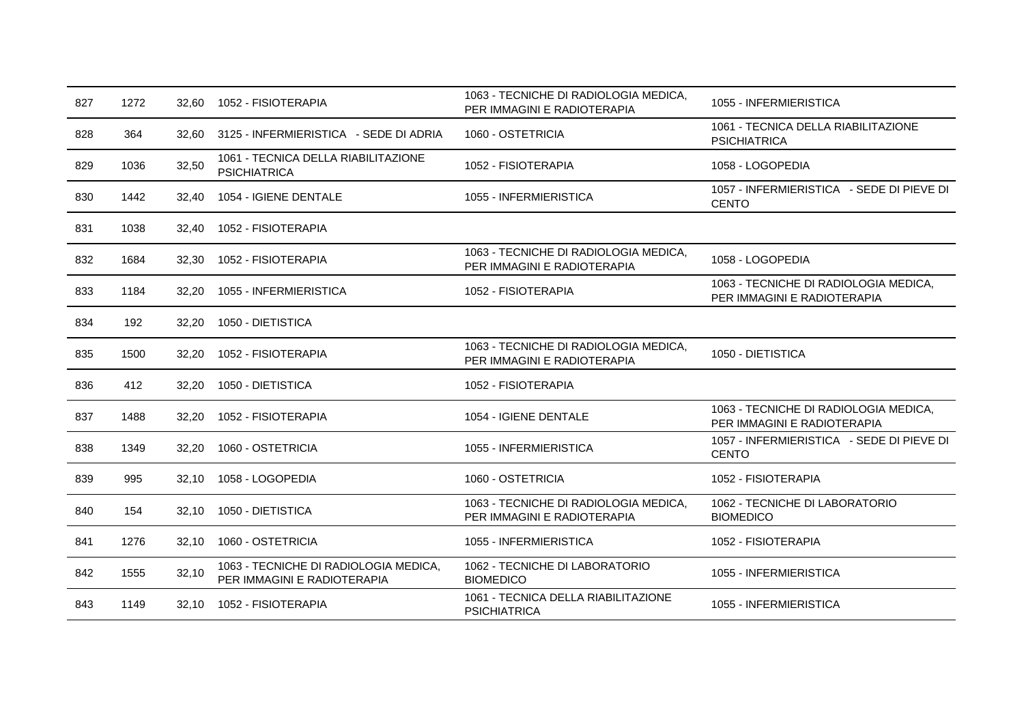| 827 | 1272 | 32,60 | 1052 - FISIOTERAPIA                                                  | 1063 - TECNICHE DI RADIOLOGIA MEDICA,<br>PER IMMAGINI E RADIOTERAPIA | 1055 - INFERMIERISTICA                                               |
|-----|------|-------|----------------------------------------------------------------------|----------------------------------------------------------------------|----------------------------------------------------------------------|
| 828 | 364  | 32,60 | 3125 - INFERMIERISTICA - SEDE DI ADRIA                               | 1060 - OSTETRICIA                                                    | 1061 - TECNICA DELLA RIABILITAZIONE<br><b>PSICHIATRICA</b>           |
| 829 | 1036 | 32,50 | 1061 - TECNICA DELLA RIABILITAZIONE<br><b>PSICHIATRICA</b>           | 1052 - FISIOTERAPIA                                                  | 1058 - LOGOPEDIA                                                     |
| 830 | 1442 | 32,40 | 1054 - IGIENE DENTALE                                                | 1055 - INFERMIERISTICA                                               | 1057 - INFERMIERISTICA - SEDE DI PIEVE DI<br><b>CENTO</b>            |
| 831 | 1038 | 32,40 | 1052 - FISIOTERAPIA                                                  |                                                                      |                                                                      |
| 832 | 1684 | 32.30 | 1052 - FISIOTERAPIA                                                  | 1063 - TECNICHE DI RADIOLOGIA MEDICA,<br>PER IMMAGINI E RADIOTERAPIA | 1058 - LOGOPEDIA                                                     |
| 833 | 1184 | 32.20 | 1055 - INFERMIERISTICA                                               | 1052 - FISIOTERAPIA                                                  | 1063 - TECNICHE DI RADIOLOGIA MEDICA,<br>PER IMMAGINI E RADIOTERAPIA |
| 834 | 192  | 32,20 | 1050 - DIETISTICA                                                    |                                                                      |                                                                      |
| 835 | 1500 | 32.20 | 1052 - FISIOTERAPIA                                                  | 1063 - TECNICHE DI RADIOLOGIA MEDICA,<br>PER IMMAGINI E RADIOTERAPIA | 1050 - DIETISTICA                                                    |
| 836 | 412  | 32.20 | 1050 - DIETISTICA                                                    | 1052 - FISIOTERAPIA                                                  |                                                                      |
| 837 | 1488 | 32,20 | 1052 - FISIOTERAPIA                                                  | 1054 - IGIENE DENTALE                                                | 1063 - TECNICHE DI RADIOLOGIA MEDICA,<br>PER IMMAGINI E RADIOTERAPIA |
| 838 | 1349 | 32,20 | 1060 - OSTETRICIA                                                    | 1055 - INFERMIERISTICA                                               | 1057 - INFERMIERISTICA - SEDE DI PIEVE DI<br><b>CENTO</b>            |
| 839 | 995  | 32.10 | 1058 - LOGOPEDIA                                                     | 1060 - OSTETRICIA                                                    | 1052 - FISIOTERAPIA                                                  |
| 840 | 154  | 32,10 | 1050 - DIETISTICA                                                    | 1063 - TECNICHE DI RADIOLOGIA MEDICA.<br>PER IMMAGINI E RADIOTERAPIA | 1062 - TECNICHE DI LABORATORIO<br><b>BIOMEDICO</b>                   |
| 841 | 1276 | 32,10 | 1060 - OSTETRICIA                                                    | 1055 - INFERMIERISTICA                                               | 1052 - FISIOTERAPIA                                                  |
| 842 | 1555 | 32,10 | 1063 - TECNICHE DI RADIOLOGIA MEDICA,<br>PER IMMAGINI E RADIOTERAPIA | 1062 - TECNICHE DI LABORATORIO<br><b>BIOMEDICO</b>                   | 1055 - INFERMIERISTICA                                               |
| 843 | 1149 | 32,10 | 1052 - FISIOTERAPIA                                                  | 1061 - TECNICA DELLA RIABILITAZIONE<br><b>PSICHIATRICA</b>           | 1055 - INFERMIERISTICA                                               |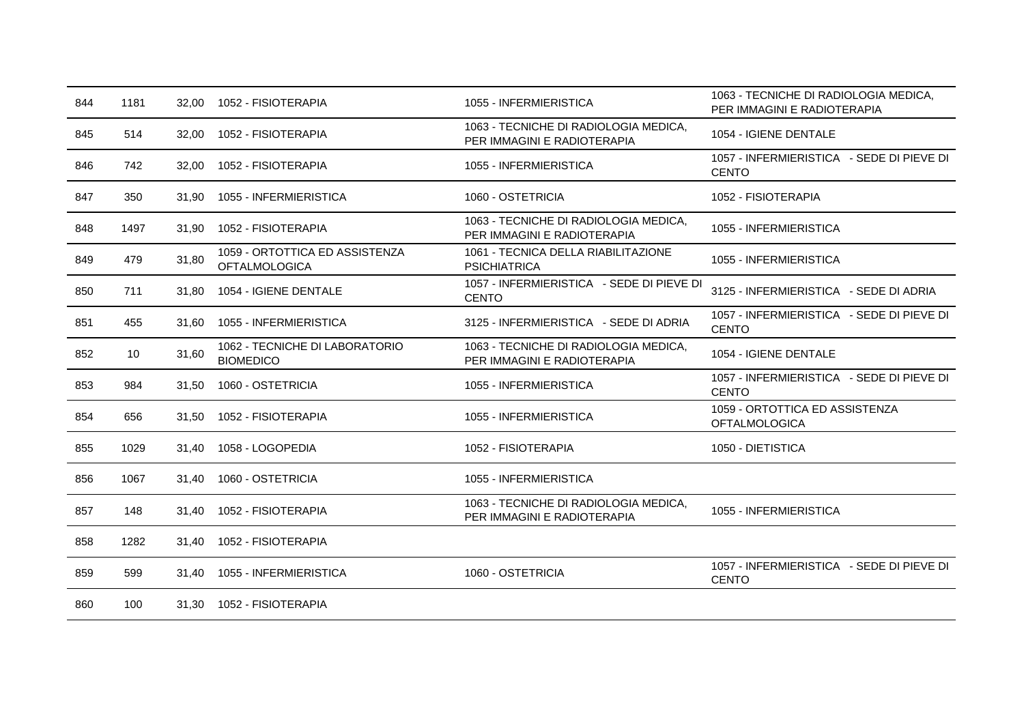| 844 | 1181 | 32,00 | 1052 - FISIOTERAPIA                                    | 1055 - INFERMIERISTICA                                               | 1063 - TECNICHE DI RADIOLOGIA MEDICA,<br>PER IMMAGINI E RADIOTERAPIA |
|-----|------|-------|--------------------------------------------------------|----------------------------------------------------------------------|----------------------------------------------------------------------|
| 845 | 514  | 32,00 | 1052 - FISIOTERAPIA                                    | 1063 - TECNICHE DI RADIOLOGIA MEDICA,<br>PER IMMAGINI E RADIOTERAPIA | 1054 - IGIENE DENTALE                                                |
| 846 | 742  | 32,00 | 1052 - FISIOTERAPIA                                    | 1055 - INFERMIERISTICA                                               | 1057 - INFERMIERISTICA - SEDE DI PIEVE DI<br><b>CENTO</b>            |
| 847 | 350  | 31,90 | 1055 - INFERMIERISTICA                                 | 1060 - OSTETRICIA                                                    | 1052 - FISIOTERAPIA                                                  |
| 848 | 1497 | 31,90 | 1052 - FISIOTERAPIA                                    | 1063 - TECNICHE DI RADIOLOGIA MEDICA,<br>PER IMMAGINI E RADIOTERAPIA | 1055 - INFERMIERISTICA                                               |
| 849 | 479  | 31,80 | 1059 - ORTOTTICA ED ASSISTENZA<br><b>OFTALMOLOGICA</b> | 1061 - TECNICA DELLA RIABILITAZIONE<br><b>PSICHIATRICA</b>           | 1055 - INFERMIERISTICA                                               |
| 850 | 711  | 31,80 | 1054 - IGIENE DENTALE                                  | 1057 - INFERMIERISTICA - SEDE DI PIEVE DI<br><b>CENTO</b>            | 3125 - INFERMIERISTICA - SEDE DI ADRIA                               |
| 851 | 455  | 31,60 | 1055 - INFERMIERISTICA                                 | 3125 - INFERMIERISTICA - SEDE DI ADRIA                               | 1057 - INFERMIERISTICA - SEDE DI PIEVE DI<br><b>CENTO</b>            |
| 852 | 10   | 31,60 | 1062 - TECNICHE DI LABORATORIO<br><b>BIOMEDICO</b>     | 1063 - TECNICHE DI RADIOLOGIA MEDICA,<br>PER IMMAGINI E RADIOTERAPIA | 1054 - IGIENE DENTALE                                                |
| 853 | 984  | 31,50 | 1060 - OSTETRICIA                                      | 1055 - INFERMIERISTICA                                               | 1057 - INFERMIERISTICA - SEDE DI PIEVE DI<br><b>CENTO</b>            |
| 854 | 656  | 31.50 | 1052 - FISIOTERAPIA                                    | 1055 - INFERMIERISTICA                                               | 1059 - ORTOTTICA ED ASSISTENZA<br><b>OFTALMOLOGICA</b>               |
| 855 | 1029 | 31,40 | 1058 - LOGOPEDIA                                       | 1052 - FISIOTERAPIA                                                  | 1050 - DIETISTICA                                                    |
| 856 | 1067 | 31,40 | 1060 - OSTETRICIA                                      | 1055 - INFERMIERISTICA                                               |                                                                      |
| 857 | 148  | 31,40 | 1052 - FISIOTERAPIA                                    | 1063 - TECNICHE DI RADIOLOGIA MEDICA,<br>PER IMMAGINI E RADIOTERAPIA | 1055 - INFERMIERISTICA                                               |
| 858 | 1282 | 31,40 | 1052 - FISIOTERAPIA                                    |                                                                      |                                                                      |
| 859 | 599  | 31.40 | 1055 - INFERMIERISTICA                                 | 1060 - OSTETRICIA                                                    | 1057 - INFERMIERISTICA - SEDE DI PIEVE DI<br><b>CENTO</b>            |
| 860 | 100  | 31,30 | 1052 - FISIOTERAPIA                                    |                                                                      |                                                                      |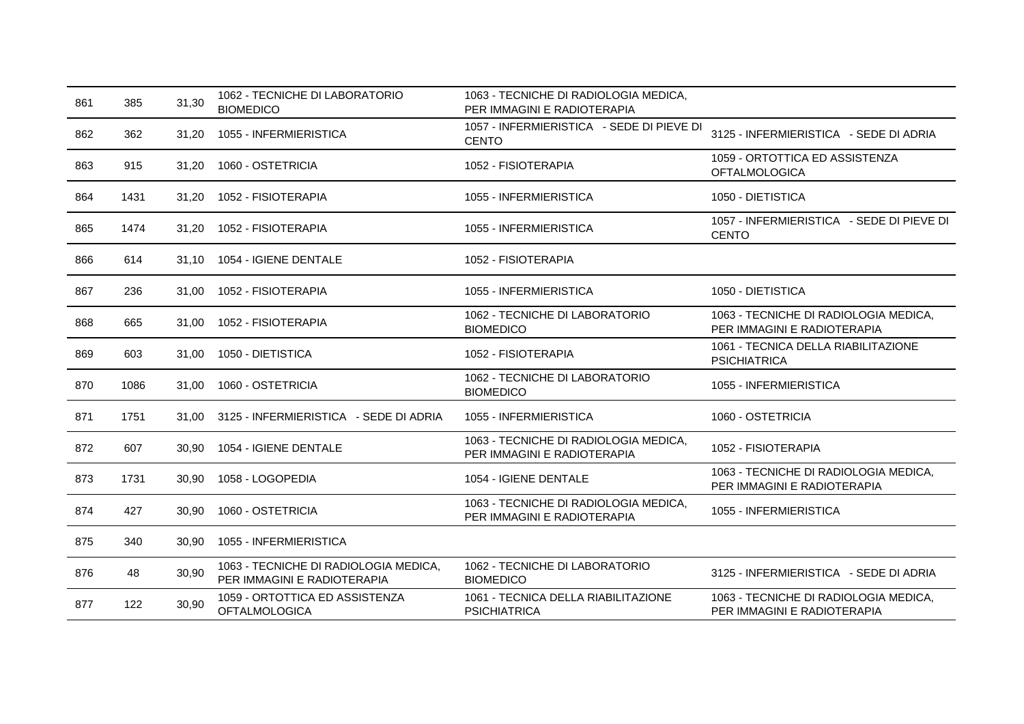| 861 | 385  | 31,30 | 1062 - TECNICHE DI LABORATORIO<br><b>BIOMEDICO</b>                   | 1063 - TECNICHE DI RADIOLOGIA MEDICA,<br>PER IMMAGINI E RADIOTERAPIA |                                                                      |
|-----|------|-------|----------------------------------------------------------------------|----------------------------------------------------------------------|----------------------------------------------------------------------|
| 862 | 362  | 31,20 | 1055 - INFERMIERISTICA                                               | 1057 - INFERMIERISTICA - SEDE DI PIEVE DI<br><b>CENTO</b>            | 3125 - INFERMIERISTICA - SEDE DI ADRIA                               |
| 863 | 915  | 31,20 | 1060 - OSTETRICIA                                                    | 1052 - FISIOTERAPIA                                                  | 1059 - ORTOTTICA ED ASSISTENZA<br><b>OFTALMOLOGICA</b>               |
| 864 | 1431 | 31,20 | 1052 - FISIOTERAPIA                                                  | 1055 - INFERMIERISTICA                                               | 1050 - DIETISTICA                                                    |
| 865 | 1474 | 31,20 | 1052 - FISIOTERAPIA                                                  | 1055 - INFERMIERISTICA                                               | 1057 - INFERMIERISTICA - SEDE DI PIEVE DI<br><b>CENTO</b>            |
| 866 | 614  | 31.10 | 1054 - IGIENE DENTALE                                                | 1052 - FISIOTERAPIA                                                  |                                                                      |
| 867 | 236  | 31.00 | 1052 - FISIOTERAPIA                                                  | 1055 - INFERMIERISTICA                                               | 1050 - DIETISTICA                                                    |
| 868 | 665  | 31,00 | 1052 - FISIOTERAPIA                                                  | 1062 - TECNICHE DI LABORATORIO<br><b>BIOMEDICO</b>                   | 1063 - TECNICHE DI RADIOLOGIA MEDICA,<br>PER IMMAGINI E RADIOTERAPIA |
| 869 | 603  | 31.00 | 1050 - DIETISTICA                                                    | 1052 - FISIOTERAPIA                                                  | 1061 - TECNICA DELLA RIABILITAZIONE<br><b>PSICHIATRICA</b>           |
| 870 | 1086 | 31.00 | 1060 - OSTETRICIA                                                    | 1062 - TECNICHE DI LABORATORIO<br><b>BIOMEDICO</b>                   | 1055 - INFERMIERISTICA                                               |
| 871 | 1751 | 31.00 | 3125 - INFERMIERISTICA - SEDE DI ADRIA                               | 1055 - INFERMIERISTICA                                               | 1060 - OSTETRICIA                                                    |
| 872 | 607  | 30,90 | 1054 - IGIENE DENTALE                                                | 1063 - TECNICHE DI RADIOLOGIA MEDICA,<br>PER IMMAGINI E RADIOTERAPIA | 1052 - FISIOTERAPIA                                                  |
| 873 | 1731 | 30,90 | 1058 - LOGOPEDIA                                                     | 1054 - IGIENE DENTALE                                                | 1063 - TECNICHE DI RADIOLOGIA MEDICA,<br>PER IMMAGINI E RADIOTERAPIA |
| 874 | 427  | 30,90 | 1060 - OSTETRICIA                                                    | 1063 - TECNICHE DI RADIOLOGIA MEDICA,<br>PER IMMAGINI E RADIOTERAPIA | 1055 - INFERMIERISTICA                                               |
| 875 | 340  | 30,90 | 1055 - INFERMIERISTICA                                               |                                                                      |                                                                      |
| 876 | 48   | 30,90 | 1063 - TECNICHE DI RADIOLOGIA MEDICA,<br>PER IMMAGINI E RADIOTERAPIA | 1062 - TECNICHE DI LABORATORIO<br><b>BIOMEDICO</b>                   | 3125 - INFERMIERISTICA - SEDE DI ADRIA                               |
| 877 | 122  | 30,90 | 1059 - ORTOTTICA ED ASSISTENZA<br><b>OFTALMOLOGICA</b>               | 1061 - TECNICA DELLA RIABILITAZIONE<br><b>PSICHIATRICA</b>           | 1063 - TECNICHE DI RADIOLOGIA MEDICA,<br>PER IMMAGINI E RADIOTERAPIA |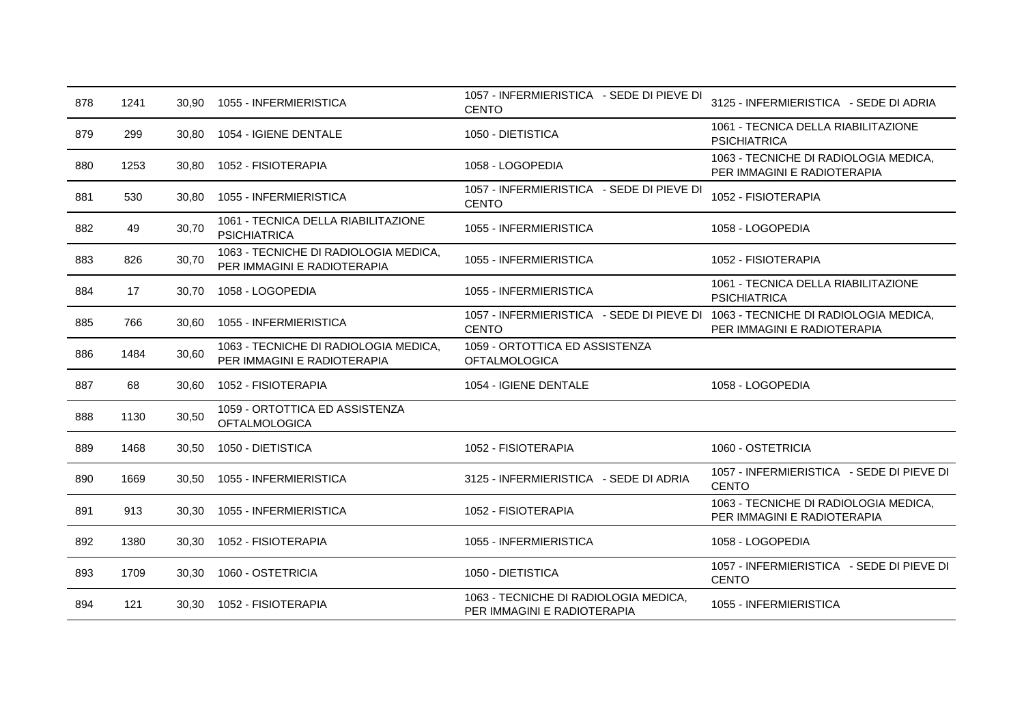| 878 | 1241 | 30.90 | 1055 - INFERMIERISTICA                                               | 1057 - INFERMIERISTICA - SEDE DI PIEVE DI<br><b>CENTO</b>                                       | 3125 - INFERMIERISTICA - SEDE DI ADRIA                               |
|-----|------|-------|----------------------------------------------------------------------|-------------------------------------------------------------------------------------------------|----------------------------------------------------------------------|
| 879 | 299  | 30,80 | 1054 - IGIENE DENTALE                                                | 1050 - DIETISTICA                                                                               | 1061 - TECNICA DELLA RIABILITAZIONE<br><b>PSICHIATRICA</b>           |
| 880 | 1253 | 30,80 | 1052 - FISIOTERAPIA                                                  | 1058 - LOGOPEDIA                                                                                | 1063 - TECNICHE DI RADIOLOGIA MEDICA,<br>PER IMMAGINI E RADIOTERAPIA |
| 881 | 530  | 30,80 | 1055 - INFERMIERISTICA                                               | 1057 - INFERMIERISTICA - SEDE DI PIEVE DI<br><b>CENTO</b>                                       | 1052 - FISIOTERAPIA                                                  |
| 882 | 49   | 30,70 | 1061 - TECNICA DELLA RIABILITAZIONE<br><b>PSICHIATRICA</b>           | 1055 - INFERMIERISTICA                                                                          | 1058 - LOGOPEDIA                                                     |
| 883 | 826  | 30,70 | 1063 - TECNICHE DI RADIOLOGIA MEDICA,<br>PER IMMAGINI E RADIOTERAPIA | 1055 - INFERMIERISTICA                                                                          | 1052 - FISIOTERAPIA                                                  |
| 884 | 17   | 30,70 | 1058 - LOGOPEDIA                                                     | 1055 - INFERMIERISTICA                                                                          | 1061 - TECNICA DELLA RIABILITAZIONE<br><b>PSICHIATRICA</b>           |
| 885 | 766  | 30,60 | 1055 - INFERMIERISTICA                                               | 1057 - INFERMIERISTICA - SEDE DI PIEVE DI 1063 - TECNICHE DI RADIOLOGIA MEDICA,<br><b>CENTO</b> | PER IMMAGINI E RADIOTERAPIA                                          |
| 886 | 1484 | 30,60 | 1063 - TECNICHE DI RADIOLOGIA MEDICA,<br>PER IMMAGINI E RADIOTERAPIA | 1059 - ORTOTTICA ED ASSISTENZA<br><b>OFTALMOLOGICA</b>                                          |                                                                      |
| 887 | 68   | 30,60 | 1052 - FISIOTERAPIA                                                  | 1054 - IGIENE DENTALE                                                                           | 1058 - LOGOPEDIA                                                     |
| 888 | 1130 | 30,50 | 1059 - ORTOTTICA ED ASSISTENZA<br><b>OFTALMOLOGICA</b>               |                                                                                                 |                                                                      |
| 889 | 1468 | 30,50 | 1050 - DIETISTICA                                                    | 1052 - FISIOTERAPIA                                                                             | 1060 - OSTETRICIA                                                    |
| 890 | 1669 | 30,50 | 1055 - INFERMIERISTICA                                               | 3125 - INFERMIERISTICA - SEDE DI ADRIA                                                          | 1057 - INFERMIERISTICA - SEDE DI PIEVE DI<br><b>CENTO</b>            |
| 891 | 913  | 30,30 | 1055 - INFERMIERISTICA                                               | 1052 - FISIOTERAPIA                                                                             | 1063 - TECNICHE DI RADIOLOGIA MEDICA,<br>PER IMMAGINI E RADIOTERAPIA |
| 892 | 1380 | 30,30 | 1052 - FISIOTERAPIA                                                  | 1055 - INFERMIERISTICA                                                                          | 1058 - LOGOPEDIA                                                     |
| 893 | 1709 | 30,30 | 1060 - OSTETRICIA                                                    | 1050 - DIETISTICA                                                                               | 1057 - INFERMIERISTICA - SEDE DI PIEVE DI<br><b>CENTO</b>            |
| 894 | 121  | 30,30 | 1052 - FISIOTERAPIA                                                  | 1063 - TECNICHE DI RADIOLOGIA MEDICA,<br>PER IMMAGINI E RADIOTERAPIA                            | 1055 - INFERMIERISTICA                                               |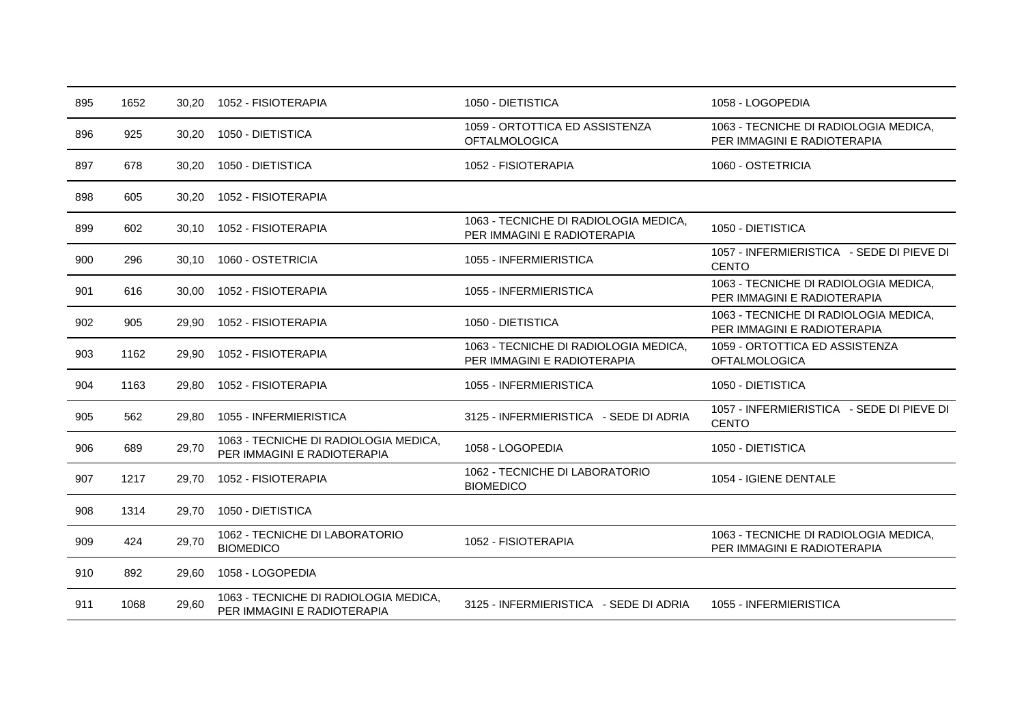| 895 | 1652 | 30,20 | 1052 - FISIOTERAPIA                                                  | 1050 - DIETISTICA                                                    | 1058 - LOGOPEDIA                                                     |
|-----|------|-------|----------------------------------------------------------------------|----------------------------------------------------------------------|----------------------------------------------------------------------|
| 896 | 925  | 30,20 | 1050 - DIETISTICA                                                    | 1059 - ORTOTTICA ED ASSISTENZA<br><b>OFTALMOLOGICA</b>               | 1063 - TECNICHE DI RADIOLOGIA MEDICA,<br>PER IMMAGINI E RADIOTERAPIA |
| 897 | 678  | 30,20 | 1050 - DIETISTICA                                                    | 1052 - FISIOTERAPIA                                                  | 1060 - OSTETRICIA                                                    |
| 898 | 605  | 30,20 | 1052 - FISIOTERAPIA                                                  |                                                                      |                                                                      |
| 899 | 602  | 30,10 | 1052 - FISIOTERAPIA                                                  | 1063 - TECNICHE DI RADIOLOGIA MEDICA,<br>PER IMMAGINI E RADIOTERAPIA | 1050 - DIETISTICA                                                    |
| 900 | 296  | 30,10 | 1060 - OSTETRICIA                                                    | 1055 - INFERMIERISTICA                                               | 1057 - INFERMIERISTICA - SEDE DI PIEVE DI<br><b>CENTO</b>            |
| 901 | 616  | 30,00 | 1052 - FISIOTERAPIA                                                  | 1055 - INFERMIERISTICA                                               | 1063 - TECNICHE DI RADIOLOGIA MEDICA,<br>PER IMMAGINI E RADIOTERAPIA |
| 902 | 905  | 29,90 | 1052 - FISIOTERAPIA                                                  | 1050 - DIETISTICA                                                    | 1063 - TECNICHE DI RADIOLOGIA MEDICA,<br>PER IMMAGINI E RADIOTERAPIA |
| 903 | 1162 | 29,90 | 1052 - FISIOTERAPIA                                                  | 1063 - TECNICHE DI RADIOLOGIA MEDICA,<br>PER IMMAGINI E RADIOTERAPIA | 1059 - ORTOTTICA ED ASSISTENZA<br><b>OFTALMOLOGICA</b>               |
| 904 | 1163 | 29,80 | 1052 - FISIOTERAPIA                                                  | 1055 - INFERMIERISTICA                                               | 1050 - DIETISTICA                                                    |
| 905 | 562  | 29,80 | 1055 - INFERMIERISTICA                                               | 3125 - INFERMIERISTICA - SEDE DI ADRIA                               | 1057 - INFERMIERISTICA - SEDE DI PIEVE DI<br><b>CENTO</b>            |
| 906 | 689  | 29,70 | 1063 - TECNICHE DI RADIOLOGIA MEDICA,<br>PER IMMAGINI E RADIOTERAPIA | 1058 - LOGOPEDIA                                                     | 1050 - DIETISTICA                                                    |
| 907 | 1217 | 29,70 | 1052 - FISIOTERAPIA                                                  | 1062 - TECNICHE DI LABORATORIO<br><b>BIOMEDICO</b>                   | 1054 - IGIENE DENTALE                                                |
| 908 | 1314 | 29,70 | 1050 - DIETISTICA                                                    |                                                                      |                                                                      |
| 909 | 424  | 29,70 | 1062 - TECNICHE DI LABORATORIO<br><b>BIOMEDICO</b>                   | 1052 - FISIOTERAPIA                                                  | 1063 - TECNICHE DI RADIOLOGIA MEDICA,<br>PER IMMAGINI E RADIOTERAPIA |
| 910 | 892  | 29.60 | 1058 - LOGOPEDIA                                                     |                                                                      |                                                                      |
| 911 | 1068 | 29,60 | 1063 - TECNICHE DI RADIOLOGIA MEDICA,<br>PER IMMAGINI E RADIOTERAPIA | 3125 - INFERMIERISTICA - SEDE DI ADRIA                               | 1055 - INFERMIERISTICA                                               |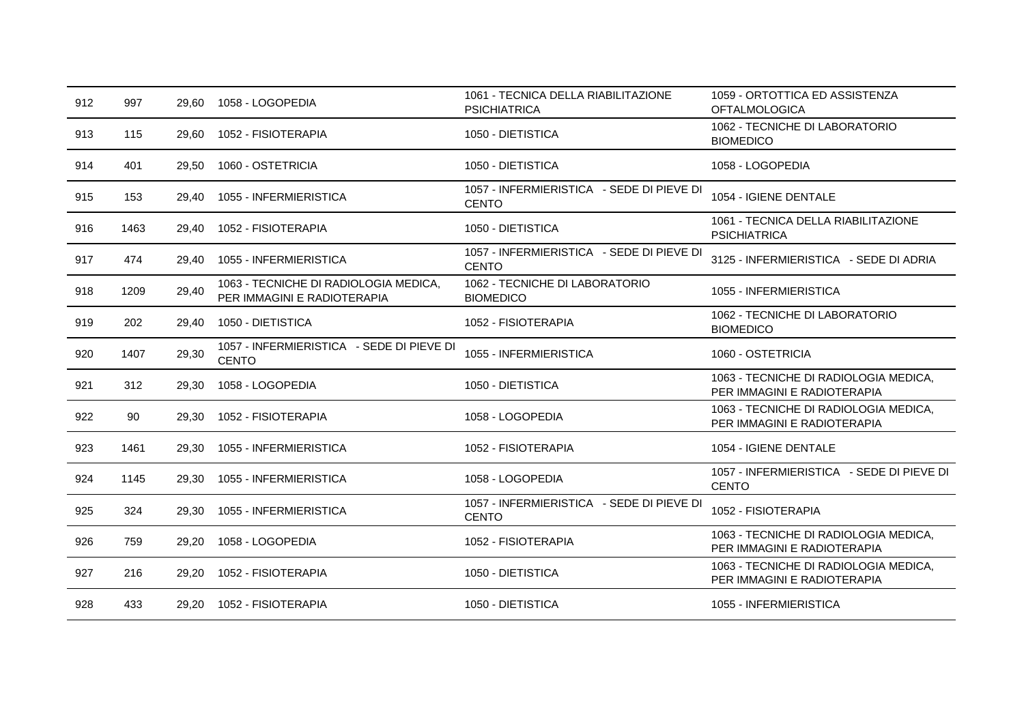| 912 | 997  | 29,60 | 1058 - LOGOPEDIA                                                     | 1061 - TECNICA DELLA RIABILITAZIONE<br><b>PSICHIATRICA</b> | 1059 - ORTOTTICA ED ASSISTENZA<br><b>OFTALMOLOGICA</b>               |
|-----|------|-------|----------------------------------------------------------------------|------------------------------------------------------------|----------------------------------------------------------------------|
| 913 | 115  | 29,60 | 1052 - FISIOTERAPIA                                                  | 1050 - DIETISTICA                                          | 1062 - TECNICHE DI LABORATORIO<br><b>BIOMEDICO</b>                   |
| 914 | 401  | 29,50 | 1060 - OSTETRICIA                                                    | 1050 - DIETISTICA                                          | 1058 - LOGOPEDIA                                                     |
| 915 | 153  | 29,40 | 1055 - INFERMIERISTICA                                               | 1057 - INFERMIERISTICA - SEDE DI PIEVE DI<br><b>CENTO</b>  | 1054 - IGIENE DENTALE                                                |
| 916 | 1463 | 29,40 | 1052 - FISIOTERAPIA                                                  | 1050 - DIETISTICA                                          | 1061 - TECNICA DELLA RIABILITAZIONE<br><b>PSICHIATRICA</b>           |
| 917 | 474  | 29,40 | 1055 - INFERMIERISTICA                                               | 1057 - INFERMIERISTICA - SEDE DI PIEVE DI<br><b>CENTO</b>  | 3125 - INFERMIERISTICA - SEDE DI ADRIA                               |
| 918 | 1209 | 29,40 | 1063 - TECNICHE DI RADIOLOGIA MEDICA,<br>PER IMMAGINI E RADIOTERAPIA | 1062 - TECNICHE DI LABORATORIO<br><b>BIOMEDICO</b>         | 1055 - INFERMIERISTICA                                               |
| 919 | 202  | 29,40 | 1050 - DIETISTICA                                                    | 1052 - FISIOTERAPIA                                        | 1062 - TECNICHE DI LABORATORIO<br><b>BIOMEDICO</b>                   |
| 920 | 1407 | 29,30 | 1057 - INFERMIERISTICA - SEDE DI PIEVE DI<br><b>CENTO</b>            | 1055 - INFERMIERISTICA                                     | 1060 - OSTETRICIA                                                    |
| 921 | 312  | 29,30 | 1058 - LOGOPEDIA                                                     | 1050 - DIETISTICA                                          | 1063 - TECNICHE DI RADIOLOGIA MEDICA,<br>PER IMMAGINI E RADIOTERAPIA |
| 922 | 90   | 29,30 | 1052 - FISIOTERAPIA                                                  | 1058 - LOGOPEDIA                                           | 1063 - TECNICHE DI RADIOLOGIA MEDICA.<br>PER IMMAGINI E RADIOTERAPIA |
| 923 | 1461 | 29,30 | 1055 - INFERMIERISTICA                                               | 1052 - FISIOTERAPIA                                        | 1054 - IGIENE DENTALE                                                |
| 924 | 1145 | 29.30 | 1055 - INFERMIERISTICA                                               | 1058 - LOGOPEDIA                                           | 1057 - INFERMIERISTICA - SEDE DI PIEVE DI<br><b>CENTO</b>            |
| 925 | 324  | 29,30 | 1055 - INFERMIERISTICA                                               | 1057 - INFERMIERISTICA - SEDE DI PIEVE DI<br><b>CENTO</b>  | 1052 - FISIOTERAPIA                                                  |
| 926 | 759  | 29,20 | 1058 - LOGOPEDIA                                                     | 1052 - FISIOTERAPIA                                        | 1063 - TECNICHE DI RADIOLOGIA MEDICA,<br>PER IMMAGINI E RADIOTERAPIA |
| 927 | 216  | 29,20 | 1052 - FISIOTERAPIA                                                  | 1050 - DIETISTICA                                          | 1063 - TECNICHE DI RADIOLOGIA MEDICA,<br>PER IMMAGINI E RADIOTERAPIA |
| 928 | 433  | 29,20 | 1052 - FISIOTERAPIA                                                  | 1050 - DIETISTICA                                          | 1055 - INFERMIERISTICA                                               |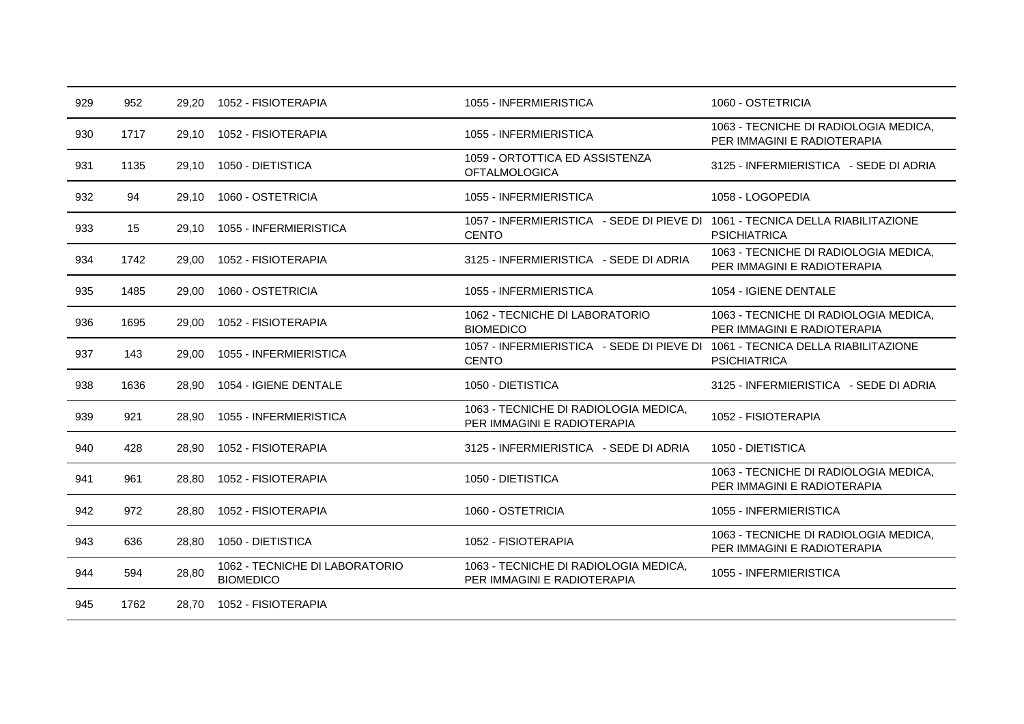| 929 | 952  | 29.20 | 1052 - FISIOTERAPIA                                | 1055 - INFERMIERISTICA                                                                        | 1060 - OSTETRICIA                                                    |
|-----|------|-------|----------------------------------------------------|-----------------------------------------------------------------------------------------------|----------------------------------------------------------------------|
| 930 | 1717 | 29.10 | 1052 - FISIOTERAPIA                                | 1055 - INFERMIERISTICA                                                                        | 1063 - TECNICHE DI RADIOLOGIA MEDICA,<br>PER IMMAGINI E RADIOTERAPIA |
| 931 | 1135 | 29,10 | 1050 - DIETISTICA                                  | 1059 - ORTOTTICA ED ASSISTENZA<br><b>OFTALMOLOGICA</b>                                        | 3125 - INFERMIERISTICA - SEDE DI ADRIA                               |
| 932 | 94   | 29.10 | 1060 - OSTETRICIA                                  | 1055 - INFERMIERISTICA                                                                        | 1058 - LOGOPEDIA                                                     |
| 933 | 15   | 29.10 | 1055 - INFERMIERISTICA                             | 1057 - INFERMIERISTICA - SEDE DI PIEVE DI 1061 - TECNICA DELLA RIABILITAZIONE<br><b>CENTO</b> | <b>PSICHIATRICA</b>                                                  |
| 934 | 1742 | 29,00 | 1052 - FISIOTERAPIA                                | 3125 - INFERMIERISTICA - SEDE DI ADRIA                                                        | 1063 - TECNICHE DI RADIOLOGIA MEDICA,<br>PER IMMAGINI E RADIOTERAPIA |
| 935 | 1485 | 29,00 | 1060 - OSTETRICIA                                  | 1055 - INFERMIERISTICA                                                                        | 1054 - IGIENE DENTALE                                                |
| 936 | 1695 | 29,00 | 1052 - FISIOTERAPIA                                | 1062 - TECNICHE DI LABORATORIO<br><b>BIOMEDICO</b>                                            | 1063 - TECNICHE DI RADIOLOGIA MEDICA,<br>PER IMMAGINI E RADIOTERAPIA |
| 937 | 143  | 29,00 | 1055 - INFERMIERISTICA                             | 1057 - INFERMIERISTICA - SEDE DI PIEVE DI 1061 - TECNICA DELLA RIABILITAZIONE<br><b>CENTO</b> | <b>PSICHIATRICA</b>                                                  |
| 938 | 1636 | 28,90 | 1054 - IGIENE DENTALE                              | 1050 - DIETISTICA                                                                             | 3125 - INFERMIERISTICA - SEDE DI ADRIA                               |
| 939 | 921  | 28.90 | 1055 - INFERMIERISTICA                             | 1063 - TECNICHE DI RADIOLOGIA MEDICA,<br>PER IMMAGINI E RADIOTERAPIA                          | 1052 - FISIOTERAPIA                                                  |
| 940 | 428  | 28.90 | 1052 - FISIOTERAPIA                                | 3125 - INFERMIERISTICA - SEDE DI ADRIA                                                        | 1050 - DIETISTICA                                                    |
| 941 | 961  | 28.80 | 1052 - FISIOTERAPIA                                | 1050 - DIETISTICA                                                                             | 1063 - TECNICHE DI RADIOLOGIA MEDICA,<br>PER IMMAGINI E RADIOTERAPIA |
| 942 | 972  | 28.80 | 1052 - FISIOTERAPIA                                | 1060 - OSTETRICIA                                                                             | 1055 - INFERMIERISTICA                                               |
| 943 | 636  | 28.80 | 1050 - DIETISTICA                                  | 1052 - FISIOTERAPIA                                                                           | 1063 - TECNICHE DI RADIOLOGIA MEDICA,<br>PER IMMAGINI E RADIOTERAPIA |
| 944 | 594  | 28,80 | 1062 - TECNICHE DI LABORATORIO<br><b>BIOMEDICO</b> | 1063 - TECNICHE DI RADIOLOGIA MEDICA,<br>PER IMMAGINI E RADIOTERAPIA                          | 1055 - INFERMIERISTICA                                               |
| 945 | 1762 | 28.70 | 1052 - FISIOTERAPIA                                |                                                                                               |                                                                      |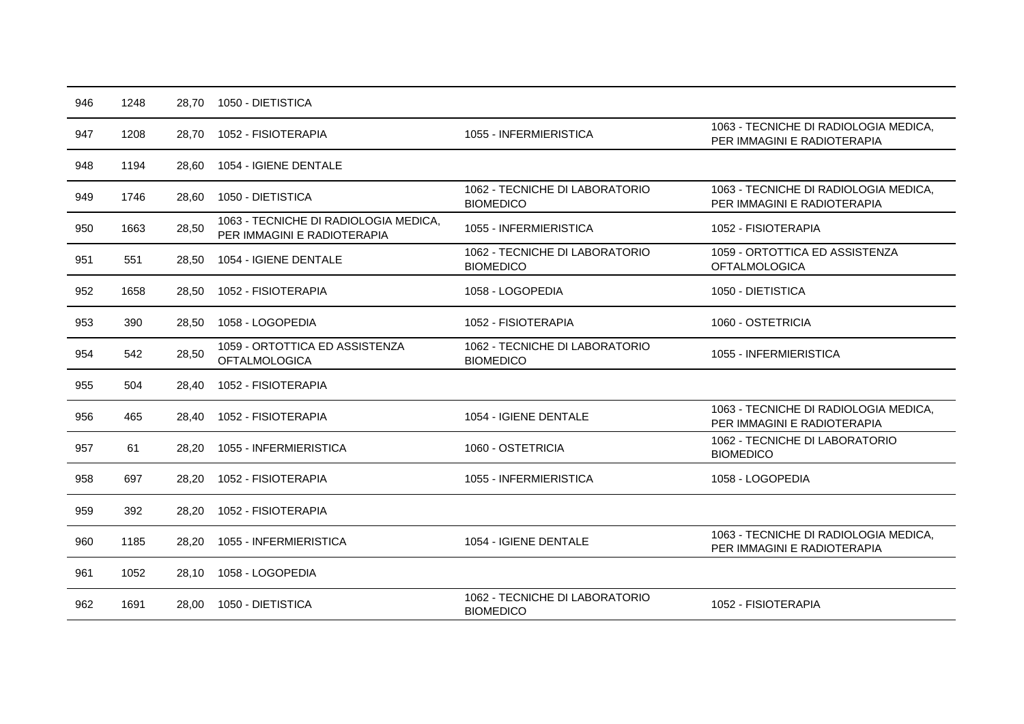| 946 | 1248 | 28,70 | 1050 - DIETISTICA                                                    |                                                    |                                                                      |
|-----|------|-------|----------------------------------------------------------------------|----------------------------------------------------|----------------------------------------------------------------------|
| 947 | 1208 | 28,70 | 1052 - FISIOTERAPIA                                                  | 1055 - INFERMIERISTICA                             | 1063 - TECNICHE DI RADIOLOGIA MEDICA,<br>PER IMMAGINI E RADIOTERAPIA |
| 948 | 1194 | 28,60 | 1054 - IGIENE DENTALE                                                |                                                    |                                                                      |
| 949 | 1746 | 28,60 | 1050 - DIETISTICA                                                    | 1062 - TECNICHE DI LABORATORIO<br><b>BIOMEDICO</b> | 1063 - TECNICHE DI RADIOLOGIA MEDICA,<br>PER IMMAGINI E RADIOTERAPIA |
| 950 | 1663 | 28,50 | 1063 - TECNICHE DI RADIOLOGIA MEDICA,<br>PER IMMAGINI E RADIOTERAPIA | 1055 - INFERMIERISTICA                             | 1052 - FISIOTERAPIA                                                  |
| 951 | 551  | 28,50 | 1054 - IGIENE DENTALE                                                | 1062 - TECNICHE DI LABORATORIO<br><b>BIOMEDICO</b> | 1059 - ORTOTTICA ED ASSISTENZA<br><b>OFTALMOLOGICA</b>               |
| 952 | 1658 | 28,50 | 1052 - FISIOTERAPIA                                                  | 1058 - LOGOPEDIA                                   | 1050 - DIETISTICA                                                    |
| 953 | 390  | 28,50 | 1058 - LOGOPEDIA                                                     | 1052 - FISIOTERAPIA                                | 1060 - OSTETRICIA                                                    |
| 954 | 542  | 28,50 | 1059 - ORTOTTICA ED ASSISTENZA<br><b>OFTALMOLOGICA</b>               | 1062 - TECNICHE DI LABORATORIO<br><b>BIOMEDICO</b> | 1055 - INFERMIERISTICA                                               |
| 955 | 504  | 28.40 | 1052 - FISIOTERAPIA                                                  |                                                    |                                                                      |
| 956 | 465  | 28.40 | 1052 - FISIOTERAPIA                                                  | 1054 - IGIENE DENTALE                              | 1063 - TECNICHE DI RADIOLOGIA MEDICA,<br>PER IMMAGINI E RADIOTERAPIA |
| 957 | 61   | 28,20 | 1055 - INFERMIERISTICA                                               | 1060 - OSTETRICIA                                  | 1062 - TECNICHE DI LABORATORIO<br><b>BIOMEDICO</b>                   |
| 958 | 697  | 28,20 | 1052 - FISIOTERAPIA                                                  | 1055 - INFERMIERISTICA                             | 1058 - LOGOPEDIA                                                     |
| 959 | 392  | 28,20 | 1052 - FISIOTERAPIA                                                  |                                                    |                                                                      |
| 960 | 1185 | 28,20 | 1055 - INFERMIERISTICA                                               | 1054 - IGIENE DENTALE                              | 1063 - TECNICHE DI RADIOLOGIA MEDICA,<br>PER IMMAGINI E RADIOTERAPIA |
| 961 | 1052 | 28,10 | 1058 - LOGOPEDIA                                                     |                                                    |                                                                      |
| 962 | 1691 | 28.00 | 1050 - DIETISTICA                                                    | 1062 - TECNICHE DI LABORATORIO<br><b>BIOMEDICO</b> | 1052 - FISIOTERAPIA                                                  |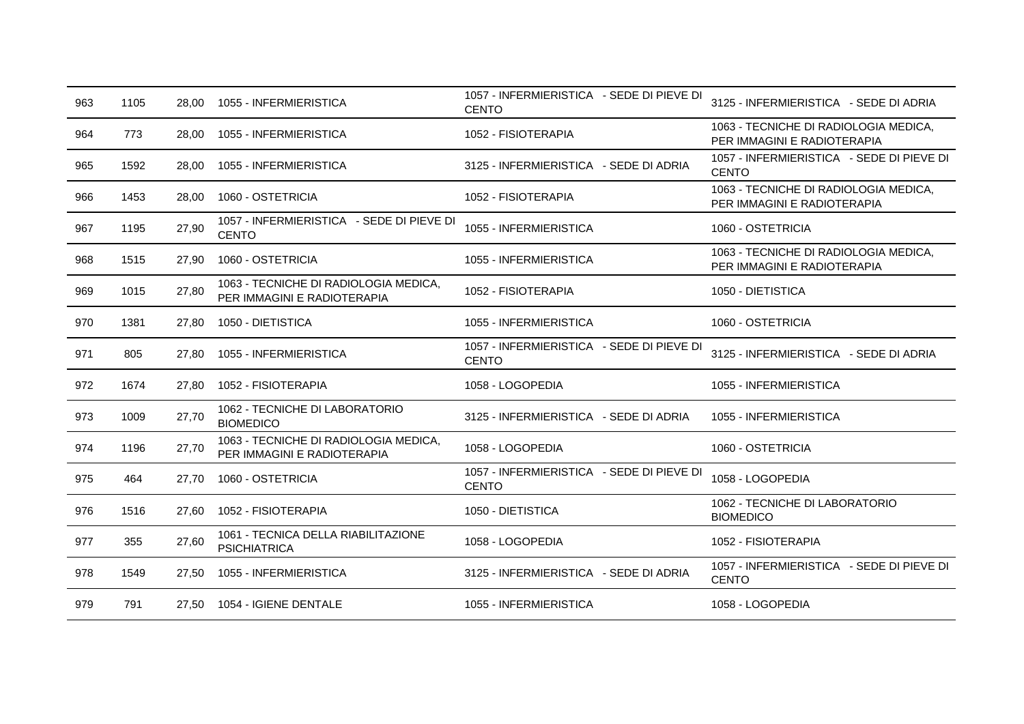| 963 | 1105 | 28.00 | 1055 - INFERMIERISTICA                                               | 1057 - INFERMIERISTICA - SEDE DI PIEVE DI<br><b>CENTO</b> | 3125 - INFERMIERISTICA - SEDE DI ADRIA                               |
|-----|------|-------|----------------------------------------------------------------------|-----------------------------------------------------------|----------------------------------------------------------------------|
| 964 | 773  | 28,00 | 1055 - INFERMIERISTICA                                               | 1052 - FISIOTERAPIA                                       | 1063 - TECNICHE DI RADIOLOGIA MEDICA,<br>PER IMMAGINI E RADIOTERAPIA |
| 965 | 1592 | 28,00 | 1055 - INFERMIERISTICA                                               | 3125 - INFERMIERISTICA - SEDE DI ADRIA                    | 1057 - INFERMIERISTICA - SEDE DI PIEVE DI<br><b>CENTO</b>            |
| 966 | 1453 | 28,00 | 1060 - OSTETRICIA                                                    | 1052 - FISIOTERAPIA                                       | 1063 - TECNICHE DI RADIOLOGIA MEDICA,<br>PER IMMAGINI E RADIOTERAPIA |
| 967 | 1195 | 27,90 | 1057 - INFERMIERISTICA - SEDE DI PIEVE DI<br><b>CENTO</b>            | 1055 - INFERMIERISTICA                                    | 1060 - OSTETRICIA                                                    |
| 968 | 1515 | 27,90 | 1060 - OSTETRICIA                                                    | 1055 - INFERMIERISTICA                                    | 1063 - TECNICHE DI RADIOLOGIA MEDICA,<br>PER IMMAGINI E RADIOTERAPIA |
| 969 | 1015 | 27,80 | 1063 - TECNICHE DI RADIOLOGIA MEDICA,<br>PER IMMAGINI E RADIOTERAPIA | 1052 - FISIOTERAPIA                                       | 1050 - DIETISTICA                                                    |
| 970 | 1381 | 27,80 | 1050 - DIETISTICA                                                    | 1055 - INFERMIERISTICA                                    | 1060 - OSTETRICIA                                                    |
| 971 | 805  | 27.80 | 1055 - INFERMIERISTICA                                               | 1057 - INFERMIERISTICA - SEDE DI PIEVE DI<br><b>CENTO</b> | 3125 - INFERMIERISTICA - SEDE DI ADRIA                               |
| 972 | 1674 | 27,80 | 1052 - FISIOTERAPIA                                                  | 1058 - LOGOPEDIA                                          | 1055 - INFERMIERISTICA                                               |
| 973 | 1009 | 27,70 | 1062 - TECNICHE DI LABORATORIO<br><b>BIOMEDICO</b>                   | 3125 - INFERMIERISTICA - SEDE DI ADRIA                    | 1055 - INFERMIERISTICA                                               |
| 974 | 1196 | 27,70 | 1063 - TECNICHE DI RADIOLOGIA MEDICA,<br>PER IMMAGINI E RADIOTERAPIA | 1058 - LOGOPEDIA                                          | 1060 - OSTETRICIA                                                    |
| 975 | 464  | 27,70 | 1060 - OSTETRICIA                                                    | 1057 - INFERMIERISTICA - SEDE DI PIEVE DI<br><b>CENTO</b> | 1058 - LOGOPEDIA                                                     |
| 976 | 1516 | 27,60 | 1052 - FISIOTERAPIA                                                  | 1050 - DIETISTICA                                         | 1062 - TECNICHE DI LABORATORIO<br><b>BIOMEDICO</b>                   |
| 977 | 355  | 27,60 | 1061 - TECNICA DELLA RIABILITAZIONE<br><b>PSICHIATRICA</b>           | 1058 - LOGOPEDIA                                          | 1052 - FISIOTERAPIA                                                  |
| 978 | 1549 | 27,50 | 1055 - INFERMIERISTICA                                               | 3125 - INFERMIERISTICA - SEDE DI ADRIA                    | 1057 - INFERMIERISTICA - SEDE DI PIEVE DI<br><b>CENTO</b>            |
| 979 | 791  |       | 27.50 1054 - IGIENE DENTALE                                          | 1055 - INFERMIERISTICA                                    | 1058 - LOGOPEDIA                                                     |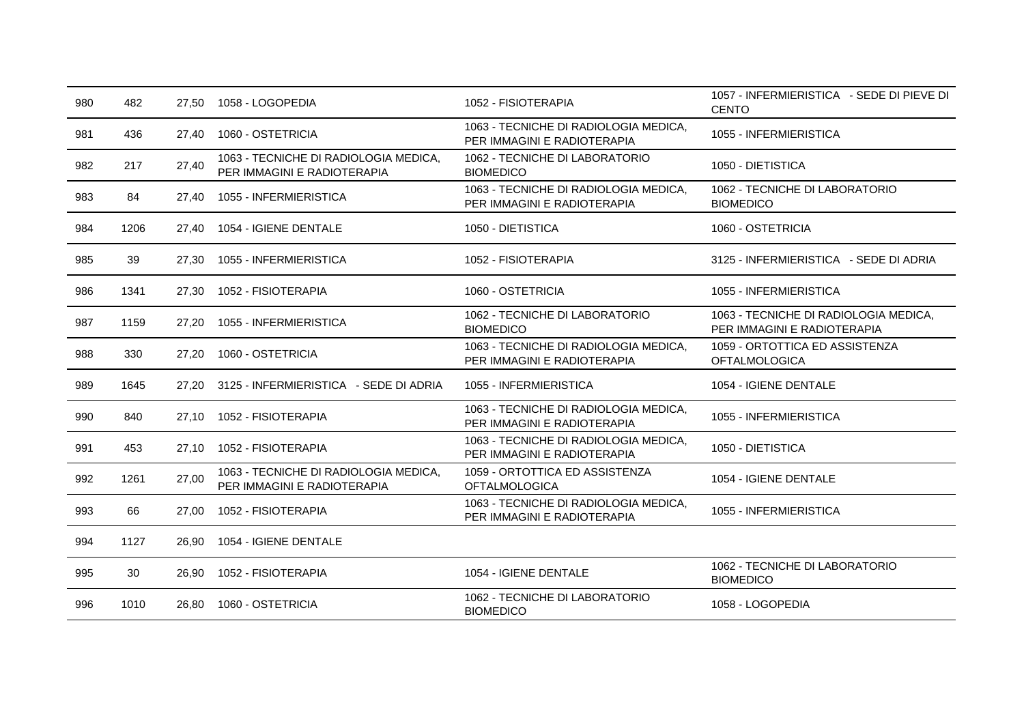| 980 | 482  | 27,50 | 1058 - LOGOPEDIA                                                     | 1052 - FISIOTERAPIA                                                  | 1057 - INFERMIERISTICA - SEDE DI PIEVE DI<br><b>CENTO</b>            |
|-----|------|-------|----------------------------------------------------------------------|----------------------------------------------------------------------|----------------------------------------------------------------------|
| 981 | 436  | 27,40 | 1060 - OSTETRICIA                                                    | 1063 - TECNICHE DI RADIOLOGIA MEDICA,<br>PER IMMAGINI E RADIOTERAPIA | 1055 - INFERMIERISTICA                                               |
| 982 | 217  | 27,40 | 1063 - TECNICHE DI RADIOLOGIA MEDICA,<br>PER IMMAGINI E RADIOTERAPIA | 1062 - TECNICHE DI LABORATORIO<br><b>BIOMEDICO</b>                   | 1050 - DIETISTICA                                                    |
| 983 | 84   | 27,40 | 1055 - INFERMIERISTICA                                               | 1063 - TECNICHE DI RADIOLOGIA MEDICA,<br>PER IMMAGINI E RADIOTERAPIA | 1062 - TECNICHE DI LABORATORIO<br><b>BIOMEDICO</b>                   |
| 984 | 1206 | 27,40 | 1054 - IGIENE DENTALE                                                | 1050 - DIETISTICA                                                    | 1060 - OSTETRICIA                                                    |
| 985 | 39   | 27,30 | 1055 - INFERMIERISTICA                                               | 1052 - FISIOTERAPIA                                                  | 3125 - INFERMIERISTICA - SEDE DI ADRIA                               |
| 986 | 1341 | 27,30 | 1052 - FISIOTERAPIA                                                  | 1060 - OSTETRICIA                                                    | 1055 - INFERMIERISTICA                                               |
| 987 | 1159 | 27,20 | 1055 - INFERMIERISTICA                                               | 1062 - TECNICHE DI LABORATORIO<br><b>BIOMEDICO</b>                   | 1063 - TECNICHE DI RADIOLOGIA MEDICA,<br>PER IMMAGINI E RADIOTERAPIA |
| 988 | 330  | 27,20 | 1060 - OSTETRICIA                                                    | 1063 - TECNICHE DI RADIOLOGIA MEDICA,<br>PER IMMAGINI E RADIOTERAPIA | 1059 - ORTOTTICA ED ASSISTENZA<br><b>OFTALMOLOGICA</b>               |
| 989 | 1645 | 27,20 | 3125 - INFERMIERISTICA - SEDE DI ADRIA                               | 1055 - INFERMIERISTICA                                               | 1054 - IGIENE DENTALE                                                |
| 990 | 840  | 27.10 | 1052 - FISIOTERAPIA                                                  | 1063 - TECNICHE DI RADIOLOGIA MEDICA,<br>PER IMMAGINI E RADIOTERAPIA | 1055 - INFERMIERISTICA                                               |
| 991 | 453  | 27,10 | 1052 - FISIOTERAPIA                                                  | 1063 - TECNICHE DI RADIOLOGIA MEDICA,<br>PER IMMAGINI E RADIOTERAPIA | 1050 - DIETISTICA                                                    |
| 992 | 1261 | 27,00 | 1063 - TECNICHE DI RADIOLOGIA MEDICA,<br>PER IMMAGINI E RADIOTERAPIA | 1059 - ORTOTTICA ED ASSISTENZA<br><b>OFTALMOLOGICA</b>               | 1054 - IGIENE DENTALE                                                |
| 993 | 66   | 27,00 | 1052 - FISIOTERAPIA                                                  | 1063 - TECNICHE DI RADIOLOGIA MEDICA,<br>PER IMMAGINI E RADIOTERAPIA | 1055 - INFERMIERISTICA                                               |
| 994 | 1127 | 26,90 | 1054 - IGIENE DENTALE                                                |                                                                      |                                                                      |
| 995 | 30   | 26,90 | 1052 - FISIOTERAPIA                                                  | 1054 - IGIENE DENTALE                                                | 1062 - TECNICHE DI LABORATORIO<br><b>BIOMEDICO</b>                   |
| 996 | 1010 | 26,80 | 1060 - OSTETRICIA                                                    | 1062 - TECNICHE DI LABORATORIO<br><b>BIOMEDICO</b>                   | 1058 - LOGOPEDIA                                                     |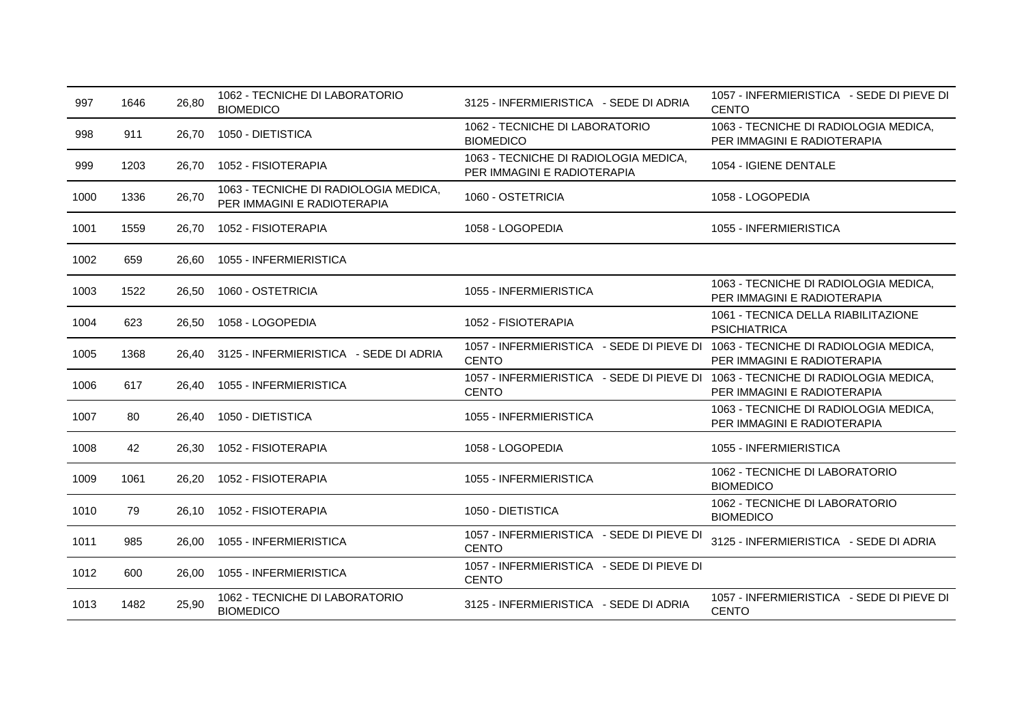| 997  | 1646 | 26,80 | 1062 - TECNICHE DI LABORATORIO<br><b>BIOMEDICO</b>                   | 3125 - INFERMIERISTICA - SEDE DI ADRIA                                                          | 1057 - INFERMIERISTICA - SEDE DI PIEVE DI<br><b>CENTO</b>            |
|------|------|-------|----------------------------------------------------------------------|-------------------------------------------------------------------------------------------------|----------------------------------------------------------------------|
| 998  | 911  | 26,70 | 1050 - DIETISTICA                                                    | 1062 - TECNICHE DI LABORATORIO<br><b>BIOMEDICO</b>                                              | 1063 - TECNICHE DI RADIOLOGIA MEDICA,<br>PER IMMAGINI E RADIOTERAPIA |
| 999  | 1203 | 26,70 | 1052 - FISIOTERAPIA                                                  | 1063 - TECNICHE DI RADIOLOGIA MEDICA,<br>PER IMMAGINI E RADIOTERAPIA                            | 1054 - IGIENE DENTALE                                                |
| 1000 | 1336 | 26,70 | 1063 - TECNICHE DI RADIOLOGIA MEDICA,<br>PER IMMAGINI E RADIOTERAPIA | 1060 - OSTETRICIA                                                                               | 1058 - LOGOPEDIA                                                     |
| 1001 | 1559 | 26,70 | 1052 - FISIOTERAPIA                                                  | 1058 - LOGOPEDIA                                                                                | 1055 - INFERMIERISTICA                                               |
| 1002 | 659  | 26,60 | 1055 - INFERMIERISTICA                                               |                                                                                                 |                                                                      |
| 1003 | 1522 | 26,50 | 1060 - OSTETRICIA                                                    | 1055 - INFERMIERISTICA                                                                          | 1063 - TECNICHE DI RADIOLOGIA MEDICA,<br>PER IMMAGINI E RADIOTERAPIA |
| 1004 | 623  | 26,50 | 1058 - LOGOPEDIA                                                     | 1052 - FISIOTERAPIA                                                                             | 1061 - TECNICA DELLA RIABILITAZIONE<br><b>PSICHIATRICA</b>           |
| 1005 | 1368 | 26.40 | 3125 - INFERMIERISTICA - SEDE DI ADRIA                               | 1057 - INFERMIERISTICA - SEDE DI PIEVE DI 1063 - TECNICHE DI RADIOLOGIA MEDICA,<br><b>CENTO</b> | PER IMMAGINI E RADIOTERAPIA                                          |
| 1006 | 617  | 26,40 | 1055 - INFERMIERISTICA                                               | 1057 - INFERMIERISTICA - SEDE DI PIEVE DI 1063 - TECNICHE DI RADIOLOGIA MEDICA.<br><b>CENTO</b> | PER IMMAGINI E RADIOTERAPIA                                          |
| 1007 | 80   | 26.40 | 1050 - DIETISTICA                                                    | 1055 - INFERMIERISTICA                                                                          | 1063 - TECNICHE DI RADIOLOGIA MEDICA,<br>PER IMMAGINI E RADIOTERAPIA |
| 1008 | 42   | 26,30 | 1052 - FISIOTERAPIA                                                  | 1058 - LOGOPEDIA                                                                                | 1055 - INFERMIERISTICA                                               |
| 1009 | 1061 | 26,20 | 1052 - FISIOTERAPIA                                                  | 1055 - INFERMIERISTICA                                                                          | 1062 - TECNICHE DI LABORATORIO<br><b>BIOMEDICO</b>                   |
| 1010 | 79   | 26,10 | 1052 - FISIOTERAPIA                                                  | 1050 - DIETISTICA                                                                               | 1062 - TECNICHE DI LABORATORIO<br><b>BIOMEDICO</b>                   |
| 1011 | 985  | 26,00 | 1055 - INFERMIERISTICA                                               | 1057 - INFERMIERISTICA - SEDE DI PIEVE DI<br><b>CENTO</b>                                       | 3125 - INFERMIERISTICA - SEDE DI ADRIA                               |
| 1012 | 600  | 26.00 | 1055 - INFERMIERISTICA                                               | 1057 - INFERMIERISTICA - SEDE DI PIEVE DI<br><b>CENTO</b>                                       |                                                                      |
| 1013 | 1482 | 25,90 | 1062 - TECNICHE DI LABORATORIO<br><b>BIOMEDICO</b>                   | 3125 - INFERMIERISTICA - SEDE DI ADRIA                                                          | 1057 - INFERMIERISTICA - SEDE DI PIEVE DI<br><b>CENTO</b>            |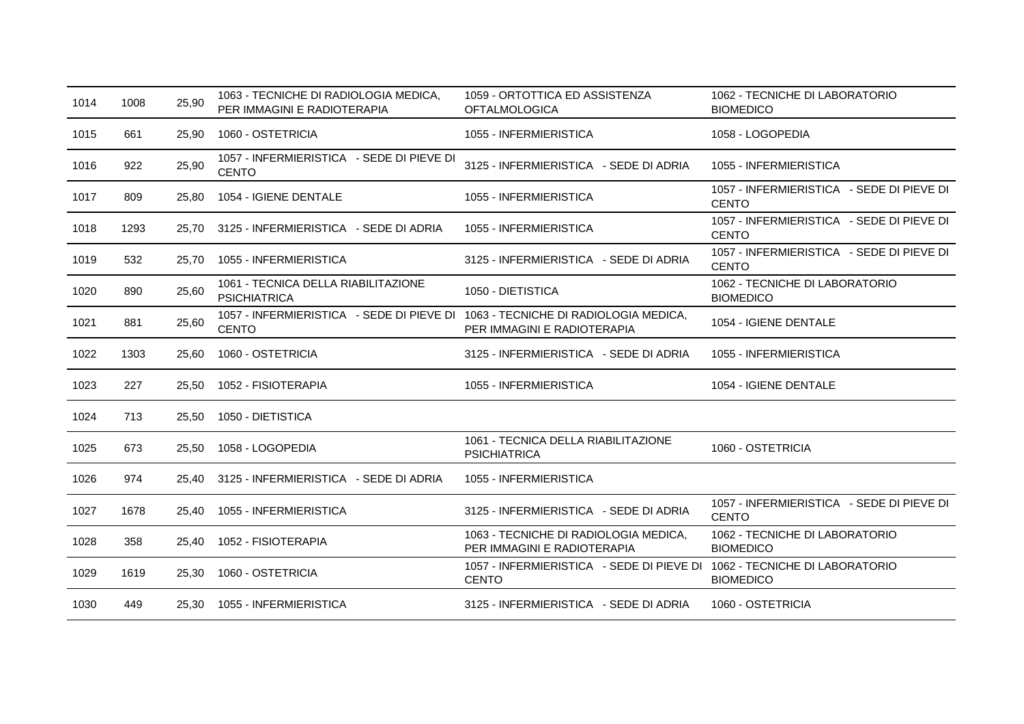| 1014 | 1008 | 25,90 | 1063 - TECNICHE DI RADIOLOGIA MEDICA,<br>PER IMMAGINI E RADIOTERAPIA                            | 1059 - ORTOTTICA ED ASSISTENZA<br><b>OFTALMOLOGICA</b>                                   | 1062 - TECNICHE DI LABORATORIO<br><b>BIOMEDICO</b>        |
|------|------|-------|-------------------------------------------------------------------------------------------------|------------------------------------------------------------------------------------------|-----------------------------------------------------------|
| 1015 | 661  | 25,90 | 1060 - OSTETRICIA                                                                               | 1055 - INFERMIERISTICA                                                                   | 1058 - LOGOPEDIA                                          |
| 1016 | 922  | 25,90 | 1057 - INFERMIERISTICA - SEDE DI PIEVE DI<br><b>CENTO</b>                                       | 3125 - INFERMIERISTICA - SEDE DI ADRIA                                                   | 1055 - INFERMIERISTICA                                    |
| 1017 | 809  | 25,80 | 1054 - IGIENE DENTALE                                                                           | 1055 - INFERMIERISTICA                                                                   | 1057 - INFERMIERISTICA - SEDE DI PIEVE DI<br><b>CENTO</b> |
| 1018 | 1293 | 25.70 | 3125 - INFERMIERISTICA - SEDE DI ADRIA                                                          | 1055 - INFERMIERISTICA                                                                   | 1057 - INFERMIERISTICA - SEDE DI PIEVE DI<br><b>CENTO</b> |
| 1019 | 532  | 25,70 | 1055 - INFERMIERISTICA                                                                          | 3125 - INFERMIERISTICA - SEDE DI ADRIA                                                   | 1057 - INFERMIERISTICA - SEDE DI PIEVE DI<br><b>CENTO</b> |
| 1020 | 890  | 25,60 | 1061 - TECNICA DELLA RIABILITAZIONE<br><b>PSICHIATRICA</b>                                      | 1050 - DIETISTICA                                                                        | 1062 - TECNICHE DI LABORATORIO<br><b>BIOMEDICO</b>        |
| 1021 | 881  | 25,60 | 1057 - INFERMIERISTICA - SEDE DI PIEVE DI 1063 - TECNICHE DI RADIOLOGIA MEDICA,<br><b>CENTO</b> | PER IMMAGINI E RADIOTERAPIA                                                              | 1054 - IGIENE DENTALE                                     |
| 1022 | 1303 | 25,60 | 1060 - OSTETRICIA                                                                               | 3125 - INFERMIERISTICA - SEDE DI ADRIA                                                   | 1055 - INFERMIERISTICA                                    |
| 1023 | 227  | 25.50 | 1052 - FISIOTERAPIA                                                                             | 1055 - INFERMIERISTICA                                                                   | 1054 - IGIENE DENTALE                                     |
| 1024 | 713  | 25,50 | 1050 - DIETISTICA                                                                               |                                                                                          |                                                           |
| 1025 | 673  | 25,50 | 1058 - LOGOPEDIA                                                                                | 1061 - TECNICA DELLA RIABILITAZIONE<br><b>PSICHIATRICA</b>                               | 1060 - OSTETRICIA                                         |
| 1026 | 974  | 25,40 | 3125 - INFERMIERISTICA - SEDE DI ADRIA                                                          | 1055 - INFERMIERISTICA                                                                   |                                                           |
| 1027 | 1678 | 25.40 | 1055 - INFERMIERISTICA                                                                          | 3125 - INFERMIERISTICA - SEDE DI ADRIA                                                   | 1057 - INFERMIERISTICA - SEDE DI PIEVE DI<br><b>CENTO</b> |
| 1028 | 358  | 25,40 | 1052 - FISIOTERAPIA                                                                             | 1063 - TECNICHE DI RADIOLOGIA MEDICA,<br>PER IMMAGINI E RADIOTERAPIA                     | 1062 - TECNICHE DI LABORATORIO<br><b>BIOMEDICO</b>        |
| 1029 | 1619 | 25,30 | 1060 - OSTETRICIA                                                                               | 1057 - INFERMIERISTICA - SEDE DI PIEVE DI 1062 - TECNICHE DI LABORATORIO<br><b>CENTO</b> | <b>BIOMEDICO</b>                                          |
| 1030 | 449  | 25,30 | 1055 - INFERMIERISTICA                                                                          | 3125 - INFERMIERISTICA - SEDE DI ADRIA                                                   | 1060 - OSTETRICIA                                         |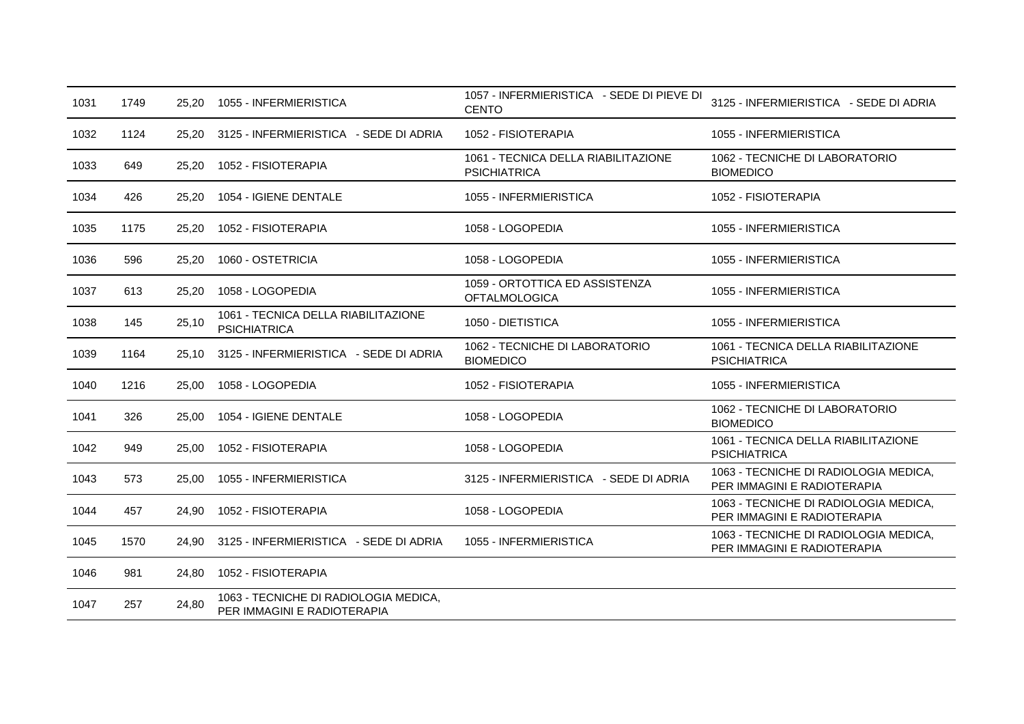| 1031 | 1749 | 25,20 | 1055 - INFERMIERISTICA                                               | 1057 - INFERMIERISTICA - SEDE DI PIEVE DI<br><b>CENTO</b>  | 3125 - INFERMIERISTICA - SEDE DI ADRIA                               |
|------|------|-------|----------------------------------------------------------------------|------------------------------------------------------------|----------------------------------------------------------------------|
| 1032 | 1124 | 25,20 | 3125 - INFERMIERISTICA - SEDE DI ADRIA                               | 1052 - FISIOTERAPIA                                        | 1055 - INFERMIERISTICA                                               |
| 1033 | 649  | 25,20 | 1052 - FISIOTERAPIA                                                  | 1061 - TECNICA DELLA RIABILITAZIONE<br><b>PSICHIATRICA</b> | 1062 - TECNICHE DI LABORATORIO<br><b>BIOMEDICO</b>                   |
| 1034 | 426  | 25,20 | 1054 - IGIENE DENTALE                                                | 1055 - INFERMIERISTICA                                     | 1052 - FISIOTERAPIA                                                  |
| 1035 | 1175 | 25,20 | 1052 - FISIOTERAPIA                                                  | 1058 - LOGOPEDIA                                           | 1055 - INFERMIERISTICA                                               |
| 1036 | 596  | 25,20 | 1060 - OSTETRICIA                                                    | 1058 - LOGOPEDIA                                           | 1055 - INFERMIERISTICA                                               |
| 1037 | 613  | 25,20 | 1058 - LOGOPEDIA                                                     | 1059 - ORTOTTICA ED ASSISTENZA<br><b>OFTALMOLOGICA</b>     | 1055 - INFERMIERISTICA                                               |
| 1038 | 145  | 25,10 | 1061 - TECNICA DELLA RIABILITAZIONE<br><b>PSICHIATRICA</b>           | 1050 - DIETISTICA                                          | 1055 - INFERMIERISTICA                                               |
| 1039 | 1164 | 25.10 | 3125 - INFERMIERISTICA - SEDE DI ADRIA                               | 1062 - TECNICHE DI LABORATORIO<br><b>BIOMEDICO</b>         | 1061 - TECNICA DELLA RIABILITAZIONE<br><b>PSICHIATRICA</b>           |
| 1040 | 1216 | 25,00 | 1058 - LOGOPEDIA                                                     | 1052 - FISIOTERAPIA                                        | 1055 - INFERMIERISTICA                                               |
| 1041 | 326  | 25.00 | 1054 - IGIENE DENTALE                                                | 1058 - LOGOPEDIA                                           | 1062 - TECNICHE DI LABORATORIO<br><b>BIOMEDICO</b>                   |
| 1042 | 949  | 25,00 | 1052 - FISIOTERAPIA                                                  | 1058 - LOGOPEDIA                                           | 1061 - TECNICA DELLA RIABILITAZIONE<br><b>PSICHIATRICA</b>           |
| 1043 | 573  | 25,00 | 1055 - INFERMIERISTICA                                               | 3125 - INFERMIERISTICA - SEDE DI ADRIA                     | 1063 - TECNICHE DI RADIOLOGIA MEDICA,<br>PER IMMAGINI E RADIOTERAPIA |
| 1044 | 457  | 24,90 | 1052 - FISIOTERAPIA                                                  | 1058 - LOGOPEDIA                                           | 1063 - TECNICHE DI RADIOLOGIA MEDICA,<br>PER IMMAGINI E RADIOTERAPIA |
| 1045 | 1570 | 24,90 | 3125 - INFERMIERISTICA - SEDE DI ADRIA                               | 1055 - INFERMIERISTICA                                     | 1063 - TECNICHE DI RADIOLOGIA MEDICA,<br>PER IMMAGINI E RADIOTERAPIA |
| 1046 | 981  | 24,80 | 1052 - FISIOTERAPIA                                                  |                                                            |                                                                      |
| 1047 | 257  | 24,80 | 1063 - TECNICHE DI RADIOLOGIA MEDICA,<br>PER IMMAGINI E RADIOTERAPIA |                                                            |                                                                      |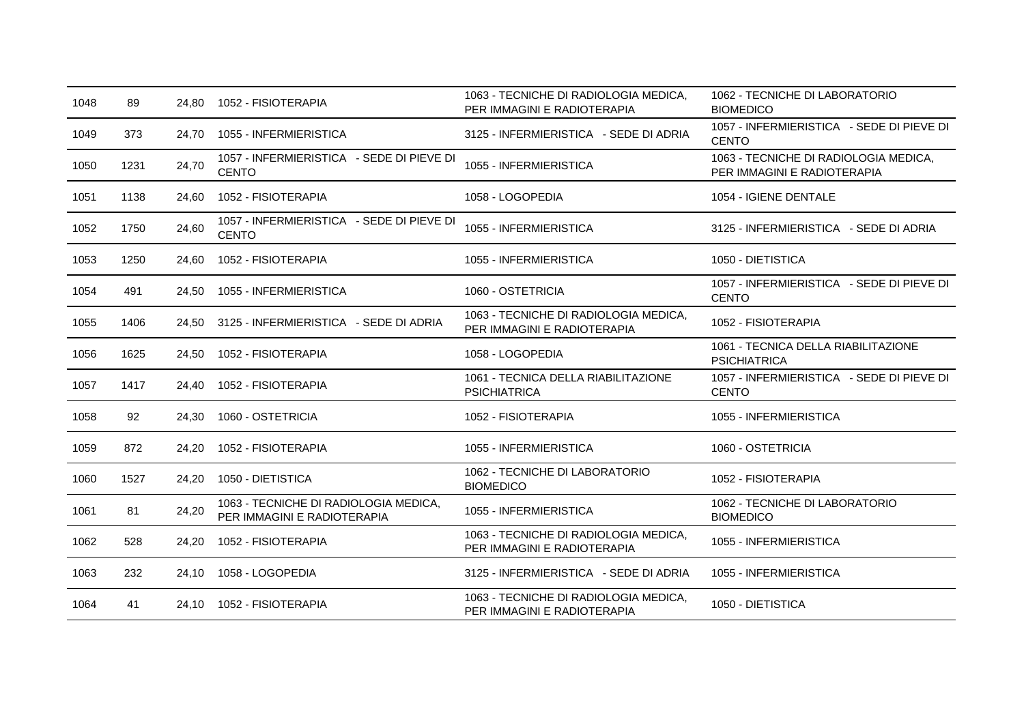| 1048 | 89   | 24.80 | 1052 - FISIOTERAPIA                                                  | 1063 - TECNICHE DI RADIOLOGIA MEDICA,<br>PER IMMAGINI E RADIOTERAPIA | 1062 - TECNICHE DI LABORATORIO<br><b>BIOMEDICO</b>                   |
|------|------|-------|----------------------------------------------------------------------|----------------------------------------------------------------------|----------------------------------------------------------------------|
| 1049 | 373  | 24,70 | 1055 - INFERMIERISTICA                                               | 3125 - INFERMIERISTICA - SEDE DI ADRIA                               | 1057 - INFERMIERISTICA - SEDE DI PIEVE DI<br><b>CENTO</b>            |
| 1050 | 1231 | 24,70 | 1057 - INFERMIERISTICA - SEDE DI PIEVE DI<br><b>CENTO</b>            | 1055 - INFERMIERISTICA                                               | 1063 - TECNICHE DI RADIOLOGIA MEDICA,<br>PER IMMAGINI E RADIOTERAPIA |
| 1051 | 1138 | 24.60 | 1052 - FISIOTERAPIA                                                  | 1058 - LOGOPEDIA                                                     | 1054 - IGIENE DENTALE                                                |
| 1052 | 1750 | 24,60 | 1057 - INFERMIERISTICA - SEDE DI PIEVE DI<br><b>CENTO</b>            | 1055 - INFERMIERISTICA                                               | 3125 - INFERMIERISTICA - SEDE DI ADRIA                               |
| 1053 | 1250 | 24.60 | 1052 - FISIOTERAPIA                                                  | 1055 - INFERMIERISTICA                                               | 1050 - DIETISTICA                                                    |
| 1054 | 491  | 24,50 | 1055 - INFERMIERISTICA                                               | 1060 - OSTETRICIA                                                    | 1057 - INFERMIERISTICA - SEDE DI PIEVE DI<br><b>CENTO</b>            |
| 1055 | 1406 | 24.50 | 3125 - INFERMIERISTICA - SEDE DI ADRIA                               | 1063 - TECNICHE DI RADIOLOGIA MEDICA,<br>PER IMMAGINI E RADIOTERAPIA | 1052 - FISIOTERAPIA                                                  |
| 1056 | 1625 | 24,50 | 1052 - FISIOTERAPIA                                                  | 1058 - LOGOPEDIA                                                     | 1061 - TECNICA DELLA RIABILITAZIONE<br><b>PSICHIATRICA</b>           |
| 1057 | 1417 | 24,40 | 1052 - FISIOTERAPIA                                                  | 1061 - TECNICA DELLA RIABILITAZIONE<br><b>PSICHIATRICA</b>           | 1057 - INFERMIERISTICA - SEDE DI PIEVE DI<br><b>CENTO</b>            |
| 1058 | 92   | 24,30 | 1060 - OSTETRICIA                                                    | 1052 - FISIOTERAPIA                                                  | 1055 - INFERMIERISTICA                                               |
| 1059 | 872  | 24,20 | 1052 - FISIOTERAPIA                                                  | 1055 - INFERMIERISTICA                                               | 1060 - OSTETRICIA                                                    |
| 1060 | 1527 | 24.20 | 1050 - DIETISTICA                                                    | 1062 - TECNICHE DI LABORATORIO<br><b>BIOMEDICO</b>                   | 1052 - FISIOTERAPIA                                                  |
| 1061 | 81   | 24,20 | 1063 - TECNICHE DI RADIOLOGIA MEDICA,<br>PER IMMAGINI E RADIOTERAPIA | 1055 - INFERMIERISTICA                                               | 1062 - TECNICHE DI LABORATORIO<br><b>BIOMEDICO</b>                   |
| 1062 | 528  | 24,20 | 1052 - FISIOTERAPIA                                                  | 1063 - TECNICHE DI RADIOLOGIA MEDICA,<br>PER IMMAGINI E RADIOTERAPIA | 1055 - INFERMIERISTICA                                               |
| 1063 | 232  | 24,10 | 1058 - LOGOPEDIA                                                     | 3125 - INFERMIERISTICA - SEDE DI ADRIA                               | 1055 - INFERMIERISTICA                                               |
| 1064 | 41   |       | 24,10 1052 - FISIOTERAPIA                                            | 1063 - TECNICHE DI RADIOLOGIA MEDICA,<br>PER IMMAGINI E RADIOTERAPIA | 1050 - DIETISTICA                                                    |
|      |      |       |                                                                      |                                                                      |                                                                      |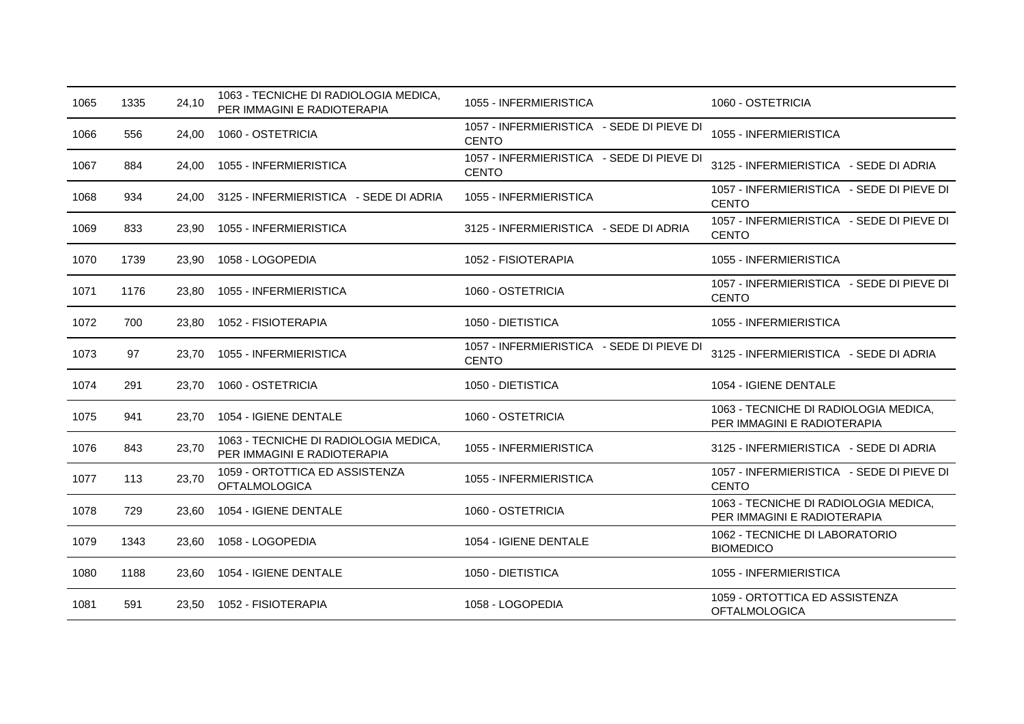| 1065 | 1335 | 24,10 | 1063 - TECNICHE DI RADIOLOGIA MEDICA,<br>PER IMMAGINI E RADIOTERAPIA | 1055 - INFERMIERISTICA                                    | 1060 - OSTETRICIA                                                    |
|------|------|-------|----------------------------------------------------------------------|-----------------------------------------------------------|----------------------------------------------------------------------|
| 1066 | 556  | 24,00 | 1060 - OSTETRICIA                                                    | 1057 - INFERMIERISTICA - SEDE DI PIEVE DI<br><b>CENTO</b> | 1055 - INFERMIERISTICA                                               |
| 1067 | 884  | 24,00 | 1055 - INFERMIERISTICA                                               | 1057 - INFERMIERISTICA - SEDE DI PIEVE DI<br><b>CENTO</b> | 3125 - INFERMIERISTICA - SEDE DI ADRIA                               |
| 1068 | 934  | 24.00 | 3125 - INFERMIERISTICA - SEDE DI ADRIA                               | 1055 - INFERMIERISTICA                                    | 1057 - INFERMIERISTICA - SEDE DI PIEVE DI<br><b>CENTO</b>            |
| 1069 | 833  | 23,90 | 1055 - INFERMIERISTICA                                               | 3125 - INFERMIERISTICA - SEDE DI ADRIA                    | 1057 - INFERMIERISTICA - SEDE DI PIEVE DI<br><b>CENTO</b>            |
| 1070 | 1739 | 23,90 | 1058 - LOGOPEDIA                                                     | 1052 - FISIOTERAPIA                                       | 1055 - INFERMIERISTICA                                               |
| 1071 | 1176 | 23,80 | 1055 - INFERMIERISTICA                                               | 1060 - OSTETRICIA                                         | 1057 - INFERMIERISTICA - SEDE DI PIEVE DI<br><b>CENTO</b>            |
| 1072 | 700  | 23.80 | 1052 - FISIOTERAPIA                                                  | 1050 - DIETISTICA                                         | 1055 - INFERMIERISTICA                                               |
| 1073 | 97   | 23,70 | 1055 - INFERMIERISTICA                                               | 1057 - INFERMIERISTICA - SEDE DI PIEVE DI<br><b>CENTO</b> | 3125 - INFERMIERISTICA - SEDE DI ADRIA                               |
| 1074 | 291  | 23,70 | 1060 - OSTETRICIA                                                    | 1050 - DIETISTICA                                         | 1054 - IGIENE DENTALE                                                |
| 1075 | 941  | 23.70 | 1054 - IGIENE DENTALE                                                | 1060 - OSTETRICIA                                         | 1063 - TECNICHE DI RADIOLOGIA MEDICA,<br>PER IMMAGINI E RADIOTERAPIA |
| 1076 | 843  | 23,70 | 1063 - TECNICHE DI RADIOLOGIA MEDICA,<br>PER IMMAGINI E RADIOTERAPIA | 1055 - INFERMIERISTICA                                    | 3125 - INFERMIERISTICA - SEDE DI ADRIA                               |
| 1077 | 113  | 23,70 | 1059 - ORTOTTICA ED ASSISTENZA<br><b>OFTALMOLOGICA</b>               | 1055 - INFERMIERISTICA                                    | 1057 - INFERMIERISTICA - SEDE DI PIEVE DI<br><b>CENTO</b>            |
| 1078 | 729  | 23,60 | 1054 - IGIENE DENTALE                                                | 1060 - OSTETRICIA                                         | 1063 - TECNICHE DI RADIOLOGIA MEDICA,<br>PER IMMAGINI E RADIOTERAPIA |
| 1079 | 1343 | 23,60 | 1058 - LOGOPEDIA                                                     | 1054 - IGIENE DENTALE                                     | 1062 - TECNICHE DI LABORATORIO<br><b>BIOMEDICO</b>                   |
| 1080 | 1188 | 23.60 | 1054 - IGIENE DENTALE                                                | 1050 - DIETISTICA                                         | 1055 - INFERMIERISTICA                                               |
| 1081 | 591  |       | 23,50 1052 - FISIOTERAPIA                                            | 1058 - LOGOPEDIA                                          | 1059 - ORTOTTICA ED ASSISTENZA<br><b>OFTALMOLOGICA</b>               |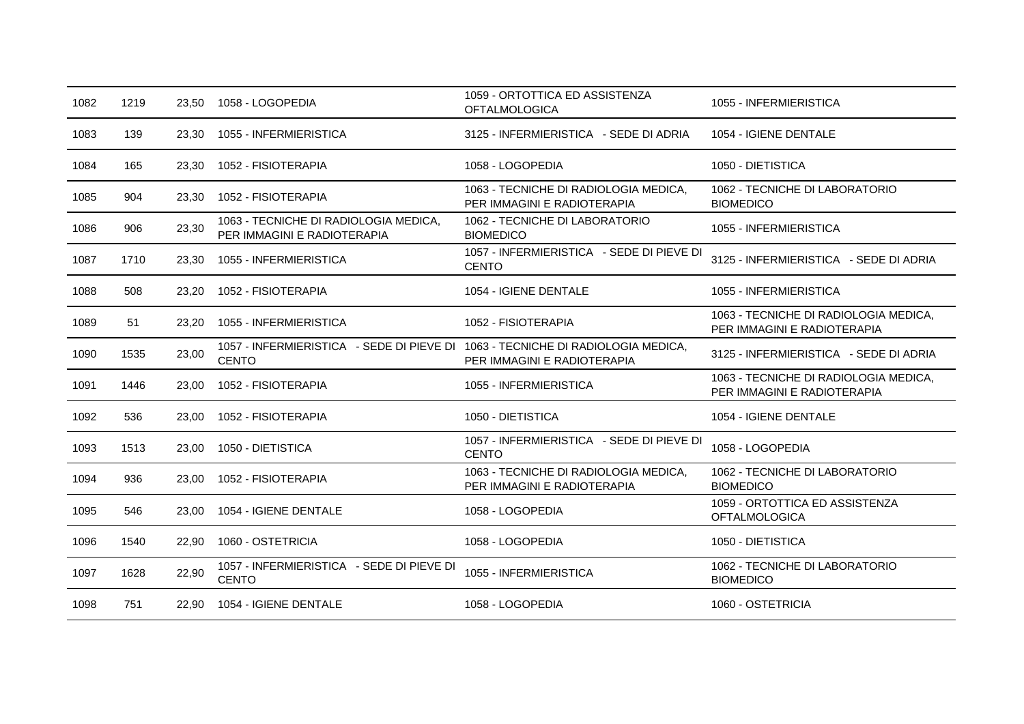| 1082 | 1219 | 23,50 | 1058 - LOGOPEDIA                                                                                | 1059 - ORTOTTICA ED ASSISTENZA<br><b>OFTALMOLOGICA</b>               | 1055 - INFERMIERISTICA                                               |
|------|------|-------|-------------------------------------------------------------------------------------------------|----------------------------------------------------------------------|----------------------------------------------------------------------|
| 1083 | 139  | 23,30 | 1055 - INFERMIERISTICA                                                                          | 3125 - INFERMIERISTICA - SEDE DI ADRIA                               | 1054 - IGIENE DENTALE                                                |
| 1084 | 165  | 23,30 | 1052 - FISIOTERAPIA                                                                             | 1058 - LOGOPEDIA                                                     | 1050 - DIETISTICA                                                    |
| 1085 | 904  | 23,30 | 1052 - FISIOTERAPIA                                                                             | 1063 - TECNICHE DI RADIOLOGIA MEDICA,<br>PER IMMAGINI E RADIOTERAPIA | 1062 - TECNICHE DI LABORATORIO<br><b>BIOMEDICO</b>                   |
| 1086 | 906  | 23,30 | 1063 - TECNICHE DI RADIOLOGIA MEDICA,<br>PER IMMAGINI E RADIOTERAPIA                            | 1062 - TECNICHE DI LABORATORIO<br><b>BIOMEDICO</b>                   | 1055 - INFERMIERISTICA                                               |
| 1087 | 1710 | 23,30 | 1055 - INFERMIERISTICA                                                                          | 1057 - INFERMIERISTICA - SEDE DI PIEVE DI<br><b>CENTO</b>            | 3125 - INFERMIERISTICA - SEDE DI ADRIA                               |
| 1088 | 508  | 23,20 | 1052 - FISIOTERAPIA                                                                             | 1054 - IGIENE DENTALE                                                | 1055 - INFERMIERISTICA                                               |
| 1089 | 51   | 23,20 | 1055 - INFERMIERISTICA                                                                          | 1052 - FISIOTERAPIA                                                  | 1063 - TECNICHE DI RADIOLOGIA MEDICA,<br>PER IMMAGINI E RADIOTERAPIA |
| 1090 | 1535 | 23,00 | 1057 - INFERMIERISTICA - SEDE DI PIEVE DI 1063 - TECNICHE DI RADIOLOGIA MEDICA,<br><b>CENTO</b> | PER IMMAGINI E RADIOTERAPIA                                          | 3125 - INFERMIERISTICA - SEDE DI ADRIA                               |
| 1091 | 1446 | 23,00 | 1052 - FISIOTERAPIA                                                                             | 1055 - INFERMIERISTICA                                               | 1063 - TECNICHE DI RADIOLOGIA MEDICA,<br>PER IMMAGINI E RADIOTERAPIA |
| 1092 | 536  | 23,00 | 1052 - FISIOTERAPIA                                                                             | 1050 - DIETISTICA                                                    | 1054 - IGIENE DENTALE                                                |
| 1093 | 1513 | 23,00 | 1050 - DIETISTICA                                                                               | 1057 - INFERMIERISTICA - SEDE DI PIEVE DI<br><b>CENTO</b>            | 1058 - LOGOPEDIA                                                     |
| 1094 | 936  | 23.00 | 1052 - FISIOTERAPIA                                                                             | 1063 - TECNICHE DI RADIOLOGIA MEDICA,<br>PER IMMAGINI E RADIOTERAPIA | 1062 - TECNICHE DI LABORATORIO<br><b>BIOMEDICO</b>                   |
| 1095 | 546  | 23,00 | 1054 - IGIENE DENTALE                                                                           | 1058 - LOGOPEDIA                                                     | 1059 - ORTOTTICA ED ASSISTENZA<br><b>OFTALMOLOGICA</b>               |
| 1096 | 1540 | 22.90 | 1060 - OSTETRICIA                                                                               | 1058 - LOGOPEDIA                                                     | 1050 - DIETISTICA                                                    |
| 1097 | 1628 | 22,90 | 1057 - INFERMIERISTICA - SEDE DI PIEVE DI<br><b>CENTO</b>                                       | 1055 - INFERMIERISTICA                                               | 1062 - TECNICHE DI LABORATORIO<br><b>BIOMEDICO</b>                   |
| 1098 | 751  | 22,90 | 1054 - IGIENE DENTALE                                                                           | 1058 - LOGOPEDIA                                                     | 1060 - OSTETRICIA                                                    |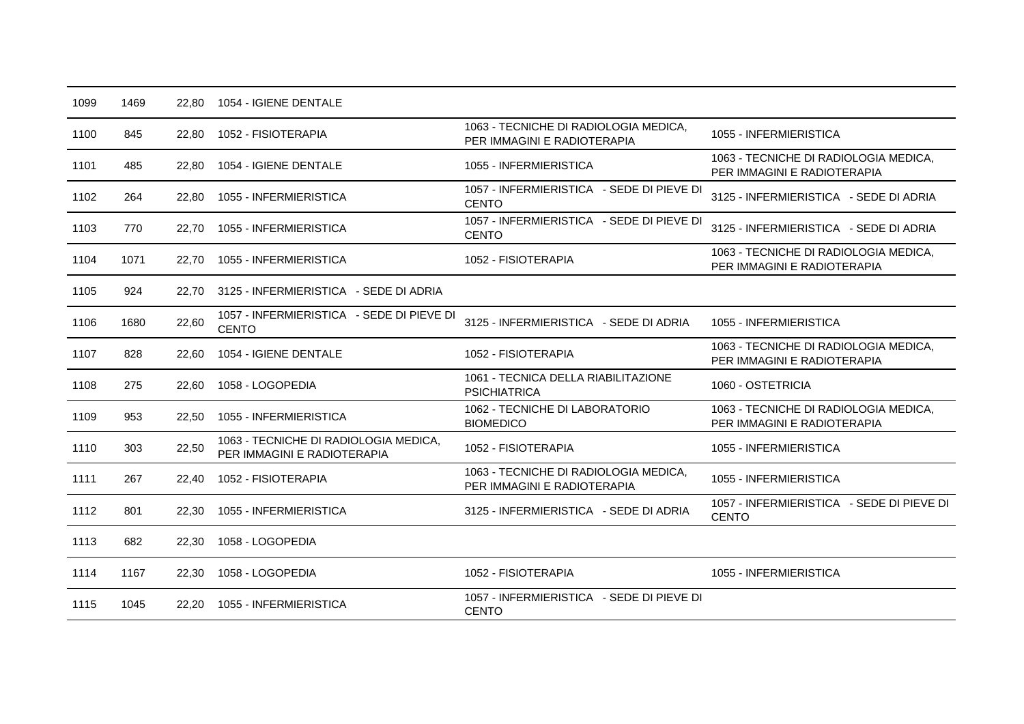| 1063 - TECNICHE DI RADIOLOGIA MEDICA,<br>1055 - INFERMIERISTICA<br>1100<br>845<br>1052 - FISIOTERAPIA<br>22,80<br>PER IMMAGINI E RADIOTERAPIA<br>1063 - TECNICHE DI RADIOLOGIA MEDICA,<br>1055 - INFERMIERISTICA<br>1101<br>485<br>1054 - IGIENE DENTALE<br>22.80<br>PER IMMAGINI E RADIOTERAPIA<br>1057 - INFERMIERISTICA - SEDE DI PIEVE DI<br>3125 - INFERMIERISTICA - SEDE DI ADRIA<br>1102<br>264<br>1055 - INFERMIERISTICA<br>22,80<br><b>CENTO</b><br>1057 - INFERMIERISTICA - SEDE DI PIEVE DI<br>3125 - INFERMIERISTICA - SEDE DI ADRIA<br>770<br>1055 - INFERMIERISTICA<br>1103<br>22.70<br><b>CENTO</b><br>1063 - TECNICHE DI RADIOLOGIA MEDICA,<br>1052 - FISIOTERAPIA<br>1104<br>1071<br>1055 - INFERMIERISTICA<br>22,70<br>PER IMMAGINI E RADIOTERAPIA<br>3125 - INFERMIERISTICA - SEDE DI ADRIA<br>1105<br>924<br>22.70<br>1057 - INFERMIERISTICA - SEDE DI PIEVE DI |  |
|-------------------------------------------------------------------------------------------------------------------------------------------------------------------------------------------------------------------------------------------------------------------------------------------------------------------------------------------------------------------------------------------------------------------------------------------------------------------------------------------------------------------------------------------------------------------------------------------------------------------------------------------------------------------------------------------------------------------------------------------------------------------------------------------------------------------------------------------------------------------------------------|--|
|                                                                                                                                                                                                                                                                                                                                                                                                                                                                                                                                                                                                                                                                                                                                                                                                                                                                                     |  |
|                                                                                                                                                                                                                                                                                                                                                                                                                                                                                                                                                                                                                                                                                                                                                                                                                                                                                     |  |
|                                                                                                                                                                                                                                                                                                                                                                                                                                                                                                                                                                                                                                                                                                                                                                                                                                                                                     |  |
|                                                                                                                                                                                                                                                                                                                                                                                                                                                                                                                                                                                                                                                                                                                                                                                                                                                                                     |  |
|                                                                                                                                                                                                                                                                                                                                                                                                                                                                                                                                                                                                                                                                                                                                                                                                                                                                                     |  |
|                                                                                                                                                                                                                                                                                                                                                                                                                                                                                                                                                                                                                                                                                                                                                                                                                                                                                     |  |
| 22,60<br>3125 - INFERMIERISTICA - SEDE DI ADRIA<br>1106<br>1680<br>1055 - INFERMIERISTICA<br><b>CENTO</b>                                                                                                                                                                                                                                                                                                                                                                                                                                                                                                                                                                                                                                                                                                                                                                           |  |
| 1063 - TECNICHE DI RADIOLOGIA MEDICA,<br>1107<br>1052 - FISIOTERAPIA<br>828<br>22,60<br>1054 - IGIENE DENTALE<br>PER IMMAGINI E RADIOTERAPIA                                                                                                                                                                                                                                                                                                                                                                                                                                                                                                                                                                                                                                                                                                                                        |  |
| 1061 - TECNICA DELLA RIABILITAZIONE<br>1108<br>275<br>1058 - LOGOPEDIA<br>1060 - OSTETRICIA<br>22,60<br><b>PSICHIATRICA</b>                                                                                                                                                                                                                                                                                                                                                                                                                                                                                                                                                                                                                                                                                                                                                         |  |
| 1062 - TECNICHE DI LABORATORIO<br>1063 - TECNICHE DI RADIOLOGIA MEDICA,<br>1109<br>953<br>1055 - INFERMIERISTICA<br>22,50<br><b>BIOMEDICO</b><br>PER IMMAGINI E RADIOTERAPIA                                                                                                                                                                                                                                                                                                                                                                                                                                                                                                                                                                                                                                                                                                        |  |
| 1063 - TECNICHE DI RADIOLOGIA MEDICA,<br>22,50<br>1052 - FISIOTERAPIA<br>1055 - INFERMIERISTICA<br>1110<br>303<br>PER IMMAGINI E RADIOTERAPIA                                                                                                                                                                                                                                                                                                                                                                                                                                                                                                                                                                                                                                                                                                                                       |  |
| 1063 - TECNICHE DI RADIOLOGIA MEDICA,<br>1052 - FISIOTERAPIA<br>1055 - INFERMIERISTICA<br>1111<br>267<br>22,40<br>PER IMMAGINI E RADIOTERAPIA                                                                                                                                                                                                                                                                                                                                                                                                                                                                                                                                                                                                                                                                                                                                       |  |
| 1057 - INFERMIERISTICA - SEDE DI PIEVE DI<br>3125 - INFERMIERISTICA - SEDE DI ADRIA<br>1112<br>801<br>1055 - INFERMIERISTICA<br>22,30<br><b>CENTO</b>                                                                                                                                                                                                                                                                                                                                                                                                                                                                                                                                                                                                                                                                                                                               |  |
| 1113<br>682<br>1058 - LOGOPEDIA<br>22.30                                                                                                                                                                                                                                                                                                                                                                                                                                                                                                                                                                                                                                                                                                                                                                                                                                            |  |
| 1058 - LOGOPEDIA<br>1052 - FISIOTERAPIA<br>1055 - INFERMIERISTICA<br>1114<br>1167<br>22,30                                                                                                                                                                                                                                                                                                                                                                                                                                                                                                                                                                                                                                                                                                                                                                                          |  |
| 1057 - INFERMIERISTICA - SEDE DI PIEVE DI<br>1115<br>1055 - INFERMIERISTICA<br>1045<br>22,20<br><b>CENTO</b>                                                                                                                                                                                                                                                                                                                                                                                                                                                                                                                                                                                                                                                                                                                                                                        |  |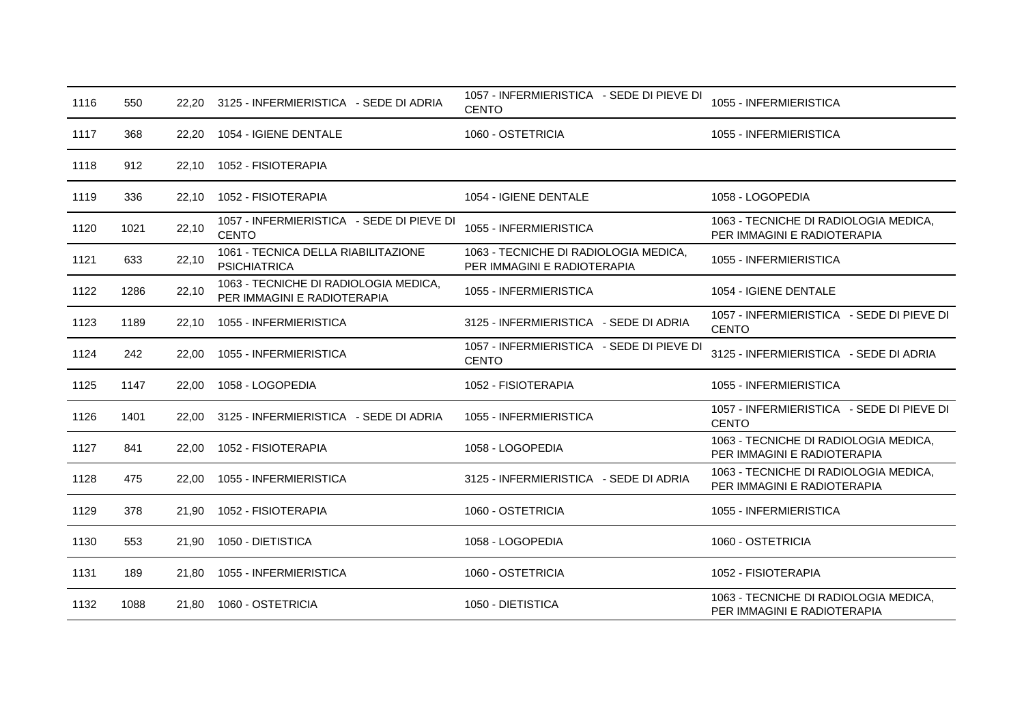| 1116 | 550  | 22.20 | 3125 - INFERMIERISTICA - SEDE DI ADRIA                               | 1057 - INFERMIERISTICA - SEDE DI PIEVE DI<br><b>CENTO</b>            | 1055 - INFERMIERISTICA                                               |
|------|------|-------|----------------------------------------------------------------------|----------------------------------------------------------------------|----------------------------------------------------------------------|
| 1117 | 368  | 22,20 | 1054 - IGIENE DENTALE                                                | 1060 - OSTETRICIA                                                    | 1055 - INFERMIERISTICA                                               |
| 1118 | 912  | 22,10 | 1052 - FISIOTERAPIA                                                  |                                                                      |                                                                      |
| 1119 | 336  | 22,10 | 1052 - FISIOTERAPIA                                                  | 1054 - IGIENE DENTALE                                                | 1058 - LOGOPEDIA                                                     |
| 1120 | 1021 | 22,10 | 1057 - INFERMIERISTICA - SEDE DI PIEVE DI<br><b>CENTO</b>            | 1055 - INFERMIERISTICA                                               | 1063 - TECNICHE DI RADIOLOGIA MEDICA,<br>PER IMMAGINI E RADIOTERAPIA |
| 1121 | 633  | 22,10 | 1061 - TECNICA DELLA RIABILITAZIONE<br><b>PSICHIATRICA</b>           | 1063 - TECNICHE DI RADIOLOGIA MEDICA,<br>PER IMMAGINI E RADIOTERAPIA | 1055 - INFERMIERISTICA                                               |
| 1122 | 1286 | 22,10 | 1063 - TECNICHE DI RADIOLOGIA MEDICA,<br>PER IMMAGINI E RADIOTERAPIA | 1055 - INFERMIERISTICA                                               | 1054 - IGIENE DENTALE                                                |
| 1123 | 1189 | 22,10 | 1055 - INFERMIERISTICA                                               | 3125 - INFERMIERISTICA - SEDE DI ADRIA                               | 1057 - INFERMIERISTICA - SEDE DI PIEVE DI<br><b>CENTO</b>            |
| 1124 | 242  | 22.00 | 1055 - INFERMIERISTICA                                               | 1057 - INFERMIERISTICA - SEDE DI PIEVE DI<br><b>CENTO</b>            | 3125 - INFERMIERISTICA - SEDE DI ADRIA                               |
| 1125 | 1147 | 22.00 | 1058 - LOGOPEDIA                                                     | 1052 - FISIOTERAPIA                                                  | 1055 - INFERMIERISTICA                                               |
| 1126 | 1401 | 22.00 | 3125 - INFERMIERISTICA - SEDE DI ADRIA                               | 1055 - INFERMIERISTICA                                               | 1057 - INFERMIERISTICA - SEDE DI PIEVE DI<br><b>CENTO</b>            |
| 1127 | 841  | 22,00 | 1052 - FISIOTERAPIA                                                  | 1058 - LOGOPEDIA                                                     | 1063 - TECNICHE DI RADIOLOGIA MEDICA,<br>PER IMMAGINI E RADIOTERAPIA |
| 1128 | 475  | 22.00 | 1055 - INFERMIERISTICA                                               | 3125 - INFERMIERISTICA - SEDE DI ADRIA                               | 1063 - TECNICHE DI RADIOLOGIA MEDICA,<br>PER IMMAGINI E RADIOTERAPIA |
| 1129 | 378  | 21,90 | 1052 - FISIOTERAPIA                                                  | 1060 - OSTETRICIA                                                    | 1055 - INFERMIERISTICA                                               |
| 1130 | 553  | 21,90 | 1050 - DIETISTICA                                                    | 1058 - LOGOPEDIA                                                     | 1060 - OSTETRICIA                                                    |
| 1131 | 189  | 21,80 | 1055 - INFERMIERISTICA                                               | 1060 - OSTETRICIA                                                    | 1052 - FISIOTERAPIA                                                  |
| 1132 | 1088 | 21,80 | 1060 - OSTETRICIA                                                    | 1050 - DIETISTICA                                                    | 1063 - TECNICHE DI RADIOLOGIA MEDICA,<br>PER IMMAGINI E RADIOTERAPIA |
|      |      |       |                                                                      |                                                                      |                                                                      |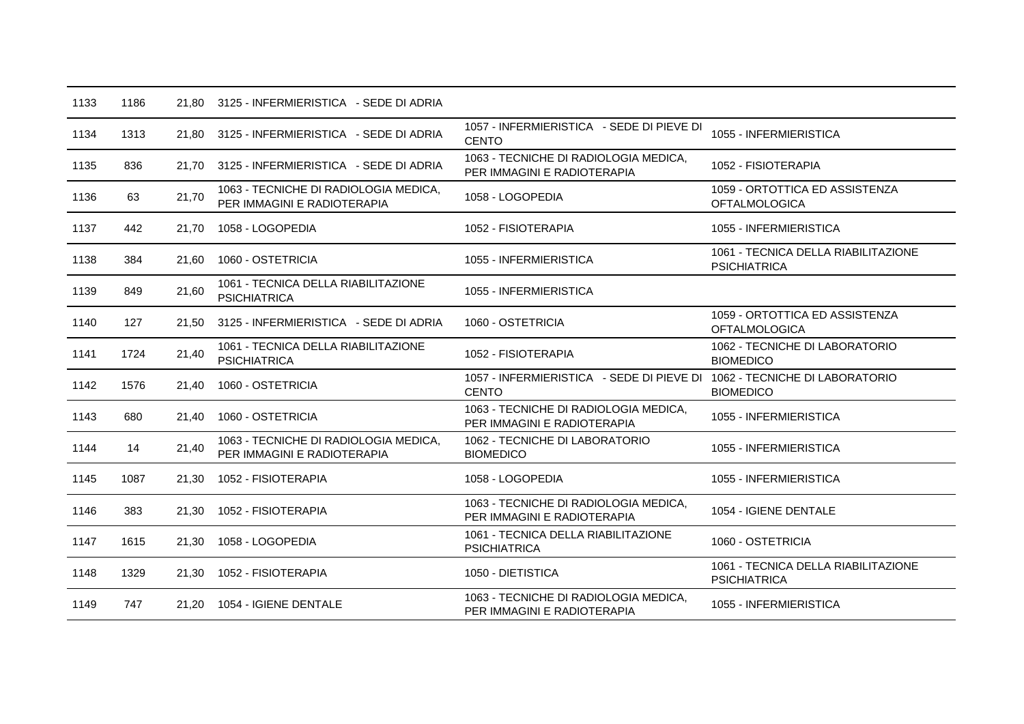| 1133 | 1186 |       | 21,80 3125 - INFERMIERISTICA - SEDE DI ADRIA                         |                                                                      |                                                            |
|------|------|-------|----------------------------------------------------------------------|----------------------------------------------------------------------|------------------------------------------------------------|
| 1134 | 1313 | 21,80 | 3125 - INFERMIERISTICA - SEDE DI ADRIA                               | 1057 - INFERMIERISTICA - SEDE DI PIEVE DI<br><b>CENTO</b>            | 1055 - INFERMIERISTICA                                     |
| 1135 | 836  | 21,70 | 3125 - INFERMIERISTICA - SEDE DI ADRIA                               | 1063 - TECNICHE DI RADIOLOGIA MEDICA,<br>PER IMMAGINI E RADIOTERAPIA | 1052 - FISIOTERAPIA                                        |
| 1136 | 63   | 21,70 | 1063 - TECNICHE DI RADIOLOGIA MEDICA,<br>PER IMMAGINI E RADIOTERAPIA | 1058 - LOGOPEDIA                                                     | 1059 - ORTOTTICA ED ASSISTENZA<br><b>OFTALMOLOGICA</b>     |
| 1137 | 442  | 21,70 | 1058 - LOGOPEDIA                                                     | 1052 - FISIOTERAPIA                                                  | 1055 - INFERMIERISTICA                                     |
| 1138 | 384  | 21.60 | 1060 - OSTETRICIA                                                    | 1055 - INFERMIERISTICA                                               | 1061 - TECNICA DELLA RIABILITAZIONE<br><b>PSICHIATRICA</b> |
| 1139 | 849  | 21,60 | 1061 - TECNICA DELLA RIABILITAZIONE<br><b>PSICHIATRICA</b>           | 1055 - INFERMIERISTICA                                               |                                                            |
| 1140 | 127  | 21,50 | 3125 - INFERMIERISTICA - SEDE DI ADRIA                               | 1060 - OSTETRICIA                                                    | 1059 - ORTOTTICA ED ASSISTENZA<br><b>OFTALMOLOGICA</b>     |
| 1141 | 1724 | 21,40 | 1061 - TECNICA DELLA RIABILITAZIONE<br><b>PSICHIATRICA</b>           | 1052 - FISIOTERAPIA                                                  | 1062 - TECNICHE DI LABORATORIO<br><b>BIOMEDICO</b>         |
| 1142 | 1576 | 21,40 | 1060 - OSTETRICIA                                                    | 1057 - INFERMIERISTICA - SEDE DI PIEVE DI<br><b>CENTO</b>            | 1062 - TECNICHE DI LABORATORIO<br><b>BIOMEDICO</b>         |
| 1143 | 680  | 21,40 | 1060 - OSTETRICIA                                                    | 1063 - TECNICHE DI RADIOLOGIA MEDICA,<br>PER IMMAGINI E RADIOTERAPIA | 1055 - INFERMIERISTICA                                     |
| 1144 | 14   | 21,40 | 1063 - TECNICHE DI RADIOLOGIA MEDICA,<br>PER IMMAGINI E RADIOTERAPIA | 1062 - TECNICHE DI LABORATORIO<br><b>BIOMEDICO</b>                   | 1055 - INFERMIERISTICA                                     |
| 1145 | 1087 | 21,30 | 1052 - FISIOTERAPIA                                                  | 1058 - LOGOPEDIA                                                     | 1055 - INFERMIERISTICA                                     |
| 1146 | 383  | 21,30 | 1052 - FISIOTERAPIA                                                  | 1063 - TECNICHE DI RADIOLOGIA MEDICA,<br>PER IMMAGINI E RADIOTERAPIA | 1054 - IGIENE DENTALE                                      |
| 1147 | 1615 | 21,30 | 1058 - LOGOPEDIA                                                     | 1061 - TECNICA DELLA RIABILITAZIONE<br><b>PSICHIATRICA</b>           | 1060 - OSTETRICIA                                          |
| 1148 | 1329 | 21,30 | 1052 - FISIOTERAPIA                                                  | 1050 - DIETISTICA                                                    | 1061 - TECNICA DELLA RIABILITAZIONE<br><b>PSICHIATRICA</b> |
| 1149 | 747  |       | 21.20 1054 - IGIENE DENTALE                                          | 1063 - TECNICHE DI RADIOLOGIA MEDICA,<br>PER IMMAGINI E RADIOTERAPIA | 1055 - INFERMIERISTICA                                     |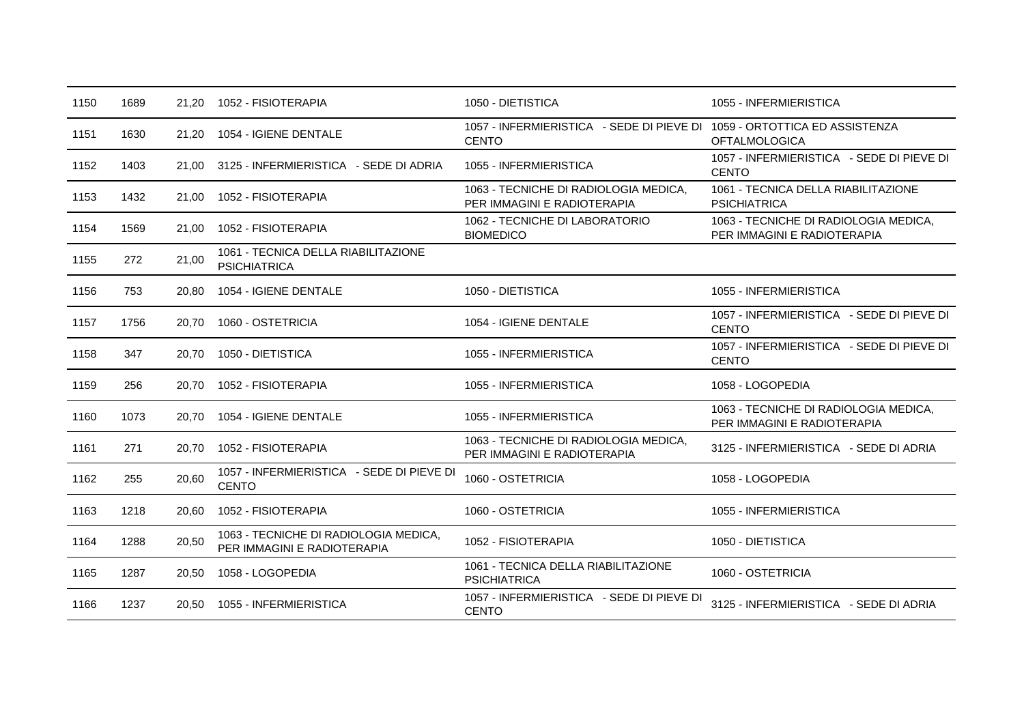| 1150 | 1689 |       | 21.20 1052 - FISIOTERAPIA                                            | 1050 - DIETISTICA                                                                        | 1055 - INFERMIERISTICA                                               |
|------|------|-------|----------------------------------------------------------------------|------------------------------------------------------------------------------------------|----------------------------------------------------------------------|
| 1151 | 1630 | 21,20 | 1054 - IGIENE DENTALE                                                | 1057 - INFERMIERISTICA - SEDE DI PIEVE DI 1059 - ORTOTTICA ED ASSISTENZA<br><b>CENTO</b> | <b>OFTALMOLOGICA</b>                                                 |
| 1152 | 1403 | 21.00 | 3125 - INFERMIERISTICA - SEDE DI ADRIA                               | 1055 - INFERMIERISTICA                                                                   | 1057 - INFERMIERISTICA - SEDE DI PIEVE DI<br><b>CENTO</b>            |
| 1153 | 1432 | 21,00 | 1052 - FISIOTERAPIA                                                  | 1063 - TECNICHE DI RADIOLOGIA MEDICA,<br>PER IMMAGINI E RADIOTERAPIA                     | 1061 - TECNICA DELLA RIABILITAZIONE<br><b>PSICHIATRICA</b>           |
| 1154 | 1569 | 21,00 | 1052 - FISIOTERAPIA                                                  | 1062 - TECNICHE DI LABORATORIO<br><b>BIOMEDICO</b>                                       | 1063 - TECNICHE DI RADIOLOGIA MEDICA,<br>PER IMMAGINI E RADIOTERAPIA |
| 1155 | 272  | 21,00 | 1061 - TECNICA DELLA RIABILITAZIONE<br><b>PSICHIATRICA</b>           |                                                                                          |                                                                      |
| 1156 | 753  | 20,80 | 1054 - IGIENE DENTALE                                                | 1050 - DIETISTICA                                                                        | 1055 - INFERMIERISTICA                                               |
| 1157 | 1756 | 20,70 | 1060 - OSTETRICIA                                                    | 1054 - IGIENE DENTALE                                                                    | 1057 - INFERMIERISTICA - SEDE DI PIEVE DI<br><b>CENTO</b>            |
| 1158 | 347  | 20.70 | 1050 - DIETISTICA                                                    | 1055 - INFERMIERISTICA                                                                   | 1057 - INFERMIERISTICA - SEDE DI PIEVE DI<br><b>CENTO</b>            |
| 1159 | 256  | 20,70 | 1052 - FISIOTERAPIA                                                  | 1055 - INFERMIERISTICA                                                                   | 1058 - LOGOPEDIA                                                     |
| 1160 | 1073 | 20.70 | 1054 - IGIENE DENTALE                                                | 1055 - INFERMIERISTICA                                                                   | 1063 - TECNICHE DI RADIOLOGIA MEDICA,<br>PER IMMAGINI E RADIOTERAPIA |
| 1161 | 271  | 20.70 | 1052 - FISIOTERAPIA                                                  | 1063 - TECNICHE DI RADIOLOGIA MEDICA,<br>PER IMMAGINI E RADIOTERAPIA                     | 3125 - INFERMIERISTICA - SEDE DI ADRIA                               |
| 1162 | 255  | 20,60 | 1057 - INFERMIERISTICA - SEDE DI PIEVE DI<br><b>CENTO</b>            | 1060 - OSTETRICIA                                                                        | 1058 - LOGOPEDIA                                                     |
| 1163 | 1218 | 20.60 | 1052 - FISIOTERAPIA                                                  | 1060 - OSTETRICIA                                                                        | 1055 - INFERMIERISTICA                                               |
| 1164 | 1288 | 20,50 | 1063 - TECNICHE DI RADIOLOGIA MEDICA,<br>PER IMMAGINI E RADIOTERAPIA | 1052 - FISIOTERAPIA                                                                      | 1050 - DIETISTICA                                                    |
| 1165 | 1287 | 20,50 | 1058 - LOGOPEDIA                                                     | 1061 - TECNICA DELLA RIABILITAZIONE<br><b>PSICHIATRICA</b>                               | 1060 - OSTETRICIA                                                    |
| 1166 | 1237 | 20,50 | 1055 - INFERMIERISTICA                                               | 1057 - INFERMIERISTICA - SEDE DI PIEVE DI<br><b>CENTO</b>                                | 3125 - INFERMIERISTICA - SEDE DI ADRIA                               |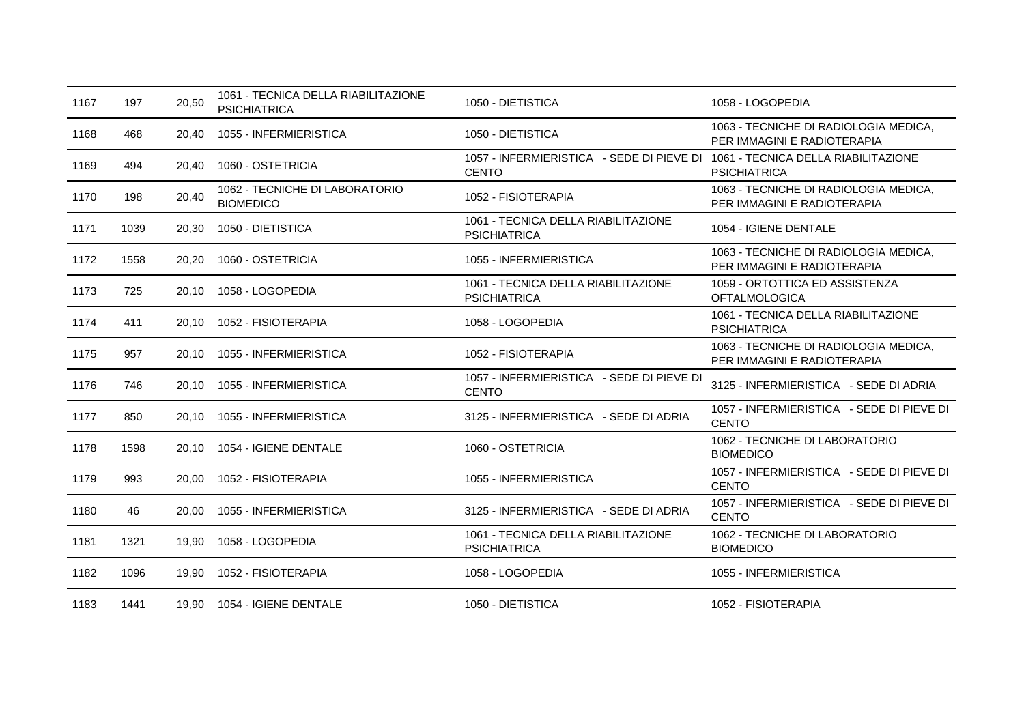| 1167 | 197  | 20,50 | 1061 - TECNICA DELLA RIABILITAZIONE<br><b>PSICHIATRICA</b> | 1050 - DIETISTICA                                                                             | 1058 - LOGOPEDIA                                                     |
|------|------|-------|------------------------------------------------------------|-----------------------------------------------------------------------------------------------|----------------------------------------------------------------------|
| 1168 | 468  | 20,40 | 1055 - INFERMIERISTICA                                     | 1050 - DIETISTICA                                                                             | 1063 - TECNICHE DI RADIOLOGIA MEDICA,<br>PER IMMAGINI E RADIOTERAPIA |
| 1169 | 494  | 20,40 | 1060 - OSTETRICIA                                          | 1057 - INFERMIERISTICA - SEDE DI PIEVE DI 1061 - TECNICA DELLA RIABILITAZIONE<br><b>CENTO</b> | <b>PSICHIATRICA</b>                                                  |
| 1170 | 198  | 20,40 | 1062 - TECNICHE DI LABORATORIO<br><b>BIOMEDICO</b>         | 1052 - FISIOTERAPIA                                                                           | 1063 - TECNICHE DI RADIOLOGIA MEDICA,<br>PER IMMAGINI E RADIOTERAPIA |
| 1171 | 1039 | 20,30 | 1050 - DIETISTICA                                          | 1061 - TECNICA DELLA RIABILITAZIONE<br><b>PSICHIATRICA</b>                                    | 1054 - IGIENE DENTALE                                                |
| 1172 | 1558 | 20,20 | 1060 - OSTETRICIA                                          | 1055 - INFERMIERISTICA                                                                        | 1063 - TECNICHE DI RADIOLOGIA MEDICA,<br>PER IMMAGINI E RADIOTERAPIA |
| 1173 | 725  | 20,10 | 1058 - LOGOPEDIA                                           | 1061 - TECNICA DELLA RIABILITAZIONE<br><b>PSICHIATRICA</b>                                    | 1059 - ORTOTTICA ED ASSISTENZA<br><b>OFTALMOLOGICA</b>               |
| 1174 | 411  | 20.10 | 1052 - FISIOTERAPIA                                        | 1058 - LOGOPEDIA                                                                              | 1061 - TECNICA DELLA RIABILITAZIONE<br><b>PSICHIATRICA</b>           |
| 1175 | 957  | 20,10 | 1055 - INFERMIERISTICA                                     | 1052 - FISIOTERAPIA                                                                           | 1063 - TECNICHE DI RADIOLOGIA MEDICA,<br>PER IMMAGINI E RADIOTERAPIA |
| 1176 | 746  | 20.10 | 1055 - INFERMIERISTICA                                     | 1057 - INFERMIERISTICA - SEDE DI PIEVE DI<br><b>CENTO</b>                                     | 3125 - INFERMIERISTICA - SEDE DI ADRIA                               |
| 1177 | 850  | 20,10 | 1055 - INFERMIERISTICA                                     | 3125 - INFERMIERISTICA - SEDE DI ADRIA                                                        | 1057 - INFERMIERISTICA - SEDE DI PIEVE DI<br><b>CENTO</b>            |
| 1178 | 1598 | 20,10 | 1054 - IGIENE DENTALE                                      | 1060 - OSTETRICIA                                                                             | 1062 - TECNICHE DI LABORATORIO<br><b>BIOMEDICO</b>                   |
| 1179 | 993  | 20.00 | 1052 - FISIOTERAPIA                                        | 1055 - INFERMIERISTICA                                                                        | 1057 - INFERMIERISTICA - SEDE DI PIEVE DI<br><b>CENTO</b>            |
| 1180 | 46   | 20.00 | 1055 - INFERMIERISTICA                                     | 3125 - INFERMIERISTICA - SEDE DI ADRIA                                                        | 1057 - INFERMIERISTICA - SEDE DI PIEVE DI<br><b>CENTO</b>            |
| 1181 | 1321 | 19,90 | 1058 - LOGOPEDIA                                           | 1061 - TECNICA DELLA RIABILITAZIONE<br><b>PSICHIATRICA</b>                                    | 1062 - TECNICHE DI LABORATORIO<br><b>BIOMEDICO</b>                   |
| 1182 | 1096 | 19,90 | 1052 - FISIOTERAPIA                                        | 1058 - LOGOPEDIA                                                                              | 1055 - INFERMIERISTICA                                               |
| 1183 | 1441 | 19.90 | 1054 - IGIENE DENTALE                                      | 1050 - DIETISTICA                                                                             | 1052 - FISIOTERAPIA                                                  |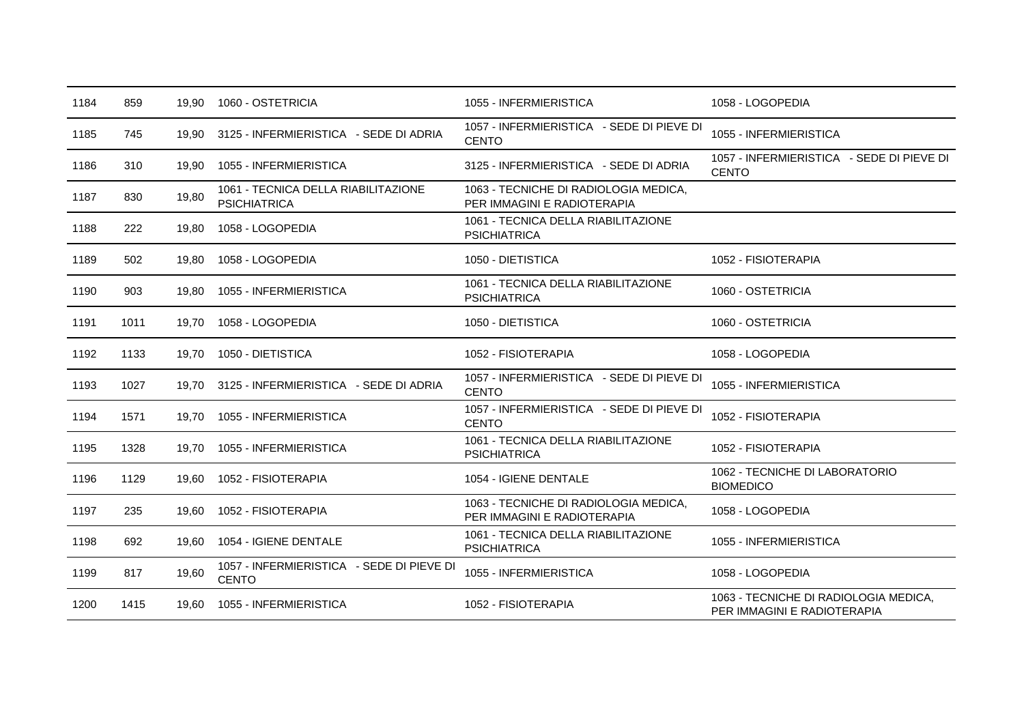| 1184 | 859  | 19.90 | 1060 - OSTETRICIA                                          | 1055 - INFERMIERISTICA                                               | 1058 - LOGOPEDIA                                                     |
|------|------|-------|------------------------------------------------------------|----------------------------------------------------------------------|----------------------------------------------------------------------|
| 1185 | 745  | 19,90 | 3125 - INFERMIERISTICA - SEDE DI ADRIA                     | 1057 - INFERMIERISTICA - SEDE DI PIEVE DI<br><b>CENTO</b>            | 1055 - INFERMIERISTICA                                               |
| 1186 | 310  | 19,90 | 1055 - INFERMIERISTICA                                     | 3125 - INFERMIERISTICA - SEDE DI ADRIA                               | 1057 - INFERMIERISTICA - SEDE DI PIEVE DI<br><b>CENTO</b>            |
| 1187 | 830  | 19,80 | 1061 - TECNICA DELLA RIABILITAZIONE<br><b>PSICHIATRICA</b> | 1063 - TECNICHE DI RADIOLOGIA MEDICA,<br>PER IMMAGINI E RADIOTERAPIA |                                                                      |
| 1188 | 222  | 19,80 | 1058 - LOGOPEDIA                                           | 1061 - TECNICA DELLA RIABILITAZIONE<br><b>PSICHIATRICA</b>           |                                                                      |
| 1189 | 502  | 19,80 | 1058 - LOGOPEDIA                                           | 1050 - DIETISTICA                                                    | 1052 - FISIOTERAPIA                                                  |
| 1190 | 903  | 19,80 | 1055 - INFERMIERISTICA                                     | 1061 - TECNICA DELLA RIABILITAZIONE<br><b>PSICHIATRICA</b>           | 1060 - OSTETRICIA                                                    |
| 1191 | 1011 | 19,70 | 1058 - LOGOPEDIA                                           | 1050 - DIETISTICA                                                    | 1060 - OSTETRICIA                                                    |
| 1192 | 1133 | 19,70 | 1050 - DIETISTICA                                          | 1052 - FISIOTERAPIA                                                  | 1058 - LOGOPEDIA                                                     |
| 1193 | 1027 | 19,70 | 3125 - INFERMIERISTICA - SEDE DI ADRIA                     | 1057 - INFERMIERISTICA - SEDE DI PIEVE DI<br><b>CENTO</b>            | 1055 - INFERMIERISTICA                                               |
| 1194 | 1571 | 19,70 | 1055 - INFERMIERISTICA                                     | 1057 - INFERMIERISTICA - SEDE DI PIEVE DI<br><b>CENTO</b>            | 1052 - FISIOTERAPIA                                                  |
| 1195 | 1328 | 19,70 | 1055 - INFERMIERISTICA                                     | 1061 - TECNICA DELLA RIABILITAZIONE<br><b>PSICHIATRICA</b>           | 1052 - FISIOTERAPIA                                                  |
| 1196 | 1129 | 19.60 | 1052 - FISIOTERAPIA                                        | 1054 - IGIENE DENTALE                                                | 1062 - TECNICHE DI LABORATORIO<br><b>BIOMEDICO</b>                   |
| 1197 | 235  | 19.60 | 1052 - FISIOTERAPIA                                        | 1063 - TECNICHE DI RADIOLOGIA MEDICA,<br>PER IMMAGINI E RADIOTERAPIA | 1058 - LOGOPEDIA                                                     |
| 1198 | 692  | 19.60 | 1054 - IGIENE DENTALE                                      | 1061 - TECNICA DELLA RIABILITAZIONE<br><b>PSICHIATRICA</b>           | 1055 - INFERMIERISTICA                                               |
| 1199 | 817  | 19,60 | 1057 - INFERMIERISTICA - SEDE DI PIEVE DI<br><b>CENTO</b>  | 1055 - INFERMIERISTICA                                               | 1058 - LOGOPEDIA                                                     |
| 1200 | 1415 | 19,60 | 1055 - INFERMIERISTICA                                     | 1052 - FISIOTERAPIA                                                  | 1063 - TECNICHE DI RADIOLOGIA MEDICA,<br>PER IMMAGINI E RADIOTERAPIA |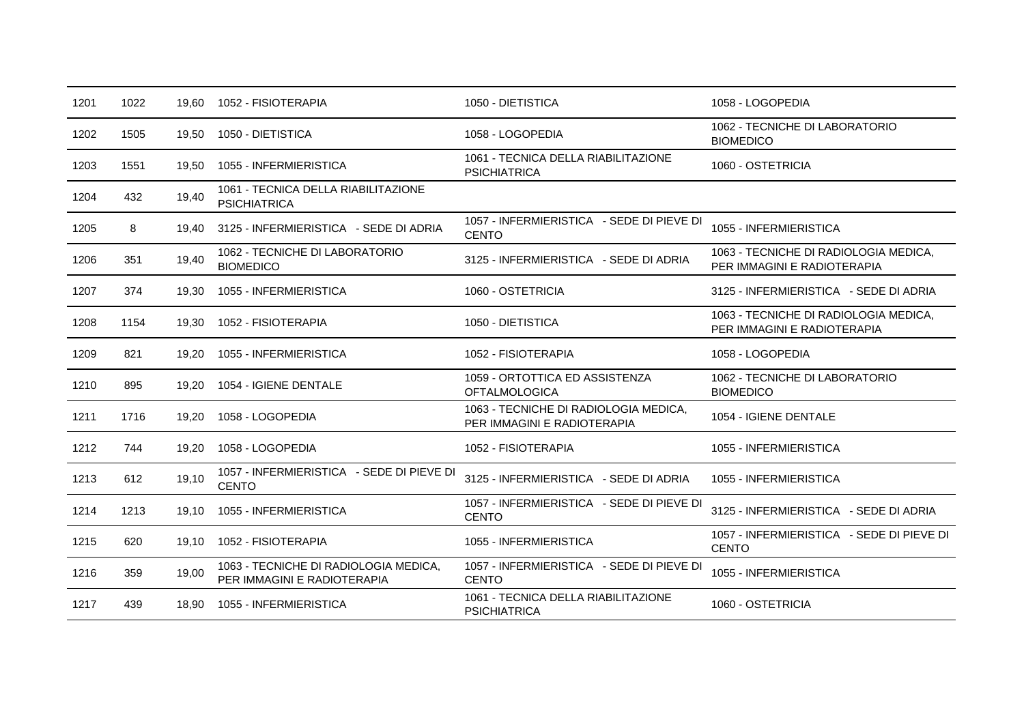| 1201 | 1022 | 19.60 | 1052 - FISIOTERAPIA                                                  | 1050 - DIETISTICA                                                    | 1058 - LOGOPEDIA                                                     |
|------|------|-------|----------------------------------------------------------------------|----------------------------------------------------------------------|----------------------------------------------------------------------|
| 1202 | 1505 | 19,50 | 1050 - DIETISTICA                                                    | 1058 - LOGOPEDIA                                                     | 1062 - TECNICHE DI LABORATORIO<br><b>BIOMEDICO</b>                   |
| 1203 | 1551 | 19,50 | 1055 - INFERMIERISTICA                                               | 1061 - TECNICA DELLA RIABILITAZIONE<br><b>PSICHIATRICA</b>           | 1060 - OSTETRICIA                                                    |
| 1204 | 432  | 19,40 | 1061 - TECNICA DELLA RIABILITAZIONE<br><b>PSICHIATRICA</b>           |                                                                      |                                                                      |
| 1205 | 8    | 19,40 | 3125 - INFERMIERISTICA - SEDE DI ADRIA                               | 1057 - INFERMIERISTICA - SEDE DI PIEVE DI<br><b>CENTO</b>            | 1055 - INFERMIERISTICA                                               |
| 1206 | 351  | 19,40 | 1062 - TECNICHE DI LABORATORIO<br><b>BIOMEDICO</b>                   | 3125 - INFERMIERISTICA - SEDE DI ADRIA                               | 1063 - TECNICHE DI RADIOLOGIA MEDICA,<br>PER IMMAGINI E RADIOTERAPIA |
| 1207 | 374  | 19,30 | 1055 - INFERMIERISTICA                                               | 1060 - OSTETRICIA                                                    | 3125 - INFERMIERISTICA - SEDE DI ADRIA                               |
| 1208 | 1154 | 19,30 | 1052 - FISIOTERAPIA                                                  | 1050 - DIETISTICA                                                    | 1063 - TECNICHE DI RADIOLOGIA MEDICA,<br>PER IMMAGINI E RADIOTERAPIA |
| 1209 | 821  | 19,20 | 1055 - INFERMIERISTICA                                               | 1052 - FISIOTERAPIA                                                  | 1058 - LOGOPEDIA                                                     |
| 1210 | 895  | 19,20 | 1054 - IGIENE DENTALE                                                | 1059 - ORTOTTICA ED ASSISTENZA<br><b>OFTALMOLOGICA</b>               | 1062 - TECNICHE DI LABORATORIO<br><b>BIOMEDICO</b>                   |
| 1211 | 1716 | 19,20 | 1058 - LOGOPEDIA                                                     | 1063 - TECNICHE DI RADIOLOGIA MEDICA,<br>PER IMMAGINI E RADIOTERAPIA | 1054 - IGIENE DENTALE                                                |
| 1212 | 744  | 19,20 | 1058 - LOGOPEDIA                                                     | 1052 - FISIOTERAPIA                                                  | 1055 - INFERMIERISTICA                                               |
| 1213 | 612  | 19,10 | 1057 - INFERMIERISTICA - SEDE DI PIEVE DI<br><b>CENTO</b>            | 3125 - INFERMIERISTICA - SEDE DI ADRIA                               | 1055 - INFERMIERISTICA                                               |
| 1214 | 1213 | 19,10 | 1055 - INFERMIERISTICA                                               | 1057 - INFERMIERISTICA - SEDE DI PIEVE DI<br><b>CENTO</b>            | 3125 - INFERMIERISTICA - SEDE DI ADRIA                               |
| 1215 | 620  | 19,10 | 1052 - FISIOTERAPIA                                                  | 1055 - INFERMIERISTICA                                               | 1057 - INFERMIERISTICA - SEDE DI PIEVE DI<br><b>CENTO</b>            |
| 1216 | 359  | 19,00 | 1063 - TECNICHE DI RADIOLOGIA MEDICA,<br>PER IMMAGINI E RADIOTERAPIA | 1057 - INFERMIERISTICA - SEDE DI PIEVE DI<br><b>CENTO</b>            | 1055 - INFERMIERISTICA                                               |
| 1217 | 439  | 18,90 | 1055 - INFERMIERISTICA                                               | 1061 - TECNICA DELLA RIABILITAZIONE<br><b>PSICHIATRICA</b>           | 1060 - OSTETRICIA                                                    |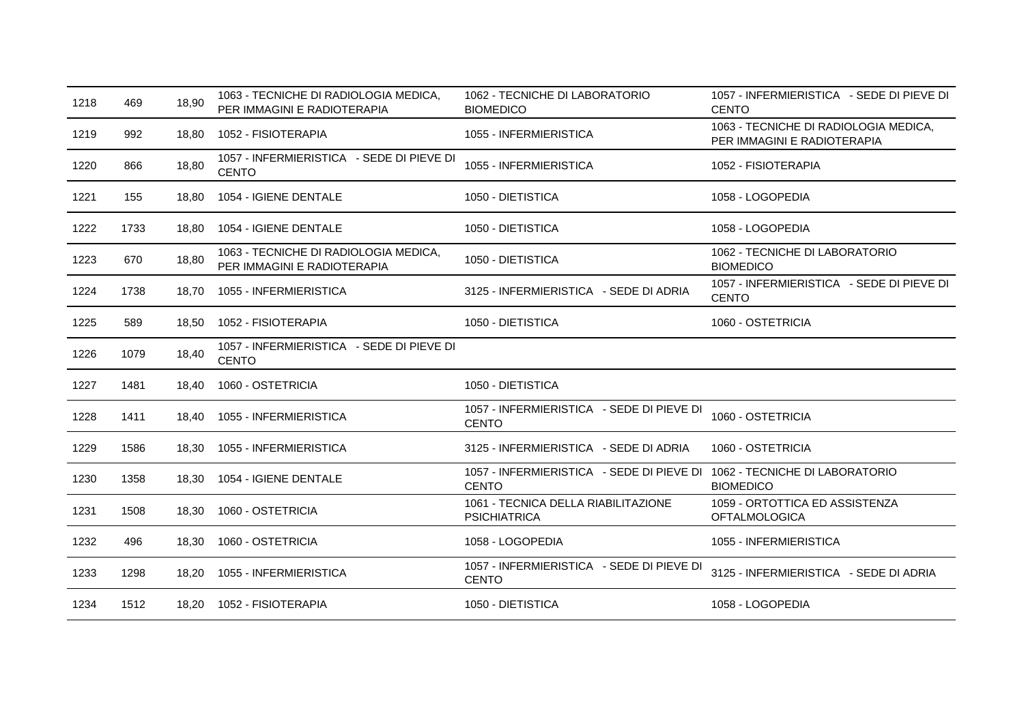| 1218 | 469  | 18,90 | 1063 - TECNICHE DI RADIOLOGIA MEDICA,<br>PER IMMAGINI E RADIOTERAPIA | 1062 - TECNICHE DI LABORATORIO<br><b>BIOMEDICO</b>                                       | 1057 - INFERMIERISTICA - SEDE DI PIEVE DI<br><b>CENTO</b>            |
|------|------|-------|----------------------------------------------------------------------|------------------------------------------------------------------------------------------|----------------------------------------------------------------------|
| 1219 | 992  | 18,80 | 1052 - FISIOTERAPIA                                                  | 1055 - INFERMIERISTICA                                                                   | 1063 - TECNICHE DI RADIOLOGIA MEDICA,<br>PER IMMAGINI E RADIOTERAPIA |
| 1220 | 866  | 18,80 | 1057 - INFERMIERISTICA - SEDE DI PIEVE DI<br><b>CENTO</b>            | 1055 - INFERMIERISTICA                                                                   | 1052 - FISIOTERAPIA                                                  |
| 1221 | 155  | 18,80 | 1054 - IGIENE DENTALE                                                | 1050 - DIETISTICA                                                                        | 1058 - LOGOPEDIA                                                     |
| 1222 | 1733 | 18.80 | 1054 - IGIENE DENTALE                                                | 1050 - DIETISTICA                                                                        | 1058 - LOGOPEDIA                                                     |
| 1223 | 670  | 18,80 | 1063 - TECNICHE DI RADIOLOGIA MEDICA,<br>PER IMMAGINI E RADIOTERAPIA | 1050 - DIETISTICA                                                                        | 1062 - TECNICHE DI LABORATORIO<br><b>BIOMEDICO</b>                   |
| 1224 | 1738 | 18,70 | 1055 - INFERMIERISTICA                                               | 3125 - INFERMIERISTICA - SEDE DI ADRIA                                                   | 1057 - INFERMIERISTICA - SEDE DI PIEVE DI<br><b>CENTO</b>            |
| 1225 | 589  | 18,50 | 1052 - FISIOTERAPIA                                                  | 1050 - DIETISTICA                                                                        | 1060 - OSTETRICIA                                                    |
| 1226 | 1079 | 18,40 | 1057 - INFERMIERISTICA - SEDE DI PIEVE DI<br><b>CENTO</b>            |                                                                                          |                                                                      |
| 1227 | 1481 | 18,40 | 1060 - OSTETRICIA                                                    | 1050 - DIETISTICA                                                                        |                                                                      |
| 1228 | 1411 | 18,40 | 1055 - INFERMIERISTICA                                               | 1057 - INFERMIERISTICA - SEDE DI PIEVE DI<br><b>CENTO</b>                                | 1060 - OSTETRICIA                                                    |
| 1229 | 1586 | 18,30 | 1055 - INFERMIERISTICA                                               | 3125 - INFERMIERISTICA - SEDE DI ADRIA                                                   | 1060 - OSTETRICIA                                                    |
| 1230 | 1358 | 18.30 | 1054 - IGIENE DENTALE                                                | 1057 - INFERMIERISTICA - SEDE DI PIEVE DI 1062 - TECNICHE DI LABORATORIO<br><b>CENTO</b> | <b>BIOMEDICO</b>                                                     |
| 1231 | 1508 | 18,30 | 1060 - OSTETRICIA                                                    | 1061 - TECNICA DELLA RIABILITAZIONE<br><b>PSICHIATRICA</b>                               | 1059 - ORTOTTICA ED ASSISTENZA<br><b>OFTALMOLOGICA</b>               |
| 1232 | 496  | 18,30 | 1060 - OSTETRICIA                                                    | 1058 - LOGOPEDIA                                                                         | 1055 - INFERMIERISTICA                                               |
| 1233 | 1298 | 18,20 | 1055 - INFERMIERISTICA                                               | 1057 - INFERMIERISTICA - SEDE DI PIEVE DI<br><b>CENTO</b>                                | 3125 - INFERMIERISTICA - SEDE DI ADRIA                               |
| 1234 | 1512 |       | 18,20 1052 - FISIOTERAPIA                                            | 1050 - DIETISTICA                                                                        | 1058 - LOGOPEDIA                                                     |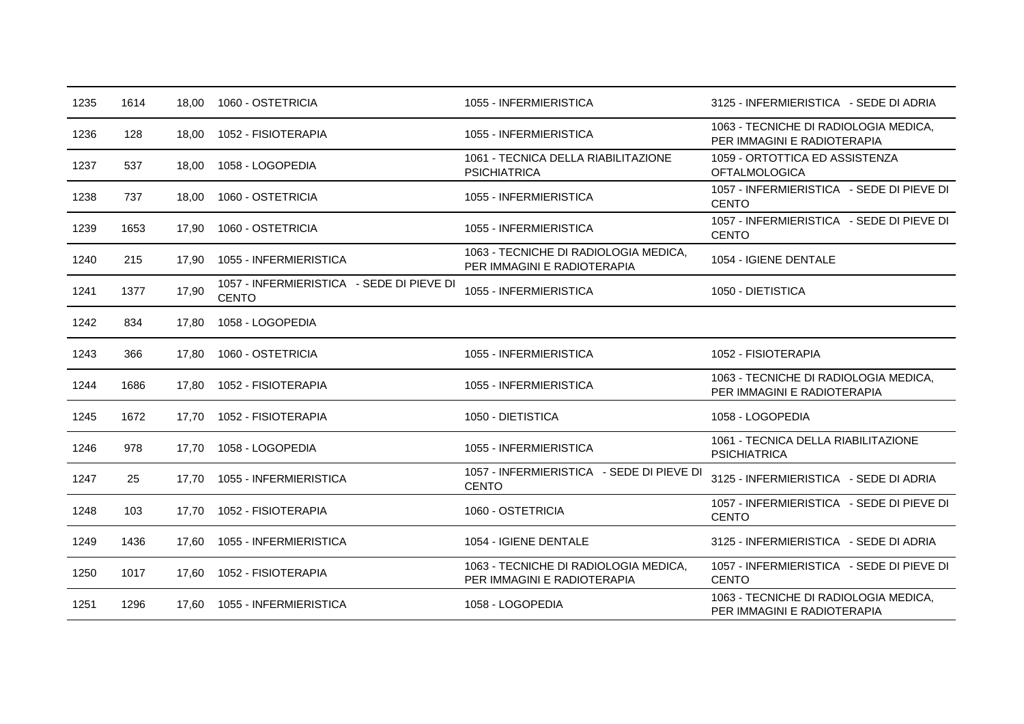| 1235 | 1614 | 18.00 | 1060 - OSTETRICIA                                         | 1055 - INFERMIERISTICA                                               | 3125 - INFERMIERISTICA - SEDE DI ADRIA                               |
|------|------|-------|-----------------------------------------------------------|----------------------------------------------------------------------|----------------------------------------------------------------------|
| 1236 | 128  | 18,00 | 1052 - FISIOTERAPIA                                       | 1055 - INFERMIERISTICA                                               | 1063 - TECNICHE DI RADIOLOGIA MEDICA,<br>PER IMMAGINI E RADIOTERAPIA |
| 1237 | 537  | 18,00 | 1058 - LOGOPEDIA                                          | 1061 - TECNICA DELLA RIABILITAZIONE<br><b>PSICHIATRICA</b>           | 1059 - ORTOTTICA ED ASSISTENZA<br><b>OFTALMOLOGICA</b>               |
| 1238 | 737  | 18,00 | 1060 - OSTETRICIA                                         | 1055 - INFERMIERISTICA                                               | 1057 - INFERMIERISTICA - SEDE DI PIEVE DI<br><b>CENTO</b>            |
| 1239 | 1653 | 17,90 | 1060 - OSTETRICIA                                         | 1055 - INFERMIERISTICA                                               | 1057 - INFERMIERISTICA - SEDE DI PIEVE DI<br><b>CENTO</b>            |
| 1240 | 215  | 17.90 | 1055 - INFERMIERISTICA                                    | 1063 - TECNICHE DI RADIOLOGIA MEDICA,<br>PER IMMAGINI E RADIOTERAPIA | 1054 - IGIENE DENTALE                                                |
| 1241 | 1377 | 17,90 | 1057 - INFERMIERISTICA - SEDE DI PIEVE DI<br><b>CENTO</b> | 1055 - INFERMIERISTICA                                               | 1050 - DIETISTICA                                                    |
| 1242 | 834  | 17,80 | 1058 - LOGOPEDIA                                          |                                                                      |                                                                      |
| 1243 | 366  | 17.80 | 1060 - OSTETRICIA                                         | 1055 - INFERMIERISTICA                                               | 1052 - FISIOTERAPIA                                                  |
| 1244 | 1686 | 17,80 | 1052 - FISIOTERAPIA                                       | 1055 - INFERMIERISTICA                                               | 1063 - TECNICHE DI RADIOLOGIA MEDICA,<br>PER IMMAGINI E RADIOTERAPIA |
| 1245 | 1672 | 17.70 | 1052 - FISIOTERAPIA                                       | 1050 - DIETISTICA                                                    | 1058 - LOGOPEDIA                                                     |
| 1246 | 978  | 17.70 | 1058 - LOGOPEDIA                                          | 1055 - INFERMIERISTICA                                               | 1061 - TECNICA DELLA RIABILITAZIONE<br><b>PSICHIATRICA</b>           |
| 1247 | 25   | 17,70 | 1055 - INFERMIERISTICA                                    | 1057 - INFERMIERISTICA - SEDE DI PIEVE DI<br><b>CENTO</b>            | 3125 - INFERMIERISTICA - SEDE DI ADRIA                               |
| 1248 | 103  | 17.70 | 1052 - FISIOTERAPIA                                       | 1060 - OSTETRICIA                                                    | 1057 - INFERMIERISTICA - SEDE DI PIEVE DI<br><b>CENTO</b>            |
| 1249 | 1436 | 17.60 | 1055 - INFERMIERISTICA                                    | 1054 - IGIENE DENTALE                                                | 3125 - INFERMIERISTICA - SEDE DI ADRIA                               |
| 1250 | 1017 | 17,60 | 1052 - FISIOTERAPIA                                       | 1063 - TECNICHE DI RADIOLOGIA MEDICA,<br>PER IMMAGINI E RADIOTERAPIA | 1057 - INFERMIERISTICA - SEDE DI PIEVE DI<br><b>CENTO</b>            |
| 1251 | 1296 |       | 17.60 1055 - INFERMIERISTICA                              | 1058 - LOGOPEDIA                                                     | 1063 - TECNICHE DI RADIOLOGIA MEDICA,<br>PER IMMAGINI E RADIOTERAPIA |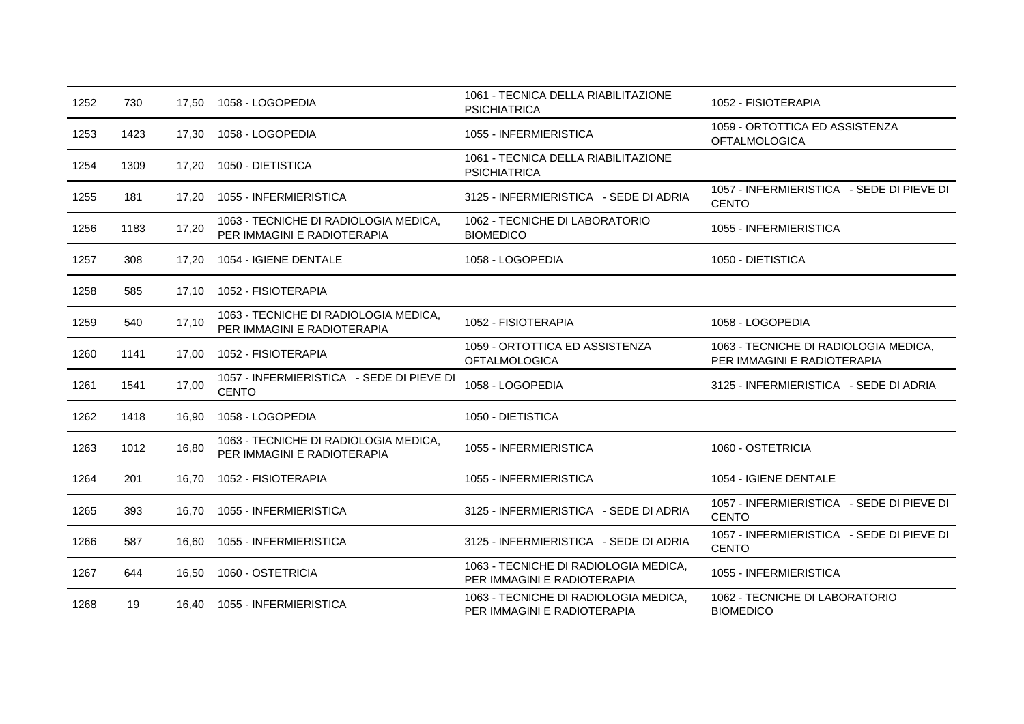| 1252 | 730  | 17,50 | 1058 - LOGOPEDIA                                                     | 1061 - TECNICA DELLA RIABILITAZIONE<br><b>PSICHIATRICA</b>           | 1052 - FISIOTERAPIA                                                  |
|------|------|-------|----------------------------------------------------------------------|----------------------------------------------------------------------|----------------------------------------------------------------------|
| 1253 | 1423 | 17,30 | 1058 - LOGOPEDIA                                                     | 1055 - INFERMIERISTICA                                               | 1059 - ORTOTTICA ED ASSISTENZA<br><b>OFTALMOLOGICA</b>               |
| 1254 | 1309 | 17.20 | 1050 - DIETISTICA                                                    | 1061 - TECNICA DELLA RIABILITAZIONE<br><b>PSICHIATRICA</b>           |                                                                      |
| 1255 | 181  | 17,20 | 1055 - INFERMIERISTICA                                               | 3125 - INFERMIERISTICA - SEDE DI ADRIA                               | 1057 - INFERMIERISTICA - SEDE DI PIEVE DI<br><b>CENTO</b>            |
| 1256 | 1183 | 17,20 | 1063 - TECNICHE DI RADIOLOGIA MEDICA,<br>PER IMMAGINI E RADIOTERAPIA | 1062 - TECNICHE DI LABORATORIO<br><b>BIOMEDICO</b>                   | 1055 - INFERMIERISTICA                                               |
| 1257 | 308  | 17.20 | 1054 - IGIENE DENTALE                                                | 1058 - LOGOPEDIA                                                     | 1050 - DIETISTICA                                                    |
| 1258 | 585  | 17,10 | 1052 - FISIOTERAPIA                                                  |                                                                      |                                                                      |
| 1259 | 540  | 17,10 | 1063 - TECNICHE DI RADIOLOGIA MEDICA,<br>PER IMMAGINI E RADIOTERAPIA | 1052 - FISIOTERAPIA                                                  | 1058 - LOGOPEDIA                                                     |
| 1260 | 1141 | 17,00 | 1052 - FISIOTERAPIA                                                  | 1059 - ORTOTTICA ED ASSISTENZA<br><b>OFTALMOLOGICA</b>               | 1063 - TECNICHE DI RADIOLOGIA MEDICA,<br>PER IMMAGINI E RADIOTERAPIA |
| 1261 | 1541 | 17,00 | 1057 - INFERMIERISTICA - SEDE DI PIEVE DI<br><b>CENTO</b>            | 1058 - LOGOPEDIA                                                     | 3125 - INFERMIERISTICA - SEDE DI ADRIA                               |
| 1262 | 1418 | 16,90 | 1058 - LOGOPEDIA                                                     | 1050 - DIETISTICA                                                    |                                                                      |
| 1263 | 1012 | 16,80 | 1063 - TECNICHE DI RADIOLOGIA MEDICA,<br>PER IMMAGINI E RADIOTERAPIA | 1055 - INFERMIERISTICA                                               | 1060 - OSTETRICIA                                                    |
| 1264 | 201  | 16.70 | 1052 - FISIOTERAPIA                                                  | 1055 - INFERMIERISTICA                                               | 1054 - IGIENE DENTALE                                                |
| 1265 | 393  | 16.70 | 1055 - INFERMIERISTICA                                               | 3125 - INFERMIERISTICA - SEDE DI ADRIA                               | 1057 - INFERMIERISTICA - SEDE DI PIEVE DI<br><b>CENTO</b>            |
| 1266 | 587  | 16.60 | 1055 - INFERMIERISTICA                                               | 3125 - INFERMIERISTICA - SEDE DI ADRIA                               | 1057 - INFERMIERISTICA - SEDE DI PIEVE DI<br><b>CENTO</b>            |
| 1267 | 644  | 16,50 | 1060 - OSTETRICIA                                                    | 1063 - TECNICHE DI RADIOLOGIA MEDICA,<br>PER IMMAGINI E RADIOTERAPIA | 1055 - INFERMIERISTICA                                               |
| 1268 | 19   | 16,40 | 1055 - INFERMIERISTICA                                               | 1063 - TECNICHE DI RADIOLOGIA MEDICA,<br>PER IMMAGINI E RADIOTERAPIA | 1062 - TECNICHE DI LABORATORIO<br><b>BIOMEDICO</b>                   |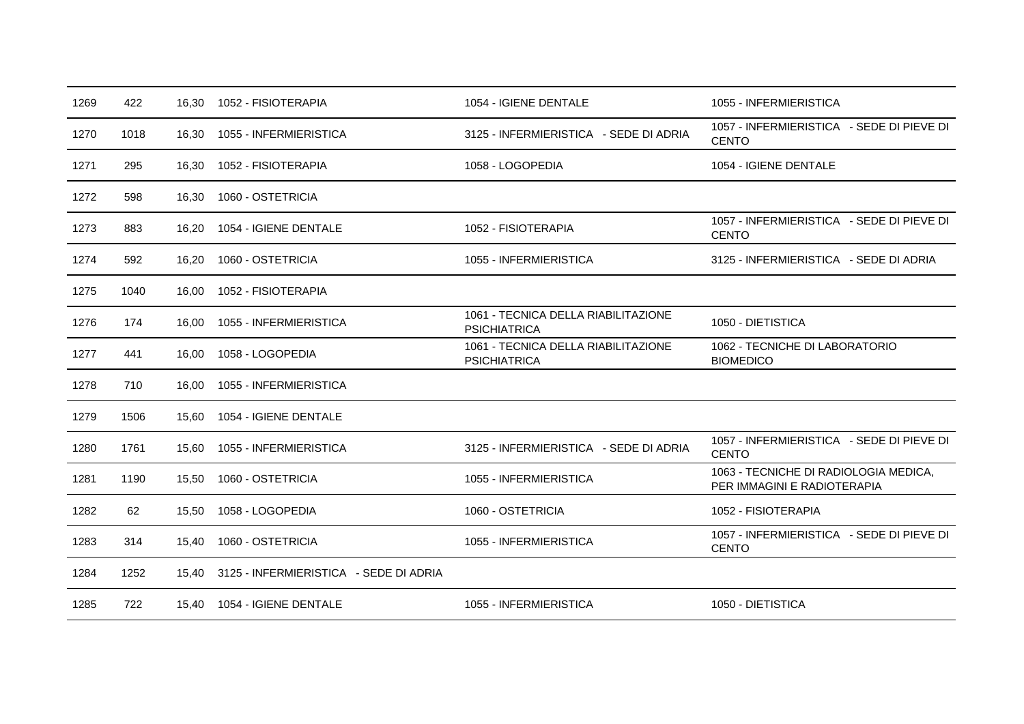| 1269 | 422  | 16,30 | 1052 - FISIOTERAPIA                    | 1054 - IGIENE DENTALE                                      | 1055 - INFERMIERISTICA                                               |
|------|------|-------|----------------------------------------|------------------------------------------------------------|----------------------------------------------------------------------|
| 1270 | 1018 | 16,30 | 1055 - INFERMIERISTICA                 | 3125 - INFERMIERISTICA - SEDE DI ADRIA                     | 1057 - INFERMIERISTICA - SEDE DI PIEVE DI<br><b>CENTO</b>            |
| 1271 | 295  | 16,30 | 1052 - FISIOTERAPIA                    | 1058 - LOGOPEDIA                                           | 1054 - IGIENE DENTALE                                                |
| 1272 | 598  | 16,30 | 1060 - OSTETRICIA                      |                                                            |                                                                      |
| 1273 | 883  | 16.20 | 1054 - IGIENE DENTALE                  | 1052 - FISIOTERAPIA                                        | 1057 - INFERMIERISTICA - SEDE DI PIEVE DI<br><b>CENTO</b>            |
| 1274 | 592  | 16,20 | 1060 - OSTETRICIA                      | 1055 - INFERMIERISTICA                                     | 3125 - INFERMIERISTICA - SEDE DI ADRIA                               |
| 1275 | 1040 | 16,00 | 1052 - FISIOTERAPIA                    |                                                            |                                                                      |
| 1276 | 174  | 16.00 | 1055 - INFERMIERISTICA                 | 1061 - TECNICA DELLA RIABILITAZIONE<br><b>PSICHIATRICA</b> | 1050 - DIETISTICA                                                    |
| 1277 | 441  | 16,00 | 1058 - LOGOPEDIA                       | 1061 - TECNICA DELLA RIABILITAZIONE<br><b>PSICHIATRICA</b> | 1062 - TECNICHE DI LABORATORIO<br><b>BIOMEDICO</b>                   |
| 1278 | 710  | 16,00 | 1055 - INFERMIERISTICA                 |                                                            |                                                                      |
| 1279 | 1506 | 15,60 | 1054 - IGIENE DENTALE                  |                                                            |                                                                      |
| 1280 | 1761 | 15,60 | 1055 - INFERMIERISTICA                 | 3125 - INFERMIERISTICA - SEDE DI ADRIA                     | 1057 - INFERMIERISTICA - SEDE DI PIEVE DI<br><b>CENTO</b>            |
| 1281 | 1190 | 15.50 | 1060 - OSTETRICIA                      | 1055 - INFERMIERISTICA                                     | 1063 - TECNICHE DI RADIOLOGIA MEDICA,<br>PER IMMAGINI E RADIOTERAPIA |
| 1282 | 62   | 15.50 | 1058 - LOGOPEDIA                       | 1060 - OSTETRICIA                                          | 1052 - FISIOTERAPIA                                                  |
| 1283 | 314  | 15,40 | 1060 - OSTETRICIA                      | 1055 - INFERMIERISTICA                                     | 1057 - INFERMIERISTICA - SEDE DI PIEVE DI<br><b>CENTO</b>            |
| 1284 | 1252 | 15.40 | 3125 - INFERMIERISTICA - SEDE DI ADRIA |                                                            |                                                                      |
| 1285 | 722  | 15,40 | 1054 - IGIENE DENTALE                  | 1055 - INFERMIERISTICA                                     | 1050 - DIETISTICA                                                    |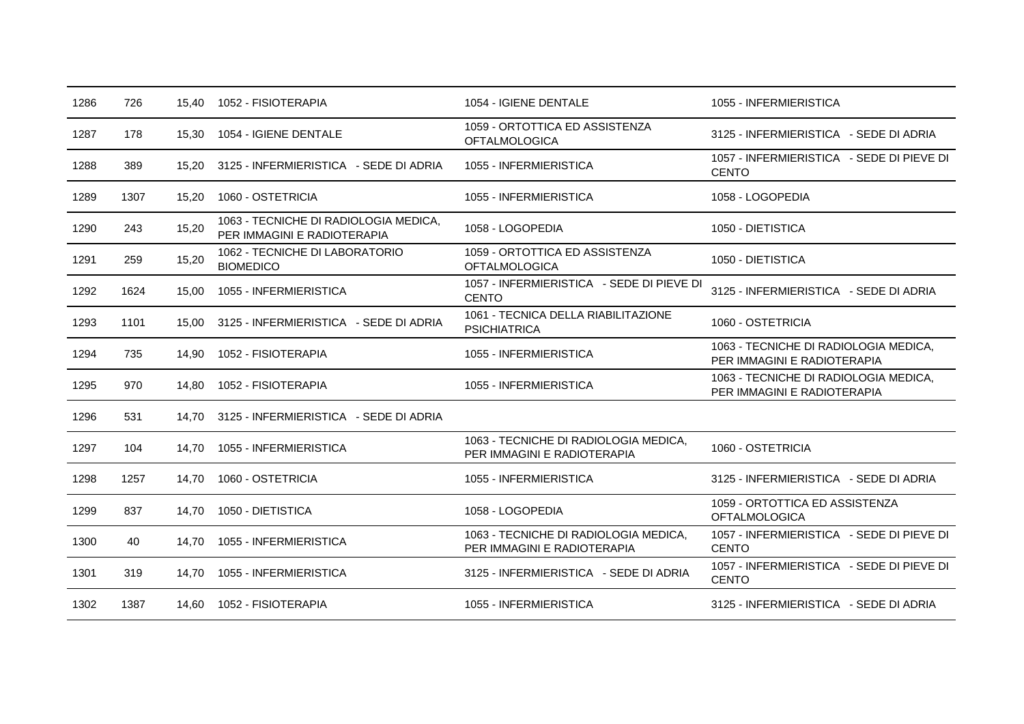| 1286 | 726  | 15,40 | 1052 - FISIOTERAPIA                                                  | 1054 - IGIENE DENTALE                                                | 1055 - INFERMIERISTICA                                               |
|------|------|-------|----------------------------------------------------------------------|----------------------------------------------------------------------|----------------------------------------------------------------------|
| 1287 | 178  | 15,30 | 1054 - IGIENE DENTALE                                                | 1059 - ORTOTTICA ED ASSISTENZA<br><b>OFTALMOLOGICA</b>               | 3125 - INFERMIERISTICA - SEDE DI ADRIA                               |
| 1288 | 389  | 15,20 | 3125 - INFERMIERISTICA - SEDE DI ADRIA                               | 1055 - INFERMIERISTICA                                               | 1057 - INFERMIERISTICA - SEDE DI PIEVE DI<br><b>CENTO</b>            |
| 1289 | 1307 | 15,20 | 1060 - OSTETRICIA                                                    | 1055 - INFERMIERISTICA                                               | 1058 - LOGOPEDIA                                                     |
| 1290 | 243  | 15,20 | 1063 - TECNICHE DI RADIOLOGIA MEDICA,<br>PER IMMAGINI E RADIOTERAPIA | 1058 - LOGOPEDIA                                                     | 1050 - DIETISTICA                                                    |
| 1291 | 259  | 15,20 | 1062 - TECNICHE DI LABORATORIO<br><b>BIOMEDICO</b>                   | 1059 - ORTOTTICA ED ASSISTENZA<br><b>OFTALMOLOGICA</b>               | 1050 - DIETISTICA                                                    |
| 1292 | 1624 | 15,00 | 1055 - INFERMIERISTICA                                               | 1057 - INFERMIERISTICA - SEDE DI PIEVE DI<br><b>CENTO</b>            | 3125 - INFERMIERISTICA - SEDE DI ADRIA                               |
| 1293 | 1101 | 15.00 | 3125 - INFERMIERISTICA - SEDE DI ADRIA                               | 1061 - TECNICA DELLA RIABILITAZIONE<br><b>PSICHIATRICA</b>           | 1060 - OSTETRICIA                                                    |
| 1294 | 735  | 14,90 | 1052 - FISIOTERAPIA                                                  | 1055 - INFERMIERISTICA                                               | 1063 - TECNICHE DI RADIOLOGIA MEDICA,<br>PER IMMAGINI E RADIOTERAPIA |
| 1295 | 970  | 14.80 | 1052 - FISIOTERAPIA                                                  | 1055 - INFERMIERISTICA                                               | 1063 - TECNICHE DI RADIOLOGIA MEDICA,<br>PER IMMAGINI E RADIOTERAPIA |
| 1296 | 531  | 14.70 | 3125 - INFERMIERISTICA - SEDE DI ADRIA                               |                                                                      |                                                                      |
| 1297 | 104  | 14.70 | 1055 - INFERMIERISTICA                                               | 1063 - TECNICHE DI RADIOLOGIA MEDICA,<br>PER IMMAGINI E RADIOTERAPIA | 1060 - OSTETRICIA                                                    |
| 1298 | 1257 | 14,70 | 1060 - OSTETRICIA                                                    | 1055 - INFERMIERISTICA                                               | 3125 - INFERMIERISTICA - SEDE DI ADRIA                               |
| 1299 | 837  | 14,70 | 1050 - DIETISTICA                                                    | 1058 - LOGOPEDIA                                                     | 1059 - ORTOTTICA ED ASSISTENZA<br><b>OFTALMOLOGICA</b>               |
| 1300 | 40   | 14.70 | 1055 - INFERMIERISTICA                                               | 1063 - TECNICHE DI RADIOLOGIA MEDICA,<br>PER IMMAGINI E RADIOTERAPIA | 1057 - INFERMIERISTICA - SEDE DI PIEVE DI<br><b>CENTO</b>            |
| 1301 | 319  | 14,70 | 1055 - INFERMIERISTICA                                               | 3125 - INFERMIERISTICA - SEDE DI ADRIA                               | 1057 - INFERMIERISTICA - SEDE DI PIEVE DI<br><b>CENTO</b>            |
| 1302 | 1387 | 14.60 | 1052 - FISIOTERAPIA                                                  | 1055 - INFERMIERISTICA                                               | 3125 - INFERMIERISTICA - SEDE DI ADRIA                               |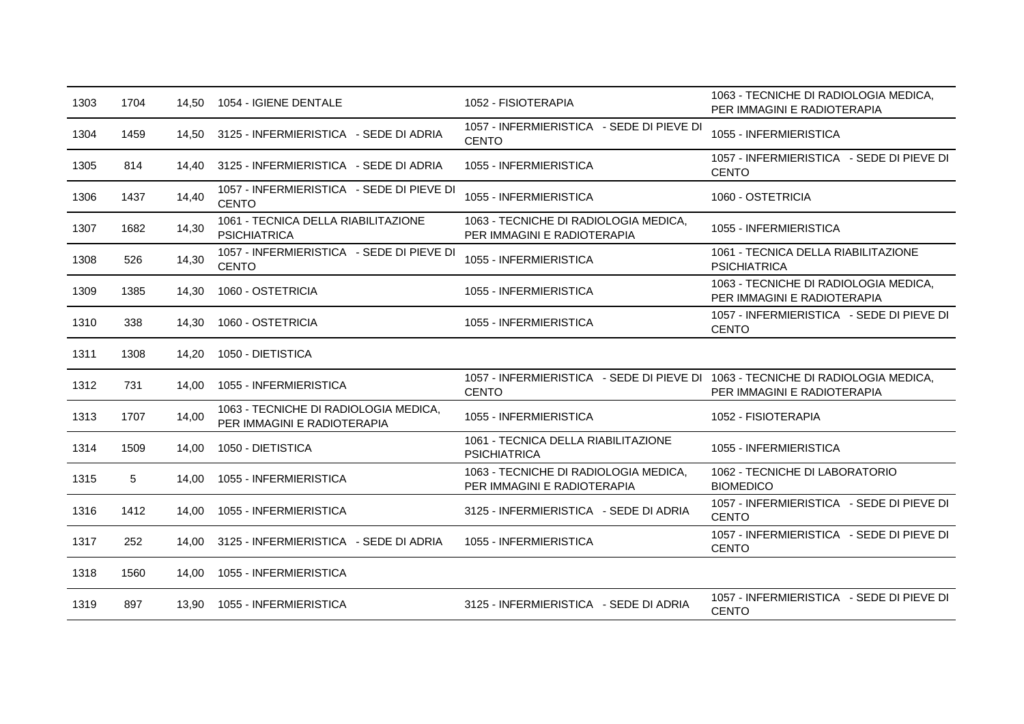| 1303 | 1704 | 14,50 | 1054 - IGIENE DENTALE                                                | 1052 - FISIOTERAPIA                                                                             | 1063 - TECNICHE DI RADIOLOGIA MEDICA,<br>PER IMMAGINI E RADIOTERAPIA |
|------|------|-------|----------------------------------------------------------------------|-------------------------------------------------------------------------------------------------|----------------------------------------------------------------------|
| 1304 | 1459 | 14.50 | 3125 - INFERMIERISTICA - SEDE DI ADRIA                               | 1057 - INFERMIERISTICA - SEDE DI PIEVE DI<br><b>CENTO</b>                                       | 1055 - INFERMIERISTICA                                               |
| 1305 | 814  | 14,40 | 3125 - INFERMIERISTICA - SEDE DI ADRIA                               | 1055 - INFERMIERISTICA                                                                          | 1057 - INFERMIERISTICA - SEDE DI PIEVE DI<br><b>CENTO</b>            |
| 1306 | 1437 | 14,40 | 1057 - INFERMIERISTICA - SEDE DI PIEVE DI<br><b>CENTO</b>            | 1055 - INFERMIERISTICA                                                                          | 1060 - OSTETRICIA                                                    |
| 1307 | 1682 | 14,30 | 1061 - TECNICA DELLA RIABILITAZIONE<br><b>PSICHIATRICA</b>           | 1063 - TECNICHE DI RADIOLOGIA MEDICA,<br>PER IMMAGINI E RADIOTERAPIA                            | 1055 - INFERMIERISTICA                                               |
| 1308 | 526  | 14,30 | 1057 - INFERMIERISTICA - SEDE DI PIEVE DI<br><b>CENTO</b>            | 1055 - INFERMIERISTICA                                                                          | 1061 - TECNICA DELLA RIABILITAZIONE<br><b>PSICHIATRICA</b>           |
| 1309 | 1385 | 14,30 | 1060 - OSTETRICIA                                                    | 1055 - INFERMIERISTICA                                                                          | 1063 - TECNICHE DI RADIOLOGIA MEDICA,<br>PER IMMAGINI E RADIOTERAPIA |
| 1310 | 338  | 14,30 | 1060 - OSTETRICIA                                                    | 1055 - INFERMIERISTICA                                                                          | 1057 - INFERMIERISTICA - SEDE DI PIEVE DI<br><b>CENTO</b>            |
| 1311 | 1308 | 14,20 | 1050 - DIETISTICA                                                    |                                                                                                 |                                                                      |
| 1312 | 731  | 14,00 | 1055 - INFERMIERISTICA                                               | 1057 - INFERMIERISTICA - SEDE DI PIEVE DI 1063 - TECNICHE DI RADIOLOGIA MEDICA,<br><b>CENTO</b> | PER IMMAGINI E RADIOTERAPIA                                          |
| 1313 | 1707 | 14,00 | 1063 - TECNICHE DI RADIOLOGIA MEDICA,<br>PER IMMAGINI E RADIOTERAPIA | 1055 - INFERMIERISTICA                                                                          | 1052 - FISIOTERAPIA                                                  |
| 1314 | 1509 | 14,00 | 1050 - DIETISTICA                                                    | 1061 - TECNICA DELLA RIABILITAZIONE<br><b>PSICHIATRICA</b>                                      | 1055 - INFERMIERISTICA                                               |
| 1315 | 5    | 14.00 | 1055 - INFERMIERISTICA                                               | 1063 - TECNICHE DI RADIOLOGIA MEDICA,<br>PER IMMAGINI E RADIOTERAPIA                            | 1062 - TECNICHE DI LABORATORIO<br><b>BIOMEDICO</b>                   |
| 1316 | 1412 | 14,00 | 1055 - INFERMIERISTICA                                               | 3125 - INFERMIERISTICA - SEDE DI ADRIA                                                          | 1057 - INFERMIERISTICA - SEDE DI PIEVE DI<br><b>CENTO</b>            |
| 1317 | 252  | 14,00 | 3125 - INFERMIERISTICA - SEDE DI ADRIA                               | 1055 - INFERMIERISTICA                                                                          | 1057 - INFERMIERISTICA - SEDE DI PIEVE DI<br><b>CENTO</b>            |
| 1318 | 1560 | 14.00 | 1055 - INFERMIERISTICA                                               |                                                                                                 |                                                                      |
| 1319 | 897  | 13,90 | 1055 - INFERMIERISTICA                                               | 3125 - INFERMIERISTICA - SEDE DI ADRIA                                                          | 1057 - INFERMIERISTICA - SEDE DI PIEVE DI<br><b>CENTO</b>            |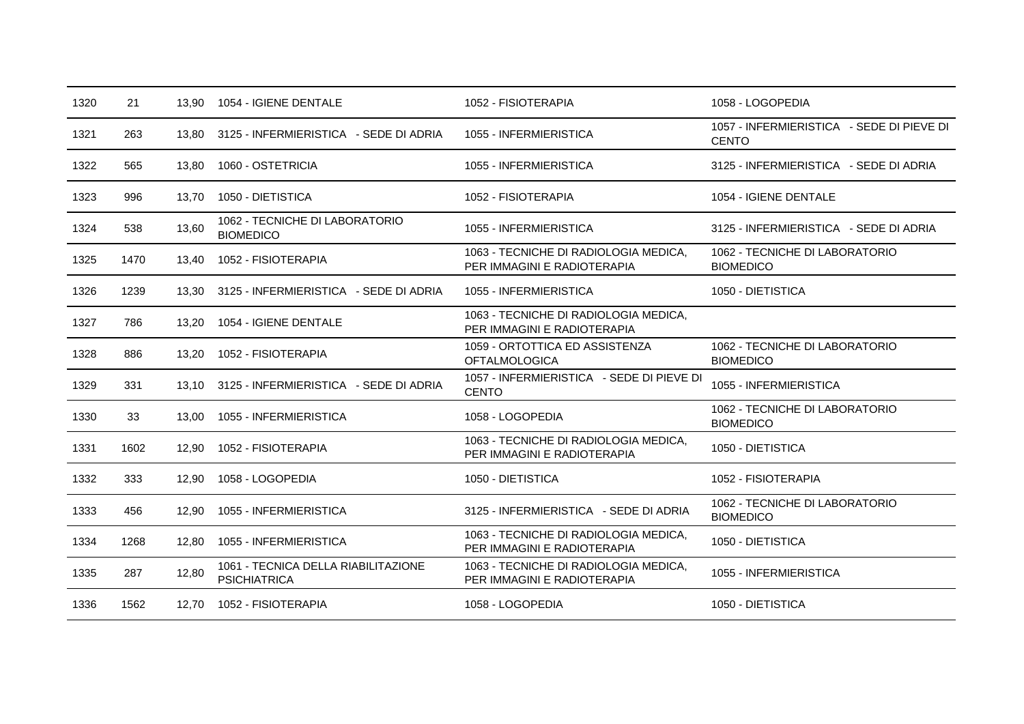| 1320 | 21   | 13,90 | 1054 - IGIENE DENTALE                                      | 1052 - FISIOTERAPIA                                                  | 1058 - LOGOPEDIA                                          |
|------|------|-------|------------------------------------------------------------|----------------------------------------------------------------------|-----------------------------------------------------------|
| 1321 | 263  | 13,80 | 3125 - INFERMIERISTICA - SEDE DI ADRIA                     | 1055 - INFERMIERISTICA                                               | 1057 - INFERMIERISTICA - SEDE DI PIEVE DI<br><b>CENTO</b> |
| 1322 | 565  | 13.80 | 1060 - OSTETRICIA                                          | 1055 - INFERMIERISTICA                                               | 3125 - INFERMIERISTICA - SEDE DI ADRIA                    |
| 1323 | 996  | 13,70 | 1050 - DIETISTICA                                          | 1052 - FISIOTERAPIA                                                  | 1054 - IGIENE DENTALE                                     |
| 1324 | 538  | 13,60 | 1062 - TECNICHE DI LABORATORIO<br><b>BIOMEDICO</b>         | 1055 - INFERMIERISTICA                                               | 3125 - INFERMIERISTICA - SEDE DI ADRIA                    |
| 1325 | 1470 | 13,40 | 1052 - FISIOTERAPIA                                        | 1063 - TECNICHE DI RADIOLOGIA MEDICA,<br>PER IMMAGINI E RADIOTERAPIA | 1062 - TECNICHE DI LABORATORIO<br><b>BIOMEDICO</b>        |
| 1326 | 1239 | 13.30 | 3125 - INFERMIERISTICA - SEDE DI ADRIA                     | 1055 - INFERMIERISTICA                                               | 1050 - DIETISTICA                                         |
| 1327 | 786  | 13,20 | 1054 - IGIENE DENTALE                                      | 1063 - TECNICHE DI RADIOLOGIA MEDICA,<br>PER IMMAGINI E RADIOTERAPIA |                                                           |
| 1328 | 886  | 13,20 | 1052 - FISIOTERAPIA                                        | 1059 - ORTOTTICA ED ASSISTENZA<br><b>OFTALMOLOGICA</b>               | 1062 - TECNICHE DI LABORATORIO<br><b>BIOMEDICO</b>        |
| 1329 | 331  | 13,10 | 3125 - INFERMIERISTICA - SEDE DI ADRIA                     | 1057 - INFERMIERISTICA - SEDE DI PIEVE DI<br><b>CENTO</b>            | 1055 - INFERMIERISTICA                                    |
| 1330 | 33   | 13.00 | 1055 - INFERMIERISTICA                                     | 1058 - LOGOPEDIA                                                     | 1062 - TECNICHE DI LABORATORIO<br><b>BIOMEDICO</b>        |
| 1331 | 1602 | 12,90 | 1052 - FISIOTERAPIA                                        | 1063 - TECNICHE DI RADIOLOGIA MEDICA,<br>PER IMMAGINI E RADIOTERAPIA | 1050 - DIETISTICA                                         |
| 1332 | 333  | 12,90 | 1058 - LOGOPEDIA                                           | 1050 - DIETISTICA                                                    | 1052 - FISIOTERAPIA                                       |
| 1333 | 456  | 12,90 | 1055 - INFERMIERISTICA                                     | 3125 - INFERMIERISTICA - SEDE DI ADRIA                               | 1062 - TECNICHE DI LABORATORIO<br><b>BIOMEDICO</b>        |
| 1334 | 1268 | 12,80 | 1055 - INFERMIERISTICA                                     | 1063 - TECNICHE DI RADIOLOGIA MEDICA,<br>PER IMMAGINI E RADIOTERAPIA | 1050 - DIETISTICA                                         |
| 1335 | 287  | 12,80 | 1061 - TECNICA DELLA RIABILITAZIONE<br><b>PSICHIATRICA</b> | 1063 - TECNICHE DI RADIOLOGIA MEDICA,<br>PER IMMAGINI E RADIOTERAPIA | 1055 - INFERMIERISTICA                                    |
| 1336 | 1562 | 12,70 | 1052 - FISIOTERAPIA                                        | 1058 - LOGOPEDIA                                                     | 1050 - DIETISTICA                                         |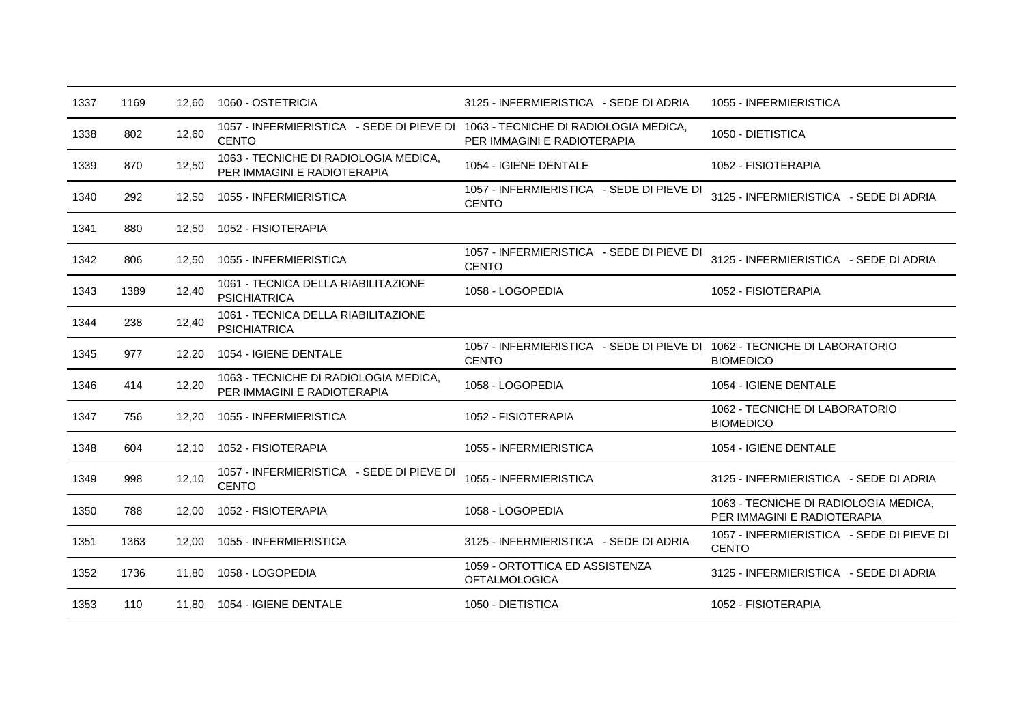| 1337 | 1169 | 12,60 | 1060 - OSTETRICIA                                                                               | 3125 - INFERMIERISTICA - SEDE DI ADRIA                                                   | 1055 - INFERMIERISTICA                                               |
|------|------|-------|-------------------------------------------------------------------------------------------------|------------------------------------------------------------------------------------------|----------------------------------------------------------------------|
| 1338 | 802  | 12,60 | 1057 - INFERMIERISTICA - SEDE DI PIEVE DI 1063 - TECNICHE DI RADIOLOGIA MEDICA,<br><b>CENTO</b> | PER IMMAGINI E RADIOTERAPIA                                                              | 1050 - DIETISTICA                                                    |
| 1339 | 870  | 12,50 | 1063 - TECNICHE DI RADIOLOGIA MEDICA,<br>PER IMMAGINI E RADIOTERAPIA                            | 1054 - IGIENE DENTALE                                                                    | 1052 - FISIOTERAPIA                                                  |
| 1340 | 292  | 12.50 | 1055 - INFERMIERISTICA                                                                          | 1057 - INFERMIERISTICA - SEDE DI PIEVE DI<br><b>CENTO</b>                                | 3125 - INFERMIERISTICA - SEDE DI ADRIA                               |
| 1341 | 880  | 12,50 | 1052 - FISIOTERAPIA                                                                             |                                                                                          |                                                                      |
| 1342 | 806  | 12,50 | 1055 - INFERMIERISTICA                                                                          | 1057 - INFERMIERISTICA - SEDE DI PIEVE DI<br><b>CENTO</b>                                | 3125 - INFERMIERISTICA - SEDE DI ADRIA                               |
| 1343 | 1389 | 12,40 | 1061 - TECNICA DELLA RIABILITAZIONE<br><b>PSICHIATRICA</b>                                      | 1058 - LOGOPEDIA                                                                         | 1052 - FISIOTERAPIA                                                  |
| 1344 | 238  | 12,40 | 1061 - TECNICA DELLA RIABILITAZIONE<br><b>PSICHIATRICA</b>                                      |                                                                                          |                                                                      |
| 1345 | 977  | 12,20 | 1054 - IGIENE DENTALE                                                                           | 1057 - INFERMIERISTICA - SEDE DI PIEVE DI 1062 - TECNICHE DI LABORATORIO<br><b>CENTO</b> | <b>BIOMEDICO</b>                                                     |
| 1346 | 414  | 12,20 | 1063 - TECNICHE DI RADIOLOGIA MEDICA,<br>PER IMMAGINI E RADIOTERAPIA                            | 1058 - LOGOPEDIA                                                                         | 1054 - IGIENE DENTALE                                                |
| 1347 | 756  | 12,20 | 1055 - INFERMIERISTICA                                                                          | 1052 - FISIOTERAPIA                                                                      | 1062 - TECNICHE DI LABORATORIO<br><b>BIOMEDICO</b>                   |
| 1348 | 604  | 12.10 | 1052 - FISIOTERAPIA                                                                             | 1055 - INFERMIERISTICA                                                                   | 1054 - IGIENE DENTALE                                                |
| 1349 | 998  | 12,10 | 1057 - INFERMIERISTICA - SEDE DI PIEVE DI<br><b>CENTO</b>                                       | 1055 - INFERMIERISTICA                                                                   | 3125 - INFERMIERISTICA - SEDE DI ADRIA                               |
| 1350 | 788  | 12,00 | 1052 - FISIOTERAPIA                                                                             | 1058 - LOGOPEDIA                                                                         | 1063 - TECNICHE DI RADIOLOGIA MEDICA,<br>PER IMMAGINI E RADIOTERAPIA |
| 1351 | 1363 | 12,00 | 1055 - INFERMIERISTICA                                                                          | 3125 - INFERMIERISTICA - SEDE DI ADRIA                                                   | 1057 - INFERMIERISTICA - SEDE DI PIEVE DI<br><b>CENTO</b>            |
| 1352 | 1736 | 11,80 | 1058 - LOGOPEDIA                                                                                | 1059 - ORTOTTICA ED ASSISTENZA<br><b>OFTALMOLOGICA</b>                                   | 3125 - INFERMIERISTICA - SEDE DI ADRIA                               |
| 1353 | 110  | 11,80 | 1054 - IGIENE DENTALE                                                                           | 1050 - DIETISTICA                                                                        | 1052 - FISIOTERAPIA                                                  |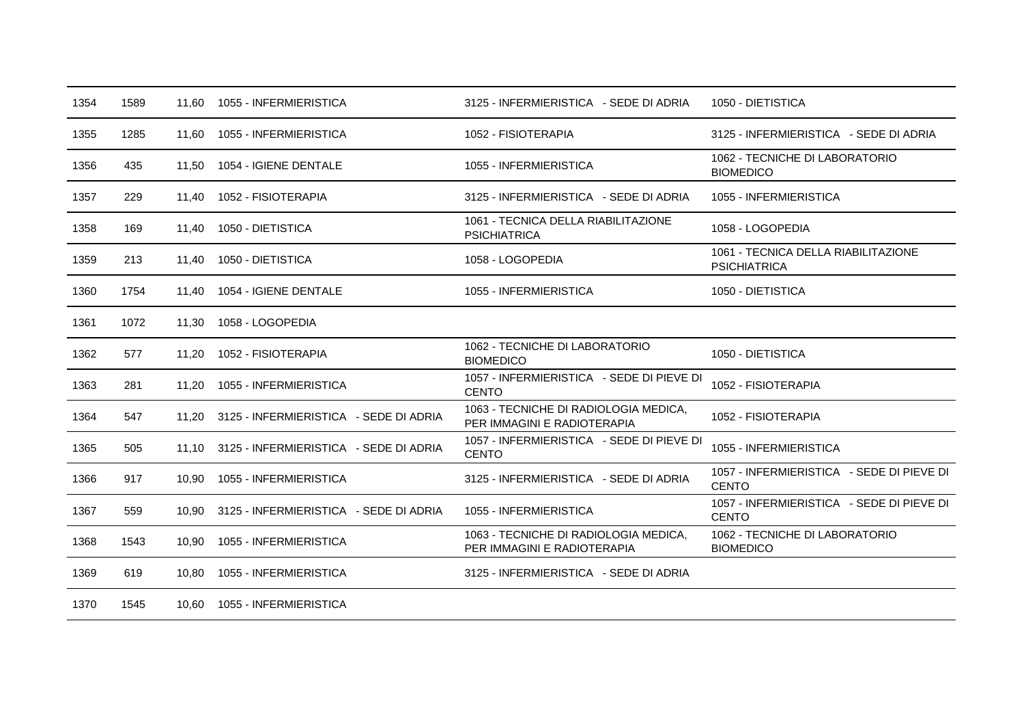| 1354 | 1589 |       | 11.60 1055 - INFERMIERISTICA                 | 3125 - INFERMIERISTICA - SEDE DI ADRIA                               | 1050 - DIETISTICA                                          |
|------|------|-------|----------------------------------------------|----------------------------------------------------------------------|------------------------------------------------------------|
| 1355 | 1285 | 11,60 | 1055 - INFERMIERISTICA                       | 1052 - FISIOTERAPIA                                                  | 3125 - INFERMIERISTICA - SEDE DI ADRIA                     |
| 1356 | 435  | 11.50 | 1054 - IGIENE DENTALE                        | 1055 - INFERMIERISTICA                                               | 1062 - TECNICHE DI LABORATORIO<br><b>BIOMEDICO</b>         |
| 1357 | 229  | 11,40 | 1052 - FISIOTERAPIA                          | 3125 - INFERMIERISTICA - SEDE DI ADRIA                               | 1055 - INFERMIERISTICA                                     |
| 1358 | 169  | 11,40 | 1050 - DIETISTICA                            | 1061 - TECNICA DELLA RIABILITAZIONE<br><b>PSICHIATRICA</b>           | 1058 - LOGOPEDIA                                           |
| 1359 | 213  | 11.40 | 1050 - DIETISTICA                            | 1058 - LOGOPEDIA                                                     | 1061 - TECNICA DELLA RIABILITAZIONE<br><b>PSICHIATRICA</b> |
| 1360 | 1754 | 11,40 | 1054 - IGIENE DENTALE                        | 1055 - INFERMIERISTICA                                               | 1050 - DIETISTICA                                          |
| 1361 | 1072 | 11,30 | 1058 - LOGOPEDIA                             |                                                                      |                                                            |
| 1362 | 577  | 11,20 | 1052 - FISIOTERAPIA                          | 1062 - TECNICHE DI LABORATORIO<br><b>BIOMEDICO</b>                   | 1050 - DIETISTICA                                          |
| 1363 | 281  | 11,20 | 1055 - INFERMIERISTICA                       | 1057 - INFERMIERISTICA - SEDE DI PIEVE DI<br><b>CENTO</b>            | 1052 - FISIOTERAPIA                                        |
| 1364 | 547  | 11.20 | 3125 - INFERMIERISTICA - SEDE DI ADRIA       | 1063 - TECNICHE DI RADIOLOGIA MEDICA,<br>PER IMMAGINI E RADIOTERAPIA | 1052 - FISIOTERAPIA                                        |
| 1365 | 505  |       | 11.10 3125 - INFERMIERISTICA - SEDE DI ADRIA | 1057 - INFERMIERISTICA - SEDE DI PIEVE DI<br><b>CENTO</b>            | 1055 - INFERMIERISTICA                                     |
| 1366 | 917  | 10,90 | 1055 - INFERMIERISTICA                       | 3125 - INFERMIERISTICA - SEDE DI ADRIA                               | 1057 - INFERMIERISTICA - SEDE DI PIEVE DI<br><b>CENTO</b>  |
| 1367 | 559  | 10.90 | 3125 - INFERMIERISTICA - SEDE DI ADRIA       | 1055 - INFERMIERISTICA                                               | 1057 - INFERMIERISTICA - SEDE DI PIEVE DI<br><b>CENTO</b>  |
| 1368 | 1543 | 10,90 | 1055 - INFERMIERISTICA                       | 1063 - TECNICHE DI RADIOLOGIA MEDICA,<br>PER IMMAGINI E RADIOTERAPIA | 1062 - TECNICHE DI LABORATORIO<br><b>BIOMEDICO</b>         |
| 1369 | 619  | 10,80 | 1055 - INFERMIERISTICA                       | 3125 - INFERMIERISTICA - SEDE DI ADRIA                               |                                                            |
| 1370 | 1545 | 10.60 | 1055 - INFERMIERISTICA                       |                                                                      |                                                            |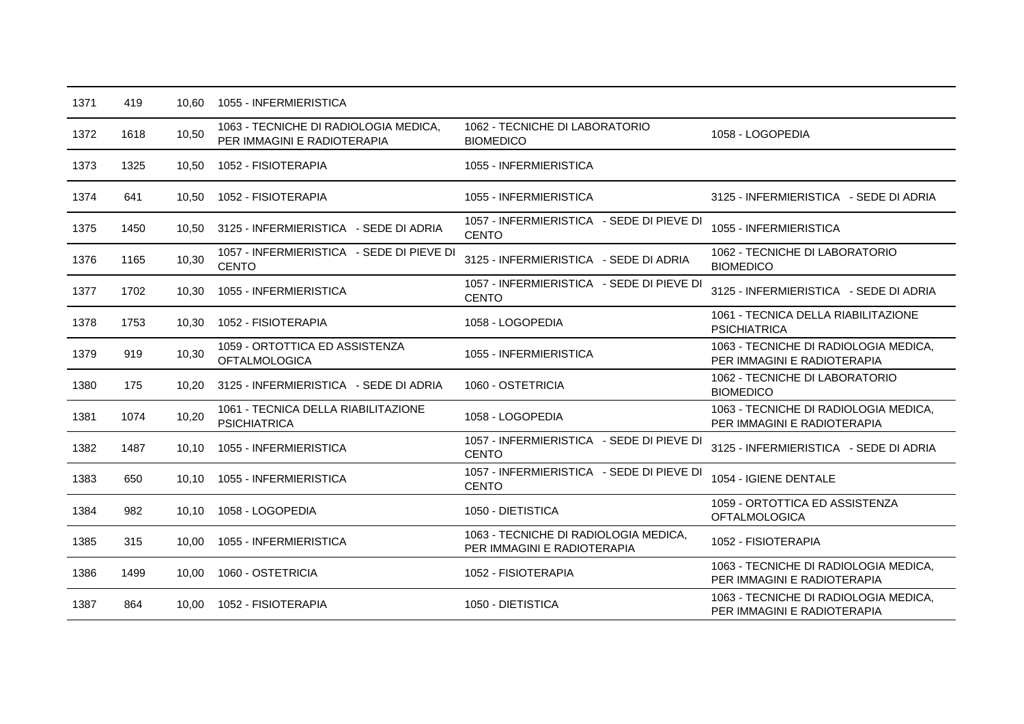| 1371 | 419  | 10.60 | 1055 - INFERMIERISTICA                                               |                                                                      |                                                                      |
|------|------|-------|----------------------------------------------------------------------|----------------------------------------------------------------------|----------------------------------------------------------------------|
| 1372 | 1618 | 10,50 | 1063 - TECNICHE DI RADIOLOGIA MEDICA,<br>PER IMMAGINI E RADIOTERAPIA | 1062 - TECNICHE DI LABORATORIO<br><b>BIOMEDICO</b>                   | 1058 - LOGOPEDIA                                                     |
| 1373 | 1325 | 10.50 | 1052 - FISIOTERAPIA                                                  | 1055 - INFERMIERISTICA                                               |                                                                      |
| 1374 | 641  | 10.50 | 1052 - FISIOTERAPIA                                                  | 1055 - INFERMIERISTICA                                               | 3125 - INFERMIERISTICA - SEDE DI ADRIA                               |
| 1375 | 1450 | 10.50 | 3125 - INFERMIERISTICA - SEDE DI ADRIA                               | 1057 - INFERMIERISTICA - SEDE DI PIEVE DI<br><b>CENTO</b>            | 1055 - INFERMIERISTICA                                               |
| 1376 | 1165 | 10,30 | 1057 - INFERMIERISTICA - SEDE DI PIEVE DI<br><b>CENTO</b>            | 3125 - INFERMIERISTICA - SEDE DI ADRIA                               | 1062 - TECNICHE DI LABORATORIO<br><b>BIOMEDICO</b>                   |
| 1377 | 1702 | 10,30 | 1055 - INFERMIERISTICA                                               | 1057 - INFERMIERISTICA - SEDE DI PIEVE DI<br><b>CENTO</b>            | 3125 - INFERMIERISTICA - SEDE DI ADRIA                               |
| 1378 | 1753 | 10,30 | 1052 - FISIOTERAPIA                                                  | 1058 - LOGOPEDIA                                                     | 1061 - TECNICA DELLA RIABILITAZIONE<br><b>PSICHIATRICA</b>           |
| 1379 | 919  | 10,30 | 1059 - ORTOTTICA ED ASSISTENZA<br><b>OFTALMOLOGICA</b>               | 1055 - INFERMIERISTICA                                               | 1063 - TECNICHE DI RADIOLOGIA MEDICA,<br>PER IMMAGINI E RADIOTERAPIA |
| 1380 | 175  | 10.20 | 3125 - INFERMIERISTICA - SEDE DI ADRIA                               | 1060 - OSTETRICIA                                                    | 1062 - TECNICHE DI LABORATORIO<br><b>BIOMEDICO</b>                   |
| 1381 | 1074 | 10,20 | 1061 - TECNICA DELLA RIABILITAZIONE<br><b>PSICHIATRICA</b>           | 1058 - LOGOPEDIA                                                     | 1063 - TECNICHE DI RADIOLOGIA MEDICA,<br>PER IMMAGINI E RADIOTERAPIA |
| 1382 | 1487 | 10.10 | 1055 - INFERMIERISTICA                                               | 1057 - INFERMIERISTICA - SEDE DI PIEVE DI<br><b>CENTO</b>            | 3125 - INFERMIERISTICA - SEDE DI ADRIA                               |
| 1383 | 650  | 10.10 | 1055 - INFERMIERISTICA                                               | 1057 - INFERMIERISTICA - SEDE DI PIEVE DI<br><b>CENTO</b>            | 1054 - IGIENE DENTALE                                                |
| 1384 | 982  | 10.10 | 1058 - LOGOPEDIA                                                     | 1050 - DIETISTICA                                                    | 1059 - ORTOTTICA ED ASSISTENZA<br><b>OFTALMOLOGICA</b>               |
| 1385 | 315  | 10,00 | 1055 - INFERMIERISTICA                                               | 1063 - TECNICHE DI RADIOLOGIA MEDICA,<br>PER IMMAGINI E RADIOTERAPIA | 1052 - FISIOTERAPIA                                                  |
| 1386 | 1499 | 10.00 | 1060 - OSTETRICIA                                                    | 1052 - FISIOTERAPIA                                                  | 1063 - TECNICHE DI RADIOLOGIA MEDICA,<br>PER IMMAGINI E RADIOTERAPIA |
| 1387 | 864  | 10.00 | 1052 - FISIOTERAPIA                                                  | 1050 - DIETISTICA                                                    | 1063 - TECNICHE DI RADIOLOGIA MEDICA,<br>PER IMMAGINI E RADIOTERAPIA |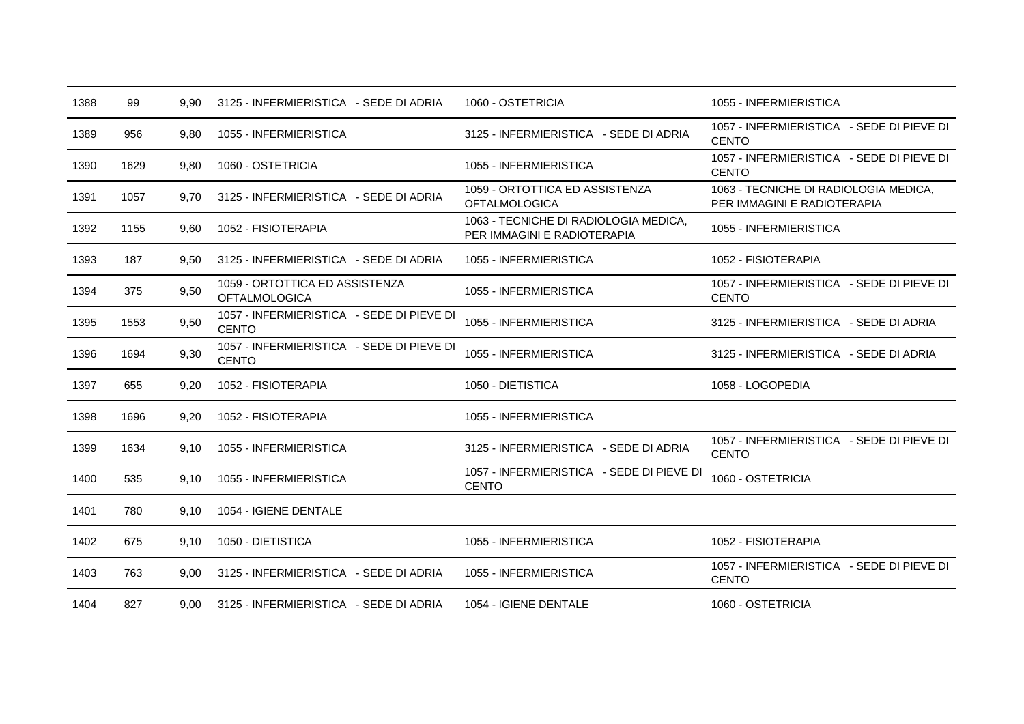| 1388 | 99   | 9,90 | 3125 - INFERMIERISTICA - SEDE DI ADRIA                    | 1060 - OSTETRICIA                                                    | 1055 - INFERMIERISTICA                                               |
|------|------|------|-----------------------------------------------------------|----------------------------------------------------------------------|----------------------------------------------------------------------|
| 1389 | 956  | 9,80 | 1055 - INFERMIERISTICA                                    | 3125 - INFERMIERISTICA - SEDE DI ADRIA                               | 1057 - INFERMIERISTICA - SEDE DI PIEVE DI<br><b>CENTO</b>            |
| 1390 | 1629 | 9,80 | 1060 - OSTETRICIA                                         | 1055 - INFERMIERISTICA                                               | 1057 - INFERMIERISTICA - SEDE DI PIEVE DI<br><b>CENTO</b>            |
| 1391 | 1057 | 9,70 | 3125 - INFERMIERISTICA - SEDE DI ADRIA                    | 1059 - ORTOTTICA ED ASSISTENZA<br><b>OFTALMOLOGICA</b>               | 1063 - TECNICHE DI RADIOLOGIA MEDICA,<br>PER IMMAGINI E RADIOTERAPIA |
| 1392 | 1155 | 9,60 | 1052 - FISIOTERAPIA                                       | 1063 - TECNICHE DI RADIOLOGIA MEDICA,<br>PER IMMAGINI E RADIOTERAPIA | 1055 - INFERMIERISTICA                                               |
| 1393 | 187  | 9,50 | 3125 - INFERMIERISTICA - SEDE DI ADRIA                    | 1055 - INFERMIERISTICA                                               | 1052 - FISIOTERAPIA                                                  |
| 1394 | 375  | 9,50 | 1059 - ORTOTTICA ED ASSISTENZA<br><b>OFTALMOLOGICA</b>    | 1055 - INFERMIERISTICA                                               | 1057 - INFERMIERISTICA - SEDE DI PIEVE DI<br><b>CENTO</b>            |
| 1395 | 1553 | 9,50 | 1057 - INFERMIERISTICA - SEDE DI PIEVE DI<br><b>CENTO</b> | 1055 - INFERMIERISTICA                                               | 3125 - INFERMIERISTICA - SEDE DI ADRIA                               |
| 1396 | 1694 | 9,30 | 1057 - INFERMIERISTICA - SEDE DI PIEVE DI<br><b>CENTO</b> | 1055 - INFERMIERISTICA                                               | 3125 - INFERMIERISTICA - SEDE DI ADRIA                               |
| 1397 | 655  | 9,20 | 1052 - FISIOTERAPIA                                       | 1050 - DIETISTICA                                                    | 1058 - LOGOPEDIA                                                     |
| 1398 | 1696 | 9,20 | 1052 - FISIOTERAPIA                                       | 1055 - INFERMIERISTICA                                               |                                                                      |
| 1399 | 1634 | 9,10 | 1055 - INFERMIERISTICA                                    | 3125 - INFERMIERISTICA - SEDE DI ADRIA                               | 1057 - INFERMIERISTICA - SEDE DI PIEVE DI<br><b>CENTO</b>            |
| 1400 | 535  | 9,10 | 1055 - INFERMIERISTICA                                    | 1057 - INFERMIERISTICA - SEDE DI PIEVE DI<br><b>CENTO</b>            | 1060 - OSTETRICIA                                                    |
| 1401 | 780  | 9,10 | 1054 - IGIENE DENTALE                                     |                                                                      |                                                                      |
| 1402 | 675  | 9,10 | 1050 - DIETISTICA                                         | 1055 - INFERMIERISTICA                                               | 1052 - FISIOTERAPIA                                                  |
| 1403 | 763  | 9,00 | 3125 - INFERMIERISTICA - SEDE DI ADRIA                    | 1055 - INFERMIERISTICA                                               | 1057 - INFERMIERISTICA - SEDE DI PIEVE DI<br><b>CENTO</b>            |
| 1404 | 827  | 9.00 | 3125 - INFERMIERISTICA - SEDE DI ADRIA                    | 1054 - IGIENE DENTALE                                                | 1060 - OSTETRICIA                                                    |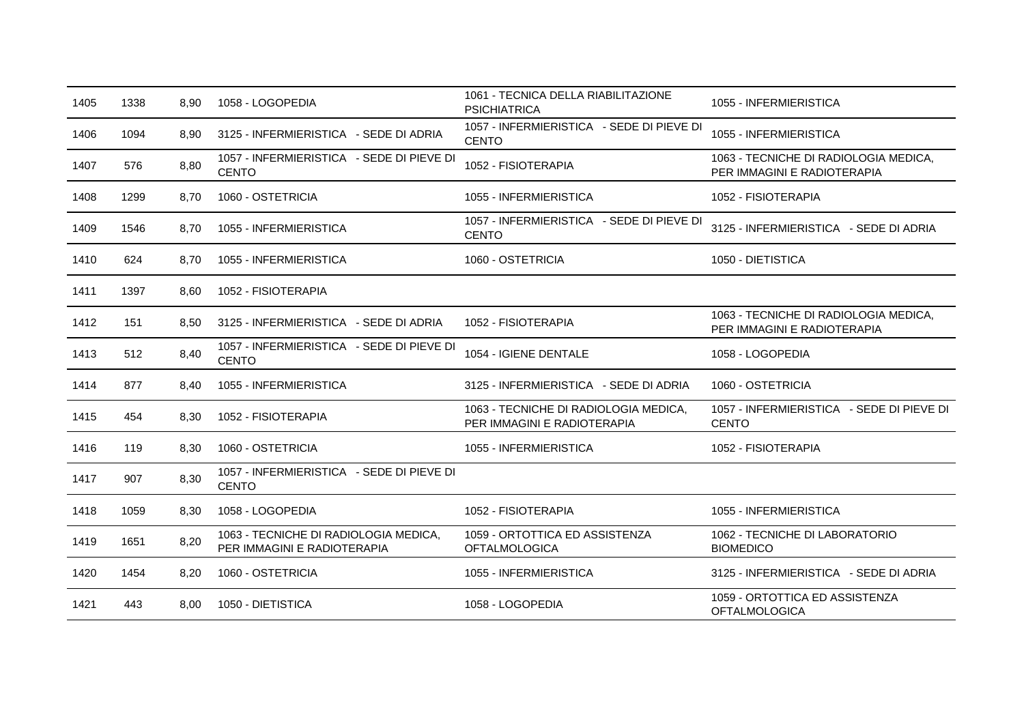| 1405 | 1338 | 8,90 | 1058 - LOGOPEDIA                                                     | 1061 - TECNICA DELLA RIABILITAZIONE<br><b>PSICHIATRICA</b>           | 1055 - INFERMIERISTICA                                               |
|------|------|------|----------------------------------------------------------------------|----------------------------------------------------------------------|----------------------------------------------------------------------|
| 1406 | 1094 | 8,90 | 3125 - INFERMIERISTICA - SEDE DI ADRIA                               | 1057 - INFERMIERISTICA - SEDE DI PIEVE DI<br><b>CENTO</b>            | 1055 - INFERMIERISTICA                                               |
| 1407 | 576  | 8,80 | 1057 - INFERMIERISTICA - SEDE DI PIEVE DI<br><b>CENTO</b>            | 1052 - FISIOTERAPIA                                                  | 1063 - TECNICHE DI RADIOLOGIA MEDICA,<br>PER IMMAGINI E RADIOTERAPIA |
| 1408 | 1299 | 8,70 | 1060 - OSTETRICIA                                                    | 1055 - INFERMIERISTICA                                               | 1052 - FISIOTERAPIA                                                  |
| 1409 | 1546 | 8,70 | 1055 - INFERMIERISTICA                                               | 1057 - INFERMIERISTICA - SEDE DI PIEVE DI<br><b>CENTO</b>            | 3125 - INFERMIERISTICA - SEDE DI ADRIA                               |
| 1410 | 624  | 8,70 | 1055 - INFERMIERISTICA                                               | 1060 - OSTETRICIA                                                    | 1050 - DIETISTICA                                                    |
| 1411 | 1397 | 8,60 | 1052 - FISIOTERAPIA                                                  |                                                                      |                                                                      |
| 1412 | 151  | 8,50 | 3125 - INFERMIERISTICA - SEDE DI ADRIA                               | 1052 - FISIOTERAPIA                                                  | 1063 - TECNICHE DI RADIOLOGIA MEDICA,<br>PER IMMAGINI E RADIOTERAPIA |
| 1413 | 512  | 8,40 | 1057 - INFERMIERISTICA - SEDE DI PIEVE DI<br><b>CENTO</b>            | 1054 - IGIENE DENTALE                                                | 1058 - LOGOPEDIA                                                     |
| 1414 | 877  | 8,40 | 1055 - INFERMIERISTICA                                               | 3125 - INFERMIERISTICA - SEDE DI ADRIA                               | 1060 - OSTETRICIA                                                    |
| 1415 | 454  | 8,30 | 1052 - FISIOTERAPIA                                                  | 1063 - TECNICHE DI RADIOLOGIA MEDICA,<br>PER IMMAGINI E RADIOTERAPIA | 1057 - INFERMIERISTICA - SEDE DI PIEVE DI<br><b>CENTO</b>            |
| 1416 | 119  | 8,30 | 1060 - OSTETRICIA                                                    | 1055 - INFERMIERISTICA                                               | 1052 - FISIOTERAPIA                                                  |
| 1417 | 907  | 8,30 | 1057 - INFERMIERISTICA - SEDE DI PIEVE DI<br><b>CENTO</b>            |                                                                      |                                                                      |
| 1418 | 1059 | 8,30 | 1058 - LOGOPEDIA                                                     | 1052 - FISIOTERAPIA                                                  | 1055 - INFERMIERISTICA                                               |
| 1419 | 1651 | 8,20 | 1063 - TECNICHE DI RADIOLOGIA MEDICA,<br>PER IMMAGINI E RADIOTERAPIA | 1059 - ORTOTTICA ED ASSISTENZA<br><b>OFTALMOLOGICA</b>               | 1062 - TECNICHE DI LABORATORIO<br><b>BIOMEDICO</b>                   |
| 1420 | 1454 | 8,20 | 1060 - OSTETRICIA                                                    | 1055 - INFERMIERISTICA                                               | 3125 - INFERMIERISTICA - SEDE DI ADRIA                               |
| 1421 | 443  | 8,00 | 1050 - DIETISTICA                                                    | 1058 - LOGOPEDIA                                                     | 1059 - ORTOTTICA ED ASSISTENZA<br><b>OFTALMOLOGICA</b>               |
|      |      |      |                                                                      |                                                                      |                                                                      |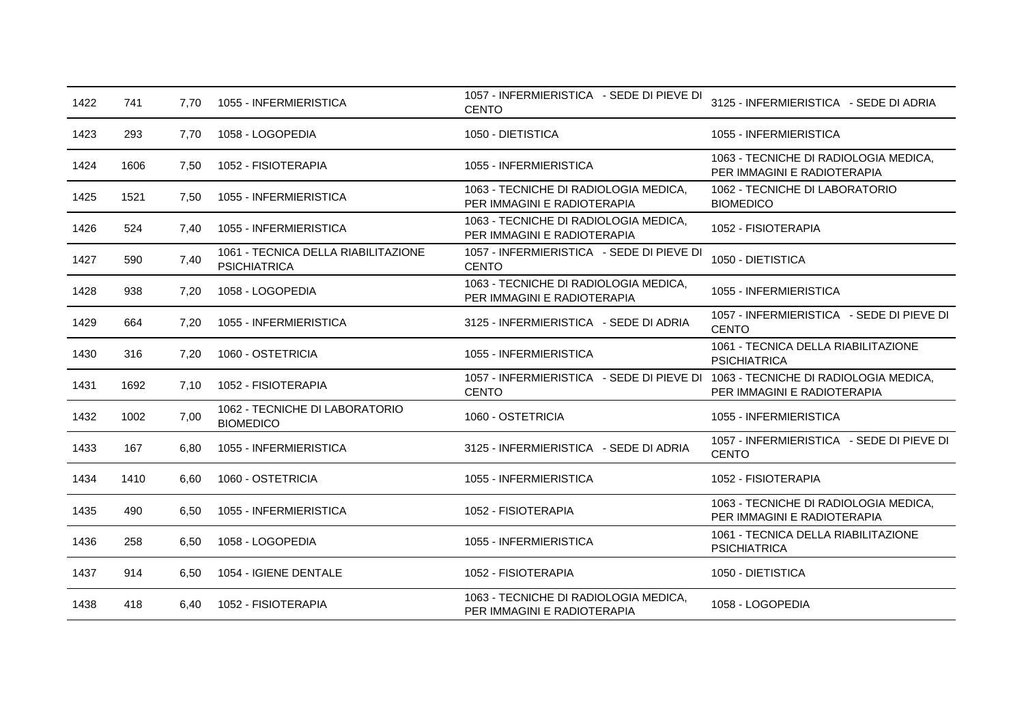| 1422 | 741  | 7,70 | 1055 - INFERMIERISTICA                                     | 1057 - INFERMIERISTICA - SEDE DI PIEVE DI<br><b>CENTO</b>                                       | 3125 - INFERMIERISTICA - SEDE DI ADRIA                               |
|------|------|------|------------------------------------------------------------|-------------------------------------------------------------------------------------------------|----------------------------------------------------------------------|
| 1423 | 293  | 7.70 | 1058 - LOGOPEDIA                                           | 1050 - DIETISTICA                                                                               | 1055 - INFERMIERISTICA                                               |
| 1424 | 1606 | 7,50 | 1052 - FISIOTERAPIA                                        | 1055 - INFERMIERISTICA                                                                          | 1063 - TECNICHE DI RADIOLOGIA MEDICA,<br>PER IMMAGINI E RADIOTERAPIA |
| 1425 | 1521 | 7,50 | 1055 - INFERMIERISTICA                                     | 1063 - TECNICHE DI RADIOLOGIA MEDICA,<br>PER IMMAGINI E RADIOTERAPIA                            | 1062 - TECNICHE DI LABORATORIO<br><b>BIOMEDICO</b>                   |
| 1426 | 524  | 7,40 | 1055 - INFERMIERISTICA                                     | 1063 - TECNICHE DI RADIOLOGIA MEDICA,<br>PER IMMAGINI E RADIOTERAPIA                            | 1052 - FISIOTERAPIA                                                  |
| 1427 | 590  | 7,40 | 1061 - TECNICA DELLA RIABILITAZIONE<br><b>PSICHIATRICA</b> | 1057 - INFERMIERISTICA - SEDE DI PIEVE DI<br><b>CENTO</b>                                       | 1050 - DIETISTICA                                                    |
| 1428 | 938  | 7,20 | 1058 - LOGOPEDIA                                           | 1063 - TECNICHE DI RADIOLOGIA MEDICA,<br>PER IMMAGINI E RADIOTERAPIA                            | 1055 - INFERMIERISTICA                                               |
| 1429 | 664  | 7,20 | 1055 - INFERMIERISTICA                                     | 3125 - INFERMIERISTICA - SEDE DI ADRIA                                                          | 1057 - INFERMIERISTICA - SEDE DI PIEVE DI<br><b>CENTO</b>            |
| 1430 | 316  | 7,20 | 1060 - OSTETRICIA                                          | 1055 - INFERMIERISTICA                                                                          | 1061 - TECNICA DELLA RIABILITAZIONE<br><b>PSICHIATRICA</b>           |
| 1431 | 1692 | 7,10 | 1052 - FISIOTERAPIA                                        | 1057 - INFERMIERISTICA - SEDE DI PIEVE DI 1063 - TECNICHE DI RADIOLOGIA MEDICA,<br><b>CENTO</b> | PER IMMAGINI E RADIOTERAPIA                                          |
| 1432 | 1002 | 7,00 | 1062 - TECNICHE DI LABORATORIO<br><b>BIOMEDICO</b>         | 1060 - OSTETRICIA                                                                               | 1055 - INFERMIERISTICA                                               |
| 1433 | 167  | 6,80 | 1055 - INFERMIERISTICA                                     | 3125 - INFERMIERISTICA - SEDE DI ADRIA                                                          | 1057 - INFERMIERISTICA - SEDE DI PIEVE DI<br><b>CENTO</b>            |
| 1434 | 1410 | 6,60 | 1060 - OSTETRICIA                                          | 1055 - INFERMIERISTICA                                                                          | 1052 - FISIOTERAPIA                                                  |
| 1435 | 490  | 6,50 | 1055 - INFERMIERISTICA                                     | 1052 - FISIOTERAPIA                                                                             | 1063 - TECNICHE DI RADIOLOGIA MEDICA,<br>PER IMMAGINI E RADIOTERAPIA |
| 1436 | 258  | 6,50 | 1058 - LOGOPEDIA                                           | 1055 - INFERMIERISTICA                                                                          | 1061 - TECNICA DELLA RIABILITAZIONE<br><b>PSICHIATRICA</b>           |
| 1437 | 914  | 6,50 | 1054 - IGIENE DENTALE                                      | 1052 - FISIOTERAPIA                                                                             | 1050 - DIETISTICA                                                    |
| 1438 | 418  | 6,40 | 1052 - FISIOTERAPIA                                        | 1063 - TECNICHE DI RADIOLOGIA MEDICA,<br>PER IMMAGINI E RADIOTERAPIA                            | 1058 - LOGOPEDIA                                                     |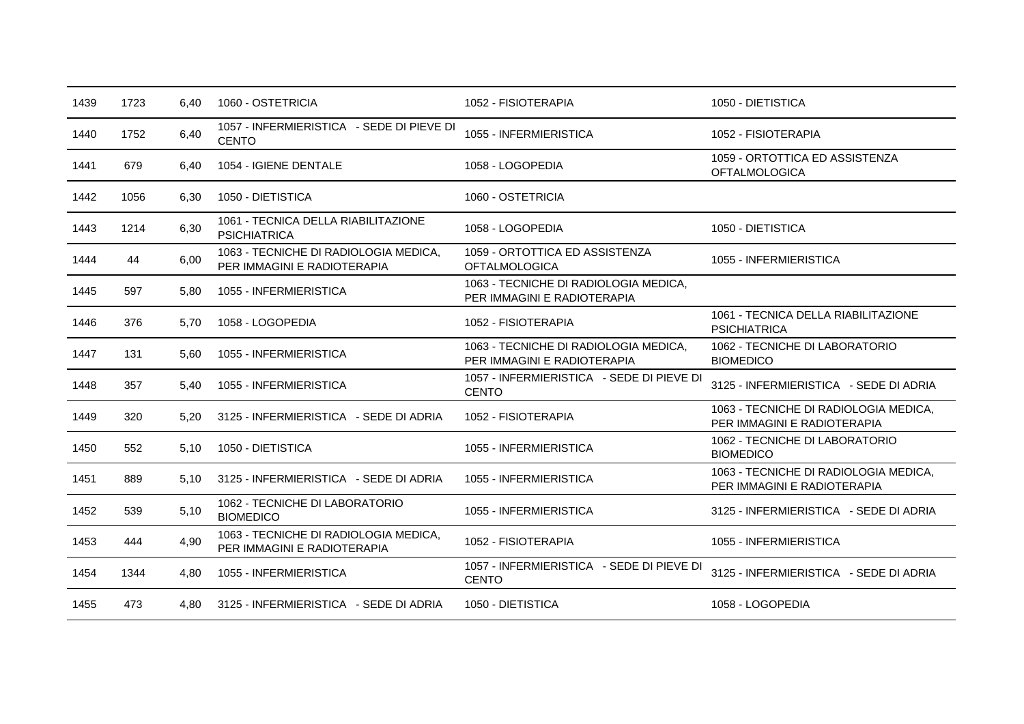| 1439 | 1723 | 6,40 | 1060 - OSTETRICIA                                                    | 1052 - FISIOTERAPIA                                                  | 1050 - DIETISTICA                                                    |
|------|------|------|----------------------------------------------------------------------|----------------------------------------------------------------------|----------------------------------------------------------------------|
| 1440 | 1752 | 6,40 | 1057 - INFERMIERISTICA - SEDE DI PIEVE DI<br><b>CENTO</b>            | 1055 - INFERMIERISTICA                                               | 1052 - FISIOTERAPIA                                                  |
| 1441 | 679  | 6,40 | 1054 - IGIENE DENTALE                                                | 1058 - LOGOPEDIA                                                     | 1059 - ORTOTTICA ED ASSISTENZA<br><b>OFTALMOLOGICA</b>               |
| 1442 | 1056 | 6,30 | 1050 - DIETISTICA                                                    | 1060 - OSTETRICIA                                                    |                                                                      |
| 1443 | 1214 | 6,30 | 1061 - TECNICA DELLA RIABILITAZIONE<br><b>PSICHIATRICA</b>           | 1058 - LOGOPEDIA                                                     | 1050 - DIETISTICA                                                    |
| 1444 | 44   | 6,00 | 1063 - TECNICHE DI RADIOLOGIA MEDICA,<br>PER IMMAGINI E RADIOTERAPIA | 1059 - ORTOTTICA ED ASSISTENZA<br><b>OFTALMOLOGICA</b>               | 1055 - INFERMIERISTICA                                               |
| 1445 | 597  | 5,80 | 1055 - INFERMIERISTICA                                               | 1063 - TECNICHE DI RADIOLOGIA MEDICA,<br>PER IMMAGINI E RADIOTERAPIA |                                                                      |
| 1446 | 376  | 5,70 | 1058 - LOGOPEDIA                                                     | 1052 - FISIOTERAPIA                                                  | 1061 - TECNICA DELLA RIABILITAZIONE<br><b>PSICHIATRICA</b>           |
| 1447 | 131  | 5,60 | 1055 - INFERMIERISTICA                                               | 1063 - TECNICHE DI RADIOLOGIA MEDICA,<br>PER IMMAGINI E RADIOTERAPIA | 1062 - TECNICHE DI LABORATORIO<br><b>BIOMEDICO</b>                   |
| 1448 | 357  | 5.40 | 1055 - INFERMIERISTICA                                               | 1057 - INFERMIERISTICA - SEDE DI PIEVE DI<br><b>CENTO</b>            | 3125 - INFERMIERISTICA - SEDE DI ADRIA                               |
| 1449 | 320  | 5,20 | 3125 - INFERMIERISTICA - SEDE DI ADRIA                               | 1052 - FISIOTERAPIA                                                  | 1063 - TECNICHE DI RADIOLOGIA MEDICA,<br>PER IMMAGINI E RADIOTERAPIA |
| 1450 | 552  | 5,10 | 1050 - DIETISTICA                                                    | 1055 - INFERMIERISTICA                                               | 1062 - TECNICHE DI LABORATORIO<br><b>BIOMEDICO</b>                   |
| 1451 | 889  | 5.10 | 3125 - INFERMIERISTICA - SEDE DI ADRIA                               | 1055 - INFERMIERISTICA                                               | 1063 - TECNICHE DI RADIOLOGIA MEDICA,<br>PER IMMAGINI E RADIOTERAPIA |
| 1452 | 539  | 5,10 | 1062 - TECNICHE DI LABORATORIO<br><b>BIOMEDICO</b>                   | 1055 - INFERMIERISTICA                                               | 3125 - INFERMIERISTICA - SEDE DI ADRIA                               |
| 1453 | 444  | 4,90 | 1063 - TECNICHE DI RADIOLOGIA MEDICA,<br>PER IMMAGINI E RADIOTERAPIA | 1052 - FISIOTERAPIA                                                  | 1055 - INFERMIERISTICA                                               |
| 1454 | 1344 | 4,80 | 1055 - INFERMIERISTICA                                               | 1057 - INFERMIERISTICA - SEDE DI PIEVE DI<br><b>CENTO</b>            | 3125 - INFERMIERISTICA - SEDE DI ADRIA                               |
| 1455 | 473  | 4.80 | 3125 - INFERMIERISTICA - SEDE DI ADRIA                               | 1050 - DIETISTICA                                                    | 1058 - LOGOPEDIA                                                     |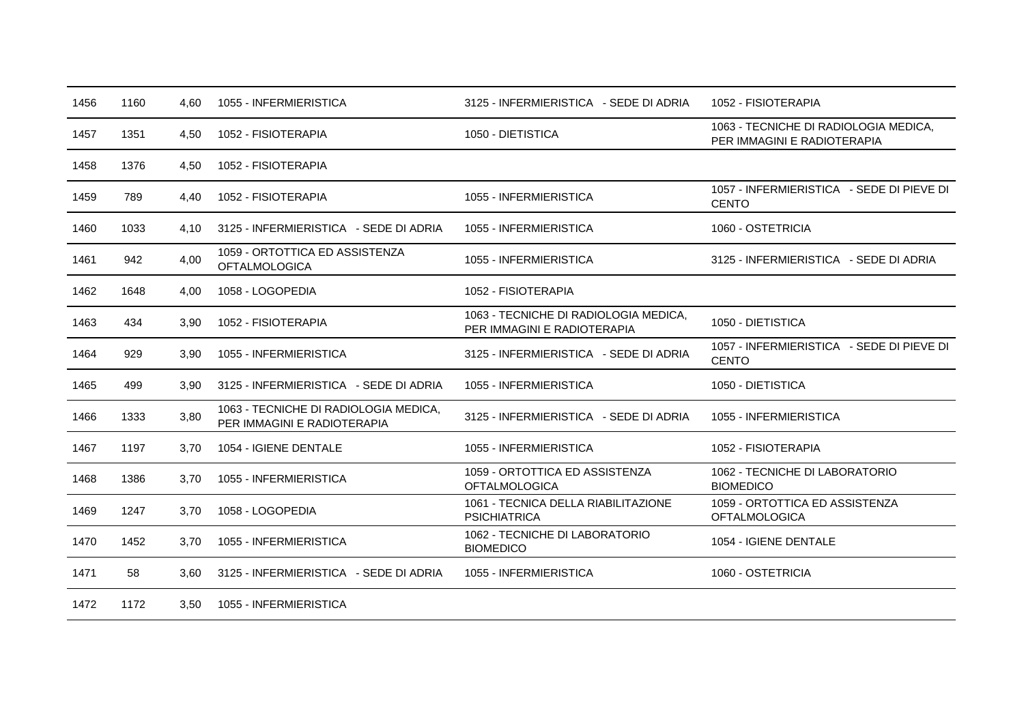| 1456 | 1160 | 4.60 | 1055 - INFERMIERISTICA                                               | 3125 - INFERMIERISTICA - SEDE DI ADRIA                               | 1052 - FISIOTERAPIA                                                  |
|------|------|------|----------------------------------------------------------------------|----------------------------------------------------------------------|----------------------------------------------------------------------|
| 1457 | 1351 | 4,50 | 1052 - FISIOTERAPIA                                                  | 1050 - DIETISTICA                                                    | 1063 - TECNICHE DI RADIOLOGIA MEDICA,<br>PER IMMAGINI E RADIOTERAPIA |
| 1458 | 1376 | 4,50 | 1052 - FISIOTERAPIA                                                  |                                                                      |                                                                      |
| 1459 | 789  | 4,40 | 1052 - FISIOTERAPIA                                                  | 1055 - INFERMIERISTICA                                               | 1057 - INFERMIERISTICA - SEDE DI PIEVE DI<br><b>CENTO</b>            |
| 1460 | 1033 | 4.10 | 3125 - INFERMIERISTICA - SEDE DI ADRIA                               | 1055 - INFERMIERISTICA                                               | 1060 - OSTETRICIA                                                    |
| 1461 | 942  | 4,00 | 1059 - ORTOTTICA ED ASSISTENZA<br><b>OFTALMOLOGICA</b>               | 1055 - INFERMIERISTICA                                               | 3125 - INFERMIERISTICA - SEDE DI ADRIA                               |
| 1462 | 1648 | 4,00 | 1058 - LOGOPEDIA                                                     | 1052 - FISIOTERAPIA                                                  |                                                                      |
| 1463 | 434  | 3,90 | 1052 - FISIOTERAPIA                                                  | 1063 - TECNICHE DI RADIOLOGIA MEDICA,<br>PER IMMAGINI E RADIOTERAPIA | 1050 - DIETISTICA                                                    |
| 1464 | 929  | 3,90 | 1055 - INFERMIERISTICA                                               | 3125 - INFERMIERISTICA - SEDE DI ADRIA                               | 1057 - INFERMIERISTICA - SEDE DI PIEVE DI<br><b>CENTO</b>            |
| 1465 | 499  | 3,90 | 3125 - INFERMIERISTICA - SEDE DI ADRIA                               | 1055 - INFERMIERISTICA                                               | 1050 - DIETISTICA                                                    |
| 1466 | 1333 | 3,80 | 1063 - TECNICHE DI RADIOLOGIA MEDICA.<br>PER IMMAGINI E RADIOTERAPIA | 3125 - INFERMIERISTICA - SEDE DI ADRIA                               | 1055 - INFERMIERISTICA                                               |
| 1467 | 1197 | 3.70 | 1054 - IGIENE DENTALE                                                | 1055 - INFERMIERISTICA                                               | 1052 - FISIOTERAPIA                                                  |
| 1468 | 1386 | 3,70 | 1055 - INFERMIERISTICA                                               | 1059 - ORTOTTICA ED ASSISTENZA<br><b>OFTALMOLOGICA</b>               | 1062 - TECNICHE DI LABORATORIO<br><b>BIOMEDICO</b>                   |
| 1469 | 1247 | 3,70 | 1058 - LOGOPEDIA                                                     | 1061 - TECNICA DELLA RIABILITAZIONE<br><b>PSICHIATRICA</b>           | 1059 - ORTOTTICA ED ASSISTENZA<br><b>OFTALMOLOGICA</b>               |
| 1470 | 1452 | 3,70 | 1055 - INFERMIERISTICA                                               | 1062 - TECNICHE DI LABORATORIO<br><b>BIOMEDICO</b>                   | 1054 - IGIENE DENTALE                                                |
| 1471 | 58   | 3,60 | 3125 - INFERMIERISTICA - SEDE DI ADRIA                               | 1055 - INFERMIERISTICA                                               | 1060 - OSTETRICIA                                                    |
| 1472 | 1172 | 3,50 | 1055 - INFERMIERISTICA                                               |                                                                      |                                                                      |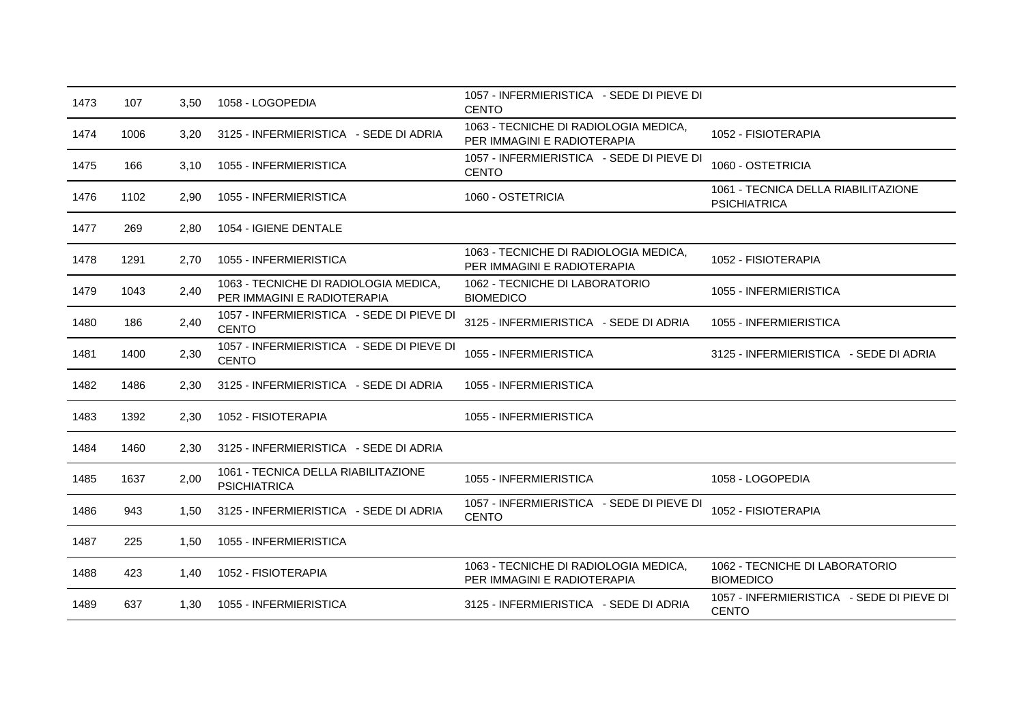| 1473 | 107  | 3,50 | 1058 - LOGOPEDIA                                                     | 1057 - INFERMIERISTICA - SEDE DI PIEVE DI<br><b>CENTO</b>            |                                                            |
|------|------|------|----------------------------------------------------------------------|----------------------------------------------------------------------|------------------------------------------------------------|
| 1474 | 1006 | 3,20 | 3125 - INFERMIERISTICA - SEDE DI ADRIA                               | 1063 - TECNICHE DI RADIOLOGIA MEDICA,<br>PER IMMAGINI E RADIOTERAPIA | 1052 - FISIOTERAPIA                                        |
| 1475 | 166  | 3.10 | 1055 - INFERMIERISTICA                                               | 1057 - INFERMIERISTICA - SEDE DI PIEVE DI<br><b>CENTO</b>            | 1060 - OSTETRICIA                                          |
| 1476 | 1102 | 2,90 | 1055 - INFERMIERISTICA                                               | 1060 - OSTETRICIA                                                    | 1061 - TECNICA DELLA RIABILITAZIONE<br><b>PSICHIATRICA</b> |
| 1477 | 269  | 2,80 | 1054 - IGIENE DENTALE                                                |                                                                      |                                                            |
| 1478 | 1291 | 2.70 | 1055 - INFERMIERISTICA                                               | 1063 - TECNICHE DI RADIOLOGIA MEDICA,<br>PER IMMAGINI E RADIOTERAPIA | 1052 - FISIOTERAPIA                                        |
| 1479 | 1043 | 2,40 | 1063 - TECNICHE DI RADIOLOGIA MEDICA,<br>PER IMMAGINI E RADIOTERAPIA | 1062 - TECNICHE DI LABORATORIO<br><b>BIOMEDICO</b>                   | 1055 - INFERMIERISTICA                                     |
| 1480 | 186  | 2,40 | 1057 - INFERMIERISTICA - SEDE DI PIEVE DI<br><b>CENTO</b>            | 3125 - INFERMIERISTICA - SEDE DI ADRIA                               | 1055 - INFERMIERISTICA                                     |
| 1481 | 1400 | 2,30 | 1057 - INFERMIERISTICA - SEDE DI PIEVE DI<br><b>CENTO</b>            | 1055 - INFERMIERISTICA                                               | 3125 - INFERMIERISTICA - SEDE DI ADRIA                     |
| 1482 | 1486 | 2,30 | 3125 - INFERMIERISTICA - SEDE DI ADRIA                               | 1055 - INFERMIERISTICA                                               |                                                            |
| 1483 | 1392 | 2,30 | 1052 - FISIOTERAPIA                                                  | 1055 - INFERMIERISTICA                                               |                                                            |
| 1484 | 1460 | 2,30 | 3125 - INFERMIERISTICA - SEDE DI ADRIA                               |                                                                      |                                                            |
| 1485 | 1637 | 2,00 | 1061 - TECNICA DELLA RIABILITAZIONE<br><b>PSICHIATRICA</b>           | 1055 - INFERMIERISTICA                                               | 1058 - LOGOPEDIA                                           |
| 1486 | 943  | 1,50 | 3125 - INFERMIERISTICA - SEDE DI ADRIA                               | 1057 - INFERMIERISTICA - SEDE DI PIEVE DI<br><b>CENTO</b>            | 1052 - FISIOTERAPIA                                        |
| 1487 | 225  | 1,50 | 1055 - INFERMIERISTICA                                               |                                                                      |                                                            |
| 1488 | 423  | 1,40 | 1052 - FISIOTERAPIA                                                  | 1063 - TECNICHE DI RADIOLOGIA MEDICA,<br>PER IMMAGINI E RADIOTERAPIA | 1062 - TECNICHE DI LABORATORIO<br><b>BIOMEDICO</b>         |
| 1489 | 637  | 1,30 | 1055 - INFERMIERISTICA                                               | 3125 - INFERMIERISTICA - SEDE DI ADRIA                               | 1057 - INFERMIERISTICA - SEDE DI PIEVE DI<br><b>CENTO</b>  |
|      |      |      |                                                                      |                                                                      |                                                            |